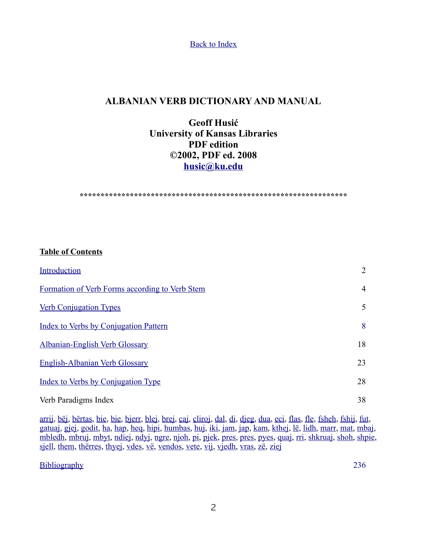### **ALBANIAN VERB DICTIONARY AND MANUAL**

### **Geoff Husić University of Kansas Libraries PDF edition ©2002, PDF ed. 2008 [husic@ku.edu](mailto:husic@ku.edu)**

**\*\*\*\*\*\*\*\*\*\*\*\*\*\*\*\*\*\*\*\*\*\*\*\*\*\*\*\*\*\*\*\*\*\*\*\*\*\*\*\*\*\*\*\*\*\*\*\*\*\*\*\*\*\*\*\*\*\*\*\*\*\*\*\***

#### **Table of Contents**

| Introduction                                   | $\overline{2}$ |
|------------------------------------------------|----------------|
| Formation of Verb Forms according to Verb Stem | $\overline{4}$ |
| <b>Verb Conjugation Types</b>                  | 5              |
| <b>Index to Verbs by Conjugation Pattern</b>   | 8              |
| <b>Albanian-English Verb Glossary</b>          | 18             |
| English-Albanian Verb Glossary                 | 23             |
| <b>Index to Verbs by Conjugation Type</b>      | 28             |
| Verb Paradigms Index                           | 38             |

<span id="page-0-0"></span>[arrij,](#page-35-0) [bëj,](#page-38-0) [bërtas,](#page-41-0) [bie,](#page-42-0) [bie,](#page-45-0) [bjerr,](#page-47-0) [blej,](#page-50-0) [brej,](#page-53-0) [çaj,](#page-56-0) [çliroj,](#page-59-0) [dal,](#page-62-0) [di,](#page-64-0) [djeg,](#page-67-0) [dua,](#page-70-0) [eci,](#page-73-0) [flas,](#page-74-0) [fle,](#page-78-0) [fsheh,](#page-81-0) [fshij,](#page-84-0) [fut,](#page-87-0) [gatuaj,](#page-90-0) [gjej,](#page-93-0) [godit,](#page-96-0) [ha,](#page-100-0) [hap,](#page-103-0) [heq,](#page-106-0) [hipi,](#page-109-0) [humbas,](#page-111-0) [huj,](#page-114-0) [iki,](#page-116-0) [jam,](#page-118-0) [jap,](#page-120-0) [kam,](#page-123-0) [kthej,](#page-124-0) [lë,](#page-128-0) [lidh,](#page-131-0) [marr,](#page-134-0) [mat,](#page-137-0) [mbaj,](#page-140-0) [mbledh,](#page-144-0) [mbruj,](#page-147-0) [mbyt,](#page-151-0) [ndiej,](#page-154-0) [ndyj,](#page-157-0) [ngre,](#page-160-0) [njoh,](#page-163-0) [pi,](#page-166-0) [pjek,](#page-169-0) [pres,](#page-172-0) [pres,](#page-175-0) [pyes,](#page-178-0) [quaj,](#page-181-0) [rri,](#page-184-0) [shkruaj,](#page-185-0) [shoh,](#page-189-0) [shpie,](#page-192-0) [sjell,](#page-195-0) [them,](#page-198-0) [thërres,](#page-201-0) [thyej,](#page-205-0) [vdes,](#page-208-0) [vë,](#page-210-0) [vendos,](#page-213-0) [vete,](#page-216-0) [vij,](#page-218-0) [vjedh,](#page-220-0) [vras,](#page-223-0) [zë,](#page-226-0) [ziej](#page-229-0)

#### [Bibliography](#page-232-0) [236](#page-232-0)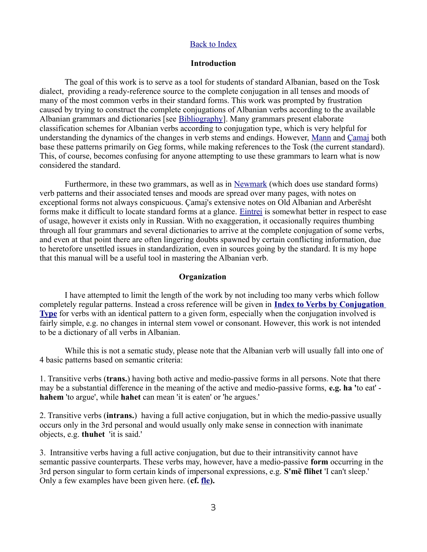#### <span id="page-1-0"></span>**Introduction**

The goal of this work is to serve as a tool for students of standard Albanian, based on the Tosk dialect, providing a ready-reference source to the complete conjugation in all tenses and moods of many of the most common verbs in their standard forms. This work was prompted by frustration caused by trying to construct the complete conjugations of Albanian verbs according to the available Albanian grammars and dictionaries [see [Bibliography\]](#page-232-0). Many grammars present elaborate classification schemes for Albanian verbs according to conjugation type, which is very helpful for understanding the dynamics of the changes in verb stems and endings. However, [Mann](#page-232-4) and [Çamaj](#page-232-3) both base these patterns primarily on Geg forms, while making references to the Tosk (the current standard). This, of course, becomes confusing for anyone attempting to use these grammars to learn what is now considered the standard.

Furthermore, in these two grammars, as well as in [Newmark](#page-232-2) (which does use standard forms) verb patterns and their associated tenses and moods are spread over many pages, with notes on exceptional forms not always conspicuous. Çamaj's extensive notes on Old Albanian and Arberësht forms make it difficult to locate standard forms at a glance. [Eintrei](#page-232-1) is somewhat better in respect to ease of usage, however it exists only in Russian. With no exaggeration, it occasionally requires thumbing through all four grammars and several dictionaries to arrive at the complete conjugation of some verbs, and even at that point there are often lingering doubts spawned by certain conflicting information, due to heretofore unsettled issues in standardization, even in sources going by the standard. It is my hope that this manual will be a useful tool in mastering the Albanian verb.

#### **Organization**

I have attempted to limit the length of the work by not including too many verbs which follow completely regular patterns. Instead a cross reference will be given in **[Index to Verbs by Conjugation](#page-25-0) [Type](#page-25-0)** for verbs with an identical pattern to a given form, especially when the conjugation involved is fairly simple, e.g. no changes in internal stem vowel or consonant. However, this work is not intended to be a dictionary of all verbs in Albanian.

While this is not a sematic study, please note that the Albanian verb will usually fall into one of 4 basic patterns based on semantic criteria:

1. Transitive verbs (**trans.**) having both active and medio-passive forms in all persons. Note that there may be a substantial difference in the meaning of the active and medio-passive forms, **e.g. ha '**to eat' **hahem** 'to argue', while **hahet** can mean 'it is eaten' or 'he argues.'

2. Transitive verbs (**intrans.**) having a full active conjugation, but in which the medio-passive usually occurs only in the 3rd personal and would usually only make sense in connection with inanimate objects, e.g. **thuhet** 'it is said.'

3. Intransitive verbs having a full active conjugation, but due to their intransitivity cannot have semantic passive counterparts. These verbs may, however, have a medio-passive **form** occurring in the 3rd person singular to form certain kinds of impersonal expressions, e.g. **S'më flihet** 'I can't sleep.' Only a few examples have been given here. (**cf. [fle\)](#page-78-0).**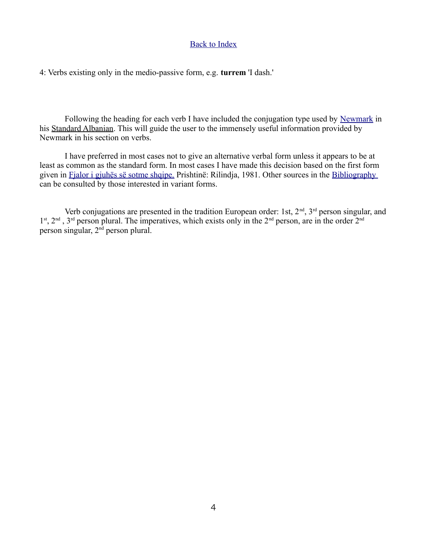4: Verbs existing only in the medio-passive form, e.g. **turrem** 'I dash.'

Following the heading for each verb I have included the conjugation type used by [Newmark](#page-232-2) in his Standard Albanian. This will guide the user to the immensely useful information provided by Newmark in his section on verbs.

I have preferred in most cases not to give an alternative verbal form unless it appears to be at least as common as the standard form. In most cases I have made this decision based on the first form given in [Fjalor i gjuhës së sotme shqipe.](#page-232-5) Prishtinë: Rilindja, 1981. Other sources in the [Bibliography](#page-232-0) can be consulted by those interested in variant forms.

Verb conjugations are presented in the tradition European order: 1st,  $2<sup>nd</sup>$ ,  $3<sup>rd</sup>$  person singular, and 1<sup>st</sup>, 2<sup>nd</sup>, 3<sup>rd</sup> person plural. The imperatives, which exists only in the 2<sup>nd</sup> person, are in the order 2<sup>nd</sup> person singular, 2nd person plural.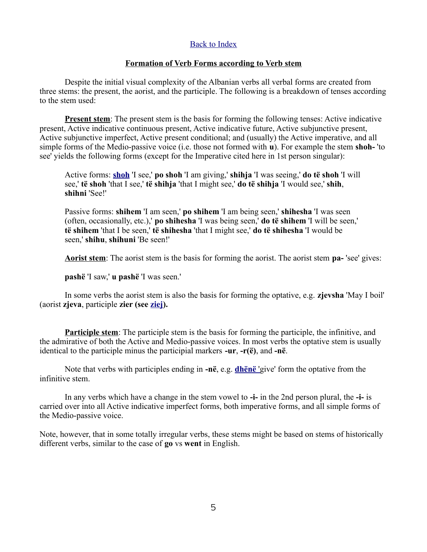#### <span id="page-3-0"></span>**Formation of Verb Forms according to Verb stem**

Despite the initial visual complexity of the Albanian verbs all verbal forms are created from three stems: the present, the aorist, and the participle. The following is a breakdown of tenses according to the stem used:

**Present stem**: The present stem is the basis for forming the following tenses: Active indicative present, Active indicative continuous present, Active indicative future, Active subjunctive present, Active subjunctive imperfect, Active present conditional; and (usually) the Active imperative, and all simple forms of the Medio-passive voice (i.e. those not formed with **u**). For example the stem **shoh-** 'to see' yields the following forms (except for the Imperative cited here in 1st person singular):

Active forms: **[shoh](#page-189-0)** 'I see,' **po shoh** 'I am giving,' **shihja** 'I was seeing,' **do të shoh** 'I will see,' **të shoh** 'that I see,' **të shihja** 'that I might see,' **do të shihja** 'I would see,' **shih**, **shihni** 'See!'

Passive forms: **shihem** 'I am seen,' **po shihem** 'I am being seen,' **shihesha** 'I was seen (often, occasionally, etc.),' **po shihesha** 'I was being seen,' **do të shihem** 'I will be seen,' **të shihem** 'that I be seen,' **të shihesha** 'that I might see,' **do të shihesha** 'I would be seen,' **shihu**, **shihuni** 'Be seen!'

**Aorist stem**: The aorist stem is the basis for forming the aorist. The aorist stem **pa-** 'see' gives:

**pashë** 'I saw,' **u pashë** 'I was seen.'

In some verbs the aorist stem is also the basis for forming the optative, e.g. **zjevsha** 'May I boil' (aorist **zjeva**, participle **zier (see [ziej\)](#page-229-0).**

**Participle stem**: The participle stem is the basis for forming the participle, the infinitive, and the admirative of both the Active and Medio-passive voices. In most verbs the optative stem is usually identical to the participle minus the participial markers **-ur**, **-r(ë)**, and **-në**.

Note that verbs with participles ending in **-në**, e.g. **[dhënë](#page-120-0)** 'give' form the optative from the infinitive stem.

In any verbs which have a change in the stem vowel to **-i-** in the 2nd person plural, the **-i-** is carried over into all Active indicative imperfect forms, both imperative forms, and all simple forms of the Medio-passive voice.

Note, however, that in some totally irregular verbs, these stems might be based on stems of historically different verbs, similar to the case of **go** vs **went** in English.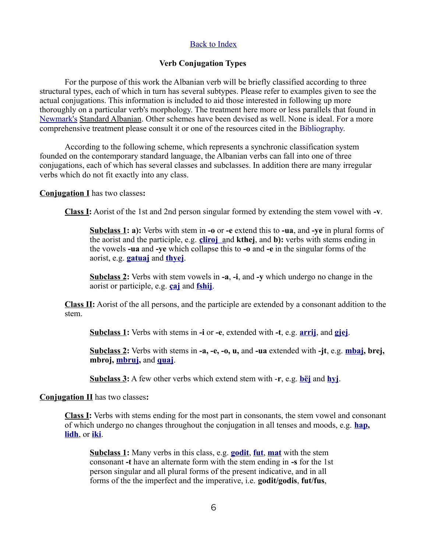#### <span id="page-4-0"></span>**Verb Conjugation Types**

For the purpose of this work the Albanian verb will be briefly classified according to three structural types, each of which in turn has several subtypes. Please refer to examples given to see the actual conjugations. This information is included to aid those interested in following up more thoroughly on a particular verb's morphology. The treatment here more or less parallels that found in [Newmark's](#page-232-2) Standard Albanian. Other schemes have been devised as well. None is ideal. For a more comprehensive treatment please consult it or one of the resources cited in the [Bibliography.](#page-232-0)

According to the following scheme, which represents a synchronic classification system founded on the contemporary standard language, the Albanian verbs can fall into one of three conjugations, each of which has several classes and subclasses. In addition there are many irregular verbs which do not fit exactly into any class.

**Conjugation I** has two classes**:**

**Class I:** Aorist of the 1st and 2nd person singular formed by extending the stem vowel with **-v**.

**Subclass 1: a):** Verbs with stem in **-o** or **-e** extend this to **-ua**, and **-ye** in plural forms of the aorist and the participle, e.g. **[çliroj](#page-59-0)** and **kthej**, and **b):** verbs with stems ending in the vowels **-ua** and **-ye** which collapse this to **-o** and **-e** in the singular forms of the aorist, e.g. **[gatuaj](#page-90-0)** and **[thyej](#page-205-0)**.

**Subclass 2:** Verbs with stem vowels in **-a**, **-i**, and **-y** which undergo no change in the aorist or participle, e.g. **[çaj](#page-56-0)** and **[fshij](#page-84-0)**.

**Class II:** Aorist of the all persons, and the participle are extended by a consonant addition to the stem.

**Subclass 1:** Verbs with stems in **-i** or **-e**, extended with **-t**, e.g. **[arrij](#page-35-0)**, and **[gjej](#page-93-0)**.

**Subclass 2:** Verbs with stems in **-a, -e, -o, u,** and **-ua** extended with **-jt**, e.g. **[mbaj,](#page-140-0) brej, mbroj, [mbruj,](#page-147-0)** and **[quaj](#page-181-0)**.

**Subclass 3:** A few other verbs which extend stem with -**r**, e.g. **[bëj](#page-38-0)** and **[hyj](#page-114-0)**.

#### **Conjugation II** has two classes**:**

**Class I:** Verbs with stems ending for the most part in consonants, the stem vowel and consonant of which undergo no changes throughout the conjugation in all tenses and moods, e.g. **[hap,](#page-103-0) [lidh](#page-131-0)**, or **[iki](#page-116-0)**.

**Subclass 1:** Many verbs in this class, e.g. **[godit](#page-96-0)**, **[fut](#page-87-0)**, **[mat](#page-137-0)** with the stem consonant **-t** have an alternate form with the stem ending in **-s** for the 1st person singular and all plural forms of the present indicative, and in all forms of the the imperfect and the imperative, i.e. **godit/godis**, **fut/fus**,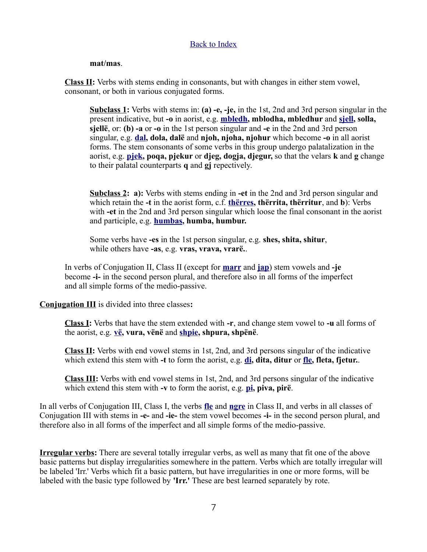#### **mat/mas**.

**Class II:** Verbs with stems ending in consonants, but with changes in either stem vowel, consonant, or both in various conjugated forms.

**Subclass 1:** Verbs with stems in: **(a) -e, -je,** in the 1st, 2nd and 3rd person singular in the present indicative, but **-o** in aorist, e.g. **[mbledh,](#page-144-0) mblodha, mbledhur** and **[sjell,](#page-195-0) solla, sjellë**, or: **(b) -a** or **-o** in the 1st person singular and **-e** in the 2nd and 3rd person singular, e.g. **[dal,](#page-62-0) dola, dalë** and **njoh, njoha, njohur** which become **-o** in all aorist forms. The stem consonants of some verbs in this group undergo palatalization in the aorist, e.g. **[pjek,](#page-169-0) poqa, pjekur** or **djeg, dogja, djegur,** so that the velars **k** and **g** change to their palatal counterparts **q** and **gj** repectively.

**Subclass 2: a):** Verbs with stems ending in **-et** in the 2nd and 3rd person singular and which retain the **-t** in the aorist form, c.f. **[thërres,](#page-201-0) thërrita, thërritur**, and **b**): Verbs with **-et** in the 2nd and 3rd person singular which loose the final consonant in the aorist and participle, e.g. **[humbas,](#page-111-0) humba, humbur.**

Some verbs have **-es** in the 1st person singular, e.g. **shes, shita, shitur**, while others have **-as**, e.g. **vras, vrava, vrarë.**.

In verbs of Conjugation II, Class II (except for **[marr](#page-134-0)** and **[jap](#page-120-0)**) stem vowels and **-je** become **-i-** in the second person plural, and therefore also in all forms of the imperfect and all simple forms of the medio-passive.

**Conjugation III** is divided into three classes**:**

**Class I:** Verbs that have the stem extended with **-r**, and change stem vowel to **-u** all forms of the aorist, e.g. **[vë,](#page-210-0) vura, vënë** and **[shpie,](#page-192-0) shpura, shpënë**.

**Class II:** Verbs with end vowel stems in 1st, 2nd, and 3rd persons singular of the indicative which extend this stem with **-t** to form the aorist, e.g. **[di,](#page-64-0) dita, ditur** or **[fle,](#page-78-0) fleta, fjetur.**.

**Class III:** Verbs with end vowel stems in 1st, 2nd, and 3rd persons singular of the indicative which extend this stem with **-v** to form the aorist, e.g. **[pi,](#page-166-0) piva, pirë**.

In all verbs of Conjugation III, Class I, the verbs **[fle](#page-78-0)** and **[ngre](#page-160-0)** in Class II, and verbs in all classes of Conjugation III with stems in **-e-** and **-ie-** the stem vowel becomes **-i-** in the second person plural, and therefore also in all forms of the imperfect and all simple forms of the medio-passive.

**Irregular verbs:** There are several totally irregular verbs, as well as many that fit one of the above basic patterns but display irregularities somewhere in the pattern. Verbs which are totally irregular will be labeled 'Irr.' Verbs which fit a basic pattern, but have irregularities in one or more forms, will be labeled with the basic type followed by **'Irr.'** These are best learned separately by rote.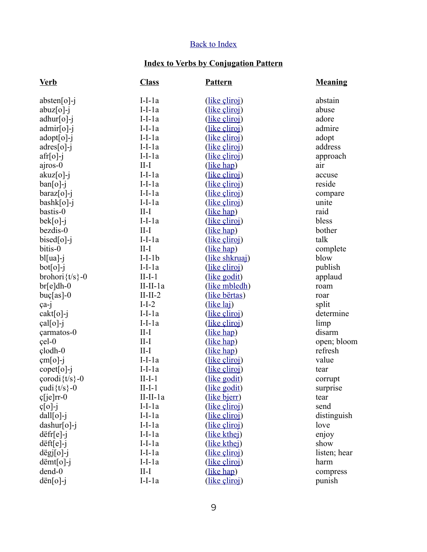## <span id="page-7-1"></span><span id="page-7-0"></span>**Index to Verbs by Conjugation Pattern**

| <u>Verb</u>                           | <b>Class</b> | <b>Pattern</b> | <b>Meaning</b> |
|---------------------------------------|--------------|----------------|----------------|
| $absten[0]-j$                         | $I-I-1a$     | (like cliroj)  | abstain        |
| $abuz[0]-j$                           | $I-I-1a$     | (like cliroj)  | abuse          |
| $adhur[o]-j$                          | $I-I-1a$     | (like cliroj)  | adore          |
| $admir[0]-j$                          | $I-I-1a$     | (like cliroj)  | admire         |
| $adopt[0]-j$                          | $I-I-1a$     | (like cliroj)  | adopt          |
| $adres[0]-j$                          | $I-I-1a$     | (like cliroj)  | address        |
| $afr[0]-j$                            | $I-I-1a$     | (like cliroj)  | approach       |
| ajros-0                               | $II-I$       | (like hap)     | air            |
| $akuz[o]-j$                           | $I-I-1a$     | (like cliroj)  | accuse         |
| $ban[0]-j$                            | $I-I-1a$     | (like cliroj)  | reside         |
| $baraz[o]$ -j                         | $I-I-1a$     | (like cliroj)  | compare        |
| $bashk[0]-j$                          | $I-I-1a$     | (like cliroj)  | unite          |
| bastis-0                              | $II-I$       | (like hap)     | raid           |
| $bek[0]-j$                            | $I-I-1a$     | (like cliroj)  | bless          |
| bezdis-0                              | $II-I$       | (like hap)     | bother         |
| bised[o]-j                            | $I-I-1a$     | (like cliroj)  | talk           |
| bitis-0                               | $II-I$       | (like hap)     | complete       |
| $bl[ua]-j$                            | $I-I-1b$     | (like shkruaj) | blow           |
| $bot[o]-j$                            | $I-I-1a$     | (like çliroj)  | publish        |
| brohori $\{t/s\}$ -0                  | $II-I-1$     | (like godit)   | applaud        |
| $br[e]$ dh-0                          | $II-II-1a$   | (like mbledh)  | roam           |
| $bu\sqrt{as}$ -0                      | $II-II-2$    | (like bërtas)  | roar           |
| ça-j                                  | $I-I-2$      | (like laj)     | split          |
| $\text{cakt[0]-j}$                    | $I-I-1a$     | (like cliroj)  | determine      |
| çal[o]-j                              | $I-I-1a$     | (like cliroj)  | limp           |
| carmatos-0                            | $II-I$       | (like hap)     | disarm         |
| $cel-0$                               | $II-I$       | (like hap)     | open; bloom    |
| çlodh-0                               | $II-I$       | (like hap)     | refresh        |
| $\rm cm[o]-j$                         | $I-I-1a$     | (like cliroj)  | value          |
| $copet[0]-j$                          | $I-I-1a$     | (like cliroj)  | tear           |
| $\text{qorodi}\left\{ t/s\right\} -0$ | $II-I-1$     | (like godit)   | corrupt        |
| $\text{q}$ udi $\{t/s\}$ -0           | $II-I-1$     | (like godit)   | surprise       |
| $\varphi$ [je]rr-0                    | $II-II-1a$   | (like bjerr)   | tear           |
| $\varphi$ [o]-j                       | $I-I-1a$     | (like cliroj)  | send           |
| $dall[0]-j$                           | $I-I-1a$     | (like cliroj)  | distinguish    |
| $dash[o]-j$                           | $I-I-1a$     | (like cliroj)  | love           |
| $d\ddot{e}$ fr $[e]-i$                | $I-I-1a$     | (like kthej)   | enjoy          |
| $d$ ëft $[e]-j$                       | $I-I-1a$     | (like kthej)   | show           |
| $d\ddot{e}gj[0]-j$                    | $I-I-1a$     | (like cliroj)  | listen; hear   |
| $d$ ëmt $[0]$ -j                      | $I-I-1a$     | (like cliroj)  | harm           |
| dend-0                                | $II-I$       | (like hap)     | compress       |
| $d\ddot{e}n[o]-j$                     | $I-I-1a$     | (like cliroj)  | punish         |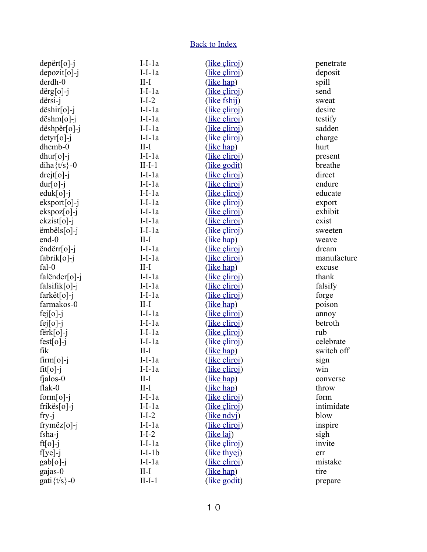<span id="page-8-0"></span>

| $dep$ ẽrt $[o]$ -j        | $I-I-1a$ | (like cliroj) | penetrate   |
|---------------------------|----------|---------------|-------------|
| $depozit[o]-j$            | $I-I-1a$ | (like cliroj) | deposit     |
| derdh-0                   | $II-I$   | (like hap)    | spill       |
| dërg[o]-j                 | $I-I-1a$ | (like cliroj) | send        |
| dërsi-j                   | $I-I-2$  | (like fshij)  | sweat       |
| $d\ddot{e}$ shir $[o]-j$  | $I-I-1a$ | (like çliroj) | desire      |
| $d\ddot{e}$ shm $[o]-j$   | $I-I-1a$ | (like cliroj) | testify     |
| dëshpër[o]-j              | $I-I-1a$ | (like cliroj) | sadden      |
| $detyr[0]-j$              | $I-I-1a$ | (like cliroj) | charge      |
| dhemb-0                   | $II-I$   | (like hap)    | hurt        |
| $dhur[0]-j$               | $I-I-1a$ | (like çliroj) | present     |
| diha $\{t/s\}$ -0         | $II-I-1$ | (like godit)  | breathe     |
| $\text{drejt}[o]-j$       | $I-I-1a$ | (like cliroj) | direct      |
| $dur[o]-j$                | $I-I-1a$ | (like cliroj) | endure      |
| $eduk[0]-j$               | $I-I-1a$ | (like cliroj) | educate     |
| $eksport[o]-j$            | $I-I-1a$ | (like cliroj) | export      |
| ekspoz[o]-j               | $I-I-1a$ | (like cliroj) | exhibit     |
| $ekzist[0]-j$             | $I-I-1a$ | (like cliroj) | exist       |
| ëmbëls[o]-j               | $I-I-1a$ | (like çliroj) | sweeten     |
| end-0                     | $II-I$   | (like hap)    | weave       |
| ëndërr[o]-j               | $I-I-1a$ | (like cliroj) | dream       |
| $fabrik[0]-j$             | $I-I-1a$ | (like cliroj) | manufacture |
| fal-0                     | $II-I$   | (like hap)    | excuse      |
|                           | $I-I-1a$ |               | thank       |
| falënder[o]-j             | $I-I-1a$ | (like cliroj) |             |
| $falsifik[0]-j$           |          | (like cliroj) | falsify     |
| farkët[o]-j               | $I-I-1a$ | (like cliroj) | forge       |
| farmakos-0                | $II-I$   | (like hap)    | poison      |
| fej[o]-j                  | $I-I-1a$ | (like çliroj) | annoy       |
| fej[o]-j                  | $I-I-1a$ | (like cliroj) | betroth     |
| fërk[o]-j                 | $I-I-1a$ | (like cliroj) | rub         |
| $fest[0]-j$               | $I-I-1a$ | (like cliroj) | celebrate   |
| fik                       | $II-I$   | (like hap)    | switch off  |
| $firm[0]-j$               | $I-I-1a$ | (like cliroj) | sign        |
| $fit[0]-j$                | $I-I-1a$ | (like cliroj) | win         |
| fjalos-0                  | $II-I$   | (like hap)    | converse    |
| flak-0                    | $II-I$   | (like hap)    | throw       |
| $form[o]-j$               | $I-I-1a$ | (like cliroj) | form        |
| frikës $[0]$ -j           | $I-I-1a$ | (like cliroj) | intimidate  |
| $fry-j$                   | $I-I-2$  | (like ndyj)   | blow        |
| frymëz $[0]$ -j           | $I-I-1a$ | (like cliroj) | inspire     |
| fsha-j                    | $I-I-2$  | (like laj)    | sigh        |
| $ft[0]-j$                 | $I-I-1a$ | (like cliroj) | invite      |
| $f[ye]-j$                 | $I-I-1b$ | (like thyei)  | err         |
| $\text{gab}[\text{o}]$ -j | $I-I-1a$ | (like cliroj) | mistake     |
| gajas-0                   | $II-I$   | (like hap)    | tire        |
| $gati \{t/s\} - 0$        | $II-I-1$ | (like godit)  | prepare     |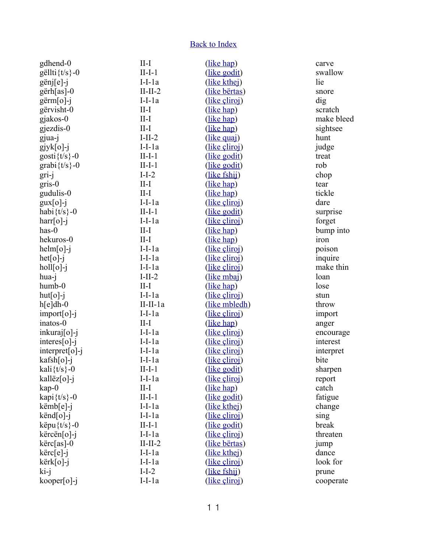| gdhend-0                    | $II-I$     | (like hap)    | carve      |
|-----------------------------|------------|---------------|------------|
| gëllti $\{t/s\}$ -0         | $II-I-1$   | (like godit)  | swallow    |
| gënj[e]-j                   | $I-I-1a$   | (like kthej)  | lie        |
| gërh[as]-0                  | $II-II-2$  | (like bërtas) | snore      |
| gërm[o]-j                   | $I-I-1a$   | (like cliroj) | dig        |
| gërvisht-0                  | $II-I$     | (like hap)    | scratch    |
| gjakos-0                    | $II-I$     | (like hap)    | make bleed |
| gjezdis-0                   | $II-I$     | (like hap)    | sightsee   |
| gjua-j                      | $I-II-2$   | (like quaj)   | hunt       |
| $g$ jyk $[o]$ -j            | $I-I-1a$   | (like çliroj) | judge      |
| $\text{gosti} \{t/s\} - 0$  | $II-I-1$   | (like godit)  | treat      |
| $grabi\{t/s\}-0$            | $II-I-1$   | (like godit)  | rob        |
| gri-j                       | $I-I-2$    | (like fshij)  | chop       |
| $gris-0$                    | $II-I$     | (like hap)    | tear       |
| gudulis-0                   | $II-I$     | (like hap)    | tickle     |
| $gux[0]-j$                  | $I-I-1a$   | (like cliroj) | dare       |
| habi $\{t/s\}$ -0           | $II-I-1$   | (like godit)  | surprise   |
| $harr[0]-j$                 | $I-I-1a$   | (like cliroj) | forget     |
| $has-0$                     | $II-I$     | (like hap)    | bump into  |
| hekuros-0                   | $II-I$     | (like hap)    | iron       |
| $helm[0]-j$                 | $I-I-1a$   | (like cliroj) | poison     |
| $het[0]-j$                  | $I-I-1a$   | (like cliroj) | inquire    |
| $holl[0]-j$                 | $I-I-1a$   | (like cliroj) | make thin  |
| hua-j                       | $I-II-2$   | (like mbaj)   | loan       |
| humb-0                      | $II-I$     | (like hap)    | lose       |
| $hut[0]-j$                  | $I-I-1a$   | (like cliroj) | stun       |
| $h[e]$ dh-0                 | $II-II-1a$ | (like mbledh) | throw      |
| $import[o]-j$               | $I-I-1a$   | (like cliroj) | import     |
| inatos-0                    | $II-I$     | (like hap)    | anger      |
| inkuraj[0]-j                | $I-I-1a$   | (like cliroj) | encourage  |
| $interes[o]-j$              | $I-I-1a$   | (like cliroj) | interest   |
| $interpret[0]-j$            | $I-I-1a$   | (like cliroj) | interpret  |
| $kafsh[0]-j$                | $I-I-1a$   | (like cliroj) | bite       |
| kali $\{t/s\}$ -0           | $II-I-1$   | (like godit)  | sharpen    |
| kallëz[o]-j                 | $I-I-1a$   | (like cliroj) | report     |
| kap-0                       | $II-I$     | (like hap)    | catch      |
| kapi $\{t/s\}$ -0           | $II-I-1$   | (like godit)  | fatigue    |
| $k \ddot{\text{emb}}[e]$ -j | $I-I-1a$   | (like kthej)  | change     |
| $k\ddot{e}nd[o]-i$          | $I-I-1a$   | (like cliroj) | sing       |
| këpu $\{t/s\}$ -0           | $II-I-1$   | (like godit)  | break      |
| kërcën[o]-j                 | $I-I-1a$   | (like cliroj) | threaten   |
| kërc[as]-0                  | $II-II-2$  | (like bërtas) | jump       |
| $k\ddot{e}$ rc $[e]-j$      | $I-I-1a$   | (like kthej)  | dance      |
| kërk[o]-j                   | $I-I-1a$   | (like cliroj) | look for   |
| ki-j                        | $I-I-2$    | (like fshij)  | prune      |
| $kooper[0]-j$               | $I-I-1a$   | (like cliroj) | cooperate  |
|                             |            |               |            |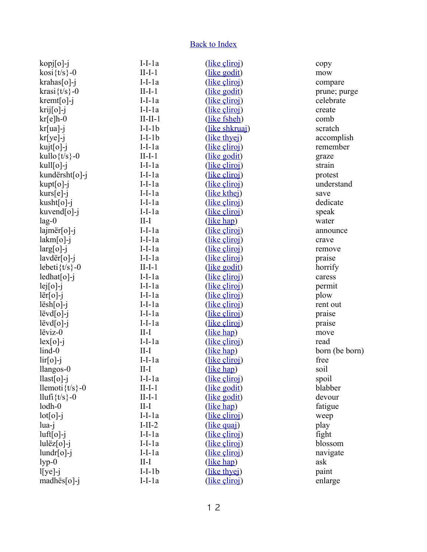| $kopj[o]-j$              | $I-I-1a$  | (like çliroj)  | copy           |
|--------------------------|-----------|----------------|----------------|
| $kosi\{t/s\} - 0$        | $II-I-1$  | (like godit)   | mow            |
| $krahas[0]-j$            | $I-I-1a$  | (like cliroj)  | compare        |
| krasi $\{t/s\}$ -0       | $II-I-1$  | (like godit)   | prune; purge   |
| $kremt[0]-j$             | $I-I-1a$  | (like cliroj)  | celebrate      |
| krij[o]-j                | $I-I-1a$  | (like cliroj)  | create         |
| $kr[e]h-0$               | $II-II-1$ | (like fsheh)   | comb           |
| $kr[ua]-j$               | $I-I-1b$  | (like shkruaj) | scratch        |
| $kr[ye]-j$               | $I-I-1b$  | (like thyej)   | accomplish     |
| kujt[0]-j                | $I-I-1a$  | (like çliroj)  | remember       |
| kullo $\{t/s\}$ -0       | $II-I-1$  | (like godit)   | graze          |
| kull[0]-j                | $I-I-1a$  | (like cliroj)  | strain         |
| kundërsht[o]-j           | $I-I-1a$  | (like cliroj)  | protest        |
| $kupt[0]-j$              | $I-I-1a$  | (like cliroj)  | understand     |
| kurs[e]-j                | $I-I-1a$  | (like kthei)   | save           |
| $kusht[0]-j$             | $I-I-1a$  | (like cliroj)  | dedicate       |
| kuvend[o]-j              | $I-I-1a$  | (like cliroj)  | speak          |
| $lag-0$                  | $II-I$    | (like hap)     | water          |
| lajmër[o]-j              | $I-I-1a$  | (like çliroj)  | announce       |
| $lakm[0]-j$              | $I-I-1a$  | (like cliroj)  | crave          |
| $larg[0]-j$              | $I-I-1a$  | (like cliroj)  | remove         |
| $lavdër[0]-j$            | $I-I-1a$  | (like cliroj)  | praise         |
| lebeti $\{t/s\}$ -0      | $II-I-1$  | (like godit)   | horrify        |
| $ledhat[o]-j$            | $I-I-1a$  | (like cliroj)  | caress         |
|                          | $I-I-1a$  | (like cliroj)  | permit         |
| $lej[0]-j$               | $I-I-1a$  |                |                |
| $l$ ër $[o]$ -j          | $I-I-1a$  | (like cliroj)  | plow           |
| $l\ddot{e}sh[0]-j$       |           | (like cliroj)  | rent out       |
| $l$ ëvd $[o]$ -j         | $I-I-1a$  | (like cliroj)  | praise         |
| $l$ ëvd $[o]$ -j         | $I-I-1a$  | (like cliroj)  | praise         |
| lëviz-0                  | $II-I$    | (like hap)     | move           |
| $lex[0]-j$               | $I-I-1a$  | (like cliroj)  | read           |
| $\ln d - 0$              | $II-I$    | (like hap)     | born (be born) |
| $lir[0]-j$               | $I-I-1a$  | (like cliroj)  | free           |
| llangos-0                | $II-I$    | (like hap)     | soil           |
| $llast[o]-j$             | $I-I-1a$  | (like cliroj)  | spoil          |
| llemoti $\{t/s\}$ -0     | $II-I-1$  | (like godit)   | blabber        |
| $ll\$ ilufi $\{t/s\}$ -0 | $II-I-1$  | (like godit)   | devour         |
| $l$ odh $-0$             | $II-I$    | (like hap)     | fatigue        |
| $lot[o]-j$               | $I-I-1a$  | (like cliroj)  | weep           |
| lua-j                    | $I-II-2$  | (like quaj)    | play           |
| $luff[0]-j$              | $I-I-1a$  | (like cliroj)  | fight          |
| $lulëz[0]-j$             | $I-I-1a$  | (like çliroj)  | blossom        |
| $lundr[o]-j$             | $I-I-1a$  | (like cliroj)  | navigate       |
| $1yp-0$                  | $II-I$    | (like hap)     | ask            |
| $l[ye]-j$                | $I-I-1b$  | (like thyei)   | paint          |
| $madh \text{e}$ s[o]-j   | $I-I-1a$  | (like cliroj)  | enlarge        |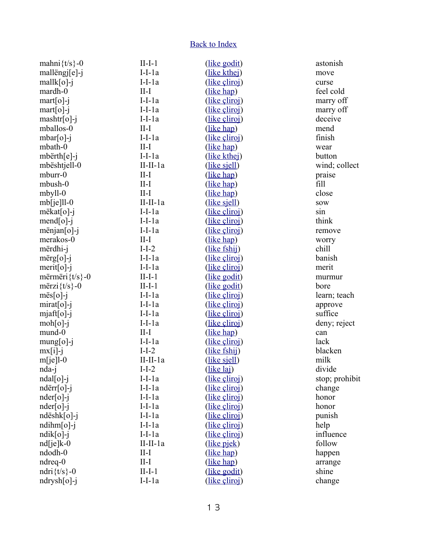<span id="page-11-0"></span>

| mahni $\{t/s\}$ -0        | $II-I-1$   | (like godit)        | astonish       |
|---------------------------|------------|---------------------|----------------|
| mallëngj[e]-j             | $I-I-1a$   | (like kthei)        | move           |
| $malk[0]-j$               | $I-I-1a$   | (like cliroj)       | curse          |
| mardh-0                   | $II-I$     | (like hap)          | feel cold      |
| $mart[0]-j$               | $I-I-1a$   | (like cliroj)       | marry off      |
| $mart[0]-j$               | $I-I-1a$   | (like cliroj)       | marry off      |
| $maskr[o]-j$              | $I-I-1a$   | (like cliroj)       | deceive        |
| mballos-0                 | $II-I$     | (like hap)          | mend           |
| $mbar[0]-j$               | $I-I-1a$   | (like cliroj)       | finish         |
| mbath-0                   | $II-I$     | (like hap)          | wear           |
| $mb{\in}$  -j             | $I-I-1a$   | (like kthej)        | button         |
| mbështjell-0              | $II-II-1a$ | (like sjell)        | wind; collect  |
| mburr-0                   | $II-I$     | (like hap)          | praise         |
| mbush-0                   | $II-I$     | (like hap)          | fill           |
| mbyll-0                   | $II-I$     | (like hap)          | close          |
| $mb[i]$  ll-0             | $II-II-1a$ | (like sjell)        | sow            |
| mëkat[o]-j                | $I-I-1a$   | (like cliroj)       | sin            |
| $mend[o]-j$               | $I-I-1a$   | (like cliroj)       | think          |
| $m\ddot{e}njan[0]-j$      | $I-I-1a$   | (like cliroj)       | remove         |
| merakos-0                 | $II-I$     | (like hap)          | worry          |
| mërdhi-j                  | $I-I-2$    | (like fshij)        | chill          |
| $mërg[0]-j$               | $I-I-1a$   | (like cliroj)       | banish         |
| $merit[o]-j$              | $I-I-1a$   | (like cliroj)       | merit          |
| mërmëri $\{t/s\}$ -0      | $II-I-1$   | <u>(like godit)</u> | murmur         |
| mërzi $\{t/s\}$ -0        | $II-I-1$   | (like godit)        | bore           |
| $m\ddot{e}s[o]-j$         | $I-I-1a$   | (like cliroj)       | learn; teach   |
| $mirat[0]-j$              | $I-I-1a$   | (like cliroj)       | approve        |
| $mjaft[0]-j$              | $I-I-1a$   | (like cliroj)       | suffice        |
| $moh[0]-j$                | $I-I-1a$   | (like çliroj)       | deny; reject   |
| mund-0                    | $II-I$     | (like hap)          | can            |
| $mung[o]-j$               | $I-I-1a$   | (like cliroj)       | lack           |
| $mx[i]-j$                 | $I-I-2$    | (like fshij)        | blacken        |
| $m[je]$ l-0               | $II-II-1a$ | (like sjell)        | milk           |
| nda-j                     | $I-I-2$    | (like laj)          | divide         |
| $ndal[0]-j$               | $I-I-1a$   | (like cliroj)       | stop; prohibit |
| ndërr[o]-j                | $I-I-1a$   | (like cliroj)       | change         |
| $nder[o]-j$               | $I-I-1a$   | (like cliroj)       | honor          |
| $nder[o]-j$               | $I-I-1a$   | (like çliroj)       | honor          |
| $nd \ddot{e}$ shk $[o]-j$ | $I-I-1a$   | (like cliroj)       | punish         |
| $ndihm[0]-j$              | $I-I-1a$   | (like cliroj)       | help           |
| $ndik[0]-j$               | $I-I-1a$   | (like cliroj)       | influence      |
| $nd[je]k-0$               | $II-II-1a$ | (like pjek)         | follow         |
| ndodh-0                   | $II-I$     | (like hap)          | happen         |
| ndreq-0                   | $II-I$     | (like hap)          | arrange        |
| ndri $\{t/s\}$ -0         | $II-I-1$   | (like godit)        | shine          |
| $ndrysh[0]-j$             | $I-I-1a$   | (like cliroj)       | change         |
|                           |            |                     |                |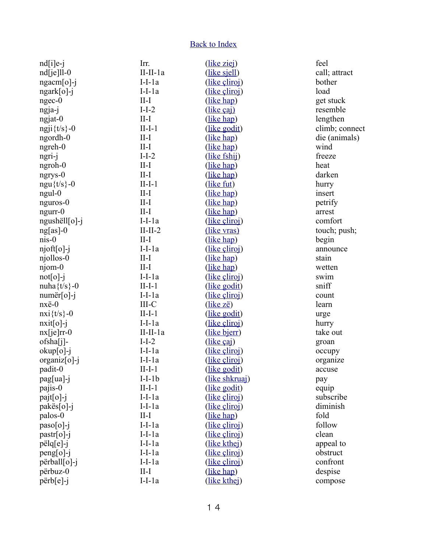| $II-II-1a$<br>call; attract<br>$nd[iel]$ ll-0<br>(like sjell)<br>$I-I-1a$<br>(like cliroj)<br>bother<br>$\n  ngacm[o]-j\n$<br>$I-I-1a$<br>load<br>$ngark[0]-j$<br>(like cliroj)<br>$II-I$<br>(like hap)<br>$n$ gec $-0$<br>get stuck<br>$I-I-2$<br>(like cai)<br>resemble<br>ngja-j<br>$II-I$<br>(like hap)<br>lengthen<br>ngjat-0<br>$II-I-1$<br>$ngji\{t/s\}$ -0<br>(like godit)<br>climb; connect<br>$II-I$<br>ngordh-0<br>(like hap)<br>die (animals)<br>$II-I$<br>ngreh-0<br>wind<br>(like hap)<br>$I-I-2$<br>ngri-j<br>(like fshij)<br>freeze<br>$II-I$<br>(like hap)<br>heat<br>ngroh-0<br>$II-I$<br>darken<br>(like hap)<br>$ngrys-0$<br>$II-I-1$<br>$ngu{t/s}$ -0<br>(like fut)<br>hurry<br>$II-I$<br>ngul-0<br>(like hap)<br>insert<br>$II-I$<br>(like hap)<br>petrify<br>nguros-0<br>$II-I$<br>$ngurr-0$<br>(like hap)<br>arrest<br>$I-I-1a$<br>(like cliroj)<br>comfort<br>$ngushëll[o]-j$<br>$II-II-2$<br>(like vras)<br>touch; push;<br>$ng[as]-0$<br>$II-I$<br>$nis-0$<br>(like hap)<br>begin<br>$I-I-1a$<br>(like cliroj)<br>$night[0]-j$<br>announce<br>$II-I$<br>stain<br>njollos-0<br>(like hap)<br>$II-I$<br>$njom-0$<br>(like hap)<br>wetten<br>$I-I-1a$<br>(like cliroj)<br>$not[0]$ -j<br>swim<br>$II-I-1$<br>sniff<br>nuha $\{t/s\}$ -0<br>(like godit)<br>$I-I-1a$<br>(like cliroj)<br>$numer[0]-j$<br>count<br>$III-C$<br>$nxe-0$<br>(like zë)<br>learn<br>$II-I-1$<br>$nxi\{t/s\}$ -0<br>(like godit)<br>urge<br>$I-I-1a$<br>(like cliroj)<br>$n$ xit $[o]$ -j<br>hurry<br>$II-II-1a$<br>(like bjerr)<br>$nx[ielrr-0]$<br>take out<br>$I-I-2$<br>ofsha[j]-<br>(like caj)<br>groan<br>$I-I-1a$<br>$okup[o]-j$<br>(like cliroj)<br>occupy<br>$I-I-1a$<br>(like cliroj)<br>organize<br>$organiz[o]-j$<br>$II-I-1$<br>padit-0<br>(like godit)<br>accuse<br>$I-I-1b$<br>(like shkruaj)<br>pag[ua]-j<br>pay<br>$II-I-1$<br>(like godit)<br>pajis-0<br>equip<br>(like cliroj)<br>$I-I-1a$<br>pajt[o]-j<br>subscribe<br>$I-I-1a$<br>(like cliroj)<br>diminish<br>pakës[o]-j<br>$II-I$<br>(like hap)<br>fold<br>palos-0 |
|-------------------------------------------------------------------------------------------------------------------------------------------------------------------------------------------------------------------------------------------------------------------------------------------------------------------------------------------------------------------------------------------------------------------------------------------------------------------------------------------------------------------------------------------------------------------------------------------------------------------------------------------------------------------------------------------------------------------------------------------------------------------------------------------------------------------------------------------------------------------------------------------------------------------------------------------------------------------------------------------------------------------------------------------------------------------------------------------------------------------------------------------------------------------------------------------------------------------------------------------------------------------------------------------------------------------------------------------------------------------------------------------------------------------------------------------------------------------------------------------------------------------------------------------------------------------------------------------------------------------------------------------------------------------------------------------------------------------------------------------------------------------------------------------------------------------------------------------------------------------------------------------------------------------------------------------------------------------------------------------------------------------------------------------|
|                                                                                                                                                                                                                                                                                                                                                                                                                                                                                                                                                                                                                                                                                                                                                                                                                                                                                                                                                                                                                                                                                                                                                                                                                                                                                                                                                                                                                                                                                                                                                                                                                                                                                                                                                                                                                                                                                                                                                                                                                                           |
|                                                                                                                                                                                                                                                                                                                                                                                                                                                                                                                                                                                                                                                                                                                                                                                                                                                                                                                                                                                                                                                                                                                                                                                                                                                                                                                                                                                                                                                                                                                                                                                                                                                                                                                                                                                                                                                                                                                                                                                                                                           |
|                                                                                                                                                                                                                                                                                                                                                                                                                                                                                                                                                                                                                                                                                                                                                                                                                                                                                                                                                                                                                                                                                                                                                                                                                                                                                                                                                                                                                                                                                                                                                                                                                                                                                                                                                                                                                                                                                                                                                                                                                                           |
|                                                                                                                                                                                                                                                                                                                                                                                                                                                                                                                                                                                                                                                                                                                                                                                                                                                                                                                                                                                                                                                                                                                                                                                                                                                                                                                                                                                                                                                                                                                                                                                                                                                                                                                                                                                                                                                                                                                                                                                                                                           |
|                                                                                                                                                                                                                                                                                                                                                                                                                                                                                                                                                                                                                                                                                                                                                                                                                                                                                                                                                                                                                                                                                                                                                                                                                                                                                                                                                                                                                                                                                                                                                                                                                                                                                                                                                                                                                                                                                                                                                                                                                                           |
|                                                                                                                                                                                                                                                                                                                                                                                                                                                                                                                                                                                                                                                                                                                                                                                                                                                                                                                                                                                                                                                                                                                                                                                                                                                                                                                                                                                                                                                                                                                                                                                                                                                                                                                                                                                                                                                                                                                                                                                                                                           |
|                                                                                                                                                                                                                                                                                                                                                                                                                                                                                                                                                                                                                                                                                                                                                                                                                                                                                                                                                                                                                                                                                                                                                                                                                                                                                                                                                                                                                                                                                                                                                                                                                                                                                                                                                                                                                                                                                                                                                                                                                                           |
|                                                                                                                                                                                                                                                                                                                                                                                                                                                                                                                                                                                                                                                                                                                                                                                                                                                                                                                                                                                                                                                                                                                                                                                                                                                                                                                                                                                                                                                                                                                                                                                                                                                                                                                                                                                                                                                                                                                                                                                                                                           |
|                                                                                                                                                                                                                                                                                                                                                                                                                                                                                                                                                                                                                                                                                                                                                                                                                                                                                                                                                                                                                                                                                                                                                                                                                                                                                                                                                                                                                                                                                                                                                                                                                                                                                                                                                                                                                                                                                                                                                                                                                                           |
|                                                                                                                                                                                                                                                                                                                                                                                                                                                                                                                                                                                                                                                                                                                                                                                                                                                                                                                                                                                                                                                                                                                                                                                                                                                                                                                                                                                                                                                                                                                                                                                                                                                                                                                                                                                                                                                                                                                                                                                                                                           |
|                                                                                                                                                                                                                                                                                                                                                                                                                                                                                                                                                                                                                                                                                                                                                                                                                                                                                                                                                                                                                                                                                                                                                                                                                                                                                                                                                                                                                                                                                                                                                                                                                                                                                                                                                                                                                                                                                                                                                                                                                                           |
|                                                                                                                                                                                                                                                                                                                                                                                                                                                                                                                                                                                                                                                                                                                                                                                                                                                                                                                                                                                                                                                                                                                                                                                                                                                                                                                                                                                                                                                                                                                                                                                                                                                                                                                                                                                                                                                                                                                                                                                                                                           |
|                                                                                                                                                                                                                                                                                                                                                                                                                                                                                                                                                                                                                                                                                                                                                                                                                                                                                                                                                                                                                                                                                                                                                                                                                                                                                                                                                                                                                                                                                                                                                                                                                                                                                                                                                                                                                                                                                                                                                                                                                                           |
|                                                                                                                                                                                                                                                                                                                                                                                                                                                                                                                                                                                                                                                                                                                                                                                                                                                                                                                                                                                                                                                                                                                                                                                                                                                                                                                                                                                                                                                                                                                                                                                                                                                                                                                                                                                                                                                                                                                                                                                                                                           |
|                                                                                                                                                                                                                                                                                                                                                                                                                                                                                                                                                                                                                                                                                                                                                                                                                                                                                                                                                                                                                                                                                                                                                                                                                                                                                                                                                                                                                                                                                                                                                                                                                                                                                                                                                                                                                                                                                                                                                                                                                                           |
|                                                                                                                                                                                                                                                                                                                                                                                                                                                                                                                                                                                                                                                                                                                                                                                                                                                                                                                                                                                                                                                                                                                                                                                                                                                                                                                                                                                                                                                                                                                                                                                                                                                                                                                                                                                                                                                                                                                                                                                                                                           |
|                                                                                                                                                                                                                                                                                                                                                                                                                                                                                                                                                                                                                                                                                                                                                                                                                                                                                                                                                                                                                                                                                                                                                                                                                                                                                                                                                                                                                                                                                                                                                                                                                                                                                                                                                                                                                                                                                                                                                                                                                                           |
|                                                                                                                                                                                                                                                                                                                                                                                                                                                                                                                                                                                                                                                                                                                                                                                                                                                                                                                                                                                                                                                                                                                                                                                                                                                                                                                                                                                                                                                                                                                                                                                                                                                                                                                                                                                                                                                                                                                                                                                                                                           |
|                                                                                                                                                                                                                                                                                                                                                                                                                                                                                                                                                                                                                                                                                                                                                                                                                                                                                                                                                                                                                                                                                                                                                                                                                                                                                                                                                                                                                                                                                                                                                                                                                                                                                                                                                                                                                                                                                                                                                                                                                                           |
|                                                                                                                                                                                                                                                                                                                                                                                                                                                                                                                                                                                                                                                                                                                                                                                                                                                                                                                                                                                                                                                                                                                                                                                                                                                                                                                                                                                                                                                                                                                                                                                                                                                                                                                                                                                                                                                                                                                                                                                                                                           |
|                                                                                                                                                                                                                                                                                                                                                                                                                                                                                                                                                                                                                                                                                                                                                                                                                                                                                                                                                                                                                                                                                                                                                                                                                                                                                                                                                                                                                                                                                                                                                                                                                                                                                                                                                                                                                                                                                                                                                                                                                                           |
|                                                                                                                                                                                                                                                                                                                                                                                                                                                                                                                                                                                                                                                                                                                                                                                                                                                                                                                                                                                                                                                                                                                                                                                                                                                                                                                                                                                                                                                                                                                                                                                                                                                                                                                                                                                                                                                                                                                                                                                                                                           |
|                                                                                                                                                                                                                                                                                                                                                                                                                                                                                                                                                                                                                                                                                                                                                                                                                                                                                                                                                                                                                                                                                                                                                                                                                                                                                                                                                                                                                                                                                                                                                                                                                                                                                                                                                                                                                                                                                                                                                                                                                                           |
|                                                                                                                                                                                                                                                                                                                                                                                                                                                                                                                                                                                                                                                                                                                                                                                                                                                                                                                                                                                                                                                                                                                                                                                                                                                                                                                                                                                                                                                                                                                                                                                                                                                                                                                                                                                                                                                                                                                                                                                                                                           |
|                                                                                                                                                                                                                                                                                                                                                                                                                                                                                                                                                                                                                                                                                                                                                                                                                                                                                                                                                                                                                                                                                                                                                                                                                                                                                                                                                                                                                                                                                                                                                                                                                                                                                                                                                                                                                                                                                                                                                                                                                                           |
|                                                                                                                                                                                                                                                                                                                                                                                                                                                                                                                                                                                                                                                                                                                                                                                                                                                                                                                                                                                                                                                                                                                                                                                                                                                                                                                                                                                                                                                                                                                                                                                                                                                                                                                                                                                                                                                                                                                                                                                                                                           |
|                                                                                                                                                                                                                                                                                                                                                                                                                                                                                                                                                                                                                                                                                                                                                                                                                                                                                                                                                                                                                                                                                                                                                                                                                                                                                                                                                                                                                                                                                                                                                                                                                                                                                                                                                                                                                                                                                                                                                                                                                                           |
|                                                                                                                                                                                                                                                                                                                                                                                                                                                                                                                                                                                                                                                                                                                                                                                                                                                                                                                                                                                                                                                                                                                                                                                                                                                                                                                                                                                                                                                                                                                                                                                                                                                                                                                                                                                                                                                                                                                                                                                                                                           |
|                                                                                                                                                                                                                                                                                                                                                                                                                                                                                                                                                                                                                                                                                                                                                                                                                                                                                                                                                                                                                                                                                                                                                                                                                                                                                                                                                                                                                                                                                                                                                                                                                                                                                                                                                                                                                                                                                                                                                                                                                                           |
|                                                                                                                                                                                                                                                                                                                                                                                                                                                                                                                                                                                                                                                                                                                                                                                                                                                                                                                                                                                                                                                                                                                                                                                                                                                                                                                                                                                                                                                                                                                                                                                                                                                                                                                                                                                                                                                                                                                                                                                                                                           |
|                                                                                                                                                                                                                                                                                                                                                                                                                                                                                                                                                                                                                                                                                                                                                                                                                                                                                                                                                                                                                                                                                                                                                                                                                                                                                                                                                                                                                                                                                                                                                                                                                                                                                                                                                                                                                                                                                                                                                                                                                                           |
|                                                                                                                                                                                                                                                                                                                                                                                                                                                                                                                                                                                                                                                                                                                                                                                                                                                                                                                                                                                                                                                                                                                                                                                                                                                                                                                                                                                                                                                                                                                                                                                                                                                                                                                                                                                                                                                                                                                                                                                                                                           |
|                                                                                                                                                                                                                                                                                                                                                                                                                                                                                                                                                                                                                                                                                                                                                                                                                                                                                                                                                                                                                                                                                                                                                                                                                                                                                                                                                                                                                                                                                                                                                                                                                                                                                                                                                                                                                                                                                                                                                                                                                                           |
|                                                                                                                                                                                                                                                                                                                                                                                                                                                                                                                                                                                                                                                                                                                                                                                                                                                                                                                                                                                                                                                                                                                                                                                                                                                                                                                                                                                                                                                                                                                                                                                                                                                                                                                                                                                                                                                                                                                                                                                                                                           |
|                                                                                                                                                                                                                                                                                                                                                                                                                                                                                                                                                                                                                                                                                                                                                                                                                                                                                                                                                                                                                                                                                                                                                                                                                                                                                                                                                                                                                                                                                                                                                                                                                                                                                                                                                                                                                                                                                                                                                                                                                                           |
|                                                                                                                                                                                                                                                                                                                                                                                                                                                                                                                                                                                                                                                                                                                                                                                                                                                                                                                                                                                                                                                                                                                                                                                                                                                                                                                                                                                                                                                                                                                                                                                                                                                                                                                                                                                                                                                                                                                                                                                                                                           |
|                                                                                                                                                                                                                                                                                                                                                                                                                                                                                                                                                                                                                                                                                                                                                                                                                                                                                                                                                                                                                                                                                                                                                                                                                                                                                                                                                                                                                                                                                                                                                                                                                                                                                                                                                                                                                                                                                                                                                                                                                                           |
|                                                                                                                                                                                                                                                                                                                                                                                                                                                                                                                                                                                                                                                                                                                                                                                                                                                                                                                                                                                                                                                                                                                                                                                                                                                                                                                                                                                                                                                                                                                                                                                                                                                                                                                                                                                                                                                                                                                                                                                                                                           |
| $I-I-1a$<br>follow<br>(like cliroj)<br>$paso[o]-j$                                                                                                                                                                                                                                                                                                                                                                                                                                                                                                                                                                                                                                                                                                                                                                                                                                                                                                                                                                                                                                                                                                                                                                                                                                                                                                                                                                                                                                                                                                                                                                                                                                                                                                                                                                                                                                                                                                                                                                                        |
| $I-I-1a$<br>(like cliroj)<br>clean<br>$pastr[o]-j$                                                                                                                                                                                                                                                                                                                                                                                                                                                                                                                                                                                                                                                                                                                                                                                                                                                                                                                                                                                                                                                                                                                                                                                                                                                                                                                                                                                                                                                                                                                                                                                                                                                                                                                                                                                                                                                                                                                                                                                        |
| $I-I-1a$<br>(like kthej)<br>$p \ddot{e}$ lq $[e]$ -j<br>appeal to                                                                                                                                                                                                                                                                                                                                                                                                                                                                                                                                                                                                                                                                                                                                                                                                                                                                                                                                                                                                                                                                                                                                                                                                                                                                                                                                                                                                                                                                                                                                                                                                                                                                                                                                                                                                                                                                                                                                                                         |
|                                                                                                                                                                                                                                                                                                                                                                                                                                                                                                                                                                                                                                                                                                                                                                                                                                                                                                                                                                                                                                                                                                                                                                                                                                                                                                                                                                                                                                                                                                                                                                                                                                                                                                                                                                                                                                                                                                                                                                                                                                           |
| $I-I-1a$<br>(like cliroj)<br>obstruct<br>$peng[o]-j$                                                                                                                                                                                                                                                                                                                                                                                                                                                                                                                                                                                                                                                                                                                                                                                                                                                                                                                                                                                                                                                                                                                                                                                                                                                                                                                                                                                                                                                                                                                                                                                                                                                                                                                                                                                                                                                                                                                                                                                      |
| (like cliroj)<br>confront<br>$I-I-1a$<br>përball[o]-j                                                                                                                                                                                                                                                                                                                                                                                                                                                                                                                                                                                                                                                                                                                                                                                                                                                                                                                                                                                                                                                                                                                                                                                                                                                                                                                                                                                                                                                                                                                                                                                                                                                                                                                                                                                                                                                                                                                                                                                     |
| $II-I$<br>përbuz-0<br>(like hap)<br>despise<br>$përb[e]-j$<br>$I-I-1a$<br>(like kthej)<br>compose                                                                                                                                                                                                                                                                                                                                                                                                                                                                                                                                                                                                                                                                                                                                                                                                                                                                                                                                                                                                                                                                                                                                                                                                                                                                                                                                                                                                                                                                                                                                                                                                                                                                                                                                                                                                                                                                                                                                         |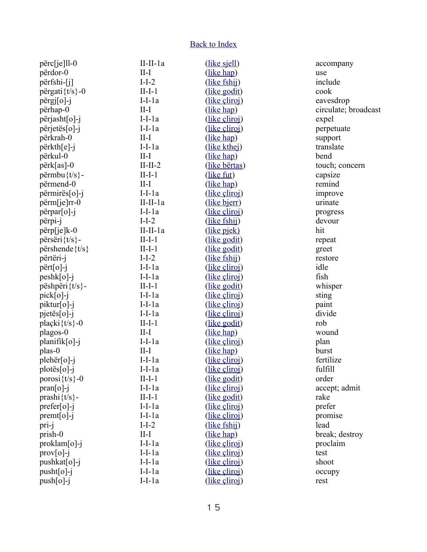| $p\text{ërc}[j\text{e}]$ ll-0   | $II-II-1a$ | (like sjell)  | accompany            |
|---------------------------------|------------|---------------|----------------------|
| përdor-0                        | $II-I$     | (like hap)    | use                  |
| përfshi-[j]                     | $I-I-2$    | (like fshij)  | include              |
| $\text{përgati}\{t/s\} - 0$     | $II-I-1$   | (like godit)  | cook                 |
| përgj[o]-j                      | $I-I-1a$   | (like cliroj) | eavesdrop            |
| përhap-0                        | $II-I$     | (like hap)    | circulate; broadcast |
| përjasht[o]-j                   | $I-I-1a$   | (like cliroj) | expel                |
| përjetës[o]-j                   | $I-I-1a$   | (like cliroj) | perpetuate           |
| përkrah-0                       | $II-I$     | (like hap)    | support              |
| përkth[e]-j                     | $I-I-1a$   | (like kthej)  | translate            |
| përkul-0                        | $II-I$     | (like hap)    | bend                 |
| $p$ ërk[as]-0                   | $II-II-2$  | (like bërtas) | touch; concern       |
| $p\text{ \& }$ rmbu $\{t/s\}$ - | $II-I-1$   | (like fut)    | capsize              |
| përmend-0                       | $II-I$     | (like hap)    | remind               |
| përmirës[o]-j                   | $I-I-1a$   | (like cliroj) | improve              |
| $p\text{ecm}$ [je]rr-0          | $II-II-1a$ | (like bjerr)  | urinate              |
| përpar[o]-j                     | $I-I-1a$   | (like cliroj) | progress             |
| përpi-j                         | $I-I-2$    | (like fshij)  | devour               |
| përp[je]k-0                     | $II-II-1a$ | (like pjek)   | hit                  |
| përsëri $\{t/s\}$ -             | $II-I-1$   | (like godit)  | repeat               |
| përshende $\{t/s\}$             | $II-I-1$   | (like godit)  | greet                |
| përtëri-j                       | $I-I-2$    | (like fshij)  | restore              |
| përt[o]-j                       | $I-I-1a$   | (like cliroj) | idle                 |
| $peshk[0]-j$                    | $I-I-1a$   | (like cliroj) | fish                 |
| pëshpëri $\{t/s\}$ -            | $II-I-1$   | (like godit)  | whisper              |
| $pick[0]-j$                     | $I-I-1a$   | (like cliroj) | sting                |
| piktur[o]-j                     | $I-I-1a$   | (like cliroj) | paint                |
| pjetës[o]-j                     | $I-I-1a$   | (like cliroj) | divide               |
| plaçki $\{t/s\}$ -0             | $II-I-1$   | (like godit)  | rob                  |
| plagos-0                        | $II-I$     | (like hap)    | wound                |
| planifik[0]-j                   | $I-I-1a$   | (like cliroj) | plan                 |
| plas-0                          | $II-I$     | (like hap)    | burst                |
| plehër[o]-j                     | $I-I-1a$   | (like cliroj) | fertilize            |
| plotës[o]-j                     | $I-I-1a$   | (like cliroj) | fulfill              |
| porosi $\{t/s\}$ -0             | $II-I-1$   | (like godit)  | order                |
| $pran[0]-j$                     | $I-I-1a$   | (like cliroj) | accept; admit        |
| $prashi$ {t/s}-                 | $II-I-1$   | (like godit)  | rake                 |
| $prefer[o]-i$                   | $I-I-1a$   | (like cliroj) | prefer               |
| premt[o]-j                      | $I-I-1a$   | (like cliroj) | promise              |
| $pri-j$                         | $I-I-2$    | (like fshij)  | lead                 |
| prish-0                         | $II-I$     | (like hap)    | break; destroy       |
| $proklam[0]-j$                  | $I-I-1a$   | (like cliroj) | proclaim             |
| $prov[o]-j$                     | $I-I-1a$   | (like cliroj) | test                 |
| pushkat[o]-j                    | $I-I-1a$   | (like cliroj) | shoot                |
| $pusht[o]-j$                    | $I-I-1a$   | (like cliroj) | occupy               |
|                                 | $I-I-1a$   | (like cliroj) |                      |
| $push[0]-j$                     |            |               | rest                 |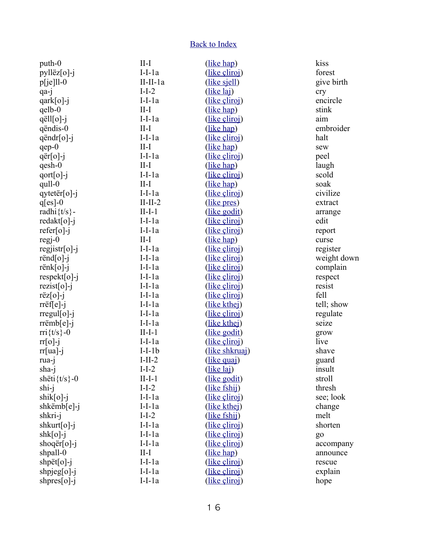<span id="page-14-1"></span><span id="page-14-0"></span>

| puth-0                   | $II-I$     | (like hap)     | kiss        |
|--------------------------|------------|----------------|-------------|
| pyllëz[o]-j              | $I-I-1a$   | (like cliroj)  | forest      |
| p[je]ll-0                | $II-II-1a$ | $(iike$ sjell) | give birth  |
| qa-j                     | $I-I-2$    | (like laj)     | cry         |
| $qark[0]-j$              | $I-I-1a$   | (like cliroj)  | encircle    |
| $qelb-0$                 | $II-I$     | (like hap)     | stink       |
| qëll[o]-j                | $I-I-1a$   | (like cliroj)  | aim         |
| qëndis-0                 | $II-I$     | (like hap)     | embroider   |
| $q\bar{e}ndr[0]-j$       | $I-I-1a$   | (like cliroj)  | halt        |
| $qep-0$                  | $II-I$     | (like hap)     | sew         |
| $q$ ër $[0]$ -j          | $I-I-1a$   | (like cliroj)  | peel        |
| $qesh-0$                 | $II-I$     | (like hap)     | laugh       |
| $qort[o]$ -j             | $I-I-1a$   | (like cliroj)  | scold       |
| qull-0                   | $II-I$     | (like hap)     | soak        |
| qytetër[o]-j             | $I-I-1a$   | (like cliroj)  | civilize    |
| $q[es]-0$                | $II-II-2$  | (like pres)    | extract     |
| radhi $\{t/s\}$ -        | $II-I-1$   | (like godit)   | arrange     |
| $redakt[0]-j$            | $I-I-1a$   | (like cliroj)  | edit        |
| $refer[0]-j$             | $I-I-1a$   | (like cliroj)  | report      |
| $regj-0$                 | $II-I$     | (like hap)     | curse       |
|                          | $I-I-1a$   | (like cliroj)  |             |
| $regjistr[0]-j$          | $I-I-1a$   |                | register    |
| $r\ddot{e}nd[o]-j$       | $I-I-1a$   | (like cliroj)  | weight down |
| rënk[o]-j                |            | (like cliroj)  | complain    |
| $respect[0]-j$           | $I-I-1a$   | (like çliroj)  | respect     |
| $rezist[0]-j$            | $I-I-1a$   | (like cliroj)  | resist      |
| $r\ddot{e}z[0]\text{-}j$ | $I-I-1a$   | (like cliroj)  | fell        |
| rrëf[e]-j                | $I-I-1a$   | (like kthej)   | tell; show  |
| $rregul[o]-j$            | $I-I-1a$   | (like cliroj)  | regulate    |
| $r \in \text{min}[e]$ -j | $I-I-1a$   | (like kthej)   | seize       |
| $rri\{t/s\}$ -0          | $II-I-1$   | (like godit)   | grow        |
| $rr[0]-j$                | $I-I-1a$   | (like cliroj)  | live        |
| $rr[ua]-j$               | $I-I-1b$   | (like shkruaj) | shave       |
| $rua-j$                  | $I-II-2$   | (like quaj)    | guard       |
| sha-j                    | $I-I-2$    | (like laj)     | insult      |
| shëti $\{t/s\}$ -0       | $II-I-1$   | (like godit)   | stroll      |
| shi-j                    | $I-I-2$    | (like fshij)   | thresh      |
| $shik[0]-j$              | $I-I-1a$   | (like cliroj)  | see; look   |
| $shk$ ëmb $[e]$ -j       | $I-I-1a$   | (like kthej)   | change      |
| shkri-j                  | $I-I-2$    | (like fshij)   | melt        |
| shkurt[o]-j              | $I-I-1a$   | (like cliroj)  | shorten     |
| $shk[0]-j$               | $I-I-1a$   | (like cliroj)  | <b>go</b>   |
| shoqër $[0]-i$           | $I-I-1a$   | (like cliroj)  | accompany   |
| shpall-0                 | $II-I$     | (like hap)     | announce    |
| $shpët[o]-j$             | $I-I-1a$   | (like cliroj)  | rescue      |
| $shpieg[0]-j$            | $I-I-1a$   | (like cliroj)  | explain     |
| $shpres[0]-j$            | $I-I-1a$   | (like cliroj)  | hope        |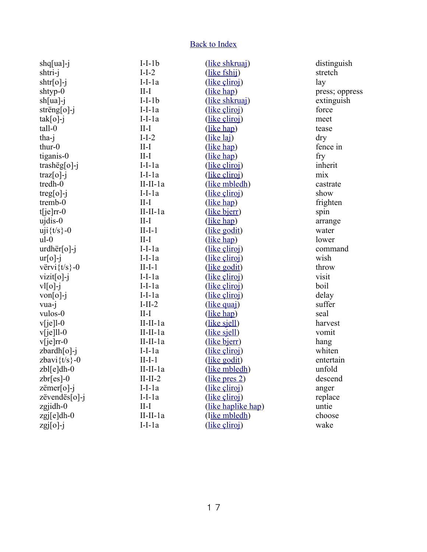<span id="page-15-0"></span>

| $shq[ua]-j$               | $I-I-1b$          | <u>(like shkruaj)</u> | distinguish    |
|---------------------------|-------------------|-----------------------|----------------|
| shtri-j                   | $I-I-2$           | (like fshij)          | stretch        |
| $\text{shtr}[o]-j$        | $I-I-1a$          | (like cliroj)         | lay            |
| shtyp-0                   | $II-I$            | (like hap)            | press; oppress |
| $sh[ua]-j$                | $I-I-1b$          | (like shkruaj)        | extinguish     |
| $string[0]-j$             | $I-I-1a$          | (like cliroj)         | force          |
| $\text{tak}[\text{o}]$ -j | $I-I-1a$          | (like cliroj)         | meet           |
| tall-0                    | $II-I$            | (like hap)            | tease          |
| tha-j                     | $I-I-2$           | (like laj)            | dry            |
| $thur-0$                  | $II-I$            | (like hap)            | fence in       |
| tiganis-0                 | $II-I$            | (like hap)            | fry            |
| trashëg[o]-j              | $I-I-1a$          | (like cliroj)         | inherit        |
| $\text{traz}[o]-j$        | $I-I-1a$          | (like cliroj)         | mix            |
| tredh-0                   | $II-II-1a$        | (like mbledh)         | castrate       |
| $treg[0]-j$               | $I-I-1a$          | (like cliroj)         | show           |
| tremb-0                   | $\rm II\text{-}I$ | (like hap)            | frighten       |
| $t[je]rr-0$               | $II-II-1a$        | (like bjerr)          | spin           |
| $u$ <i>jdis-0</i>         | $II-I$            | (like hap)            | arrange        |
| $uji$ {t/s}-0             | $II-I-1$          | (like godit)          | water          |
| $ul-0$                    | $II-I$            | (like hap)            | lower          |
| urdhër[o]-j               | $I-I-1a$          | (like cliroj)         | command        |
| $ur[o]-j$                 | $I-I-1a$          | (like cliroj)         | wish           |
| vërvi $\{t/s\}$ -0        | $II-I-1$          | (like godit)          | throw          |
| $vizit[o]-j$              | $I-I-1a$          | (like cliroj)         | visit          |
| $vl[0]-j$                 | $I-I-1a$          | (like cliroj)         | boil           |
| $von[0]-j$                | $I-I-1a$          | (like cliroj)         | delay          |
| vua-j                     | $I-II-2$          | (like quaj)           | suffer         |
| vulos-0                   | $II-I$            | (like hap)            | seal           |
| $v[je]$ l-0               | $II-II-1a$        | $(like$ sjell)        | harvest        |
| $v[iel]$ ll-0             | $II-II-1a$        | (like sjell)          | vomit          |
| $v[j]$ e]rr-0             | $II-II-1a$        | (like bjerr)          | hang           |
| $z\bar{b}$ ardh $o$ ]-j   | $I-I-1a$          | (like cliroj)         | whiten         |
| zbavi $\{t/s\}$ -0        | $II-I-1$          | (like godit)          | entertain      |
| zbl[e]dh-0                | $II-II-1a$        | (like mbledh)         | unfold         |
| $zbr[es]-0$               | $II-II-2$         | $(like$ pres $2)$     | descend        |
| $z\text{emer}[o]-j$       | $I-I-1a$          | (like cliroj)         | anger          |
| zëvendës $[0]-j$          | $I-I-1a$          | (like cliroj)         | replace        |
| zgjidh-0                  | $II-I$            | (like haplike hap)    | untie          |
| zgj[e]dh-0                | $II-II-1a$        | (like mbledh)         | choose         |
| $zgj[0]-j$                | $I-I-1a$          | (like cliroj)         | wake           |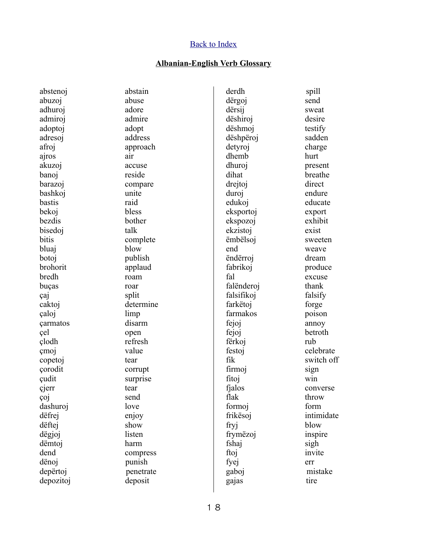#### <span id="page-16-0"></span>**Albanian-English Verb Glossary**

| abstenoj  | abstain  |
|-----------|----------|
| abuzoj    | abuse    |
| adhuroj   | adore    |
| admiroj   | admire   |
| adoptoj   | adopt    |
| adresoj   | address  |
| afroj     | approac  |
| ajros     | air      |
| akuzoj    | accuse   |
| banoj     | reside   |
| barazoj   | compare  |
| bashkoj   | unite    |
| bastis    | raid     |
| bekoj     | bless    |
| bezdis    | bother   |
| bisedoj   | talk     |
| bitis     | complet  |
| bluaj     | blow     |
| botoj     | publish  |
| brohorit  | applaud  |
| bredh     | roam     |
| buças     | roar     |
| çaj       | split    |
| caktoj    | determi  |
| caloj     | limp     |
| carmatos  | disarm   |
| çel       | open     |
| çlodh     | refresh  |
| çmoj      | value    |
| copetoj   | tear     |
| çorodit   | corrupt  |
| cudit     | surprise |
| çjerr     | tear     |
| çoj       | send     |
| dashuroj  | love     |
| dëfrej    | enjoy    |
| dëftej    | show     |
| dëgjoj    | listen   |
| dëmtoj    | harm     |
| dend      | compre:  |
| dënoj     | punish   |
| depërtoj  | penetra  |
| depozitoj | deposit  |

abstain abuse adore admire adopt address approach accuse reside compare unite raid bless bother talk complete blow publish applaud roam roar split determine limp disarm open refresh value tear corrupt surprise tear send love enjoy show listen harm compress punish penetrate

derdh spill dërgoj send dërsij sweat dëshiroj desire dëshmoj testify dëshpëroj sadden detyroj charge dhemb hurt dhuroj present dihat breathe drejtoj direct duroj endure edukoj educate eksportoj export ekspozoj exhibit ekzistoj exist ëmbëlsoj sweeten end weave ëndërroj dream fabrikoj produce fal excuse falënderoj thank falsifikoj falsify farkëtoj forge farmakos poison fejoj annoy fejoj betroth fërkoj rub festoj celebrate fik switch off firmoj sign fitoj win fjalos converse flak throw formoj form frikësoj intimidate fryj blow frymëzoj inspire fshaj sigh ftoj invite fyej err gaboj mistake gajas tire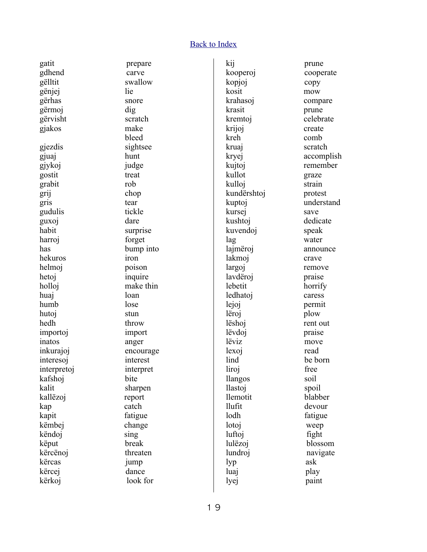gdhend carve gëlltit swallow gënjej lie gërhas snore gërmoj dig gërvisht scratch gjakos make gjezdis sightsee gjuaj hunt gjykoj judge gostit treat grabit rob grij chop gris tear gudulis tickle guxoj dare habit surprise harroj forget has bump into hekuros iron helmoj poison hetoj inquire holloj make thin huaj loan humb lose hutoj stun hedh throw importoj import inatos anger inkurajoj encourage interesoj interest interpretoj interpret kafshoj bite kalit sharpen kallëzoj report kap catch kapit fatigue këmbej change këndoj sing këput break kërcënoj threaten kërcas iump kërcej dance

gatit prepare bleed kërkoj look for

kij prune kooperoj cooperate kopjoj copy kosit mow krahasoj compare krasit prune kremtoj celebrate krijoj create kreh comb kruaj scratch kryej accomplish kujtoj remember kullot graze kulloj strain kundërshtoj protest kuptoj understand kursej save kushtoj dedicate kuvendoj speak lag water lajmëroj announce lakmoj crave largoj remove lavdëroj praise lebetit horrify ledhatoj caress lejoj permit lëroj plow lëshoj rent out lëvdoj praise lëviz move lexoj read lind be born liroj free llangos soil llastoj spoil llemotit blabber llufit devour lodh fatigue lotoj weep luftoj fight lulëzoj blossom lundroj navigate lyp ask luaj play lyej paint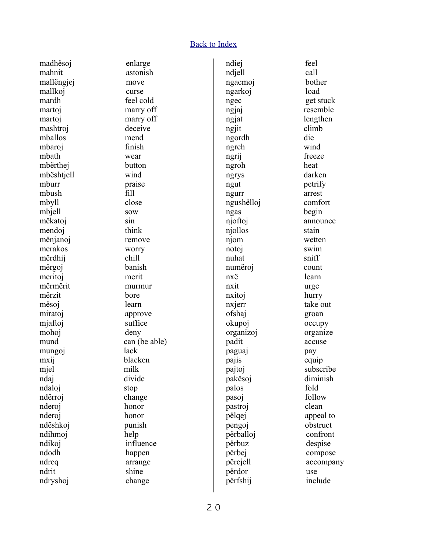| madhësoj   | enlarge       |
|------------|---------------|
| mahnit     | astonish      |
| mallëngjej | move          |
| mallkoj    | curse         |
| mardh      | feel cold     |
| martoj     | marry off     |
| martoj     | marry off     |
| mashtroj   | deceive       |
| mballos    | mend          |
| mbaroj     | finish        |
| mbath      | wear          |
| mbërthej   | button        |
| mbështjell | wind          |
| mburr      | praise        |
| mbush      | fill          |
| mbyll      | close         |
| mbjell     | sow           |
| mëkatoj    | sın           |
| mendoj     | think         |
| mënjanoj   | remove        |
| merakos    | worry         |
| mërdhij    | chill         |
| mërgoj     | banish        |
| meritoj    | merit         |
| mërmërit   | murmur        |
| mërzit     | bore          |
| mësoj      | learn         |
| miratoj    | approve       |
| mjaftoj    | suffice       |
| mohoj      | deny          |
| mund       | can (be able) |
| mungoj     | lack          |
| mxij       | blacken       |
| mjel       | milk          |
| ndaj       | divide        |
| ndaloj     | stop          |
| ndërroj    | change        |
| nderoj     | honor         |
| nderoj     | honor         |
| ndëshkoj   | punish        |
| ndihmoj    | help          |
| ndikoj     | influence     |
| ndodh      | happen        |
| ndreq      | arrange       |
| ndrit      | shine         |
| ndryshoj   | change        |
|            |               |

| enlarge       |
|---------------|
| astonish      |
| move          |
| curse         |
| feel cold     |
| marry off     |
| marry off     |
| deceive       |
| mend          |
| finish        |
| wear          |
| button        |
| wind          |
| praise        |
| fill          |
| close         |
| sow           |
| sin           |
| think         |
| remove        |
| worry         |
| chill         |
| banish        |
| merit         |
| murmur        |
| bore          |
| learn         |
| approve       |
| suffice       |
| deny          |
| can (be able) |
| lack          |
| blacken       |
| milk          |
| divide        |
| stop          |
| change        |
| honor         |
| honor         |
| punish        |
| .<br>help     |
| influence     |
| happen        |
| arrange       |
| shine         |
| change        |
|               |

ndiej feel ndjell call ngacmoj bother ngarkoj load ngec get stuck ngjaj resemble ngjat lengthen ngjit climb ngordh die ngreh wind ngrij freeze ngroh heat ngrys darken ngut petrify ngurr arrest ngushëlloj comfort ngas begin njoftoj announce njollos stain njom wetten notoj swim nuhat sniff numëroj count nxë learn nxit urge nxitoj hurry nxjerr take out ofshaj groan okupoj occupy organizoj organize padit accuse paguaj pay pajis equip pajtoj subscribe pakësoj diminish palos fold pasoj follow pastroj clean pëlqej appeal to pengoj obstruct përballoj confront përbuz despise përbej compose përcjell accompany përdor use përfshij include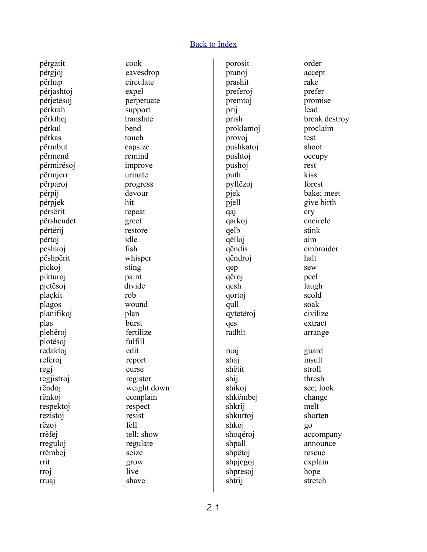përgatit cook përgjoj eavesdrop përhap circulate përjashtoj expel përjetësoj perpetuate përkrah support përkthej translate përkul bend përkas touch përmbut capsize përmend remind përmirësoj improve përmjerr urinate përparoj progress përpij devour përpjek hit përsërit repeat përshendet greet përtërij restore përtoj idle peshkoj fish pëshpërit whisper pickoj sting pikturoj paint pjetësoj divide plaçkit rob plagos wound planifikoj plan plas burst plehëroj fertilize plotësoj fulfill redaktoj edit referoj report regj curse regjistroj register rëndoj weight down rënkoj complain respektoj respect rezistoj resist rëzoj fell rrëfej tell; show rreguloj regulate rrëmbej seize rrit grow rroj live rruaj shave

porosit order pranoj accept prashit rake preferoj prefer premtoj promise prij lead prish break destroy proklamoj proclaim provoj test pushkatoj shoot pushtoj occupy pushoj rest puth kiss pyllëzoj forest pjek bake; meet pjell give birth qaj cry qarkoj encircle qelb stink qëlloj aim qëndis embroider qëndroj halt qep sew qëroj peel qesh laugh qortoj scold qull soak qytetëroj civilize qes extract radhit arrange ruaj guard shaj insult shëtit stroll shij thresh shikoj see; look shkëmbej change shkrij melt shkurtoj shorten shkoj go shoqëroj accompany shpall announce shpëtoj rescue shpjegoj explain shpresoj hope shtrij stretch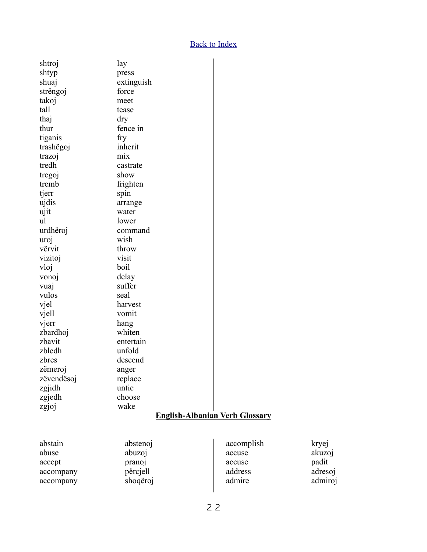| shtroj     | lay        |  |
|------------|------------|--|
| shtyp      | press      |  |
| shuaj      | extinguish |  |
| strëngoj   | force      |  |
| takoj      | meet       |  |
| tall       | tease      |  |
| thaj       | dry        |  |
| thur       | fence in   |  |
| tiganis    | fry        |  |
| trashëgoj  | inherit    |  |
| trazoj     | mix        |  |
| tredh      | castrate   |  |
| tregoj     | show       |  |
| tremb      | frighten   |  |
| tjerr      | spin       |  |
| ujdis      | arrange    |  |
| ujit       | water      |  |
| ul         | lower      |  |
| urdhëroj   | command    |  |
| uroj       | wish       |  |
| vërvit     | throw      |  |
| vizitoj    | visit      |  |
| vloj       | boil       |  |
| vonoj      | delay      |  |
| vuaj       | suffer     |  |
| vulos      | seal       |  |
| vjel       | harvest    |  |
| vjell      | vomit      |  |
| vjerr      | hang       |  |
| zbardhoj   | whiten     |  |
| zbavit     | entertain  |  |
| zbledh     | unfold     |  |
| zbres      | descend    |  |
| zëmeroj    | anger      |  |
| zëvendësoj | replace    |  |
| zgjidh     | untie      |  |
| zgjedh     | choose     |  |
| zgjoj      | wake       |  |

### <span id="page-20-0"></span>**English-Albanian Verb Glossary**

| abstain   | abstenoj | accomplish | krye <sub>l</sub> |
|-----------|----------|------------|-------------------|
| abuse     | abuzoj   | accuse     | akuzoj            |
| accept    | prano    | accuse     | padit             |
| accompany | përcjell | address    | adresoj           |
| accompany | shoqëroj | admire     | admiroj           |
|           |          |            |                   |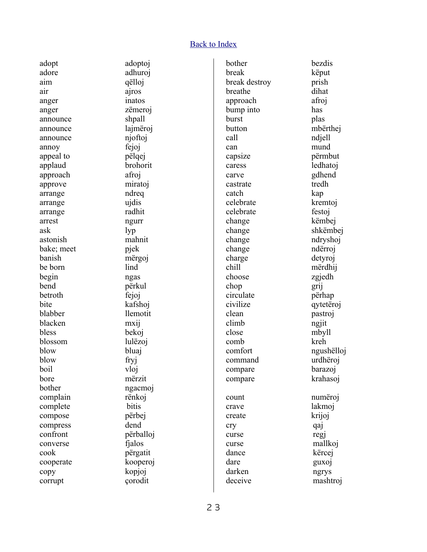| adopt      | adoptoj  |
|------------|----------|
| adore      | adhuroj  |
| aim        | qëlloj   |
| air        | ajros    |
| anger      | inatos   |
| anger      | zëmeroj  |
| announce   | shpall   |
| announce   | lajmëro  |
| announce   | njoftoj  |
| annoy      | fejoj    |
| appeal to  | pëlqej   |
| applaud    | brohorit |
| approach   | afroj    |
| approve    | miratoj  |
| arrange    | ndreq    |
| arrange    | ujdis    |
| arrange    | radhit   |
| arrest     | ngurr    |
| ask        | lyp      |
| astonish   | mahnit   |
| bake; meet | pjek     |
| banish     | mërgoj   |
| be born    | lind     |
| begin      | ngas     |
| bend       | përkul   |
| betroth    | fejoj    |
| bite       | kafshoj  |
| blabber    | llemotit |
| blacken    | mxij     |
| bless      | bekoj    |
| blossom    | lulëzoj  |
| blow       | bluaj    |
| blow       | fryj     |
| boil       | vloj     |
| bore       | mërzit   |
| bother     | ngacmo   |
| complain   | rënkoj   |
| complete   | bitis    |
| compose    | përbej   |
| compress   | dend     |
| confront   | përballo |
| converse   | fjalos   |
| cook       | përgatit |
| cooperate  | kooperc  |
| copy       | kopjoj   |
| corrupt    | çorodit  |
|            |          |

adhuroj qëlloj ajros inatos zëmeroj shpall lajmëroj njoftoj fejoj pëlqej brohorit afroj miratoj ndreq ujdis radhit ngurr lyp mahnit pjek mërgoj lind ngas përkul fejoj kafshoj llemotit mxij bekoj lulëzoj bluaj fryj vloj mërzit ngacmoj rënkoj bitis përbej dend përballoj fjalos përgatit kooperoj kopjoj

bother bezdis break këput break destroy prish breathe dihat approach afroj bump into has burst plas button mbërthej call ndjell can mund capsize përmbut caress ledhatoj carve gdhend castrate tredh catch kap celebrate kremtoj celebrate festoj change këmbej change shkëmbej change ndryshoj change ndërroj charge detyroj chill mërdhij choose zgjedh chop grij circulate përhap civilize qytetëroj clean pastroj climb ngjit close mbyll comb kreh comfort ngushëlloj command urdhëroj compare barazoj compare krahasoj count numëroj crave lakmoj create krijoj cry qaj curse regi curse mallkoj dance kërcej dare guxoj darken ngrys deceive mashtroj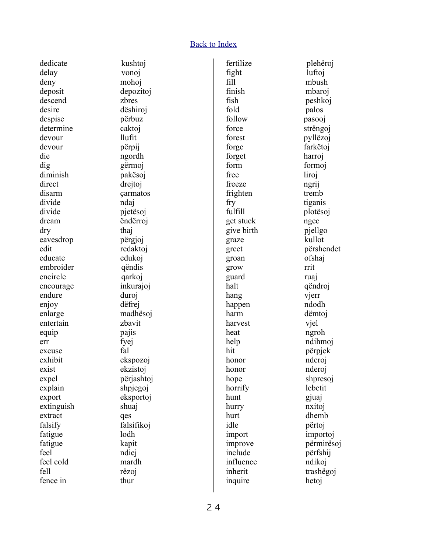dedicate kushtoj delay vonoj deny mohoj deposit depozitoj descend zbres desire dëshiroj despise përbuz determine caktoj devour llufit devour përpij die ngordh dig gërmoj diminish pakësoj direct drejtoj disarm çarmatos divide ndaj divide pjetësoj dream ëndërroj dry thaj eavesdrop përgjoj edit redaktoj educate edukoj embroider qëndis encircle qarkoj encourage inkurajoj endure duroj enjoy dëfrej enlarge madhësoj entertain zbavit equip pajis err fyej excuse fal exhibit ekspozoj exist ekzistoj expel përjashtoj explain shpjegoj export eksportoj extinguish shuaj extract qes falsify falsifikoj fatigue lodh fatigue kapit feel ndiej feel cold mardh fell rëzoj fence in thur

fertilize plehëroj fight luftoj fill mbush finish mbaroj fish peshkoj fold palos follow pasooj force strëngoj forest pyllëzoj forge farkëtoj forget harroj form formoj free liroj freeze ngrij frighten tremb fry tiganis fulfill plotësoj get stuck ngec give birth pjellgo graze kullot greet përshendet groan ofshaj grow rrit guard ruaj halt qëndroj hang vjerr happen ndodh harm dëmtoj harvest viel heat ngroh help ndihmoj hit përpjek honor nderoj honor nderoj hope shpresoj horrify lebetit hunt gjuaj hurry nxitoj hurt dhemb idle përtoj import importoj improve përmirësoj include përfshij influence ndikoj inherit trashëgoj inquire hetoj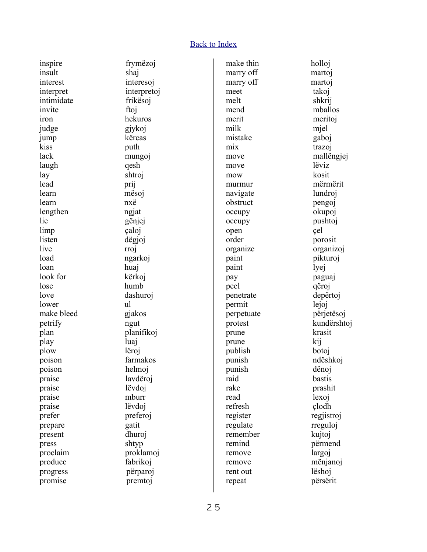inspire frymëzoj insult shaj interest interesoj interpret interpretoj intimidate frikësoj invite ftoj iron hekuros judge gjykoj jump kërcas kiss puth lack mungoj laugh qesh lay shtroj lead prij learn mësoj learn nxë lengthen ngjat lie gënjej limp çaloj listen dëgjoj live rroj load ngarkoj loan huaj look for kërkoj lose humb love dashuroj lower ul make bleed gjakos petrify ngut plan planifikoj play luaj plow lëroj poison farmakos poison helmoj praise lavdëroj praise lëvdoj praise mburr praise lëvdoj prefer preferoj prepare gatit present dhuroj press shtyp proclaim proklamoj produce fabrikoj progress përparoj

promise premtoj

make thin holloj marry off martoj marry off martoj meet takoj melt shkrij mend mballos merit meritoj milk mjel mistake gaboj mix trazoj move mallëngjej move lëviz mow kosit murmur mërmërit navigate lundroj obstruct pengoj occupy okupoj occupy pushtoj open çel order porosit organize organizoj paint pikturoj paint lyej pay paguaj peel qëroj penetrate depërtoj permit lejoj perpetuate përjetësoj protest kundërshtoj prune krasit prune kij publish botoj punish ndëshkoj punish dënoj raid bastis rake prashit read lexoj refresh clodh register regjistroj regulate rreguloj remember kujtoj remind përmend remove largoj remove mënjanoj rent out lëshoj repeat përsërit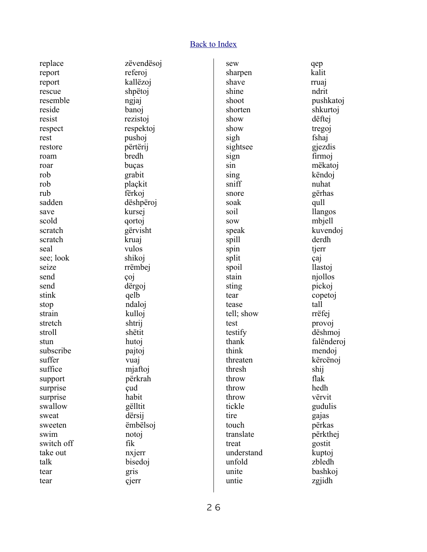| replace             | zëvendësoj        |
|---------------------|-------------------|
| report              | referoj           |
| report              | kallëzoj          |
| rescue              | shpëtoj           |
| resemble            | ngjaj             |
| reside              | banoj             |
| resist              | rezistoj          |
| respect             | respektoj         |
| rest                | pushoj            |
| restore             | përtërij          |
| roam                | bredh             |
| roar                | buças             |
| rob                 | grabit            |
| rob                 | plaçkit           |
| rub                 | fërkoj            |
| sadden              | dëshpëroj         |
| save                | kursej            |
| scold               | qortoj            |
| scratch             | gërvisht          |
| scratch             | kruaj             |
| seal                | vulos             |
| see; look           | shikoj            |
| seize               | rrëmbej           |
| send                | çoj               |
| send                | dërgoj            |
| stink               | qelb              |
| stop                | ndaloj            |
| strain              | kulloj            |
| stretch             | shtrij            |
| stroll              | shëtit            |
| stun                | hutoj             |
| subscribe           | pajtoj            |
| suffer              | vuaj              |
| suffice             | mjaftoj           |
| support             | përkrah           |
| surprise            | çud               |
|                     |                   |
|                     | habit             |
| surprise<br>swallow |                   |
| sweat               | gëlltit<br>dërsij |
| sweeten             | ëmbëlsoj          |
| swim                | notoj             |
| switch off          | fik               |
| take out            |                   |
| talk                | nxjerr<br>bisedoj |
| tear                | gris              |

referoj kallëzoj shpëtoj ngjaj banoj rezistoj respektoj pushoj përtërij bredh bucas grabit plaçkit fërkoj dëshpëroj kursej qortoj gërvisht kruaj vulos shikoj rrëmbej  $\overline{\text{co}}$ dërgoj qelb ndaloj kulloj shtrij shëtit hutoj pajtoj vuaj mjaftoj përkrah cud habit gëlltit dërsij ëmbëlsoj notoj nxjerr bisedoj gris

sew qep<br>
sharpen kalit sharpen shave rruaj shine ndrit shoot pushkatoj shorten shkurtoj show dëftej show tregoj sigh fshaj<br>sightsee gjezdis sightsee sign firmoj sin mëkatoj sing këndoj sniff nuhat snore gërhas soak qull soil llangos sow mbjell speak kuvendoj spill derdh spin tjerr split caj spoil llastoj stain njollos sting pickoj tear copetoj tease tall tell; show rrëfej test provoj testify dëshmoj thank falënderoj think mendoj threaten kërcënoj thresh shij throw flak throw hedh throw vërvit tickle gudulis tire gajas touch përkas translate përkthej treat gostit understand kuptoj unfold zbledh unite bashkoj untie zgjidh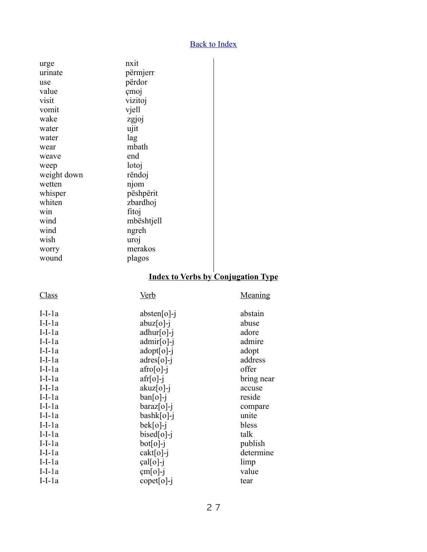| urge        | nxit       |  |
|-------------|------------|--|
| urinate     | përmjerr   |  |
| use         | përdor     |  |
| value       | çmoj       |  |
| visit       | vizitoj    |  |
| vomit       | vjell      |  |
| wake        | zgjoj      |  |
| water       | ujit       |  |
| water       | lag        |  |
| wear        | mbath      |  |
| weave       | end        |  |
| weep        | lotoj      |  |
| weight down | rëndoj     |  |
| wetten      | njom       |  |
| whisper     | pëshpërit  |  |
| whiten      | zbardhoj   |  |
| win         | fitoj      |  |
| wind        | mbështjell |  |
| wind        | ngreh      |  |
| wish        | uroj       |  |
| worry       | merakos    |  |
| wound       | plagos     |  |
|             |            |  |

# <span id="page-25-0"></span>**Index to Verbs by Conjugation Type**

| Class    | <u>Verb</u>             | Meaning    |
|----------|-------------------------|------------|
| $I-I-1a$ | $absten[0]-j$           | abstain    |
| $I-I-1a$ | $abuz[0]-j$             | abuse      |
| $I-I-1a$ | $adhur[o]-i$            | adore      |
| $I-I-1a$ | $admir[0]-j$            | admire     |
| $I-I-1a$ | $adopt[0]-j$            | adopt      |
| $I-I-1a$ | $adres[o]-i$            | address    |
| $I-I-1a$ | $afro[0]-j$             | offer      |
| $I-I-1a$ | $afr[0]-j$              | bring near |
| $I-I-1a$ | $akuz[0]-j$             | accuse     |
| $I-I-1a$ | $ban[0]-j$              | reside     |
| $I-I-1a$ | $baraz[o]-j$            | compare    |
| $I-I-1a$ | $bashk[0]-j$            | unite      |
| $I-I-1a$ | $bek[0]-j$              | bless      |
| $I-I-1a$ | $bised[o]-i$            | talk       |
| $I-I-1a$ | $bot[o]-j$              | publish    |
| $I-I-1a$ | $cakt[o]-i$             | determine  |
| $I-I-1a$ | $\text{cal[}o\text{-}j$ | limp       |
| $I-I-1a$ | $cm[o]-j$               | value      |
| $I-I-1a$ | $copet[o]-j$            | tear       |
|          |                         |            |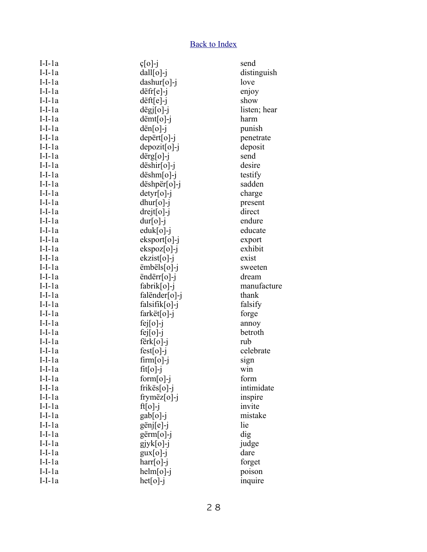| $I-I-1a$             | $\varphi$ [0]-j                                 | send              |
|----------------------|-------------------------------------------------|-------------------|
| $I-I-1a$             | $dall[o]-j$                                     | distinguish       |
| $I-I-1a$             | $dash[o]-j$                                     | love              |
| $I-I-1a$             | $d\ddot{e}$ fr[e]-j                             | enjoy             |
| $I-I-1a$             | $d$ ëft $[e]-j$                                 | show              |
| $I-I-1a$             | $\deg$ $[o]$ -j                                 | listen; hear      |
| $I-I-1a$             | $d$ ëmt $[o]$ -j                                | harm              |
| $I-I-1a$             | $d\ddot{e}n[o]-j$                               | punish            |
| $I-I-1a$             | $dep$ ërt $[o]$ -j                              | penetrate         |
| $I-I-1a$             | $depozit[0]-j$                                  | deposit           |
| $I-I-1a$             | $\text{dërg[o]-j}$                              | send              |
| $I-I-1a$             | dëshir[o]-j                                     | desire            |
| $I-I-1a$             | $d\ddot{e}$ shm $\lceil o \rceil$ -j            | testify           |
| $I-I-1a$             | dëshpër[o]-j                                    | sadden            |
| $I-I-1a$             | $dctyr[0]-j$                                    | charge            |
| $I-I-1a$             | $dhur[0]-j$                                     | present           |
| $I-I-1a$             | $\text{drejt}[\text{o}]-\text{j}$               | direct            |
| $I-I-1a$             | $dur[o]-j$                                      | endure            |
| $I-I-1a$             | $eduk[0]-j$                                     | educate           |
| $I-I-1a$             | eksport[o]-j                                    | export            |
| $I-I-1a$             | $ekspoz[0]-j$                                   | exhibit           |
| $I-I-1a$             | ekzist[o]-j                                     | exist             |
| $I-I-1a$             | ëmbëls[o]-j                                     | sweeten           |
| $I-I-1a$             | $\ddot{\text{end}}$ endërr $\lceil 0 \rceil$ -j | dream             |
| $I-I-1a$             | fabrik[0]-j                                     | manufacture       |
| $I-I-1a$             | falënder[o]-j                                   | thank             |
| $I-I-1a$             | falsifik[o]-j                                   | falsify           |
| $I-I-1a$             | farkët[o]-j                                     | forge             |
| $I-I-1a$             | $fej[0]-j$                                      | annoy             |
| $I-I-1a$             | $fej[0]-j$                                      | betroth           |
| $I-I-1a$             | $f$ ërk $[o]$ -j                                | rub               |
| $I-I-1a$             | $fest[0]-j$                                     | celebrate         |
| $I-I-1a$             | $firm[0]-j$                                     | sign              |
| $I-I-1a$             | $fit[0]-j$                                      | win               |
| $I-I-1a$             | $form[0]-j$                                     | form              |
| $I-I-1a$             | frikës[o]-j                                     | intimidate        |
| $I-I-1a$             | frymëz $[0]$ -j                                 | inspire           |
| $I-I-1a$             | $ft[0]-j$                                       | invite            |
| $I-I-1a$             | $\text{gab}[\text{o}]-\text{j}$                 | mistake           |
| $I-I-1a$             | gënj[e]-j                                       | lie               |
| $I-I-1a$             | gërm[o]-j                                       | dig               |
|                      |                                                 |                   |
|                      |                                                 |                   |
| $I-I-1a$             | $g$ jyk $[o]$ -j                                | judge             |
| $I-I-1a$             | $gux[0]-j$                                      | dare              |
| $I-I-1a$             | $harr[0]-j$                                     | forget            |
| $I-I-1a$<br>$I-I-1a$ | $helm[0]-j$<br>$het[o]-j$                       | poison<br>inquire |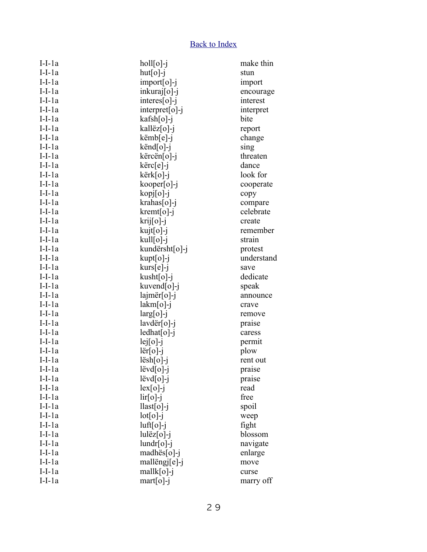| $I-I-1a$ | $holl[0]-j$               | make thin  |
|----------|---------------------------|------------|
| $I-I-1a$ | $h$ ut $[o]-i$            | stun       |
| $I-I-1a$ | $import[o]-j$             | import     |
| $I-I-1a$ | inkuraj[o]-j              | encourage  |
| $I-I-1a$ | $interes[o]-j$            | interest   |
| $I-I-1a$ | interpret[o]-j            | interpret  |
| $I-I-1a$ | kafsh[o]-j                | bite       |
| $I-I-1a$ | kallëz[o]-j               | report     |
| $I-I-1a$ | këmb[e]-j                 | change     |
| $I-I-1a$ | $k\ddot{e}nd[o]-j$        | sing       |
| $I-I-1a$ | kërcën[o]-j               | threaten   |
| $I-I-1a$ | kërc[e]-j                 | dance      |
| $I-I-1a$ | kërk[o]-j                 | look for   |
| $I-I-1a$ | kooper[o]-j               | cooperate  |
| $I-I-1a$ | $kopj[o]-j$               | copy       |
| $I-I-1a$ | krahas[o]-j               | compare    |
| $I-I-1a$ | $kremt[0]-j$              | celebrate  |
| $I-I-1a$ | krij[o]-j                 | create     |
| $I-I-1a$ | kujt[0]-j                 | remember   |
| $I-I-1a$ | kull[0]-j                 | strain     |
| $I-I-1a$ | kundërsht[o]-j            | protest    |
| $I-I-1a$ | $kupt[0]-j$               | understand |
| $I-I-1a$ | $kurs[e]-j$               | save       |
| $I-I-1a$ | $kusht[0]-j$              | dedicate   |
| $I-I-1a$ | kuvend[o]-j               | speak      |
| $I-I-1a$ | lajmër[o]-j               | announce   |
| $I-I-1a$ | $lakm[0]-j$               | crave      |
| $I-I-1a$ | $larg[0]-j$               | remove     |
| $I-I-1a$ | lavdër[o]-j               | praise     |
| $I-I-1a$ | $ledhat[o]-j$             | caress     |
| $I-I-1a$ | $lej[0]-j$                | permit     |
| $I-I-1a$ | $l$ ër $[o]$ -j           | plow       |
| $I-I-1a$ | $l\ddot{e}sh[o]-j$        | rent out   |
| $I-I-1a$ | $levd[0]-j$               | praise     |
| $I-I-1a$ | $levd[0]-j$               | praise     |
| $I-I-1a$ | $lex[o]$ -j               | read       |
| $I-I-1a$ | $\text{lir}[\text{o}]$ -j | free       |
| $I-I-1a$ | $llast[o]-j$              | spoil      |
| $I-I-1a$ | $lot[o]-i$                | weep       |
| $I-I-1a$ | $luff[0]-j$               | fight      |
| $I-I-1a$ | $lulëz[0]-j$              | blossom    |
| $I-I-1a$ | $lundr[o]-j$              | navigate   |
| $I-I-1a$ | madhës[o]-j               | enlarge    |
| $I-I-1a$ | mallëngj[e]-j             | move       |
| $I-I-1a$ | $malk[0]-j$               | curse      |
| $I-I-1a$ | $mart[0]-j$               | marry off  |
|          |                           |            |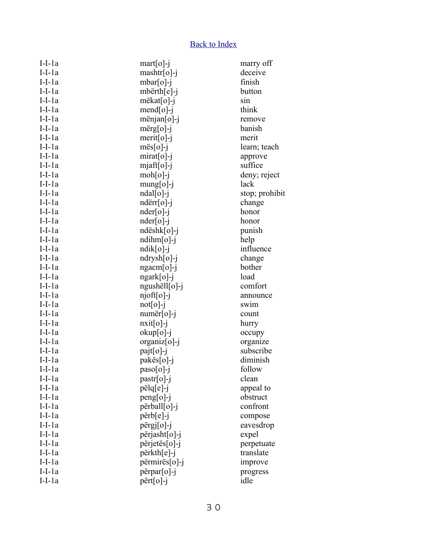| $I-I-1a$             | $mart[0]-j$                     | marry off        |
|----------------------|---------------------------------|------------------|
| $I-I-1a$             | $maskr[o]-j$                    | deceive          |
| $I-I-1a$             | $mbar[0]-i$                     | finish           |
| $I-I-1a$             | mbërth[e]-j                     | button           |
| $I-I-1a$             | $m\ddot{e}$ kat $[o]-j$         | sin              |
| $I-I-1a$             | $mend[o]-j$                     | think            |
| $I-I-1a$             | $m\ddot{e}$ njan $[o]-j$        | remove           |
| $I-I-1a$             | $mërg[0]-j$                     | banish           |
| $I-I-1a$             | $merit[o]-j$                    | merit            |
| $I-I-1a$             | $m\ddot{e}s[o]-j$               | learn; teach     |
| $I-I-1a$             | $mirat[0]-j$                    | approve          |
| $I-I-1a$             | $mjaft[0]-j$                    | suffice          |
| $I-I-1a$             | $moh[o]-j$                      | deny; reject     |
| $I-I-1a$             | $mung[o]-j$                     | lack             |
| $I-I-1a$             | $ndal[o]-j$                     | stop; prohibit   |
| $I-I-1a$             | $ndërr[o]-j$                    | change           |
| $I-I-1a$             | $nder[o]-j$                     | honor            |
| $I-I-1a$             | $nder[0]-j$                     | honor            |
| $I-I-1a$             | ndëshk[o]-j                     | punish           |
| $I-I-1a$             | $ndihm[0]-j$                    | help             |
| $I-I-1a$             | $ndik[0]-j$                     | influence        |
| $I-I-1a$             | $ndrysh[0]-j$                   | change           |
| $I-I-1a$             | $\n  ngacm[o]-j\n$              | bother           |
| $I-I-1a$             | $ngark[0]-j$                    | load             |
| $I-I-1a$             | ngushëll[o]-j                   | comfort          |
| $I-I-1a$             | $night[0]-j$                    | announce         |
| $I-I-1a$             | $not[o]$ -j                     | swim             |
| $I-I-1a$             | numër[o]-j                      | count            |
| $I-I-1a$             | $n$ xit $[o]-j$                 | hurry            |
| $I-I-1a$             | $okup[o]$ -j                    | occupy           |
| $I-I-1a$             | organiz <sup>[0]-j</sup>        | organize         |
| $I-I-1a$             | $pajt[0]-j$                     | subscribe        |
| $I-I-1a$             | pakës[o]-j                      | diminish         |
| $I-I-1a$             | $paso[o]-j$                     | follow           |
| $I-I-1a$             | $pastr[0]-j$                    | clean            |
| $I-I-1a$             | $p \ddot{e}$ lq $[e]$ -j        | appeal to        |
| $I-I-1a$             | $peng[o]-j$                     | obstruct         |
| $I-I-1a$             | përball[o]-j                    | confront         |
| $I-I-1a$             | $përb[e]-i$                     | compose          |
| $I-I-1a$             | përgj[o]-j                      | eavesdrop        |
| $I-I-1a$             | përjasht[o]-j                   | expel            |
| $I-I-1a$             | përjetës[o]-j                   | perpetuate       |
| $I-I-1a$             | përkth[e]-j                     | translate        |
|                      |                                 |                  |
| $I-I-1a$             | përmirës[o]-j                   | improve          |
| $I-I-1a$<br>$I-I-1a$ | përpar[o]-j<br>$p$ ërt $[o]$ -j | progress<br>idle |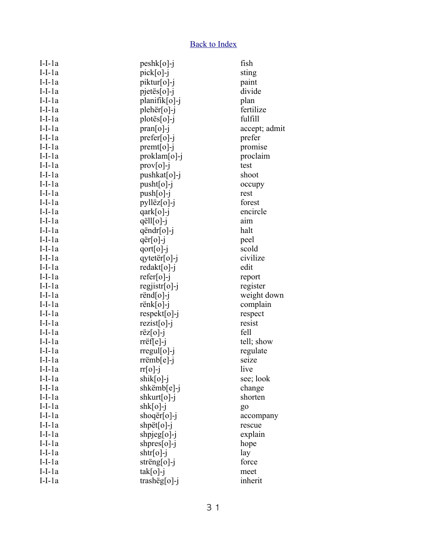| $I-I-1a$ | $peshk[0]-j$                        | fish          |
|----------|-------------------------------------|---------------|
| $I-I-1a$ | $pick[0]-j$                         | sting         |
| $I-I-1a$ | piktur[o]-j                         | paint         |
| $I-I-1a$ | pjetës[o]-j                         | divide        |
| $I-I-1a$ | planifik[0]-j                       | plan          |
| $I-I-1a$ | $pleh$ ër $[o]$ -j                  | fertilize     |
| $I-I-1a$ | $plot\ddot{e}s[o]-j$                | fulfill       |
| $I-I-1a$ | $pran[0]-j$                         | accept; admit |
| $I-I-1a$ | $prefer[o]-j$                       | prefer        |
| $I-I-1a$ | $premt[0]-j$                        | promise       |
| $I-I-1a$ | proklam[o]-j                        | proclaim      |
| $I-I-1a$ | $prov[o]-j$                         | test          |
| $I-I-1a$ | pushkat[o]-j                        | shoot         |
| $I-I-1a$ | $pusht[0]-j$                        | occupy        |
| $I-I-1a$ | $push[0]-j$                         | rest          |
| $I-I-1a$ | pyllëz[o]-j                         | forest        |
| $I-I-1a$ | $qark[0]-j$                         | encircle      |
| $I-I-1a$ | $q$ ëll $[o]$ -j                    | aim           |
| $I-I-1a$ | $q\text{endr}[o]-j$                 | halt          |
| $I-I-1a$ | $q \ddot{e}$ r[o]-j                 | peel          |
| $I-I-1a$ | $qort[o]-j$                         | scold         |
| $I-I-1a$ | qytetër[o]-j                        | civilize      |
| $I-I-1a$ | redakt[o]-j                         | edit          |
| $I-I-1a$ | $refer[0]-j$                        | report        |
| $I-I-1a$ | $regjistr[0]-j$                     | register      |
| $I-I-1a$ | rënd[o]-j                           | weight down   |
| $I-I-1a$ | $r\ddot{e}$ nk $\lceil o \rceil$ -j | complain      |
| $I-I-1a$ | $respect[o]-j$                      | respect       |
| $I-I-1a$ | $rezist[o]-j$                       | resist        |
| $I-I-1a$ | $r\ddot{e}z[0]\dot{-}j$             | fell          |
| $I-I-1a$ | $r \in [e]-j$                       | tell; show    |
| $I-I-1a$ | rregul[o]-j                         | regulate      |
| $I-I-1a$ | $rr \ddot{e}$ mb $[e]$ -j           | seize         |
| $I-I-1a$ | $rr[0]$ -j                          | live          |
| $I-I-1a$ | shik[o]-j                           | see; look     |
| $I-I-1a$ | shkëmb[e]-j                         | change        |
| $I-I-1a$ | shkurt[o]-j                         | shorten       |
| $I-I-1a$ | $shk[0]-j$                          | <b>go</b>     |
| $I-I-1a$ | shoqër $[0]$ -j                     | accompany     |
| $I-I-1a$ | shpët[o]-j                          | rescue        |
| $I-I-1a$ | $shpieg[0]-j$                       | explain       |
| $I-I-1a$ | $shpres[0]-j$                       | hope          |
| $I-I-1a$ | $shtr[0]-j$                         | lay           |
| $I-I-1a$ | $str\ddot{e}$ ng $[o]-j$            | force         |
| $I-I-1a$ | $\text{tak}[\text{o}]-\text{j}$     | meet          |
| $I-I-1a$ | trashëg[o]-j                        | inherit       |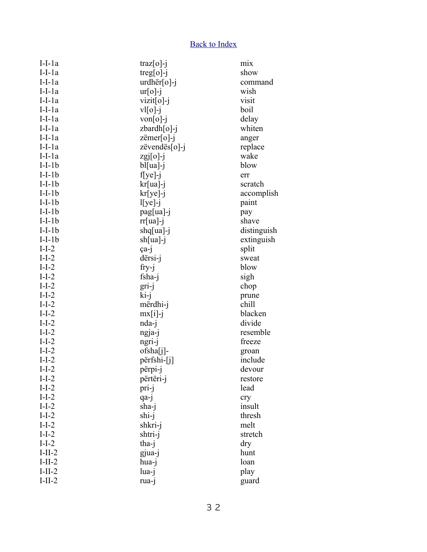| $I-I-1a$ | $\text{traz}[o]-j$              | mix         |
|----------|---------------------------------|-------------|
| $I-I-1a$ | $treg[o]-j$                     | show        |
| $I-I-1a$ | $urd$ hër $[o]$ -j              | command     |
| $I-I-1a$ | $ur[0]-j$                       | wish        |
| $I-I-1a$ | vizit[o]-j                      | visit       |
| $I-I-1a$ | $vl[0]$ -j                      | boil        |
| $I-I-1a$ | $\text{von}[\text{o}]-\text{j}$ | delay       |
| $I-I-1a$ | zbardh[o]-j                     | whiten      |
| $I-I-1a$ | zëmer[o]-j                      | anger       |
| $I-I-1a$ | zëvendës[o]-j                   | replace     |
| $I-I-1a$ | zgj[o]-j                        | wake        |
| $I-I-1b$ | $bl[ua]$ -j                     | blow        |
| $I-I-1b$ | $f[ye]-j$                       | err         |
| $I-I-1b$ | $kr[ua]-j$                      | scratch     |
| $I-I-1b$ | $kr[ye]-j$                      | accomplish  |
| $I-I-1b$ | $1[ye]-j$                       | paint       |
| $I-I-1b$ | pag[ua]-j                       | pay         |
| $I-I-1b$ | $rr[ua]-j$                      | shave       |
| $I-I-1b$ | $shq[ua]-j$                     | distinguish |
| $I-I-1b$ | $sh[ua]-j$                      | extinguish  |
| $I-I-2$  | ça-j                            | split       |
| $I-I-2$  | dërsi-j                         | sweat       |
| $I-I-2$  | fry-j                           | blow        |
| $I-I-2$  | fsha-j                          | sigh        |
| $I-I-2$  | $gri-j$                         | chop        |
| $I-I-2$  | ki-j                            | prune       |
| $I-I-2$  | mërdhi-j                        | chill       |
| $I-I-2$  | $mx[i]-j$                       | blacken     |
| $I-I-2$  | nda-j                           | divide      |
| $I-I-2$  | ngja-j                          | resemble    |
| $I-I-2$  | ngri-j                          | freeze      |
| $I-I-2$  | $ofsha[j]$ -                    | groan       |
| $I-I-2$  | përfshi-[j]                     | include     |
| $I-I-2$  | përpi-j                         | devour      |
| $I-I-2$  | përtëri-j                       | restore     |
| $I-I-2$  | $pri-j$                         | lead        |
| $I-I-2$  | $qa-j$                          | cry         |
| $I-I-2$  | sha-j                           | insult      |
| $I-I-2$  | shi-j                           | thresh      |
| $I-I-2$  | shkri-j                         | melt        |
| $I-I-2$  | shtri-j                         | stretch     |
| $I-I-2$  | tha-j                           | dry         |
| $I-II-2$ | gjua-j                          | hunt        |
| $I-II-2$ | hua-j                           | loan        |
| $I-II-2$ | lua-j                           | play        |
| $I-II-2$ | rua-j                           | guard       |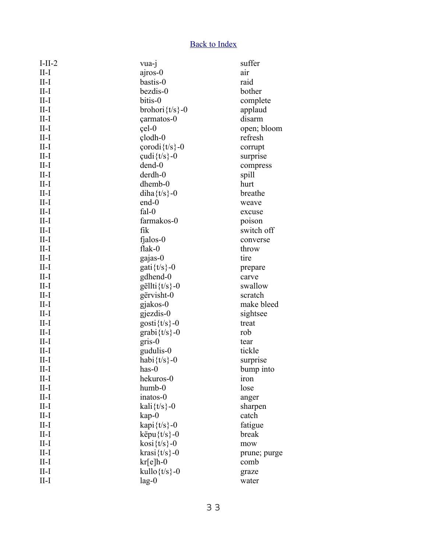| $I-II-2$ | vua-j                                 | suffer       |
|----------|---------------------------------------|--------------|
| $II-I$   | ajros-0                               | air          |
| $II-I$   | bastis-0                              | raid         |
| $II-I$   | bezdis-0                              | bother       |
| $II-I$   | bitis-0                               | complete     |
| $II-I$   | brohori $\{t/s\}$ -0                  | applaud      |
| $II-I$   | çarmatos-0                            | disarm       |
| $II-I$   | çel-0                                 | open; bloom  |
| $II-I$   | çlodh-0                               | refresh      |
| $II-I$   | $\text{qorodi}\left\{ t/s\right\} -0$ | corrupt      |
| $II-I$   | $\text{qudi}\left\{t/s\right\} - 0$   | surprise     |
| $II-I$   | dend-0                                | compress     |
| $II-I$   | derdh-0                               | spill        |
| $II-I$   | dhemb-0                               | hurt         |
| $II-I$   | diha $\{t/s\}$ -0                     | breathe      |
| $II-I$   | $end-0$                               | weave        |
| $II-I$   | $fal-0$                               | excuse       |
| $II-I$   | farmakos-0                            | poison       |
| $II-I$   | fik                                   | switch off   |
| $II-I$   | fjalos-0                              | converse     |
| $II-I$   | flak- $0$                             | throw        |
| $II-I$   | gajas-0                               | tire         |
| $II-I$   | gati $\{t/s\}$ -0                     | prepare      |
| $II-I$   | gdhend-0                              | carve        |
| $II-I$   | gëllti $\{t/s\}$ -0                   | swallow      |
| $II-I$   | gërvisht-0                            | scratch      |
| $II-I$   | gjakos-0                              | make bleed   |
| $II-I$   | gjezdis-0                             | sightsee     |
| $II-I$   | gosti $\{t/s\}$ -0                    | treat        |
| $II-I$   | $grabi\{t/s\}-0$                      | rob          |
| $II-I$   | $gris-0$                              | tear         |
| $II-I$   | gudulis-0                             | tickle       |
| $II-I$   | habi $\{t/s\}$ -0                     | surprise     |
| $II-I$   | has-0                                 | bump into    |
| $II-I$   | hekuros-0                             | <b>iron</b>  |
| $II-I$   | humb-0                                | lose         |
| $II-I$   | inatos-0                              | anger        |
| $II-I$   | kali $\{t/s\}$ -0                     | sharpen      |
| $II-I$   | kap-0                                 | catch        |
| $II-I$   | kapi $\{t/s\}$ -0                     | fatigue      |
| $II-I$   | këpu $\{t/s\}$ -0                     | break        |
| $II-I$   | kosi $\{t/s\}$ -0                     | mow          |
| $II-I$   | krasi $\{t/s\}$ -0                    | prune; purge |
| $II-I$   | $kr[e]h-0$                            | comb         |
| $II-I$   | kullo $\{t/s\}$ -0                    | graze        |
| $II-I$   | $lag-0$                               | water        |
|          |                                       |              |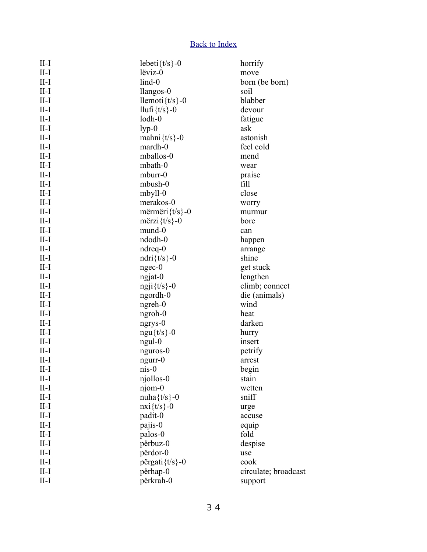| $II-I$            | lebeti $\{t/s\}$ -0      | horrify              |
|-------------------|--------------------------|----------------------|
| $II-I$            | lëviz-0                  | move                 |
| $II-I$            | lind-0                   | born (be born)       |
| $\rm II\text{-}I$ | llangos-0                | soil                 |
| $II-I$            | llemoti $\{t/s\}$ -0     | blabber              |
| $II-I$            | $ll\$ ilufi $\{t/s\}$ -0 | devour               |
| $II-I$            | $lodh-0$                 | fatigue              |
| $II-I$            | $1yp-0$                  | ask                  |
| $II-I$            | mahni $\{t/s\}$ -0       | astonish             |
| $II-I$            | mardh-0                  | feel cold            |
| $II-I$            | mballos-0                | mend                 |
| $II-I$            | mbath-0                  | wear                 |
| $II-I$            | mburr-0                  | praise               |
| $II-I$            | mbush-0                  | fill                 |
| $II-I$            | mbyll-0                  | close                |
| $II-I$            | merakos-0                | worry                |
| $II-I$            | mërmëri $\{t/s\}$ -0     | murmur               |
| $II-I$            | mërzi $\{t/s\}$ -0       | bore                 |
| $II-I$            | $mund-0$                 | can                  |
| $II-I$            | ndodh-0                  | happen               |
| $II-I$            | $ndreq-0$                | arrange              |
| $II-I$            | ndri $\{t/s\}$ -0        | shine                |
| $II-I$            | ngec-0                   | get stuck            |
| $II-I$            | ngjat-0                  | lengthen             |
| $II-I$            | $ngji\{t/s\}$ -0         | climb; connect       |
| $II-I$            | ngordh-0                 | die (animals)        |
| $II-I$            | ngreh-0                  | wind                 |
| $II-I$            | ngroh-0                  | heat                 |
| $II-I$            | ngrys-0                  | darken               |
| $II-I$            | $ngu{t/s}$ -0            | hurry                |
| $II-I$            | ngul-0                   | insert               |
| $II-I$            | nguros-0                 | petrify              |
| $II-I$            | ngurr-0                  | arrest               |
| $II-I$            | $nis-0$                  | begin                |
| $II-I$            | njollos-0                | stain                |
| $II-I$            | $n$ iom $-0$             | wetten               |
| $II-I$            | nuha $\{t/s\}$ -0        | sniff                |
| $II-I$            | $nxi\{t/s\}$ -0          | urge                 |
| $II-I$            | padit-0                  | accuse               |
| $II-I$            | pajis-0                  | equip                |
| $II-I$            | palos-0                  | fold                 |
| $II-I$            | përbuz-0                 | despise              |
| $II-I$            | përdor-0                 | use                  |
| $II-I$            | përgati {t/s}-0          | cook                 |
| $II-I$            | përhap-0                 | circulate; broadcast |
| $II-I$            | përkrah-0                | support              |
|                   |                          |                      |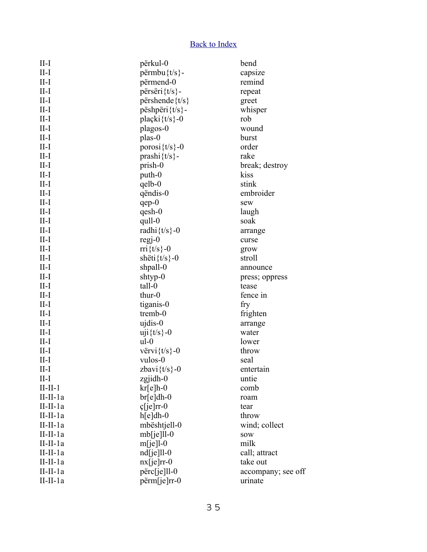| $II-I$     | përkul-0                              | bend               |
|------------|---------------------------------------|--------------------|
| $II-I$     | $p\text{ \& }$ rmbu $\{t/s\}$ -       | capsize            |
| $II-I$     | përmend-0                             | remind             |
| $II-I$     | përsëri $\{t/s\}$ -                   | repeat             |
| $II-I$     | përshende $\{t/s\}$                   | greet              |
| $II-I$     | pëshpëri $\{t/s\}$ -                  | whisper            |
| $II-I$     | plaçki $\{t/s\}$ -0                   | rob                |
| $II-I$     | plagos-0                              | wound              |
| $II-I$     | plas-0                                | burst              |
| $II-I$     | porosi $\{t/s\}$ -0                   | order              |
| $II-I$     | $prashi$ {t/s}-                       | rake               |
| $II-I$     | prish-0                               | break; destroy     |
| $II-I$     | puth-0                                | kiss               |
| $II-I$     | $qelb-0$                              | stink              |
| $II-I$     | qëndis-0                              | embroider          |
| $II-I$     | $qep-0$                               | sew                |
| $II-I$     | $qesh-0$                              | laugh              |
| $II-I$     | qull-0                                | soak               |
| $II-I$     | radhi $\{t/s\}$ -0                    | arrange            |
| $II-I$     | regj-0                                | curse              |
| $II-I$     | $\pi i \{t/s\}$ -0                    | grow               |
| $II-I$     | shëti $\{t/s\}$ -0                    | stroll             |
| $II-I$     | shpall-0                              | announce           |
| $II-I$     | $\frac{\text{shtyp-0}}{\text{shtyp}}$ | press; oppress     |
| $II-I$     | tall-0                                | tease              |
| $II-I$     | $thur-0$                              | fence in           |
| $II-I$     | tiganis-0                             | fry                |
| $II-I$     | tremb-0                               | frighten           |
| $II-I$     | ujdis-0                               | arrange            |
| $II-I$     | $uji$ {t/s}-0                         | water              |
| $II-I$     | $ul-0$                                | lower              |
| $II-I$     | vërvi $\{t/s\}$ -0                    | throw              |
| $II-I$     | vulos-0                               | seal               |
| $II-I$     | zbavi $\{t/s\}$ -0                    | entertain          |
| $II-I$     | zgjidh-0                              | untie              |
| $II-II-1$  | $kr[e]h-0$                            | comb               |
| $II-II-1a$ | $br[eldh-0]$                          | roam               |
| $II-II-1a$ | ç[je]rr-0                             | tear               |
| $II-II-1a$ | $h[e]$ dh-0                           | throw              |
| $II-II-1a$ | mbështjell-0                          | wind; collect      |
| $II-II-1a$ |                                       |                    |
|            | $mb[jelll-0]$                         | sow<br>milk        |
| $II-II-1a$ | $m[iel]$ -0                           |                    |
| $II-II-1a$ | nd[je]ll-0                            | call; attract      |
| $II-II-1a$ | $nx[ielrr-0]$                         | take out           |
| $II-II-1a$ | $p\text{ërc}[j\text{e}]$ ll-0         | accompany; see off |
| $II-II-1a$ | përm[je]rr-0                          | urinate            |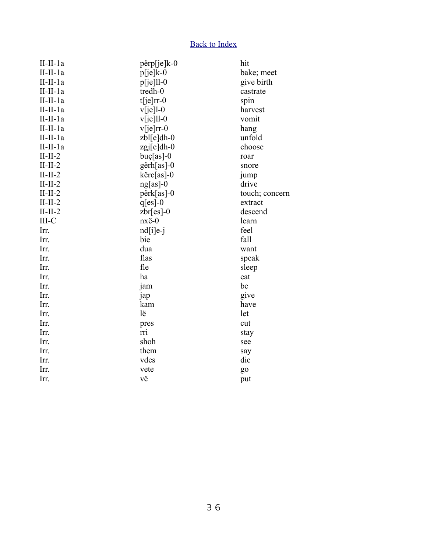| $II-II-1a$ | $p$ ërp[je] $k-0$ | hit            |
|------------|-------------------|----------------|
| $II-II-1a$ | $p[je]k-0$        | bake; meet     |
| $II-II-1a$ | $p[je]$ ll-0      | give birth     |
| $II-II-1a$ | tredh-0           | castrate       |
| $II-II-1a$ | $t[i]$ e]rr-0     | spin           |
| $II-II-1a$ | $v[je]$ l-0       | harvest        |
| $II-II-1a$ | $v[je]$ ll-0      | vomit          |
| $II-II-1a$ | v[je]rr-0         | hang           |
| $II-II-1a$ | $zbl[e]dh-0$      | unfold         |
| $II-II-1a$ | $zgi[e]$ dh-0     | choose         |
| $II-II-2$  | buç[as]-0         | roar           |
| $II-II-2$  | gërh[as]-0        | snore          |
| $II-II-2$  | kërc[as]-0        | jump           |
| $II-II-2$  | $ng[as]-0$        | drive          |
| $II-II-2$  | përk[as]-0        | touch; concern |
| $II-II-2$  | $q[es]-0$         | extract        |
| $II-II-2$  | $zbr[es]-0$       | descend        |
| III-C      | $nxe-0$           | learn          |
| Irr.       | nd[i]e-j          | feel           |
| Irr.       | bie               | fall           |
| Irr.       | dua               | want           |
| Irr.       | flas              | speak          |
| Irr.       | fle               | sleep          |
| Irr.       | ha                | eat            |
| Irr.       | jam               | be             |
| Irr.       | jap               | give           |
| Irr.       | kam               | have           |
| Irr.       | lë                | let            |
| Irr.       | pres              | cut            |
| Irr.       | rri               | stay           |
| Irr.       | shoh              | see            |
| Irr.       | them              | say            |
| Irr.       | vdes              | die            |
| Irr.       | vete              | g <sub>o</sub> |
| Irr.       | vë                | put            |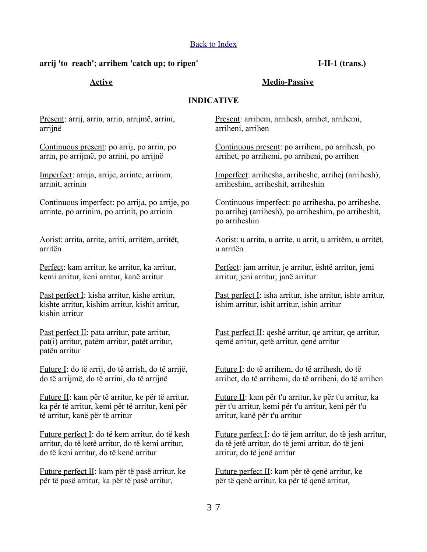#### <span id="page-35-0"></span>**arrij 'to reach'; arrihem 'catch up; to ripen' I-II-1 (trans.)**

### **Active Medio-Passive**

#### **INDICATIVE**

Present: arrij, arrin, arrin, arrijmë, arrini, arrijnë

Continuous present: po arrij, po arrin, po arrin, po arrijmë, po arrini, po arrijnë

Imperfect: arrija, arrije, arrinte, arrinim, arrinit, arrinin

Continuous imperfect: po arrija, po arrije, po arrinte, po arrinim, po arrinit, po arrinin

Aorist: arrita, arrite, arriti, arritëm, arritët, arritën

Perfect: kam arritur, ke arritur, ka arritur, kemi arritur, keni arritur, kanë arritur

Past perfect I: kisha arritur, kishe arritur, kishte arritur, kishim arritur, kishit arritur, kishin arritur

Past perfect II: pata arritur, pate arritur, pat(i) arritur, patëm arritur, patët arritur, patën arritur

Future I: do të arrij, do të arrish, do të arrijë, do të arrijmë, do të arrini, do të arrijnë

Future II: kam për të arritur, ke për të arritur, ka për të arritur, kemi për të arritur, keni për të arritur, kanë për të arritur

Future perfect I: do të kem arritur, do të kesh arritur, do të ketë arritur, do të kemi arritur, do të keni arritur, do të kenë arritur

Future perfect II: kam për të pasë arritur, ke për të pasë arritur, ka për të pasë arritur,

Present: arrihem, arrihesh, arrihet, arrihemi, arriheni, arrihen

Continuous present: po arrihem, po arrihesh, po arrihet, po arrihemi, po arriheni, po arrihen

Imperfect: arrihesha, arriheshe, arrihej (arrihesh), arriheshim, arriheshit, arriheshin

Continuous imperfect: po arrihesha, po arriheshe, po arrihej (arrihesh), po arriheshim, po arriheshit, po arriheshin

Aorist: u arrita, u arrite, u arrit, u arritëm, u arritët, u arritën

Perfect: jam arritur, je arritur, është arritur, jemi arritur, jeni arritur, janë arritur

Past perfect I: isha arritur, ishe arritur, ishte arritur, ishim arritur, ishit arritur, ishin arritur

Past perfect II: qeshë arritur, qe arritur, qe arritur, qemë arritur, qetë arritur, qenë arritur

Future I: do të arrihem, do të arrihesh, do të arrihet, do të arrihemi, do të arriheni, do të arrihen

Future II: kam për t'u arritur, ke për t'u arritur, ka për t'u arritur, kemi për t'u arritur, keni për t'u arritur, kanë për t'u arritur

Future perfect I: do të jem arritur, do të jesh arritur, do të jetë arritur, do të jemi arritur, do të jeni arritur, do të jenë arritur

Future perfect II: kam për të qenë arritur, ke për të qenë arritur, ka për të qenë arritur,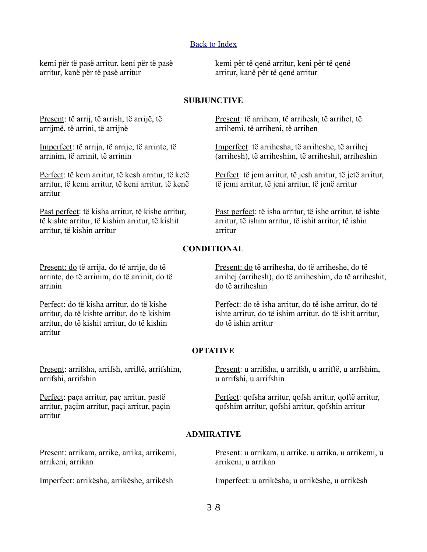kemi për të pasë arritur, keni për të pasë arritur, kanë për të pasë arritur

kemi për të qenë arritur, keni për të qenë arritur, kanë për të qenë arritur

# **SUBJUNCTIVE**

Present: të arrij, të arrish, të arrijë, të arrijmë, të arrini, të arrijnë

Imperfect: të arrija, të arrije, të arrinte, të arrinim, të arrinit, të arrinin

Perfect: të kem arritur, të kesh arritur, të ketë arritur, të kemi arritur, të keni arritur, të kenë arritur

Past perfect: të kisha arritur, të kishe arritur, të kishte arritur, të kishim arritur, të kishit arritur, të kishin arritur

Present: do të arrija, do të arrije, do të arrinte, do të arrinim, do të arrinit, do të arrinin

Perfect: do të kisha arritur, do të kishe arritur, do të kishte arritur, do të kishim arritur, do të kishit arritur, do të kishin arritur

Present: arrifsha, arrifsh, arriftë, arrifshim, arrifshi, arrifshin

Perfect: paça arritur, paç arritur, pastë arritur, paçim arritur, paçi arritur, paçin arritur

Present: të arrihem, të arrihesh, të arrihet, të arrihemi, të arriheni, të arrihen

Imperfect: të arrihesha, të arriheshe, të arrihej (arrihesh), të arriheshim, të arriheshit, arriheshin

Perfect: të jem arritur, të jesh arritur, të jetë arritur, të jemi arritur, të jeni arritur, të jenë arritur

Past perfect: të isha arritur, të ishe arritur, të ishte arritur, të ishim arritur, të ishit arritur, të ishin arritur

#### **CONDITIONAL**

Present: do të arrihesha, do të arriheshe, do të arrihej (arrihesh), do të arriheshim, do të arriheshit, do të arriheshin

Perfect: do të isha arritur, do të ishe arritur, do të ishte arritur, do të ishim arritur, do të ishit arritur, do të ishin arritur

# **OPTATIVE**

Present: u arrifsha, u arrifsh, u arriftë, u arrfshim, u arrifshi, u arrifshin

Perfect: qofsha arritur, qofsh arritur, qoftë arritur, qofshim arritur, qofshi arritur, qofshin arritur

# **ADMIRATIVE**

| Present: arrikam, arrike, arrika, arrikemi, | Present: u arrikam, u arrike, u arrika, u arrikemi, u |
|---------------------------------------------|-------------------------------------------------------|
| arrikeni, arrikan                           | arrikeni, u arrikan                                   |
| Imperfect: arrikësha, arrikëshe, arrikësh   | Imperfect: u arrikësha, u arrikëshe, u arrikësh       |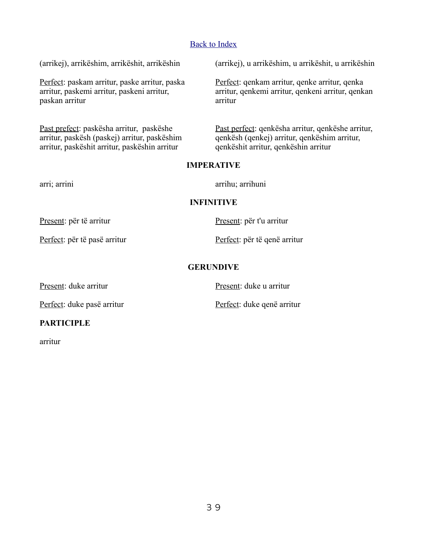| (arrikej), arrikëshim, arrikëshit, arrikëshin                                                                                             | (arrikej), u arrikëshim, u arrikëshit, u arrikëshin                                                                                       |  |
|-------------------------------------------------------------------------------------------------------------------------------------------|-------------------------------------------------------------------------------------------------------------------------------------------|--|
| Perfect: paskam arritur, paske arritur, paska<br>arritur, paskemi arritur, paskeni arritur,<br>paskan arritur                             | Perfect: qenkam arritur, qenke arritur, qenka<br>arritur, qenkemi arritur, qenkeni arritur, qenkan<br>arritur                             |  |
| Past prefect: paskësha arritur, paskëshe<br>arritur, paskësh (paskej) arritur, paskëshim<br>arritur, paskëshit arritur, paskëshin arritur | Past perfect: qenkësha arritur, qenkëshe arritur,<br>qenkësh (qenkej) arritur, qenkëshim arritur,<br>qenkëshit arritur, qenkëshin arritur |  |
| <b>IMPERATIVE</b>                                                                                                                         |                                                                                                                                           |  |
| arri; arrini                                                                                                                              | arrihu; arrihuni                                                                                                                          |  |
| <b>INFINITIVE</b>                                                                                                                         |                                                                                                                                           |  |
| Present: për të arritur                                                                                                                   | Present: për t'u arritur                                                                                                                  |  |
| Perfect: për të pasë arritur                                                                                                              | Perfect: për të qenë arritur                                                                                                              |  |
| <b>GERUNDIVE</b>                                                                                                                          |                                                                                                                                           |  |
| Present: duke arritur                                                                                                                     | Present: duke u arritur                                                                                                                   |  |
| Perfect: duke pasë arritur                                                                                                                | Perfect: duke qenë arritur                                                                                                                |  |
| <b>PARTICIPLE</b>                                                                                                                         |                                                                                                                                           |  |

arritur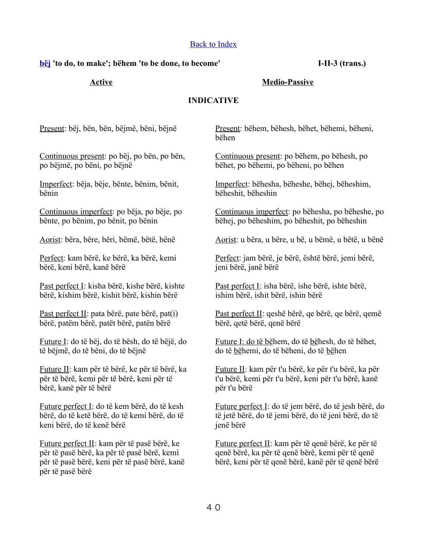#### <span id="page-38-0"></span>**[bëj](#page-38-0) 'to do, to make'; bëhem 'to be done, to become' I-II-3 (trans.)**

# **Active Medio-Passive**

#### **INDICATIVE**

Continuous present: po bëj, po bën, po bën, po bëjmë, po bëni, po bëjnë

Imperfect: bëja, bëje, bënte, bënim, bënit, bënin

Continuous imperfect: po bëja, po bëje, po bënte, po bënim, po bënit, po bënin

Perfect: kam bërë, ke bërë, ka bërë, kemi bërë, keni bërë, kanë bërë

Past perfect I: kisha bërë, kishe bërë, kishte bërë, kishim bërë, kishit bërë, kishin bërë

Past perfect II: pata bërë, pate bërë, pat(i) bërë, patëm bërë, patët bërë, patën bërë

Future I: do të bëj, do të bësh, do të bëjë, do të bëjmë, do të bëni, do të bëjnë

Future II: kam për të bërë, ke për të bërë, ka për të bërë, kemi për të bërë, keni për të bërë, kanë për të bërë

Future perfect I: do të kem bërë, do të kesh bërë, do të ketë bërë, do të kemi bërë, do të keni bërë, do të kenë bërë

Future perfect II: kam për të pasë bërë, ke për të pasë bërë, ka për të pasë bërë, kemi për të pasë bërë, keni për të pasë bërë, kanë për të pasë bërë

Present: bëj, bën, bën, bëjmë, bëni, bëjnë Present: bëhem, bëhesh, bëhet, bëhemi, bëheni, bëhen

> Continuous present: po bëhem, po bëhesh, po bëhet, po bëhemi, po bëheni, po bëhen

Imperfect: bëhesha, bëheshe, bëhej, bëheshim, bëheshit, bëheshin

Continuous imperfect: po bëhesha, po bëheshe, po bëhej, po bëheshim, po bëheshit, po bëheshin

Aorist: bëra, bëre, bëri, bëmë, bëtë, bënë Aorist: u bëra, u bëre, u bë, u bëmë, u bëtë, u bënë

Perfect: jam bërë, je bërë, është bërë, jemi bërë, jeni bërë, janë bërë

Past perfect I: isha bërë, ishe bërë, ishte bërë, ishim bërë, ishit bërë, ishin bërë

Past perfect II: qeshë bërë, qe bërë, qe bërë, qemë bërë, qetë bërë, qenë bërë

Future I: do të bëhem, do të bëhesh, do të bëhet, do të bëhemi, do të bëheni, do të bëhen

Future II: kam për t'u bërë, ke për t'u bërë, ka për t'u bërë, kemi për t'u bërë, keni për t'u bërë, kanë për t'u bërë

Future perfect I: do të jem bërë, do të jesh bërë, do të jetë bërë, do të jemi bërë, do të jeni bërë, do të jenë bërë

Future perfect II: kam për të qenë bërë, ke për të qenë bërë, ka për të qenë bërë, kemi për të qenë bërë, keni për të qenë bërë, kanë për të qenë bërë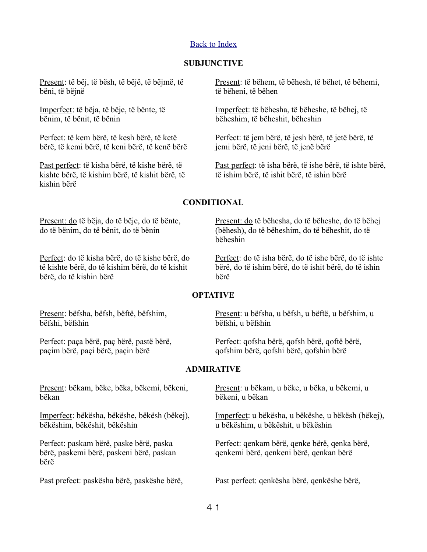#### **SUBJUNCTIVE**

Present: të bëj, të bësh, të bëjë, të bëjmë, të bëni, të bëjnë

Imperfect: të bëja, të bëje, të bënte, të bënim, të bënit, të bënin

Perfect: të kem bërë, të kesh bërë, të ketë bërë, të kemi bërë, të keni bërë, të kenë bërë

Past perfect: të kisha bërë, të kishe bërë, të kishte bërë, të kishim bërë, të kishit bërë, të kishin bërë

Present: të bëhem, të bëhesh, të bëhet, të bëhemi, të bëheni, të bëhen

Imperfect: të bëhesha, të bëheshe, të bëhej, të bëheshim, të bëheshit, bëheshin

Perfect: të jem bërë, të jesh bërë, të jetë bërë, të jemi bërë, të jeni bërë, të jenë bërë

Past perfect: të isha bërë, të ishe bërë, të ishte bërë, të ishim bërë, të ishit bërë, të ishin bërë

#### **CONDITIONAL**

Present: do të bëja, do të bëje, do të bënte, do të bënim, do të bënit, do të bënin

Perfect: do të kisha bërë, do të kishe bërë, do të kishte bërë, do të kishim bërë, do të kishit bërë, do të kishin bërë

Present: do të bëhesha, do të bëheshe, do të bëhej (bëhesh), do të bëheshim, do të bëheshit, do të bëheshin

Perfect: do të isha bërë, do të ishe bërë, do të ishte bërë, do të ishim bërë, do të ishit bërë, do të ishin bërë

#### **OPTATIVE**

Present: bëfsha, bëfsh, bëftë, bëfshim, bëfshi, bëfshin

Perfect: paça bërë, paç bërë, pastë bërë, paçim bërë, paçi bërë, paçin bërë

Present: u bëfsha, u bëfsh, u bëftë, u bëfshim, u bëfshi, u bëfshin

Perfect: qofsha bërë, qofsh bërë, qoftë bërë, qofshim bërë, qofshi bërë, qofshin bërë

#### **ADMIRATIVE**

| Present: bëkam, bëke, bëka, bëkemi, bëkeni,                                                 | Present: u bëkam, u bëke, u bëka, u bëkemi, u                                            |
|---------------------------------------------------------------------------------------------|------------------------------------------------------------------------------------------|
| bëkan                                                                                       | bëkeni, u bëkan                                                                          |
| Imperfect: bëkësha, bëkëshe, bëkësh (bëkej),                                                | Imperfect: u bëkësha, u bëkëshe, u bëkësh (bëkej),                                       |
| bëkëshim, bëkëshit, bëkëshin                                                                | u bëkëshim, u bëkëshit, u bëkëshin                                                       |
| Perfect: paskam bërë, paske bërë, paska<br>bërë, paskemi bërë, paskeni bërë, paskan<br>bërë | Perfect: qenkam bërë, qenke bërë, qenka bërë,<br>qenkemi bërë, qenkeni bërë, qenkan bërë |
| Past prefect: paskësha bërë, paskëshe bërë,                                                 | Past perfect: qenkësha bërë, qenkëshe bërë,                                              |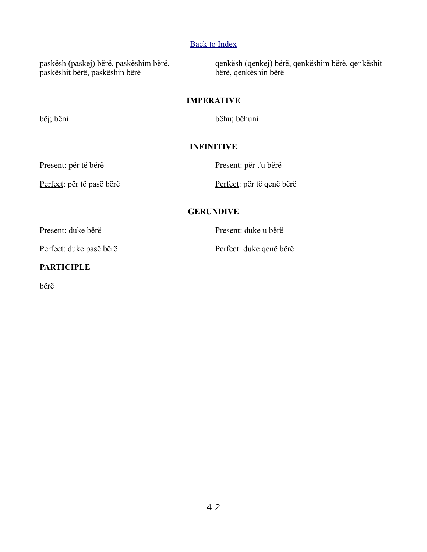paskësh (paskej) bërë, paskëshim bërë, paskëshit bërë, paskëshin bërë

qenkësh (qenkej) bërë, qenkëshim bërë, qenkëshit bërë, qenkëshin bërë

# **IMPERATIVE**

bëj; bëni bëhu; bëhuni

# **INFINITIVE**

| Present: për të bërë      | Present: për t'u bërë     |
|---------------------------|---------------------------|
| Perfect: për të pasë bërë | Perfect: për të qenë bërë |
|                           |                           |

# **GERUNDIVE**

| Present: duke bërë      | Present: duke u bërë    |
|-------------------------|-------------------------|
| Perfect: duke pasë bërë | Perfect: duke qenë bërë |

# **PARTICIPLE**

bërë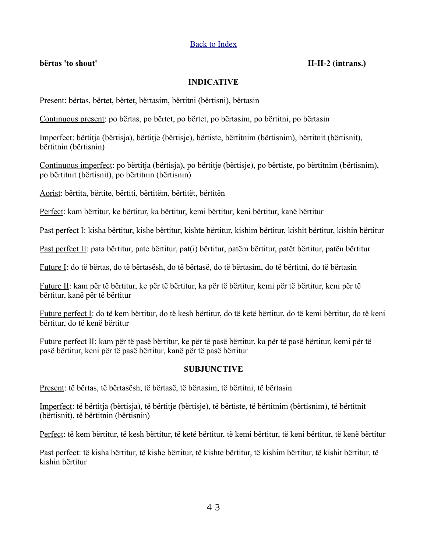# **bërtas 'to shout' II-II-2 (intrans.)**

# **INDICATIVE**

Present: bërtas, bërtet, bërtet, bërtasim, bërtitni (bërtisni), bërtasin

Continuous present: po bërtas, po bërtet, po bërtet, po bërtasim, po bërtitni, po bërtasin

Imperfect: bërtitja (bërtisja), bërtitje (bërtisje), bërtiste, bërtitnim (bërtisnim), bërtitnit (bërtisnit), bërtitnin (bërtisnin)

Continuous imperfect: po bërtitja (bërtisja), po bërtitje (bërtisje), po bërtiste, po bërtitnim (bërtisnim), po bërtitnit (bërtisnit), po bërtitnin (bërtisnin)

Aorist: bërtita, bërtite, bërtiti, bërtitëm, bërtitët, bërtitën

Perfect: kam bërtitur, ke bërtitur, ka bërtitur, kemi bërtitur, keni bërtitur, kanë bërtitur

Past perfect I: kisha bërtitur, kishe bërtitur, kishte bërtitur, kishim bërtitur, kishit bërtitur, kishin bërtitur

Past perfect II: pata bërtitur, pate bërtitur, pat(i) bërtitur, patëm bërtitur, patët bërtitur, patën bërtitur

Future I: do të bërtas, do të bërtasësh, do të bërtasë, do të bërtasim, do të bërtitni, do të bërtasin

Future II: kam për të bërtitur, ke për të bërtitur, ka për të bërtitur, kemi për të bërtitur, keni për të bërtitur, kanë për të bërtitur

Future perfect I: do të kem bërtitur, do të kesh bërtitur, do të ketë bërtitur, do të kemi bërtitur, do të keni bërtitur, do të kenë bërtitur

Future perfect II: kam për të pasë bërtitur, ke për të pasë bërtitur, ka për të pasë bërtitur, kemi për të pasë bërtitur, keni për të pasë bërtitur, kanë për të pasë bërtitur

# **SUBJUNCTIVE**

Present: të bërtas, të bërtasësh, të bërtasë, të bërtasim, të bërtitni, të bërtasin

Imperfect: të bërtitja (bërtisja), të bërtitje (bërtisje), të bërtiste, të bërtitnim (bërtisnim), të bërtitnit (bërtisnit), të bërtitnin (bërtisnin)

Perfect: të kem bërtitur, të kesh bërtitur, të ketë bërtitur, të kemi bërtitur, të keni bërtitur, të kenë bërtitur

Past perfect: të kisha bërtitur, të kishe bërtitur, të kishte bërtitur, të kishim bërtitur, të kishit bërtitur, të kishin bërtitur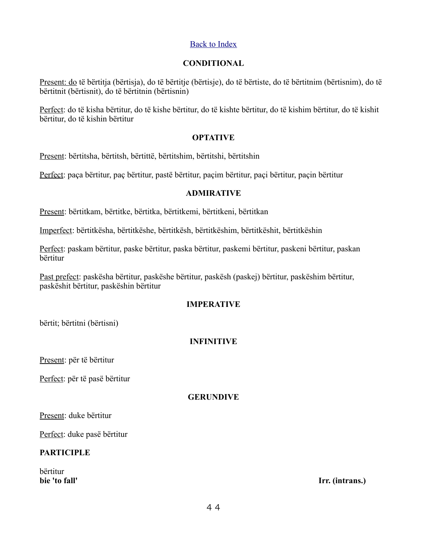# **CONDITIONAL**

Present: do të bërtitja (bërtisja), do të bërtitje (bërtisje), do të bërtiste, do të bërtitnim (bërtisnim), do të bërtitnit (bërtisnit), do të bërtitnin (bërtisnin)

Perfect: do të kisha bërtitur, do të kishe bërtitur, do të kishte bërtitur, do të kishim bërtitur, do të kishit bërtitur, do të kishin bërtitur

# **OPTATIVE**

Present: bërtitsha, bërtitsh, bërtittë, bërtitshim, bërtitshi, bërtitshin

Perfect: paça bërtitur, paç bërtitur, pastë bërtitur, paçim bërtitur, paçi bërtitur, paçin bërtitur

### **ADMIRATIVE**

Present: bërtitkam, bërtitke, bërtitka, bërtitkemi, bërtitkeni, bërtitkan

Imperfect: bërtitkësha, bërtitkëshe, bërtitkësh, bërtitkëshim, bërtitkëshit, bërtitkëshin

Perfect: paskam bërtitur, paske bërtitur, paska bërtitur, paskemi bërtitur, paskeni bërtitur, paskan bërtitur

Past prefect: paskësha bërtitur, paskëshe bërtitur, paskësh (paskej) bërtitur, paskëshim bërtitur, paskëshit bërtitur, paskëshin bërtitur

# **IMPERATIVE**

bërtit; bërtitni (bërtisni)

# **INFINITIVE**

Present: për të bërtitur

Perfect: për të pasë bërtitur

# **GERUNDIVE**

Present: duke bërtitur

Perfect: duke pasë bërtitur

# **PARTICIPLE**

bërtitur

**bie 'to fall' Irr. (intrans.)**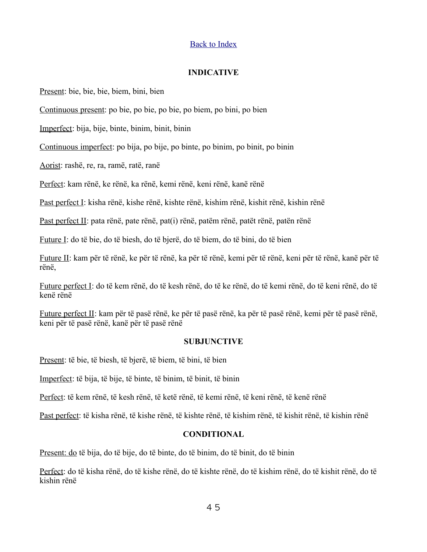# **INDICATIVE**

Present: bie, bie, bie, biem, bini, bien

Continuous present: po bie, po bie, po bie, po biem, po bini, po bien

Imperfect: bija, bije, binte, binim, binit, binin

Continuous imperfect: po bija, po bije, po binte, po binim, po binit, po binin

Aorist: rashë, re, ra, ramë, ratë, ranë

Perfect: kam rënë, ke rënë, ka rënë, kemi rënë, keni rënë, kanë rënë

Past perfect I: kisha rënë, kishe rënë, kishte rënë, kishim rënë, kishit rënë, kishin rënë

Past perfect II: pata rënë, pate rënë, pat(i) rënë, patëm rënë, patët rënë, patën rënë

Future I: do të bie, do të biesh, do të bjerë, do të biem, do të bini, do të bien

Future II: kam për të rënë, ke për të rënë, ka për të rënë, kemi për të rënë, keni për të rënë, kanë për të rënë,

Future perfect I: do të kem rënë, do të kesh rënë, do të ke rënë, do të kemi rënë, do të keni rënë, do të kenë rënë

Future perfect II: kam për të pasë rënë, ke për të pasë rënë, ka për të pasë rënë, kemi për të pasë rënë, keni për të pasë rënë, kanë për të pasë rënë

#### **SUBJUNCTIVE**

Present: të bie, të biesh, të bjerë, të biem, të bini, të bien

Imperfect: të bija, të bije, të binte, të binim, të binit, të binin

Perfect: të kem rënë, të kesh rënë, të ketë rënë, të kemi rënë, të keni rënë, të kenë rënë

Past perfect: të kisha rënë, të kishe rënë, të kishte rënë, të kishim rënë, të kishit rënë, të kishin rënë

#### **CONDITIONAL**

Present: do të bija, do të bije, do të binte, do të binim, do të binit, do të binin

Perfect: do të kisha rënë, do të kishe rënë, do të kishte rënë, do të kishim rënë, do të kishit rënë, do të kishin rënë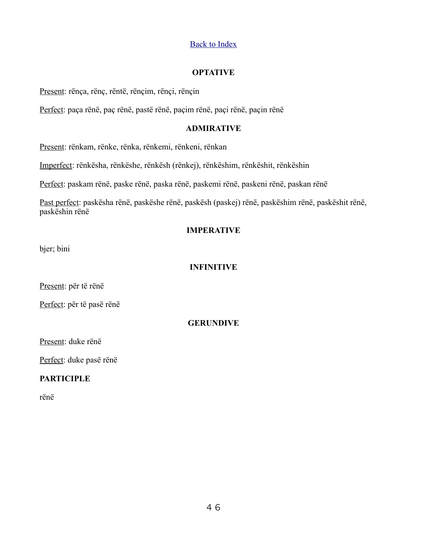# **OPTATIVE**

Present: rënça, rënç, rëntë, rënçim, rënçi, rënçin

Perfect: paça rënë, paç rënë, pastë rënë, paçim rënë, paçi rënë, paçin rënë

# **ADMIRATIVE**

Present: rënkam, rënke, rënka, rënkemi, rënkeni, rënkan

Imperfect: rënkësha, rënkëshe, rënkësh (rënkej), rënkëshim, rënkëshit, rënkëshin

Perfect: paskam rënë, paske rënë, paska rënë, paskemi rënë, paskeni rënë, paskan rënë

Past perfect: paskësha rënë, paskëshe rënë, paskësh (paskej) rënë, paskëshim rënë, paskëshit rënë, paskëshin rënë

# **IMPERATIVE**

bjer; bini

# **INFINITIVE**

Present: për të rënë

Perfect: për të pasë rënë

# **GERUNDIVE**

Present: duke rënë

Perfect: duke pasë rënë

# **PARTICIPLE**

rënë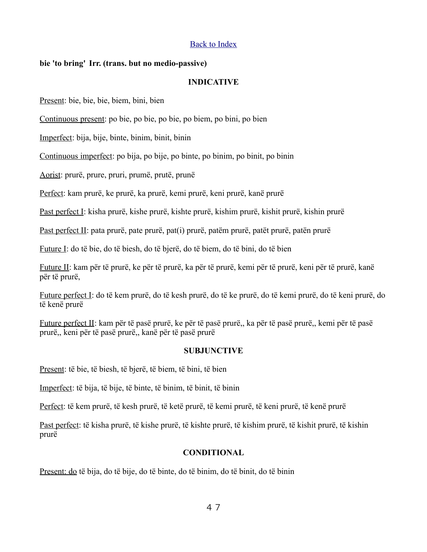#### **bie 'to bring' Irr. (trans. but no medio-passive)**

#### **INDICATIVE**

Present: bie, bie, bie, biem, bini, bien

Continuous present: po bie, po bie, po bie, po biem, po bini, po bien

Imperfect: bija, bije, binte, binim, binit, binin

Continuous imperfect: po bija, po bije, po binte, po binim, po binit, po binin

Aorist: prurë, prure, pruri, prumë, prutë, prunë

Perfect: kam prurë, ke prurë, ka prurë, kemi prurë, keni prurë, kanë prurë

Past perfect I: kisha prurë, kishe prurë, kishte prurë, kishim prurë, kishit prurë, kishin prurë

Past perfect II: pata prurë, pate prurë, pat(i) prurë, patëm prurë, patët prurë, patën prurë

Future I: do të bie, do të biesh, do të bjerë, do të biem, do të bini, do të bien

Future II: kam për të prurë, ke për të prurë, ka për të prurë, kemi për të prurë, keni për të prurë, kanë për të prurë,

Future perfect I: do të kem prurë, do të kesh prurë, do të ke prurë, do të kemi prurë, do të keni prurë, do të kenë prurë

Future perfect II: kam për të pasë prurë, ke për të pasë prurë,, ka për të pasë prurë,, kemi për të pasë prurë,, keni për të pasë prurë,, kanë për të pasë prurë

#### **SUBJUNCTIVE**

Present: të bie, të biesh, të bjerë, të biem, të bini, të bien

Imperfect: të bija, të bije, të binte, të binim, të binit, të binin

Perfect: të kem prurë, të kesh prurë, të ketë prurë, të kemi prurë, të keni prurë, të kenë prurë

Past perfect: të kisha prurë, të kishe prurë, të kishte prurë, të kishim prurë, të kishit prurë, të kishin prurë

#### **CONDITIONAL**

Present: do të bija, do të bije, do të binte, do të binim, do të binit, do të binin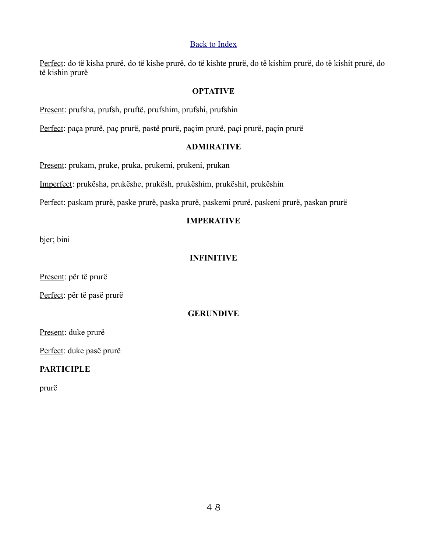Perfect: do të kisha prurë, do të kishe prurë, do të kishte prurë, do të kishim prurë, do të kishit prurë, do të kishin prurë

# **OPTATIVE**

Present: prufsha, prufsh, pruftë, prufshim, prufshi, prufshin

Perfect: paça prurë, paç prurë, pastë prurë, paçim prurë, paçi prurë, paçin prurë

#### **ADMIRATIVE**

Present: prukam, pruke, pruka, prukemi, prukeni, prukan

Imperfect: prukësha, prukëshe, prukësh, prukëshim, prukëshit, prukëshin

Perfect: paskam prurë, paske prurë, paska prurë, paskemi prurë, paskeni prurë, paskan prurë

# **IMPERATIVE**

bjer; bini

# **INFINITIVE**

Present: për të prurë

Perfect: për të pasë prurë

# **GERUNDIVE**

Present: duke prurë

Perfect: duke pasë prurë

# **PARTICIPLE**

prurë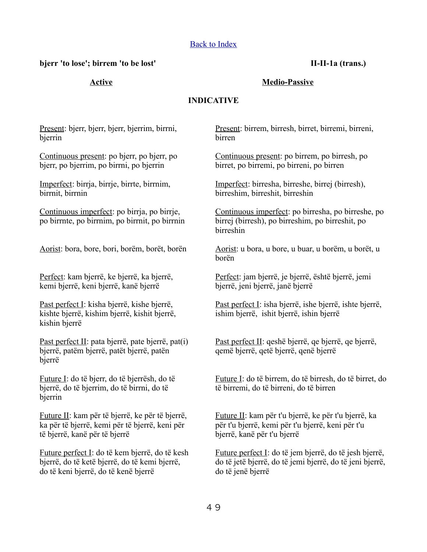#### **bjerr 'to lose'; birrem 'to be lost' II-II-1a (trans.)**

# **Active Medio-Passive**

## **INDICATIVE**

Present: bjerr, bjerr, bjerr, bjerrim, birrni, bjerrin

Continuous present: po bjerr, po bjerr, po bjerr, po bjerrim, po birrni, po bjerrin

Imperfect: birrja, birrje, birrte, birrnim, birrnit, birrnin

Continuous imperfect: po birria, po birrie, po birrnte, po birrnim, po birrnit, po birrnin

Perfect: kam bjerrë, ke bjerrë, ka bjerrë, kemi bjerrë, keni bjerrë, kanë bjerrë

Past perfect I: kisha bjerrë, kishe bjerrë, kishte bjerrë, kishim bjerrë, kishit bjerrë, kishin bjerrë

Past perfect II: pata bjerrë, pate bjerrë, pat(i) bjerrë, patëm bjerrë, patët bjerrë, patën bjerrë

Future I: do të bjerr, do të bjerrësh, do të bjerrë, do të bjerrim, do të birrni, do të bjerrin

Future II: kam për të bjerrë, ke për të bjerrë, ka për të bjerrë, kemi për të bjerrë, keni për të bjerrë, kanë për të bjerrë

Future perfect I: do të kem bjerrë, do të kesh bjerrë, do të ketë bjerrë, do të kemi bjerrë, do të keni bjerrë, do të kenë bjerrë

Present: birrem, birresh, birret, birremi, birreni, birren

Continuous present: po birrem, po birresh, po birret, po birremi, po birreni, po birren

Imperfect: birresha, birreshe, birrej (birresh), birreshim, birreshit, birreshin

Continuous imperfect: po birresha, po birreshe, po birrej (birresh), po birreshim, po birreshit, po birreshin

Aorist: bora, bore, bori, borëm, borët, borën Aorist: u bora, u bore, u buar, u borëm, u borët, u borën

> Perfect: jam bjerrë, je bjerrë, është bjerrë, jemi bjerrë, jeni bjerrë, janë bjerrë

Past perfect I: isha bjerrë, ishe bjerrë, ishte bjerrë, ishim bjerrë, ishit bjerrë, ishin bjerrë

Past perfect II: qeshë bjerrë, qe bjerrë, qe bjerrë, qemë bjerrë, qetë bjerrë, qenë bjerrë

Future I: do të birrem, do të birresh, do të birret, do të birremi, do të birreni, do të birren

Future II: kam për t'u bjerrë, ke për t'u bjerrë, ka për t'u bjerrë, kemi për t'u bjerrë, keni për t'u bjerrë, kanë për t'u bjerrë

Future perfect I: do të jem bjerrë, do të jesh bjerrë, do të jetë bjerrë, do të jemi bjerrë, do të jeni bjerrë, do të jenë bjerrë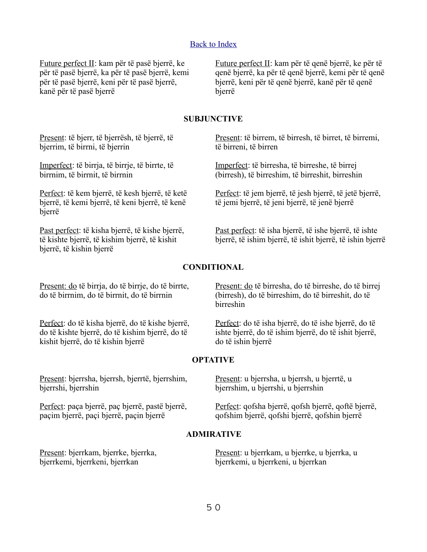Future perfect II: kam për të pasë bjerrë, ke për të pasë bjerrë, ka për të pasë bjerrë, kemi për të pasë bjerrë, keni për të pasë bjerrë, kanë për të pasë bjerrë

Future perfect II: kam për të qenë bjerrë, ke për të qenë bjerrë, ka për të qenë bjerrë, kemi për të qenë bjerrë, keni për të qenë bjerrë, kanë për të qenë bjerrë

# **SUBJUNCTIVE**

| <b>CONDITIONAL</b>                                                                                                           |                                                                                                                     |
|------------------------------------------------------------------------------------------------------------------------------|---------------------------------------------------------------------------------------------------------------------|
| Past perfect: të kisha bjerrë, të kishe bjerrë,<br>të kishte bjerrë, të kishim bjerrë, të kishit<br>bjerrë, të kishin bjerrë | Past perfect: të isha bjerrë, të ishe bjerrë, të ishte<br>bjerrë, të ishim bjerrë, të ishit bjerrë, të ishin bjerrë |
| Perfect: të kem bjerrë, të kesh bjerrë, të ketë<br>bjerrë, të kemi bjerrë, të keni bjerrë, të kenë<br>bjerrë                 | Perfect: të jem bjerrë, të jesh bjerrë, të jetë bjerrë,<br>të jemi bjerrë, të jeni bjerrë, të jenë bjerrë           |
| Imperfect: të birrja, të birrje, të birrte, të<br>birrnim, të birrnit, të birrnin                                            | Imperfect: të birresha, të birreshe, të birrej<br>(birresh), të birreshim, të birreshit, birreshin                  |
| Present: të bjerr, të bjerrësh, të bjerrë, të<br>bjerrim, të birrni, të bjerrin                                              | Present: të birrem, të birresh, të birret, të birremi,<br>të birreni, të birren                                     |

Present: do të birrja, do të birrje, do të birrte, do të birrnim, do të birrnit, do të birrnin

Perfect: do të kisha bjerrë, do të kishe bjerrë, do të kishte bjerrë, do të kishim bjerrë, do të kishit bjerrë, do të kishin bjerrë

Present: do të birresha, do të birreshe, do të birrej (birresh), do të birreshim, do të birreshit, do të birreshin

Perfect: do të isha bjerrë, do të ishe bjerrë, do të ishte bjerrë, do të ishim bjerrë, do të ishit bjerrë, do të ishin bjerrë

# **OPTATIVE**

Present: bjerrsha, bjerrsh, bjerrtë, bjerrshim, bjerrshi, bjerrshin Present: u bjerrsha, u bjerrsh, u bjerrtë, u bjerrshim, u bjerrshi, u bjerrshin Perfect: paça bjerrë, paç bjerrë, pastë bjerrë, paçim bjerrë, paçi bjerrë, paçin bjerrë Perfect: qofsha bjerrë, qofsh bjerrë, qoftë bjerrë, qofshim bjerrë, qofshi bjerrë, qofshin bjerrë

#### **ADMIRATIVE**

| Present: bjerrkam, bjerrke, bjerrka, | Present: u bjerrkam, u bjerrke, u bjerrka, u |
|--------------------------------------|----------------------------------------------|
| bjerrkemi, bjerrkeni, bjerrkan       | bjerrkemi, u bjerrkeni, u bjerrkan           |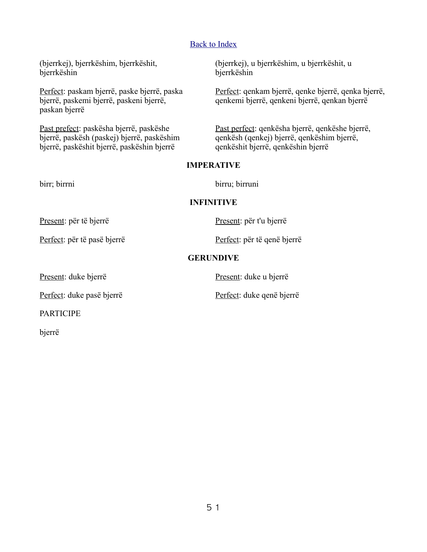| (bjerrkej), bjerrkëshim, bjerrkëshit,<br>bjerrkëshin                                                                                | (bjerrkej), u bjerrkëshim, u bjerrkëshit, u<br>bjerrkëshin                                                                          |  |
|-------------------------------------------------------------------------------------------------------------------------------------|-------------------------------------------------------------------------------------------------------------------------------------|--|
| Perfect: paskam bjerrë, paske bjerrë, paska<br>bjerrë, paskemi bjerrë, paskeni bjerrë,<br>paskan bjerrë                             | Perfect: qenkam bjerrë, qenke bjerrë, qenka bjerrë,<br>qenkemi bjerrë, qenkeni bjerrë, qenkan bjerrë                                |  |
| Past prefect: paskësha bjerrë, paskëshe<br>bjerrë, paskësh (paskej) bjerrë, paskëshim<br>bjerrë, paskëshit bjerrë, paskëshin bjerrë | Past perfect: qenkësha bjerrë, qenkëshe bjerrë,<br>qenkësh (qenkej) bjerrë, qenkëshim bjerrë,<br>qenkëshit bjerrë, qenkëshin bjerrë |  |
| <b>IMPERATIVE</b>                                                                                                                   |                                                                                                                                     |  |
| birr; birrni                                                                                                                        | birru; birruni                                                                                                                      |  |
| <b>INFINITIVE</b>                                                                                                                   |                                                                                                                                     |  |
| Present: për të bjerrë                                                                                                              | Present: për t'u bjerrë                                                                                                             |  |
| Perfect: për të pasë bjerrë                                                                                                         | Perfect: për të qenë bjerrë                                                                                                         |  |
| <b>GERUNDIVE</b>                                                                                                                    |                                                                                                                                     |  |
| Present: duke bjerrë                                                                                                                | Present: duke u bjerrë                                                                                                              |  |
| Perfect: duke pasë bjerrë                                                                                                           | Perfect: duke qenë bjerrë                                                                                                           |  |
| <b>PARTICIPE</b>                                                                                                                    |                                                                                                                                     |  |
| bjerrë                                                                                                                              |                                                                                                                                     |  |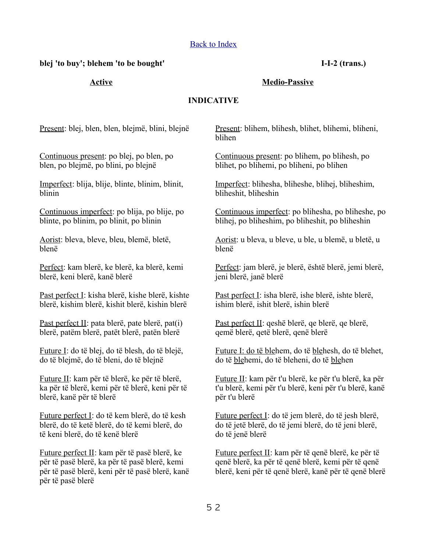## **blej 'to buy'; blehem 'to be bought' I-I-2 (trans.)**

# **Active Medio-Passive**

#### **INDICATIVE**

Continuous present: po blej, po blen, po blen, po blejmë, po blini, po blejnë

Imperfect: blija, blije, blinte, blinim, blinit, blinin

Continuous imperfect: po blija, po blije, po blinte, po blinim, po blinit, po blinin

Aorist: bleva, bleve, bleu, blemë, bletë, blenë

Perfect: kam blerë, ke blerë, ka blerë, kemi blerë, keni blerë, kanë blerë

Past perfect I: kisha blerë, kishe blerë, kishte blerë, kishim blerë, kishit blerë, kishin blerë

Past perfect II: pata blerë, pate blerë, pat(i) blerë, patëm blerë, patët blerë, patën blerë

Future I: do të blej, do të blesh, do të blejë, do të blejmë, do të bleni, do të blejnë

Future II: kam për të blerë, ke për të blerë, ka për të blerë, kemi për të blerë, keni për të blerë, kanë për të blerë

Future perfect I: do të kem blerë, do të kesh blerë, do të ketë blerë, do të kemi blerë, do të keni blerë, do të kenë blerë

Future perfect II: kam për të pasë blerë, ke për të pasë blerë, ka për të pasë blerë, kemi për të pasë blerë, keni për të pasë blerë, kanë për të pasë blerë

Present: blej, blen, blen, blejmë, blini, blejnë Present: blihem, blihesh, blihet, blihemi, bliheni, blihen

> Continuous present: po blihem, po blihesh, po blihet, po blihemi, po bliheni, po blihen

Imperfect: blihesha, bliheshe, blihej, bliheshim, bliheshit, bliheshin

Continuous imperfect: po blihesha, po bliheshe, po blihej, po bliheshim, po bliheshit, po bliheshin

Aorist: u bleva, u bleve, u ble, u blemë, u bletë, u blenë

Perfect: jam blerë, je blerë, është blerë, jemi blerë, jeni blerë, janë blerë

Past perfect I: isha blerë, ishe blerë, ishte blerë, ishim blerë, ishit blerë, ishin blerë

Past perfect II: qeshë blerë, qe blerë, qe blerë, qemë blerë, qetë blerë, qenë blerë

Future I: do të blehem, do të blehesh, do të blehet, do të blehemi, do të bleheni, do të blehen

Future II: kam për t'u blerë, ke për t'u blerë, ka për t'u blerë, kemi për t'u blerë, keni për t'u blerë, kanë për t'u blerë

Future perfect I: do të jem blerë, do të jesh blerë, do të jetë blerë, do të jemi blerë, do të jeni blerë, do të jenë blerë

Future perfect II: kam për të qenë blerë, ke për të qenë blerë, ka për të qenë blerë, kemi për të qenë blerë, keni për të qenë blerë, kanë për të qenë blerë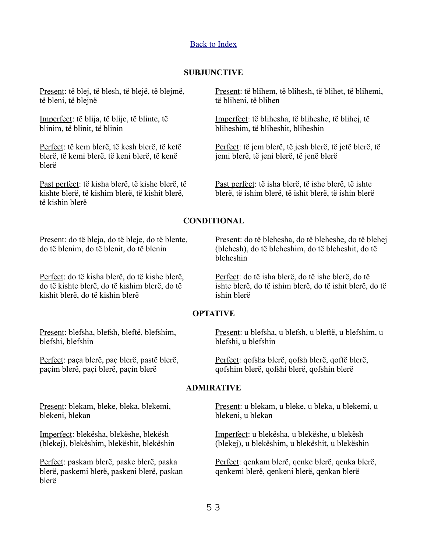#### **SUBJUNCTIVE**

Present: të blej, të blesh, të blejë, të blejmë, të bleni, të blejnë

Imperfect: të blija, të blije, të blinte, të blinim, të blinit, të blinin

Perfect: të kem blerë, të kesh blerë, të ketë blerë, të kemi blerë, të keni blerë, të kenë blerë

Past perfect: të kisha blerë, të kishe blerë, të kishte blerë, të kishim blerë, të kishit blerë, të kishin blerë

Present: të blihem, të blihesh, të blihet, të blihemi, të bliheni, të blihen

Imperfect: të blihesha, të bliheshe, të blihej, të bliheshim, të bliheshit, bliheshin

Perfect: të jem blerë, të jesh blerë, të jetë blerë, të jemi blerë, të jeni blerë, të jenë blerë

Past perfect: të isha blerë, të ishe blerë, të ishte blerë, të ishim blerë, të ishit blerë, të ishin blerë

#### **CONDITIONAL**

Present: do të bleja, do të bleje, do të blente, do të blenim, do të blenit, do të blenin

Perfect: do të kisha blerë, do të kishe blerë, do të kishte blerë, do të kishim blerë, do të kishit blerë, do të kishin blerë

Present: blefsha, blefsh, bleftë, blefshim, blefshi, blefshin

Perfect: paça blerë, paç blerë, pastë blerë, paçim blerë, paçi blerë, paçin blerë

Present: blekam, bleke, bleka, blekemi, blekeni, blekan

Imperfect: blekësha, blekëshe, blekësh (blekej), blekëshim, blekëshit, blekëshin

Perfect: paskam blerë, paske blerë, paska blerë, paskemi blerë, paskeni blerë, paskan blerë

Present: do të blehesha, do të bleheshe, do të blehej (blehesh), do të bleheshim, do të bleheshit, do të bleheshin

Perfect: do të isha blerë, do të ishe blerë, do të ishte blerë, do të ishim blerë, do të ishit blerë, do të ishin blerë

# **OPTATIVE**

Present: u blefsha, u blefsh, u bleftë, u blefshim, u blefshi, u blefshin

Perfect: qofsha blerë, qofsh blerë, qoftë blerë, qofshim blerë, qofshi blerë, qofshin blerë

## **ADMIRATIVE**

Present: u blekam, u bleke, u bleka, u blekemi, u blekeni, u blekan

Imperfect: u blekësha, u blekëshe, u blekësh (blekej), u blekëshim, u blekëshit, u blekëshin

Perfect: qenkam blerë, qenke blerë, qenka blerë, qenkemi blerë, qenkeni blerë, qenkan blerë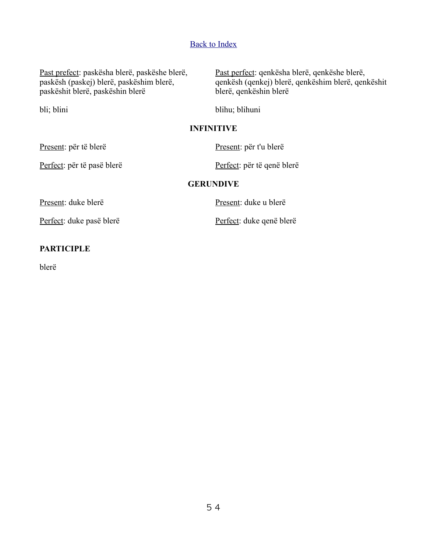| Past prefect: paskësha blerë, paskëshe blerë,<br>paskësh (paskej) blerë, paskëshim blerë,<br>paskëshit blerë, paskëshin blerë | Past perfect: qenkësha blerë, qenkëshe blerë,<br>qenkësh (qenkej) blerë, qenkëshim blerë, qenkëshit<br>blerë, qenkëshin blerë |  |
|-------------------------------------------------------------------------------------------------------------------------------|-------------------------------------------------------------------------------------------------------------------------------|--|
| bli; blini                                                                                                                    | blihu; blihuni                                                                                                                |  |
| <b>INFINITIVE</b>                                                                                                             |                                                                                                                               |  |
| Present: për të blerë                                                                                                         | Present: për t'u blerë                                                                                                        |  |
| Perfect: për të pasë blerë                                                                                                    | Perfect: për të qenë blerë                                                                                                    |  |
| <b>GERUNDIVE</b>                                                                                                              |                                                                                                                               |  |
| Present: duke blerë                                                                                                           | Present: duke u blerë                                                                                                         |  |
| Perfect: duke pasë blerë                                                                                                      | Perfect: duke qenë blerë                                                                                                      |  |
|                                                                                                                               |                                                                                                                               |  |

# **PARTICIPLE**

blerë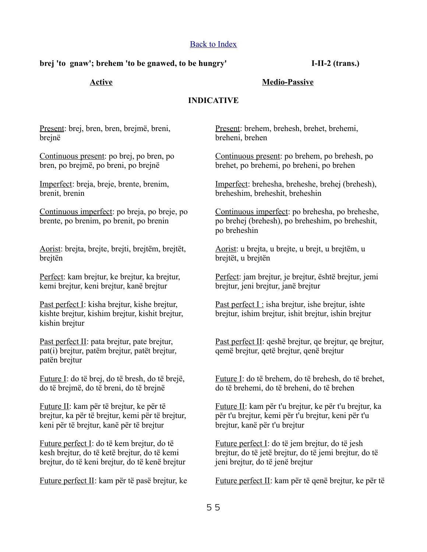#### **brej 'to gnaw'; brehem 'to be gnawed, to be hungry' I-II-2 (trans.)**

# **Active Medio-Passive**

#### **INDICATIVE**

Present: brej, bren, bren, brejmë, breni, brejnë

Continuous present: po brej, po bren, po bren, po brejmë, po breni, po brejnë

Imperfect: breja, breje, brente, brenim, brenit, brenin

Continuous imperfect: po breja, po breje, po brente, po brenim, po brenit, po brenin

Aorist: brejta, brejte, brejti, brejtëm, brejtët, brejtën

Perfect: kam brejtur, ke brejtur, ka brejtur, kemi brejtur, keni brejtur, kanë brejtur

Past perfect I: kisha brejtur, kishe brejtur, kishte brejtur, kishim brejtur, kishit brejtur, kishin brejtur

Past perfect II: pata brejtur, pate brejtur, pat(i) brejtur, patëm brejtur, patët brejtur, patën brejtur

Future I: do të brej, do të bresh, do të brejë, do të brejmë, do të breni, do të brejnë

Future II: kam për të brejtur, ke për të brejtur, ka për të brejtur, kemi për të brejtur, keni për të brejtur, kanë për të brejtur

Future perfect I: do të kem brejtur, do të kesh brejtur, do të ketë brejtur, do të kemi brejtur, do të keni brejtur, do të kenë brejtur

Present: brehem, brehesh, brehet, brehemi, breheni, brehen

Continuous present: po brehem, po brehesh, po brehet, po brehemi, po breheni, po brehen

Imperfect: brehesha, breheshe, brehej (brehesh), breheshim, breheshit, breheshin

Continuous imperfect: po brehesha, po breheshe, po brehej (brehesh), po breheshim, po breheshit, po breheshin

Aorist: u brejta, u brejte, u brejt, u brejtëm, u brejtët, u brejtën

Perfect: jam brejtur, je brejtur, është brejtur, jemi brejtur, jeni brejtur, janë brejtur

Past perfect I : isha brejtur, ishe brejtur, ishte brejtur, ishim brejtur, ishit brejtur, ishin brejtur

Past perfect II: qeshë brejtur, qe brejtur, qe brejtur, qemë brejtur, qetë brejtur, qenë brejtur

Future I: do të brehem, do të brehesh, do të brehet, do të brehemi, do të breheni, do të brehen

Future II: kam për t'u brejtur, ke për t'u brejtur, ka për t'u brejtur, kemi për t'u brejtur, keni për t'u brejtur, kanë për t'u brejtur

Future perfect I: do të jem brejtur, do të jesh brejtur, do të jetë brejtur, do të jemi brejtur, do të jeni brejtur, do të jenë brejtur

Future perfect II: kam për të pasë brejtur, ke Future perfect II: kam për të qenë brejtur, ke për të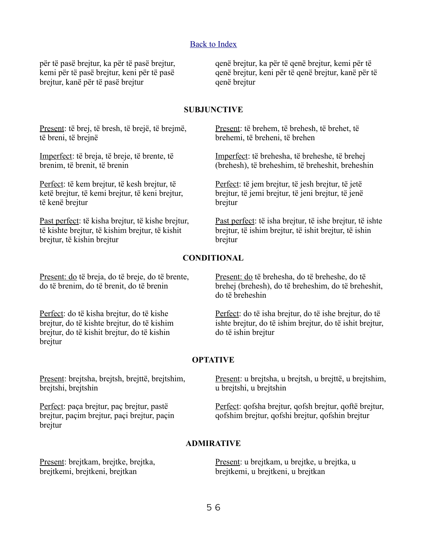për të pasë brejtur, ka për të pasë brejtur, kemi për të pasë brejtur, keni për të pasë brejtur, kanë për të pasë brejtur

Present: të brej, të bresh, të brejë, të brejmë,

qenë brejtur, ka për të qenë brejtur, kemi për të qenë brejtur, keni për të qenë brejtur, kanë për të qenë brejtur

Present: të brehem, të brehesh, të brehet, të

#### **SUBJUNCTIVE**

të breni, të brejnë brehemi, të breheni, të brehen Imperfect: të breja, të breje, të brente, të brenim, të brenit, të brenin Imperfect: të brehesha, të breheshe, të brehej (brehesh), të breheshim, të breheshit, breheshin Perfect: të kem brejtur, të kesh brejtur, të ketë brejtur, të kemi brejtur, të keni brejtur, të kenë brejtur Perfect: të jem brejtur, të jesh brejtur, të jetë brejtur, të jemi brejtur, të jeni brejtur, të jenë brejtur Past perfect: të kisha brejtur, të kishe brejtur, të kishte brejtur, të kishim brejtur, të kishit brejtur, të kishin brejtur Past perfect: të isha brejtur, të ishe brejtur, të ishte brejtur, të ishim brejtur, të ishit brejtur, të ishin brejtur **CONDITIONAL** Present: do të breja, do të breje, do të brente, do të brenim, do të brenit, do të brenin Present: do të brehesha, do të breheshe, do të brehej (brehesh), do të breheshim, do të breheshit, do të breheshin Perfect: do të kisha brejtur, do të kishe brejtur, do të kishte brejtur, do të kishim brejtur, do të kishit brejtur, do të kishin Perfect: do të isha brejtur, do të ishe brejtur, do të ishte brejtur, do të ishim brejtur, do të ishit brejtur, do të ishin brejtur

#### **OPTATIVE**

Present: u brejtsha, u brejtsh, u brejttë, u brejtshim, u brejtshi, u brejtshin

Perfect: qofsha brejtur, qofsh brejtur, qoftë brejtur, qofshim brejtur, qofshi brejtur, qofshin brejtur

#### **ADMIRATIVE**

Present: u brejtkam, u brejtke, u brejtka, u brejtkemi, u brejtkeni, u brejtkan

brejtur

Present: brejtsha, brejtsh, brejttë, brejtshim, brejtshi, brejtshin

Perfect: paça brejtur, paç brejtur, pastë brejtur, paçim brejtur, paçi brejtur, paçin brejtur

Present: brejtkam, brejtke, brejtka, brejtkemi, brejtkeni, brejtkan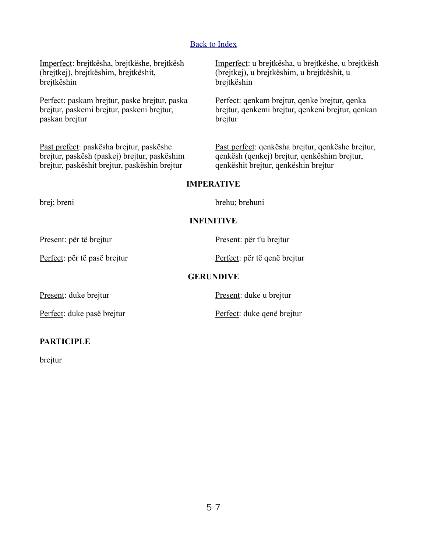| Imperfect: brejtkësha, brejtkëshe, brejtkësh<br>(brejtkej), brejtkëshim, brejtkëshit,<br>brejtkëshin                                      | Imperfect: u brejtkësha, u brejtkëshe, u brejtkësh<br>(brejtkej), u brejtkëshim, u brejtkëshit, u<br>brejtkëshin                          |  |
|-------------------------------------------------------------------------------------------------------------------------------------------|-------------------------------------------------------------------------------------------------------------------------------------------|--|
| Perfect: paskam brejtur, paske brejtur, paska<br>brejtur, paskemi brejtur, paskeni brejtur,<br>paskan brejtur                             | Perfect: qenkam brejtur, qenke brejtur, qenka<br>brejtur, qenkemi brejtur, qenkeni brejtur, qenkan<br>brejtur                             |  |
| Past prefect: paskësha brejtur, paskëshe<br>brejtur, paskësh (paskej) brejtur, paskëshim<br>brejtur, paskëshit brejtur, paskëshin brejtur | Past perfect: qenkësha brejtur, qenkëshe brejtur,<br>qenkësh (qenkej) brejtur, qenkëshim brejtur,<br>qenkëshit brejtur, qenkëshin brejtur |  |
| <b>IMPERATIVE</b>                                                                                                                         |                                                                                                                                           |  |
| brej; breni                                                                                                                               | brehu; brehuni                                                                                                                            |  |
| <b>INFINITIVE</b>                                                                                                                         |                                                                                                                                           |  |
| Present: për të brejtur                                                                                                                   | Present: për t'u brejtur                                                                                                                  |  |
| Perfect: për të pasë brejtur                                                                                                              | Perfect: për të qenë brejtur                                                                                                              |  |
| <b>GERUNDIVE</b>                                                                                                                          |                                                                                                                                           |  |
| Present: duke brejtur                                                                                                                     | Present: duke u brejtur                                                                                                                   |  |
| Perfect: duke pasë brejtur                                                                                                                | Perfect: duke qenë brejtur                                                                                                                |  |
| <b>PARTICIPLE</b>                                                                                                                         |                                                                                                                                           |  |

brejtur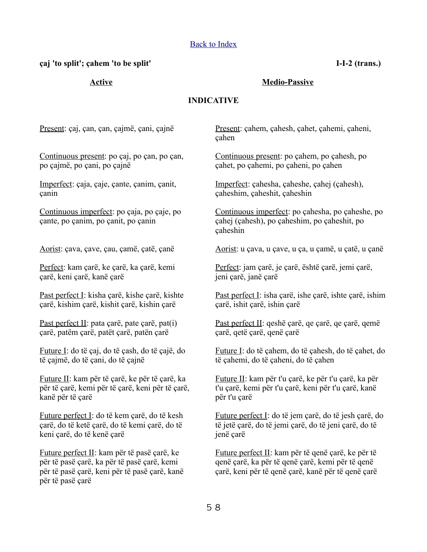#### **çaj 'to split'; çahem 'to be split' I-I-2 (trans.)**

**Active Medio-Passive**

### **INDICATIVE**

Continuous present: po çaj, po çan, po çan, po çajmë, po çani, po çajnë

Imperfect: çaja, çaje, çante, çanim, çanit, çanin

Continuous imperfect: po çaja, po çaje, po çante, po çanim, po çanit, po çanin

Perfect: kam çarë, ke çarë, ka çarë, kemi çarë, keni çarë, kanë çarë

Past perfect I: kisha çarë, kishe çarë, kishte çarë, kishim çarë, kishit çarë, kishin çarë

Past perfect II: pata çarë, pate çarë, pat(i) çarë, patëm çarë, patët çarë, patën çarë

Future I: do të çaj, do të çash, do të çajë, do të çajmë, do të çani, do të çajnë

Future II: kam për të çarë, ke për të çarë, ka për të çarë, kemi për të çarë, keni për të çarë, kanë për të çarë

Future perfect I: do të kem çarë, do të kesh çarë, do të ketë çarë, do të kemi çarë, do të keni çarë, do të kenë çarë

Future perfect II: kam për të pasë çarë, ke për të pasë çarë, ka për të pasë çarë, kemi për të pasë çarë, keni për të pasë çarë, kanë për të pasë çarë

Present: çaj, çan, çan, çajmë, çani, çajnë Present: çahem, çahesh, çahet, çahemi, çaheni, çahen

> Continuous present: po çahem, po çahesh, po çahet, po çahemi, po çaheni, po çahen

Imperfect: çahesha, çaheshe, çahej (çahesh), çaheshim, çaheshit, çaheshin

Continuous imperfect: po çahesha, po çaheshe, po çahej (çahesh), po çaheshim, po çaheshit, po çaheshin

Aorist: çava, çave, çau, çamë, çatë, çanë Aorist: u çava, u çave, u ça, u çamë, u çatë, u çanë

Perfect: jam çarë, je çarë, është çarë, jemi çarë, jeni çarë, janë çarë

Past perfect I: isha çarë, ishe çarë, ishte çarë, ishim çarë, ishit çarë, ishin çarë

Past perfect II: qeshë çarë, qe çarë, qe çarë, qemë çarë, qetë çarë, qenë çarë

Future I: do të çahem, do të çahesh, do të çahet, do të çahemi, do të çaheni, do të çahen

Future II: kam për t'u çarë, ke për t'u çarë, ka për t'u çarë, kemi për t'u çarë, keni për t'u çarë, kanë për t'u çarë

Future perfect I: do të jem çarë, do të jesh çarë, do të jetë çarë, do të jemi çarë, do të jeni çarë, do të jenë çarë

Future perfect II: kam për të qenë çarë, ke për të qenë çarë, ka për të qenë çarë, kemi për të qenë çarë, keni për të qenë çarë, kanë për të qenë çarë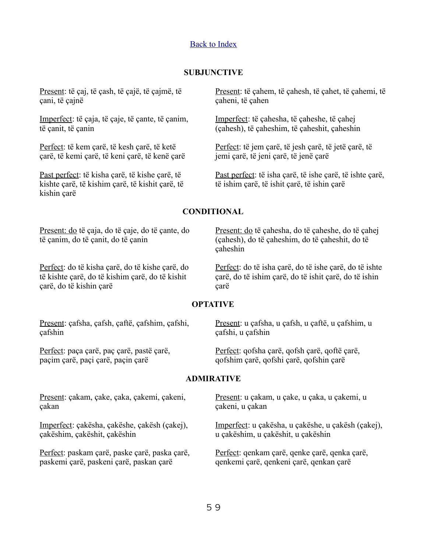#### **SUBJUNCTIVE**

Present: të çaj, të çash, të çajë, të çajmë, të çani, të çajnë

Imperfect: të çaja, të çaje, të çante, të çanim, të çanit, të çanin

Perfect: të kem çarë, të kesh çarë, të ketë çarë, të kemi çarë, të keni çarë, të kenë çarë

Past perfect: të kisha çarë, të kishe çarë, të kishte çarë, të kishim çarë, të kishit çarë, të kishin çarë

Present: të çahem, të çahesh, të çahet, të çahemi, të çaheni, të çahen

Imperfect: të çahesha, të çaheshe, të çahej (çahesh), të çaheshim, të çaheshit, çaheshin

Perfect: të jem çarë, të jesh çarë, të jetë çarë, të jemi çarë, të jeni çarë, të jenë çarë

Past perfect: të isha çarë, të ishe çarë, të ishte çarë, të ishim çarë, të ishit çarë, të ishin çarë

## **CONDITIONAL**

Present: do të çaja, do të çaje, do të çante, do të çanim, do të çanit, do të çanin

Perfect: do të kisha çarë, do të kishe çarë, do të kishte çarë, do të kishim çarë, do të kishit çarë, do të kishin çarë

Present: do të çahesha, do të çaheshe, do të çahej (çahesh), do të çaheshim, do të çaheshit, do të çaheshin

Perfect: do të isha çarë, do të ishe çarë, do të ishte çarë, do të ishim çarë, do të ishit çarë, do të ishin çarë

#### **OPTATIVE**

Present: çafsha, çafsh, çaftë, çafshim, çafshi, çafshin

Perfect: paça çarë, paç çarë, pastë çarë, paçim çarë, paçi çarë, paçin çarë

Present: u çafsha, u çafsh, u çaftë, u çafshim, u çafshi, u çafshin

Perfect: qofsha çarë, qofsh çarë, qoftë çarë, qofshim çarë, qofshi çarë, qofshin çarë

#### **ADMIRATIVE**

| Present: çakam, çake, çaka, çakemi, çakeni,   | Present: u çakam, u çake, u çaka, u çakemi, u      |
|-----------------------------------------------|----------------------------------------------------|
| çakan                                         | çakeni, u çakan                                    |
| Imperfect: çakësha, çakëshe, çakësh (çakej),  | Imperfect: u çakësha, u çakëshe, u çakësh (çakej), |
| çakëshim, çakëshit, çakëshin                  | u çakëshim, u çakëshit, u çakëshin                 |
| Perfect: paskam çarë, paske çarë, paska çarë, | Perfect: qenkam çarë, qenke çarë, qenka çarë,      |
| paskemi çarë, paskeni çarë, paskan çarë       | qenkemi çarë, qenkeni çarë, qenkan çarë            |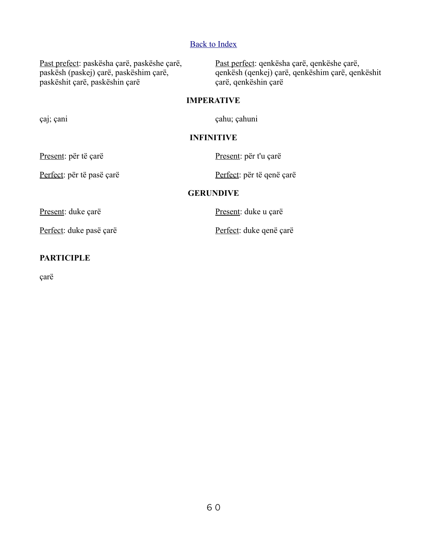| Past prefect: paskësha çarë, paskëshe çarë,<br>paskësh (paskej) çarë, paskëshim çarë,<br>paskëshit çarë, paskëshin çarë | Past perfect: qenkësha çarë, qenkëshe çarë,<br>qenkësh (qenkej) çarë, qenkëshim çarë, qenkëshit<br>çarë, qenkëshin çarë |  |
|-------------------------------------------------------------------------------------------------------------------------|-------------------------------------------------------------------------------------------------------------------------|--|
| <b>IMPERATIVE</b>                                                                                                       |                                                                                                                         |  |
| çaj; çani                                                                                                               | çahu; çahuni                                                                                                            |  |
| <b>INFINITIVE</b>                                                                                                       |                                                                                                                         |  |
| Present: për të çarë                                                                                                    | Present: për t'u çarë                                                                                                   |  |
| Perfect: për të pasë çarë                                                                                               | Perfect: për të qenë çarë                                                                                               |  |
| <b>GERUNDIVE</b>                                                                                                        |                                                                                                                         |  |
| Present: duke çarë                                                                                                      | Present: duke u çarë                                                                                                    |  |
| Perfect: duke pasë çarë                                                                                                 | Perfect: duke qenë çarë                                                                                                 |  |
| <b>PARTICIPLE</b>                                                                                                       |                                                                                                                         |  |

çarë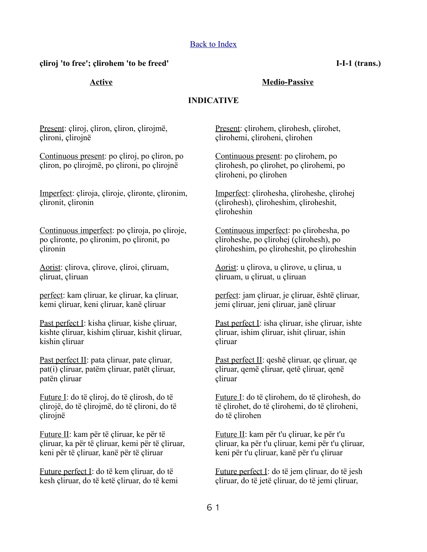#### **çliroj 'to free'; çlirohem 'to be freed' I-I-1 (trans.)**

# **Active Medio-Passive**

## **INDICATIVE**

Present: çliroj, çliron, çliron, çlirojmë, çlironi, çlirojnë

Continuous present: po çliroj, po çliron, po çliron, po çlirojmë, po çlironi, po çlirojnë

Imperfect: çliroja, çliroje, çlironte, çlironim, çlironit, çlironin

Continuous imperfect: po çliroja, po çliroje, po çlironte, po çlironim, po çlironit, po çlironin

Aorist: çlirova, çlirove, çliroi, çliruam, çliruat, çliruan

perfect: kam çliruar, ke çliruar, ka çliruar, kemi çliruar, keni çliruar, kanë çliruar

Past perfect I: kisha çliruar, kishe çliruar, kishte çliruar, kishim çliruar, kishit çliruar, kishin çliruar

Past perfect II: pata çliruar, pate çliruar, pat(i) çliruar, patëm çliruar, patët çliruar, patën çliruar

Future I: do të çliroj, do të çlirosh, do të çlirojë, do të çlirojmë, do të çlironi, do të çlirojnë

Future II: kam për të çliruar, ke për të çliruar, ka për të çliruar, kemi për të çliruar, keni për të çliruar, kanë për të çliruar

Future perfect I: do të kem çliruar, do të kesh çliruar, do të ketë çliruar, do të kemi Present: çlirohem, çlirohesh, çlirohet, çlirohemi, çliroheni, çlirohen

Continuous present: po çlirohem, po çlirohesh, po çlirohet, po çlirohemi, po çliroheni, po çlirohen

Imperfect: çlirohesha, çliroheshe, çlirohej (çlirohesh), çliroheshim, çliroheshit, çliroheshin

Continuous imperfect: po çlirohesha, po çliroheshe, po çlirohej (çlirohesh), po çliroheshim, po çliroheshit, po çliroheshin

Aorist: u çlirova, u çlirove, u çlirua, u çliruam, u çliruat, u çliruan

perfect: jam çliruar, je çliruar, është çliruar, jemi çliruar, jeni çliruar, janë çliruar

Past perfect I: isha çliruar, ishe çliruar, ishte çliruar, ishim çliruar, ishit çliruar, ishin çliruar

Past perfect II: qeshë çliruar, qe çliruar, qe çliruar, qemë çliruar, qetë çliruar, qenë çliruar

Future I: do të çlirohem, do të çlirohesh, do të çlirohet, do të çlirohemi, do të çliroheni, do të çlirohen

Future II: kam për t'u çliruar, ke për t'u çliruar, ka për t'u çliruar, kemi për t'u çliruar, keni për t'u çliruar, kanë për t'u çliruar

Future perfect I: do të jem çliruar, do të jesh çliruar, do të jetë çliruar, do të jemi çliruar,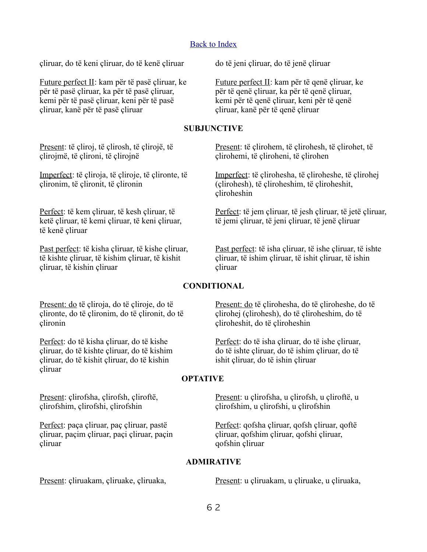çliruar, do të keni çliruar, do të kenë çliruar do të jeni çliruar, do të jenë çliruar

Future perfect II: kam për të pasë çliruar, ke për të pasë çliruar, ka për të pasë çliruar, kemi për të pasë çliruar, keni për të pasë çliruar, kanë për të pasë çliruar

Present: të çliroj, të çlirosh, të çlirojë, të çlirojmë, të çlironi, të çlirojnë

Imperfect: të çliroja, të çliroje, të çlironte, të çlironim, të çlironit, të çlironin

Perfect: të kem çliruar, të kesh çliruar, të ketë çliruar, të kemi çliruar, të keni çliruar, të kenë çliruar

Past perfect: të kisha çliruar, të kishe çliruar, të kishte çliruar, të kishim çliruar, të kishit çliruar, të kishin çliruar

Present: do të çliroja, do të çliroje, do të çlironte, do të çlironim, do të çlironit, do të çlironin

Perfect: do të kisha çliruar, do të kishe çliruar, do të kishte çliruar, do të kishim çliruar, do të kishit çliruar, do të kishin çliruar

Present: çlirofsha, çlirofsh, çliroftë, çlirofshim, çlirofshi, çlirofshin

Perfect: paça çliruar, paç çliruar, pastë çliruar, paçim çliruar, paçi çliruar, paçin çliruar

Future perfect II: kam për të qenë çliruar, ke për të qenë çliruar, ka për të qenë çliruar, kemi për të qenë çliruar, keni për të qenë çliruar, kanë për të qenë çliruar

# **SUBJUNCTIVE**

Present: të çlirohem, të çlirohesh, të çlirohet, të çlirohemi, të çliroheni, të çlirohen

Imperfect: të çlirohesha, të çliroheshe, të çlirohej (çlirohesh), të çliroheshim, të çliroheshit, çliroheshin

Perfect: të jem çliruar, të jesh çliruar, të jetë çliruar, të jemi çliruar, të jeni çliruar, të jenë çliruar

Past perfect: të isha çliruar, të ishe çliruar, të ishte çliruar, të ishim çliruar, të ishit çliruar, të ishin çliruar

# **CONDITIONAL**

Present: do të çlirohesha, do të çliroheshe, do të çlirohej (çlirohesh), do të çliroheshim, do të çliroheshit, do të çliroheshin

Perfect: do të isha çliruar, do të ishe çliruar, do të ishte çliruar, do të ishim çliruar, do të ishit çliruar, do të ishin çliruar

#### **OPTATIVE**

Present: u çlirofsha, u çlirofsh, u çliroftë, u çlirofshim, u çlirofshi, u çlirofshin

Perfect: qofsha çliruar, qofsh çliruar, qoftë çliruar, qofshim çliruar, qofshi çliruar, qofshin çliruar

# **ADMIRATIVE**

Present: çliruakam, çliruake, çliruaka, Present: u çliruakam, u çliruake, u çliruaka,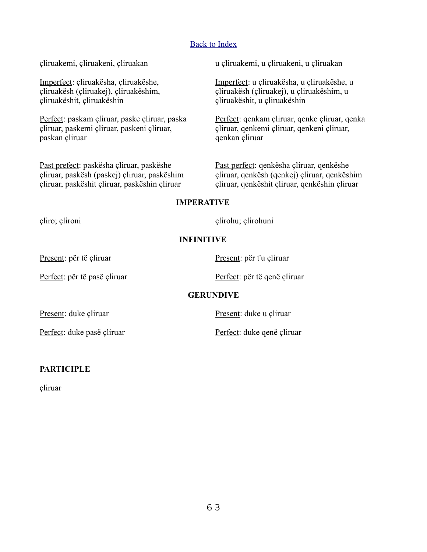çliruakemi, çliruakeni, çliruakan u çliruakemi, u çliruakeni, u çliruakan Imperfect: çliruakësha, çliruakëshe, çliruakësh (çliruakej), çliruakëshim, çliruakëshit, çliruakëshin Imperfect: u çliruakësha, u çliruakëshe, u çliruakësh (çliruakej), u çliruakëshim, u çliruakëshit, u çliruakëshin Perfect: paskam çliruar, paske çliruar, paska çliruar, paskemi çliruar, paskeni çliruar, paskan çliruar Perfect: qenkam çliruar, qenke çliruar, qenka çliruar, qenkemi çliruar, qenkeni çliruar, qenkan çliruar Past prefect: paskësha çliruar, paskëshe çliruar, paskësh (paskej) çliruar, paskëshim çliruar, paskëshit çliruar, paskëshin çliruar Past perfect: qenkësha çliruar, qenkëshe çliruar, qenkësh (qenkej) çliruar, qenkëshim çliruar, qenkëshit çliruar, qenkëshin çliruar **IMPERATIVE** çliro; çlironi çlirohu; çlirohuni

**INFINITIVE**

Present: për të çliruar Present: për t'u çliruar Perfect: për të pasë çliruar Perfect: për të qenë çliruar **GERUNDIVE** Present: duke çliruar Present: duke u çliruar

Perfect: duke pasë çliruar Perfect: duke qenë çliruar

# **PARTICIPLE**

çliruar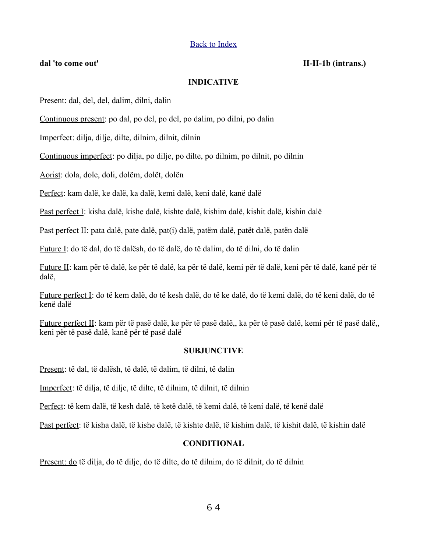#### **dal 'to come out' II-II-1b (intrans.)**

#### **INDICATIVE**

Present: dal, del, del, dalim, dilni, dalin

Continuous present: po dal, po del, po del, po dalim, po dilni, po dalin

Imperfect: dilja, dilje, dilte, dilnim, dilnit, dilnin

Continuous imperfect: po dilja, po dilje, po dilte, po dilnim, po dilnit, po dilnin

Aorist: dola, dole, doli, dolëm, dolët, dolën

Perfect: kam dalë, ke dalë, ka dalë, kemi dalë, keni dalë, kanë dalë

Past perfect I: kisha dalë, kishe dalë, kishte dalë, kishim dalë, kishit dalë, kishin dalë

Past perfect II: pata dalë, pate dalë, pat(i) dalë, patëm dalë, patët dalë, patën dalë

Future I: do të dal, do të dalësh, do të dalë, do të dalim, do të dilni, do të dalin

Future II: kam për të dalë, ke për të dalë, ka për të dalë, kemi për të dalë, keni për të dalë, kanë për të dalë,

Future perfect I: do të kem dalë, do të kesh dalë, do të ke dalë, do të kemi dalë, do të keni dalë, do të kenë dalë

Future perfect II: kam për të pasë dalë, ke për të pasë dalë,, ka për të pasë dalë, kemi për të pasë dalë,, keni për të pasë dalë, kanë për të pasë dalë

#### **SUBJUNCTIVE**

Present: të dal, të dalësh, të dalë, të dalim, të dilni, të dalin

Imperfect: të dilja, të dilje, të dilte, të dilnim, të dilnit, të dilnin

Perfect: të kem dalë, të kesh dalë, të ketë dalë, të kemi dalë, të keni dalë, të kenë dalë

Past perfect: të kisha dalë, të kishe dalë, të kishte dalë, të kishim dalë, të kishit dalë, të kishin dalë

#### **CONDITIONAL**

Present: do të dilja, do të dilje, do të dilte, do të dilnim, do të dilnit, do të dilnin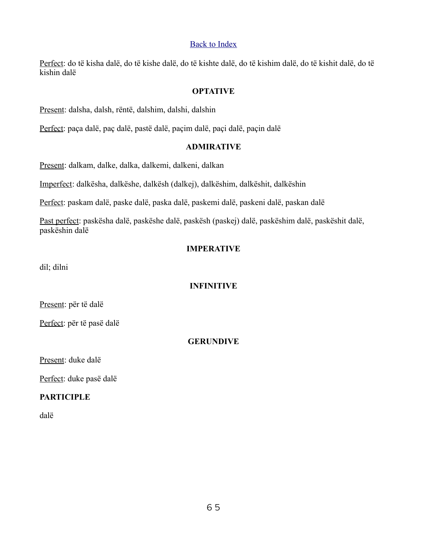Perfect: do të kisha dalë, do të kishe dalë, do të kishte dalë, do të kishim dalë, do të kishit dalë, do të kishin dalë

#### **OPTATIVE**

Present: dalsha, dalsh, rëntë, dalshim, dalshi, dalshin

Perfect: paça dalë, paç dalë, pastë dalë, paçim dalë, paçi dalë, paçin dalë

#### **ADMIRATIVE**

Present: dalkam, dalke, dalka, dalkemi, dalkeni, dalkan

Imperfect: dalkësha, dalkëshe, dalkësh (dalkej), dalkëshim, dalkëshit, dalkëshin

Perfect: paskam dalë, paske dalë, paska dalë, paskemi dalë, paskeni dalë, paskan dalë

Past perfect: paskësha dalë, paskëshe dalë, paskësh (paskej) dalë, paskëshim dalë, paskëshit dalë, paskëshin dalë

#### **IMPERATIVE**

dil; dilni

# **INFINITIVE**

Present: për të dalë

Perfect: për të pasë dalë

#### **GERUNDIVE**

Present: duke dalë

Perfect: duke pasë dalë

# **PARTICIPLE**

dalë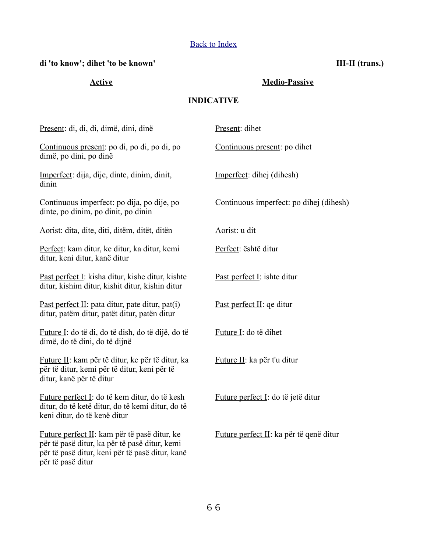# **di 'to know'; dihet 'to be known' III-II (trans.)**

# **Active Medio-Passive**

# **INDICATIVE**

| Present: di, di, di, dimë, dini, dinë                                                                                                                                        | Present: dihet                          |
|------------------------------------------------------------------------------------------------------------------------------------------------------------------------------|-----------------------------------------|
| Continuous present: po di, po di, po di, po<br>dimë, po dini, po dinë                                                                                                        | Continuous present: po dihet            |
| Imperfect: dija, dije, dinte, dinim, dinit,<br>dinin                                                                                                                         | Imperfect: dihej (dihesh)               |
| Continuous imperfect: po dija, po dije, po<br>dinte, po dinim, po dinit, po dinin                                                                                            | Continuous imperfect: po dihej (dihesh) |
| Aorist: dita, dite, diti, ditëm, ditët, ditën                                                                                                                                | Aorist: u dit                           |
| Perfect: kam ditur, ke ditur, ka ditur, kemi<br>ditur, keni ditur, kanë ditur                                                                                                | Perfect: është ditur                    |
| Past perfect I: kisha ditur, kishe ditur, kishte<br>ditur, kishim ditur, kishit ditur, kishin ditur                                                                          | Past perfect I: ishte ditur             |
| Past perfect $II$ : pata ditur, pate ditur, pat(i)<br>ditur, patëm ditur, patët ditur, patën ditur                                                                           | Past perfect II: qe ditur               |
| <u>Future I</u> : do të di, do të dish, do të dijë, do të<br>dimë, do të dini, do të dijnë                                                                                   | Future I: do të dihet                   |
| <b>Future II</b> : kam për të ditur, ke për të ditur, ka<br>për të ditur, kemi për të ditur, keni për të<br>ditur, kanë për të ditur                                         | Future II: ka për t'u ditur             |
| Future perfect I: do të kem ditur, do të kesh<br>ditur, do të ketë ditur, do të kemi ditur, do të<br>keni ditur, do të kenë ditur                                            | Future perfect I: do të jetë ditur      |
| <b>Future perfect II:</b> kam për të pasë ditur, ke<br>për të pasë ditur, ka për të pasë ditur, kemi<br>për të pasë ditur, keni për të pasë ditur, kanë<br>për të pasë ditur | Future perfect II: ka për të qenë ditur |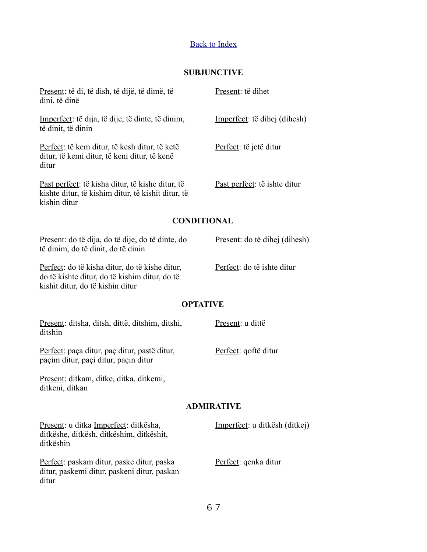# **SUBJUNCTIVE**

| Present: të di, të dish, të dijë, të dimë, të<br>dini, të dinë                                                                      | Present: të dihet             |
|-------------------------------------------------------------------------------------------------------------------------------------|-------------------------------|
| Imperfect: të dija, të dije, të dinte, të dinim,<br>të dinit, të dinin                                                              | Imperfect: të dihej (dihesh)  |
| Perfect: të kem ditur, të kesh ditur, të ketë<br>ditur, të kemi ditur, të keni ditur, të kenë<br>ditur                              | Perfect: të jetë ditur        |
| Past perfect: të kisha ditur, të kishe ditur, të<br>kishte ditur, të kishim ditur, të kishit ditur, të<br>kishin ditur              | Past perfect: të ishte ditur  |
| <b>CONDITIONAL</b>                                                                                                                  |                               |
| Present: do të dija, do të dije, do të dinte, do<br>të dinim, do të dinit, do të dinin                                              | Present: do të dihej (dihesh) |
| Perfect: do të kisha ditur, do të kishe ditur,<br>do të kishte ditur, do të kishim ditur, do të<br>kishit ditur, do të kishin ditur | Perfect: do të ishte ditur    |
| <b>OPTATIVE</b>                                                                                                                     |                               |
| Present: ditsha, ditsh, dittë, ditshim, ditshi,<br>ditshin                                                                          | Present: u dittë              |
| Perfect: paça ditur, paç ditur, pastë ditur,<br>paçim ditur, paçi ditur, paçin ditur                                                | Perfect: qoftë ditur          |
| Present: ditkam, ditke, ditka, ditkemi,<br>ditkeni, ditkan                                                                          |                               |
|                                                                                                                                     | <b>ADMIRATIVE</b>             |
| Present: u ditka Imperfect: ditkësha,<br>ditkëshe, ditkësh, ditkëshim, ditkëshit,<br>ditkëshin                                      | Imperfect: u ditkësh (ditkej) |
| Perfect: paskam ditur, paske ditur, paska<br>ditur, paskemi ditur, paskeni ditur, paskan<br>ditur                                   | Perfect: qenka ditur          |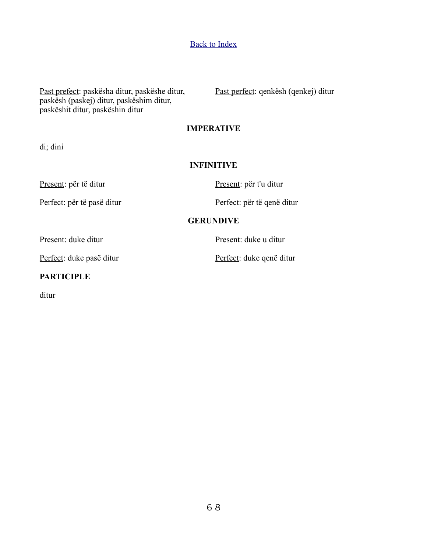Past prefect: paskësha ditur, paskëshe ditur, paskësh (paskej) ditur, paskëshim ditur, paskëshit ditur, paskëshin ditur

Past perfect: qenkësh (qenkej) ditur

# **IMPERATIVE**

di; dini

# **INFINITIVE**

Present: për të ditur Present: për t'u ditur Perfect: për të pasë ditur Perfect: për të qenë ditur **GERUNDIVE** Present: duke ditur Present: duke u ditur Perfect: duke pasë ditur Perfect: duke qenë ditur **PARTICIPLE**

ditur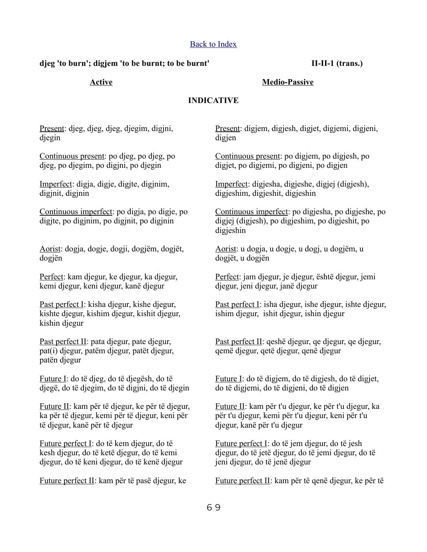#### **djeg 'to burn'; digjem 'to be burnt; to be burnt' II-II-1 (trans.)**

# **Active Medio-Passive**

## **INDICATIVE**

Present: djeg, djeg, djeg, djegim, digjni, djegin

Continuous present: po djeg, po djeg, po djeg, po djegim, po digjni, po djegin

Imperfect: digja, digje, digjte, digjnim, digjnit, digjnin

Continuous imperfect: po digja, po digje, po digjte, po digjnim, po digjnit, po digjnin

Aorist: dogja, dogje, dogji, dogjëm, dogjët, dogjën

Perfect: kam djegur, ke djegur, ka djegur, kemi djegur, keni djegur, kanë djegur

Past perfect I: kisha djegur, kishe djegur, kishte djegur, kishim djegur, kishit djegur, kishin djegur

Past perfect II: pata djegur, pate djegur, pat(i) djegur, patëm djegur, patët djegur, patën djegur

Future I: do të djeg, do të djegësh, do të djegë, do të djegim, do të digjni, do të djegin

Future II: kam për të djegur, ke për të djegur, ka për të djegur, kemi për të djegur, keni për të djegur, kanë për të djegur

Future perfect I: do të kem djegur, do të kesh djegur, do të ketë djegur, do të kemi djegur, do të keni djegur, do të kenë djegur

Present: digjem, digjesh, digjet, digjemi, digjeni, digjen

Continuous present: po digjem, po digjesh, po digjet, po digjemi, po digjeni, po digjen

Imperfect: digjesha, digjeshe, digjej (digjesh), digjeshim, digjeshit, digjeshin

Continuous imperfect: po digjesha, po digjeshe, po digjej (digjesh), po digjeshim, po digjeshit, po digjeshin

Aorist: u dogja, u dogje, u dogj, u dogjëm, u dogjët, u dogjën

Perfect: jam djegur, je djegur, është djegur, jemi djegur, jeni djegur, janë djegur

Past perfect I: isha djegur, ishe djegur, ishte djegur, ishim djegur, ishit djegur, ishin djegur

Past perfect II: qeshë djegur, qe djegur, qe djegur, qemë djegur, qetë djegur, qenë djegur

Future I: do të digjem, do të digjesh, do të digjet, do të digjemi, do të digjeni, do të digjen

Future II: kam për t'u djegur, ke për t'u djegur, ka për t'u djegur, kemi për t'u djegur, keni për t'u djegur, kanë për t'u djegur

Future perfect I: do të jem djegur, do të jesh djegur, do të jetë djegur, do të jemi djegur, do të jeni djegur, do të jenë djegur

Future perfect II: kam për të pasë djegur, ke Future perfect II: kam për të qenë djegur, ke për të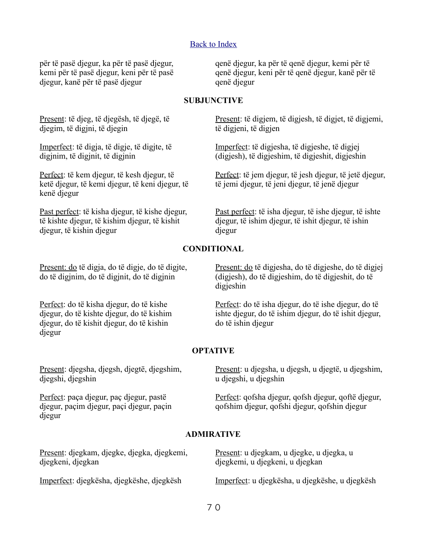për të pasë djegur, ka për të pasë djegur, kemi për të pasë djegur, keni për të pasë djegur, kanë për të pasë djegur

qenë djegur, ka për të qenë djegur, kemi për të qenë djegur, keni për të qenë djegur, kanë për të qenë djegur

## **SUBJUNCTIVE**

Present: të djeg, të djegësh, të djegë, të djegim, të digjni, të djegin

Imperfect: të digja, të digje, të digjte, të digjnim, të digjnit, të digjnin

Perfect: të kem djegur, të kesh djegur, të ketë djegur, të kemi djegur, të keni djegur, të kenë diegur

Past perfect: të kisha djegur, të kishe djegur, të kishte djegur, të kishim djegur, të kishit djegur, të kishin djegur

Present: të digjem, të digjesh, të digjet, të digjemi, të digjeni, të digjen

Imperfect: të digjesha, të digjeshe, të digjej (digjesh), të digjeshim, të digjeshit, digjeshin

Perfect: të jem djegur, të jesh djegur, të jetë djegur, të jemi djegur, të jeni djegur, të jenë djegur

Past perfect: të isha djegur, të ishe djegur, të ishte djegur, të ishim djegur, të ishit djegur, të ishin djegur

#### **CONDITIONAL**

Present: do të digja, do të digje, do të digjte, do të digjnim, do të digjnit, do të digjnin

Perfect: do të kisha djegur, do të kishe djegur, do të kishte djegur, do të kishim djegur, do të kishit djegur, do të kishin djegur

Present: do të digjesha, do të digjeshe, do të digjej (digjesh), do të digjeshim, do të digjeshit, do të digjeshin

Perfect: do të isha djegur, do të ishe djegur, do të ishte djegur, do të ishim djegur, do të ishit djegur, do të ishin djegur

# **OPTATIVE**

Present: djegsha, djegsh, djegtë, djegshim, djegshi, djegshin

Perfect: paça djegur, paç djegur, pastë djegur, paçim djegur, paçi djegur, paçin djegur

Present: u djegsha, u djegsh, u djegtë, u djegshim, u djegshi, u djegshin

Perfect: qofsha djegur, qofsh djegur, qoftë djegur, qofshim djegur, qofshi djegur, qofshin djegur

#### **ADMIRATIVE**

| Present: djegkam, djegke, djegka, djegkemi, | Present: u djegkam, u djegke, u djegka, u       |
|---------------------------------------------|-------------------------------------------------|
| djegkeni, djegkan                           | djegkemi, u djegkeni, u djegkan                 |
| Imperfect: djegkësha, djegkëshe, djegkësh   | Imperfect: u djegkësha, u djegkëshe, u djegkësh |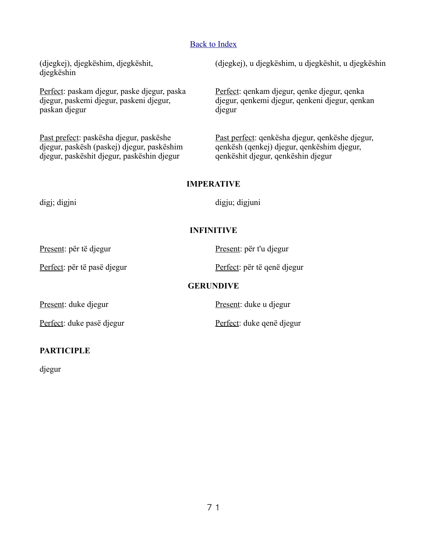| (djegkej), djegkëshim, djegkëshit,<br>djegkëshin                                                                                    | (djegkej), u djegkëshim, u djegkëshit, u djegkëshin                                                                                 |  |
|-------------------------------------------------------------------------------------------------------------------------------------|-------------------------------------------------------------------------------------------------------------------------------------|--|
| Perfect: paskam djegur, paske djegur, paska<br>djegur, paskemi djegur, paskeni djegur,<br>paskan djegur                             | Perfect: qenkam djegur, qenke djegur, qenka<br>djegur, qenkemi djegur, qenkeni djegur, qenkan<br>djegur                             |  |
| Past prefect: paskësha djegur, paskëshe<br>djegur, paskësh (paskej) djegur, paskëshim<br>djegur, paskëshit djegur, paskëshin djegur | Past perfect: qenkësha djegur, qenkëshe djegur,<br>qenkësh (qenkej) djegur, qenkëshim djegur,<br>qenkëshit djegur, qenkëshin djegur |  |
| <b>IMPERATIVE</b>                                                                                                                   |                                                                                                                                     |  |
| digj; digjni                                                                                                                        | digju; digjuni                                                                                                                      |  |
| <b>INFINITIVE</b>                                                                                                                   |                                                                                                                                     |  |
| Present: për të djegur                                                                                                              | Present: për t'u djegur                                                                                                             |  |
| Perfect: për të pasë djegur                                                                                                         | Perfect: për të qenë djegur                                                                                                         |  |
| <b>GERUNDIVE</b>                                                                                                                    |                                                                                                                                     |  |
| Present: duke djegur                                                                                                                | Present: duke u djegur                                                                                                              |  |
| Perfect: duke pasë djegur                                                                                                           | Perfect: duke qenë djegur                                                                                                           |  |
|                                                                                                                                     |                                                                                                                                     |  |

# **PARTICIPLE**

djegur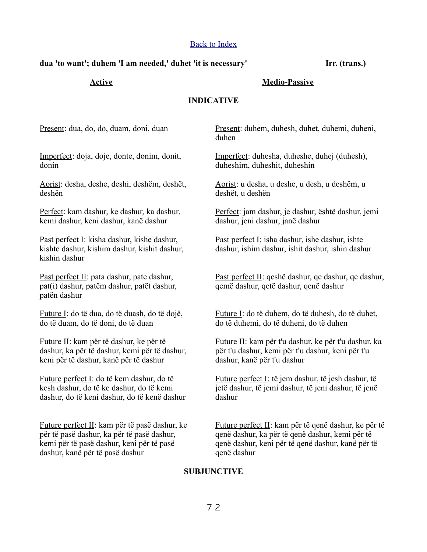## **dua 'to want'; duhem 'I am needed,' duhet 'it is necessary' Irr. (trans.)**

# **Active Medio-Passive**

#### **INDICATIVE**

Imperfect: doja, doje, donte, donim, donit, donin

Aorist: desha, deshe, deshi, deshëm, deshët, deshën

Perfect: kam dashur, ke dashur, ka dashur, kemi dashur, keni dashur, kanë dashur

Past perfect I: kisha dashur, kishe dashur, kishte dashur, kishim dashur, kishit dashur, kishin dashur

Past perfect II: pata dashur, pate dashur, pat(i) dashur, patëm dashur, patët dashur, patën dashur

Future I: do të dua, do të duash, do të dojë, do të duam, do të doni, do të duan

Future II: kam për të dashur, ke për të dashur, ka për të dashur, kemi për të dashur, keni për të dashur, kanë për të dashur

Future perfect I: do të kem dashur, do të kesh dashur, do të ke dashur, do të kemi dashur, do të keni dashur, do të kenë dashur

Future perfect II: kam për të pasë dashur, ke për të pasë dashur, ka për të pasë dashur, kemi për të pasë dashur, keni për të pasë dashur, kanë për të pasë dashur

Present: dua, do, do, duam, doni, duan Present: duhem, duhesh, duhet, duhemi, duheni, duhen

> Imperfect: duhesha, duheshe, duhej (duhesh), duheshim, duheshit, duheshin

> Aorist: u desha, u deshe, u desh, u deshëm, u deshët, u deshën

Perfect: jam dashur, je dashur, është dashur, jemi dashur, jeni dashur, janë dashur

Past perfect I: isha dashur, ishe dashur, ishte dashur, ishim dashur, ishit dashur, ishin dashur

Past perfect II: qeshë dashur, qe dashur, qe dashur, qemë dashur, qetë dashur, qenë dashur

Future I: do të duhem, do të duhesh, do të duhet, do të duhemi, do të duheni, do të duhen

Future II: kam për t'u dashur, ke për t'u dashur, ka për t'u dashur, kemi për t'u dashur, keni për t'u dashur, kanë për t'u dashur

Future perfect I: të jem dashur, të jesh dashur, të jetë dashur, të jemi dashur, të jeni dashur, të jenë dashur

Future perfect II: kam për të qenë dashur, ke për të qenë dashur, ka për të qenë dashur, kemi për të qenë dashur, keni për të qenë dashur, kanë për të qenë dashur

# **SUBJUNCTIVE**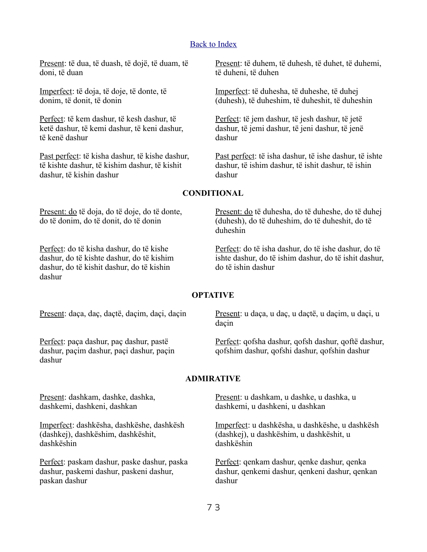Present: të dua, të duash, të dojë, të duam, të doni, të duan

Imperfect: të doja, të doje, të donte, të donim, të donit, të donin

Perfect: të kem dashur, të kesh dashur, të ketë dashur, të kemi dashur, të keni dashur, të kenë dashur

Past perfect: të kisha dashur, të kishe dashur, të kishte dashur, të kishim dashur, të kishit dashur, të kishin dashur

Present: do të doja, do të doje, do të donte, do të donim, do të donit, do të donin

Perfect: do të kisha dashur, do të kishe dashur, do të kishte dashur, do të kishim dashur, do të kishit dashur, do të kishin dashur

Perfect: paça dashur, paç dashur, pastë dashur, paçim dashur, paçi dashur, paçin dashur

Present: të duhem, të duhesh, të duhet, të duhemi, të duheni, të duhen

Imperfect: të duhesha, të duheshe, të duhej (duhesh), të duheshim, të duheshit, të duheshin

Perfect: të jem dashur, të jesh dashur, të jetë dashur, të jemi dashur, të jeni dashur, të jenë dashur

Past perfect: të isha dashur, të ishe dashur, të ishte dashur, të ishim dashur, të ishit dashur, të ishin dashur

### **CONDITIONAL**

Present: do të duhesha, do të duheshe, do të duhej (duhesh), do të duheshim, do të duheshit, do të duheshin

Perfect: do të isha dashur, do të ishe dashur, do të ishte dashur, do të ishim dashur, do të ishit dashur, do të ishin dashur

# **OPTATIVE**

Present: daça, daç, daçtë, daçim, daçi, daçin Present: u daça, u daç, u daçtë, u daçim, u daçi, u daçin

> Perfect: qofsha dashur, qofsh dashur, qoftë dashur, qofshim dashur, qofshi dashur, qofshin dashur

#### **ADMIRATIVE**

Present: dashkam, dashke, dashka, dashkemi, dashkeni, dashkan Present: u dashkam, u dashke, u dashka, u dashkemi, u dashkeni, u dashkan Imperfect: dashkësha, dashkëshe, dashkësh (dashkej), dashkëshim, dashkëshit, dashkëshin Imperfect: u dashkësha, u dashkëshe, u dashkësh (dashkej), u dashkëshim, u dashkëshit, u dashkëshin Perfect: paskam dashur, paske dashur, paska dashur, paskemi dashur, paskeni dashur, paskan dashur Perfect: qenkam dashur, qenke dashur, qenka dashur, qenkemi dashur, qenkeni dashur, qenkan dashur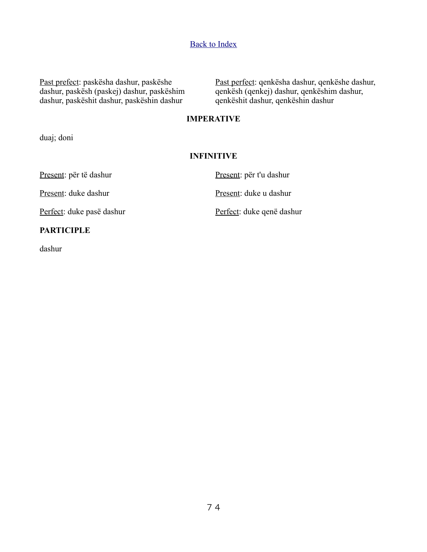Past prefect: paskësha dashur, paskëshe dashur, paskësh (paskej) dashur, paskëshim dashur, paskëshit dashur, paskëshin dashur

Past perfect: qenkësha dashur, qenkëshe dashur, qenkësh (qenkej) dashur, qenkëshim dashur, qenkëshit dashur, qenkëshin dashur

# **IMPERATIVE**

duaj; doni

# **INFINITIVE**

| Present: për të dashur    | Present: për t'u dashur   |
|---------------------------|---------------------------|
| Present: duke dashur      | Present: duke u dashur    |
| Perfect: duke pasë dashur | Perfect: duke qenë dashur |

dashur

**PARTICIPLE**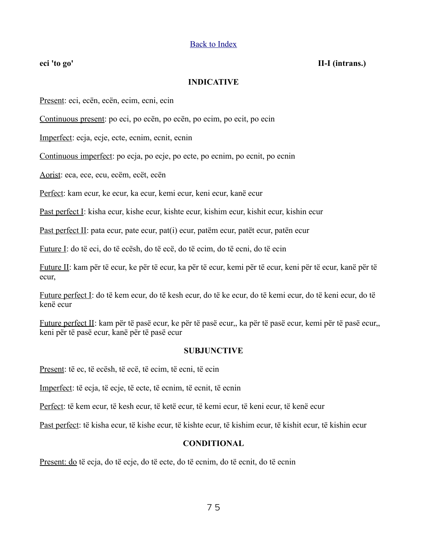### **eci 'to go' II-I (intrans.)**

### **INDICATIVE**

Present: eci, ecën, ecën, ecim, ecni, ecin

Continuous present: po eci, po ecën, po ecën, po ecim, po ecit, po ecin

Imperfect: ecja, ecje, ecte, ecnim, ecnit, ecnin

Continuous imperfect: po ecja, po ecje, po ecte, po ecnim, po ecnit, po ecnin

Aorist: eca, ece, ecu, ecëm, ecët, ecën

Perfect: kam ecur, ke ecur, ka ecur, kemi ecur, keni ecur, kanë ecur

Past perfect I: kisha ecur, kishe ecur, kishte ecur, kishim ecur, kishit ecur, kishin ecur

Past perfect II: pata ecur, pate ecur, pat(i) ecur, patëm ecur, patët ecur, patën ecur

Future I: do të eci, do të ecësh, do të ecë, do të ecim, do të ecni, do të ecin

Future II: kam për të ecur, ke për të ecur, ka për të ecur, kemi për të ecur, keni për të ecur, kanë për të ecur,

Future perfect I: do të kem ecur, do të kesh ecur, do të ke ecur, do të kemi ecur, do të keni ecur, do të kenë ecur

Future perfect II: kam për të pasë ecur, ke për të pasë ecur,, ka për të pasë ecur, kemi për të pasë ecur,, keni për të pasë ecur, kanë për të pasë ecur

#### **SUBJUNCTIVE**

Present: të ec, të ecësh, të ecë, të ecim, të ecni, të ecin

Imperfect: të ecja, të ecje, të ecte, të ecnim, të ecnit, të ecnin

Perfect: të kem ecur, të kesh ecur, të ketë ecur, të kemi ecur, të keni ecur, të kenë ecur

Past perfect: të kisha ecur, të kishe ecur, të kishte ecur, të kishim ecur, të kishit ecur, të kishin ecur

#### **CONDITIONAL**

Present: do të ecja, do të ecje, do të ecte, do të ecnim, do të ecnit, do të ecnin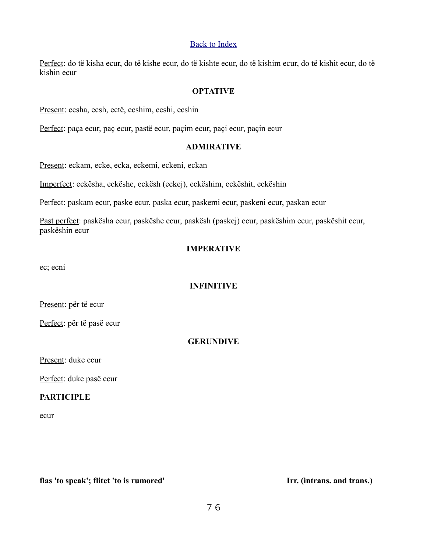Perfect: do të kisha ecur, do të kishe ecur, do të kishte ecur, do të kishim ecur, do të kishit ecur, do të kishin ecur

#### **OPTATIVE**

Present: ecsha, ecsh, ectë, ecshim, ecshi, ecshin

Perfect: paça ecur, paç ecur, pastë ecur, paçim ecur, paçi ecur, paçin ecur

#### **ADMIRATIVE**

Present: eckam, ecke, ecka, eckemi, eckeni, eckan

Imperfect: eckësha, eckëshe, eckësh (eckej), eckëshim, eckëshit, eckëshin

Perfect: paskam ecur, paske ecur, paska ecur, paskemi ecur, paskeni ecur, paskan ecur

Past perfect: paskësha ecur, paskëshe ecur, paskësh (paskej) ecur, paskëshim ecur, paskëshit ecur, paskëshin ecur

#### **IMPERATIVE**

ec; ecni

#### **INFINITIVE**

Present: për të ecur

Perfect: për të pasë ecur

### **GERUNDIVE**

Present: duke ecur

Perfect: duke pasë ecur

# **PARTICIPLE**

ecur

**flas 'to speak'; flitet 'to is rumored' Irr. (intrans. and trans.)**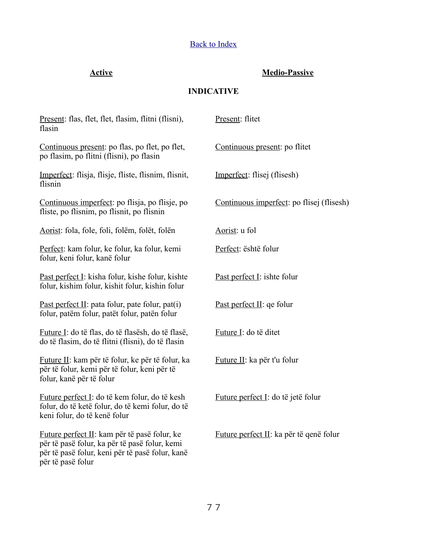# **Active Medio-Passive**

# **INDICATIVE**

| Present: flas, flet, flet, flasim, flitni (flisni),<br>flasin                                                                                                         | Present: flitet                           |
|-----------------------------------------------------------------------------------------------------------------------------------------------------------------------|-------------------------------------------|
| Continuous present: po flas, po flet, po flet,<br>po flasim, po flitni (flisni), po flasin                                                                            | Continuous present: po flitet             |
| Imperfect: flisja, flisje, fliste, flisnim, flisnit,<br>flisnin                                                                                                       | Imperfect: flisej (flisesh)               |
| Continuous imperfect: po flisja, po flisje, po<br>fliste, po flisnim, po flisnit, po flisnin                                                                          | Continuous imperfect: po flisej (flisesh) |
| Aorist: fola, fole, foli, folem, folet, folen                                                                                                                         | Aorist: u fol                             |
| Perfect: kam folur, ke folur, ka folur, kemi<br>folur, keni folur, kanë folur                                                                                         | Perfect: është folur                      |
| Past perfect I: kisha folur, kishe folur, kishte<br>folur, kishim folur, kishit folur, kishin folur                                                                   | Past perfect I: ishte folur               |
| Past perfect $II$ : pata folur, pate folur, pat(i)<br>folur, patëm folur, patët folur, patën folur                                                                    | Past perfect $II$ : qe folur              |
| Future I: do të flas, do të flasësh, do të flasë,<br>do të flasim, do të flitni (flisni), do të flasin                                                                | Future I: do të ditet                     |
| Future II: kam për të folur, ke për të folur, ka<br>për të folur, kemi për të folur, keni për të<br>folur, kanë për të folur                                          | Future II: ka për t'u folur               |
| Future perfect I: do të kem folur, do të kesh<br>folur, do të ketë folur, do të kemi folur, do të<br>keni folur, do të kenë folur                                     | Future perfect I: do të jetë folur        |
| Future perfect II: kam për të pasë folur, ke<br>për të pasë folur, ka për të pasë folur, kemi<br>për të pasë folur, keni për të pasë folur, kanë<br>për të pasë folur | Future perfect II: ka për të qenë folur   |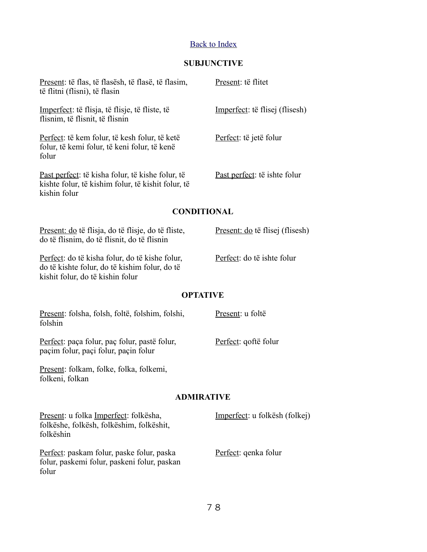# **SUBJUNCTIVE**

| Present: të flas, të flasësh, të flasë, të flasim,<br>të flitni (flisni), të flasin                                                 | Present: të flitet              |
|-------------------------------------------------------------------------------------------------------------------------------------|---------------------------------|
| Imperfect: të flisja, të flisje, të fliste, të<br>flisnim, të flisnit, të flisnin                                                   | Imperfect: të flisej (flisesh)  |
| Perfect: të kem folur, të kesh folur, të ketë<br>folur, të kemi folur, të keni folur, të kenë<br>folur                              | Perfect: të jetë folur          |
| Past perfect: të kisha folur, të kishe folur, të<br>kishte folur, të kishim folur, të kishit folur, të<br>kishin folur              | Past perfect: të ishte folur    |
| <b>CONDITIONAL</b>                                                                                                                  |                                 |
| Present: do të flisja, do të flisje, do të fliste,<br>do të flisnim, do të flisnit, do të flisnin                                   | Present: do të flisej (flisesh) |
| Perfect: do të kisha folur, do të kishe folur,<br>do të kishte folur, do të kishim folur, do të<br>kishit folur, do të kishin folur | Perfect: do të ishte folur      |
| <b>OPTATIVE</b>                                                                                                                     |                                 |
| Present: folsha, folsh, foltë, folshim, folshi,<br>folshin                                                                          | Present: u foltë                |
| Perfect: paça folur, paç folur, pastë folur,<br>paçim folur, paçi folur, paçin folur                                                | Perfect: qoftë folur            |
| Present: folkam, folke, folka, folkemi,<br>folkeni, folkan                                                                          |                                 |
| <b>ADMIRATIVE</b>                                                                                                                   |                                 |
| Present: u folka Imperfect: folkësha,<br>folkëshe, folkësh, folkëshim, folkëshit,<br>folkëshin                                      | Imperfect: u folkësh (folkej)   |
| Perfect: paskam folur, paske folur, paska<br>folur, paskemi folur, paskeni folur, paskan<br>folur                                   | Perfect: qenka folur            |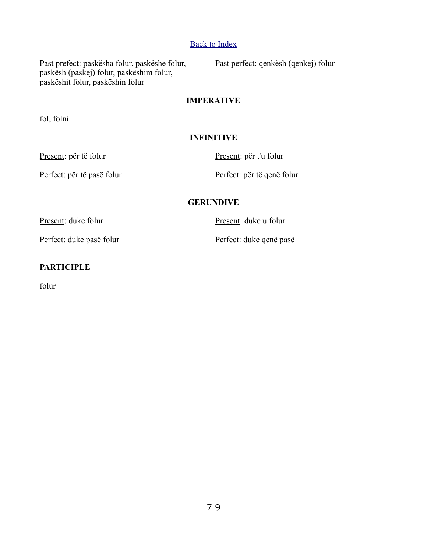Past prefect: paskësha folur, paskëshe folur, paskësh (paskej) folur, paskëshim folur, paskëshit folur, paskëshin folur Past perfect: qenkësh (qenkej) folur

# **IMPERATIVE**

fol, folni

# **INFINITIVE**

| Present: për të folur      | Present: për t'u folur     |
|----------------------------|----------------------------|
| Perfect: për të pasë folur | Perfect: për të qenë folur |

### **GERUNDIVE**

| Present: duke folur      | Present: duke u folur   |
|--------------------------|-------------------------|
| Perfect: duke pasë folur | Perfect: duke qenë pasë |

# **PARTICIPLE**

folur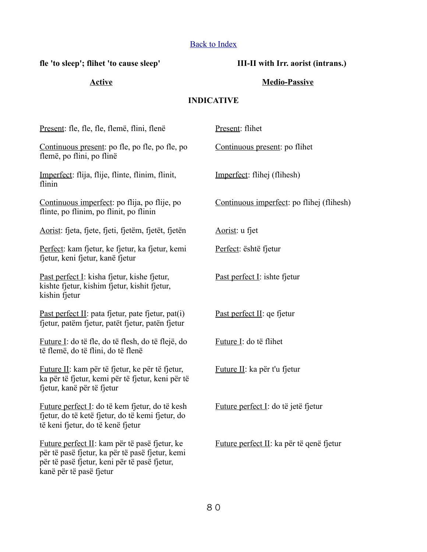# **fle 'to sleep'; flihet 'to cause sleep' III-II with Irr. aorist (intrans.)**

# **Active Medio-Passive**

# **INDICATIVE**

| Present: fle, fle, fle, flemë, flini, flenë                                                                                                                                 | Present: flihet                           |
|-----------------------------------------------------------------------------------------------------------------------------------------------------------------------------|-------------------------------------------|
| Continuous present: po fle, po fle, po fle, po<br>flemë, po flini, po flinë                                                                                                 | Continuous present: po flihet             |
| Imperfect: flija, flije, flinte, flinim, flinit,<br>flinin                                                                                                                  | Imperfect: flihej (flihesh)               |
| Continuous imperfect: po flija, po flije, po<br>flinte, po flinim, po flinit, po flinin                                                                                     | Continuous imperfect: po flihej (flihesh) |
| Aorist: fjeta, fjete, fjeti, fjetëm, fjetët, fjetën                                                                                                                         | Aorist: u fjet                            |
| Perfect: kam fjetur, ke fjetur, ka fjetur, kemi<br>fjetur, keni fjetur, kanë fjetur                                                                                         | Perfect: është fjetur                     |
| Past perfect I: kisha fjetur, kishe fjetur,<br>kishte fjetur, kishim fjetur, kishit fjetur,<br>kishin fjetur                                                                | Past perfect I: ishte fjetur              |
| Past perfect $II$ : pata fjetur, pate fjetur, pat(i)<br>fjetur, patëm fjetur, patët fjetur, patën fjetur                                                                    | Past perfect II: qe fjetur                |
| Future I: do të fle, do të flesh, do të flejë, do<br>të flemë, do të flini, do të flenë                                                                                     | Future I: do të flihet                    |
| Future II: kam për të fjetur, ke për të fjetur,<br>ka për të fjetur, kemi për të fjetur, keni për të<br>fjetur, kanë për të fjetur                                          | Future II: ka për t'u fjetur              |
| Future perfect I: do të kem fjetur, do të kesh<br>fjetur, do të ketë fjetur, do të kemi fjetur, do<br>të keni fjetur, do të kenë fjetur                                     | Future perfect I: do të jetë fjetur       |
| Future perfect II: kam për të pasë fjetur, ke<br>për të pasë fjetur, ka për të pasë fjetur, kemi<br>për të pasë fjetur, keni për të pasë fjetur,<br>kanë për të pasë fjetur | Future perfect II: ka për të qenë fjetur  |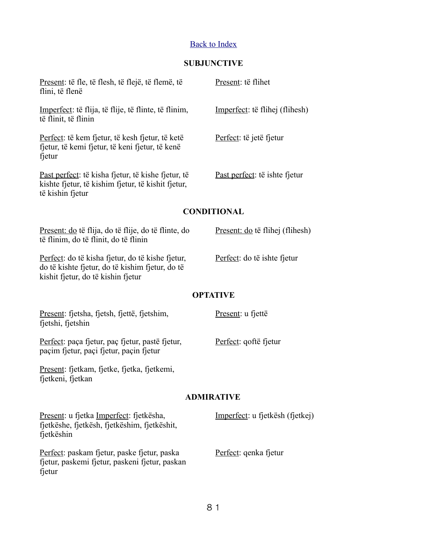# **SUBJUNCTIVE**

| Present: të fle, të flesh, të flejë, të flemë, të<br>flini, të flenë                                                                      | Present: të flihet              |
|-------------------------------------------------------------------------------------------------------------------------------------------|---------------------------------|
| Imperfect: të flija, të flije, të flinte, të flinim,<br>të flinit, të flinin                                                              | Imperfect: të flihej (flihesh)  |
| Perfect: të kem fjetur, të kesh fjetur, të ketë<br>fjetur, të kemi fjetur, të keni fjetur, të kenë<br>fjetur                              | Perfect: të jetë fjetur         |
| Past perfect: të kisha fjetur, të kishe fjetur, të<br>kishte fjetur, të kishim fjetur, të kishit fjetur,<br>të kishin fjetur              | Past perfect: të ishte fjetur   |
|                                                                                                                                           | <b>CONDITIONAL</b>              |
| Present: do të flija, do të flije, do të flinte, do<br>të flinim, do të flinit, do të flinin                                              | Present: do të flihej (flihesh) |
| Perfect: do të kisha fjetur, do të kishe fjetur,<br>do të kishte fjetur, do të kishim fjetur, do të<br>kishit fjetur, do të kishin fjetur | Perfect: do të ishte fjetur     |
|                                                                                                                                           | <b>OPTATIVE</b>                 |
| Present: fjetsha, fjetsh, fjettë, fjetshim,<br>fjetshi, fjetshin                                                                          | Present: u fjettë               |
| Perfect: paça fjetur, paç fjetur, pastë fjetur,<br>paçim fjetur, paçi fjetur, paçin fjetur                                                | Perfect: qoftë fjetur           |
| Present: fjetkam, fjetke, fjetka, fjetkemi,<br>fjetkeni, fjetkan                                                                          |                                 |
|                                                                                                                                           | <b>ADMIRATIVE</b>               |
| Present: u fjetka Imperfect: fjetkësha,<br>fjetkëshe, fjetkësh, fjetkëshim, fjetkëshit,<br>fjetkëshin                                     | Imperfect: u fjetkësh (fjetkej) |
| Perfect: paskam fjetur, paske fjetur, paska<br>fjetur, paskemi fjetur, paskeni fjetur, paskan<br>fjetur                                   | Perfect: qenka fjetur           |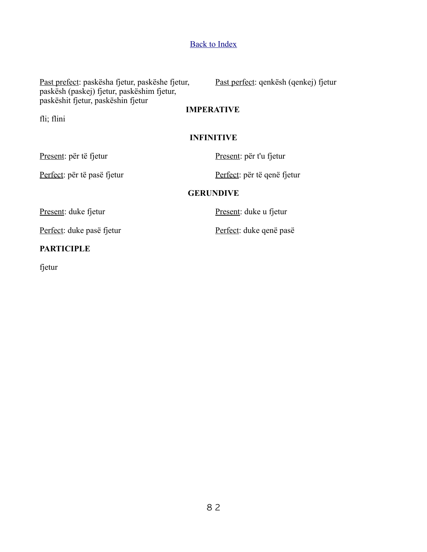| Past prefect: paskësha fjetur, paskëshe fjetur,<br>paskësh (paskej) fjetur, paskëshim fjetur,<br>paskëshit fjetur, paskëshin fjetur<br>fli; flini | Past perfect: qenkësh (qenkej) fjetur<br><b>IMPERATIVE</b> |
|---------------------------------------------------------------------------------------------------------------------------------------------------|------------------------------------------------------------|
|                                                                                                                                                   | <b>INFINITIVE</b>                                          |
| <u>Present</u> : për të fjetur                                                                                                                    | Present: për t'u fjetur                                    |
| Perfect: për të pasë fjetur                                                                                                                       | Perfect: për të qenë fjetur                                |
|                                                                                                                                                   | <b>GERUNDIVE</b>                                           |
| Present: duke fjetur                                                                                                                              | Present: duke u fjetur                                     |
| Perfect: duke pasë fjetur                                                                                                                         | Perfect: duke qenë pasë                                    |
| <b>PARTICIPLE</b>                                                                                                                                 |                                                            |
| fjetur                                                                                                                                            |                                                            |

82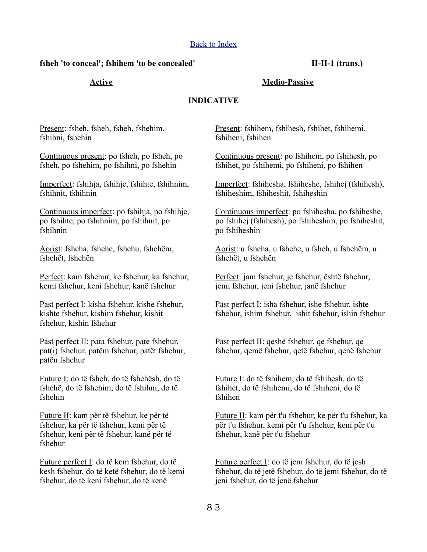#### **fsheh 'to conceal'; fshihem 'to be concealed' II-II-1 (trans.)**

# **Active Medio-Passive**

## **INDICATIVE**

Present: fsheh, fsheh, fsheh, fshehim, fshihni, fshehin

Continuous present: po fsheh, po fsheh, po fsheh, po fshehim, po fshihni, po fshehin

Imperfect: fshihja, fshihje, fshihte, fshihnim, fshihnit, fshihnin

Continuous imperfect: po fshihja, po fshihje, po fshihte, po fshihnim, po fshihnit, po fshihnin

Aorist: fsheha, fshehe, fshehu, fshehëm, fshehët, fshehën

Perfect: kam fshehur, ke fshehur, ka fshehur, kemi fshehur, keni fshehur, kanë fshehur

Past perfect I: kisha fshehur, kishe fshehur, kishte fshehur, kishim fshehur, kishit fshehur, kishin fshehur

Past perfect II: pata fshehur, pate fshehur, pat(i) fshehur, patëm fshehur, patët fshehur, patën fshehur

Future I: do të fsheh, do të fshehësh, do të fshehë, do të fshehim, do të fshihni, do të fshehin

Future II: kam për të fshehur, ke për të fshehur, ka për të fshehur, kemi për të fshehur, keni për të fshehur, kanë për të fshehur

Future perfect I: do të kem fshehur, do të kesh fshehur, do të ketë fshehur, do të kemi fshehur, do të keni fshehur, do të kenë

Present: fshihem, fshihesh, fshihet, fshihemi, fshiheni, fshihen

Continuous present: po fshihem, po fshihesh, po fshihet, po fshihemi, po fshiheni, po fshihen

Imperfect: fshihesha, fshiheshe, fshihej (fshihesh), fshiheshim, fshiheshit, fshiheshin

Continuous imperfect: po fshihesha, po fshiheshe, po fshihej (fshihesh), po fshiheshim, po fshiheshit, po fshiheshin

Aorist: u fsheha, u fshehe, u fsheh, u fshehëm, u fshehët, u fshehën

Perfect: jam fshehur, je fshehur, është fshehur, jemi fshehur, jeni fshehur, janë fshehur

Past perfect I: isha fshehur, ishe fshehur, ishte fshehur, ishim fshehur, ishit fshehur, ishin fshehur

Past perfect II: qeshë fshehur, qe fshehur, qe fshehur, qemë fshehur, qetë fshehur, qenë fshehur

Future I: do të fshihem, do të fshihesh, do të fshihet, do të fshihemi, do të fshiheni, do të fshihen

Future II: kam për t'u fshehur, ke për t'u fshehur, ka për t'u fshehur, kemi për t'u fshehur, keni për t'u fshehur, kanë për t'u fshehur

Future perfect I: do të jem fshehur, do të jesh fshehur, do të jetë fshehur, do të jemi fshehur, do të jeni fshehur, do të jenë fshehur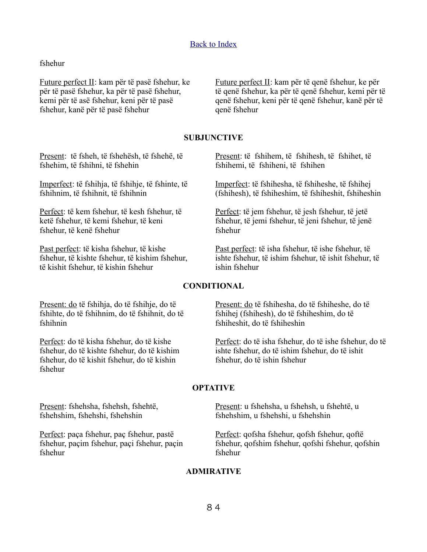# fshehur

Future perfect II: kam për të pasë fshehur, ke për të pasë fshehur, ka për të pasë fshehur, kemi për të asë fshehur, keni për të pasë fshehur, kanë për të pasë fshehur

Future perfect II: kam për të qenë fshehur, ke për të qenë fshehur, ka për të qenë fshehur, kemi për të qenë fshehur, keni për të qenë fshehur, kanë për të qenë fshehur

## **SUBJUNCTIVE**

Present: të fsheh, të fshehësh, të fshehë, të fshehim, të fshihni, të fshehin

Imperfect: të fshihja, të fshihje, të fshinte, të fshihnim, të fshihnit, të fshihnin

Perfect: të kem fshehur, të kesh fshehur, të ketë fshehur, të kemi fshehur, të keni fshehur, të kenë fshehur

Past perfect: të kisha fshehur, të kishe fshehur, të kishte fshehur, të kishim fshehur, të kishit fshehur, të kishin fshehur

Present: do të fshihja, do të fshihje, do të fshihte, do të fshihnim, do të fshihnit, do të fshihnin

Perfect: do të kisha fshehur, do të kishe fshehur, do të kishte fshehur, do të kishim fshehur, do të kishit fshehur, do të kishin fshehur

Present: të fshihem, të fshihesh, të fshihet, të fshihemi, të fshiheni, të fshihen

Imperfect: të fshihesha, të fshiheshe, të fshihej (fshihesh), të fshiheshim, të fshiheshit, fshiheshin

Perfect: të jem fshehur, të jesh fshehur, të jetë fshehur, të jemi fshehur, të jeni fshehur, të jenë fshehur

Past perfect: të isha fshehur, të ishe fshehur, të ishte fshehur, të ishim fshehur, të ishit fshehur, të ishin fshehur

# **CONDITIONAL**

Present: do të fshihesha, do të fshiheshe, do të fshihej (fshihesh), do të fshiheshim, do të fshiheshit, do të fshiheshin

Perfect: do të isha fshehur, do të ishe fshehur, do të ishte fshehur, do të ishim fshehur, do të ishit fshehur, do të ishin fshehur

# **OPTATIVE**

Present: fshehsha, fshehsh, fshehtë, fshehshim, fshehshi, fshehshin

Perfect: paça fshehur, paç fshehur, pastë fshehur, paçim fshehur, paçi fshehur, paçin fshehur

Present: u fshehsha, u fshehsh, u fshehtë, u fshehshim, u fshehshi, u fshehshin

Perfect: qofsha fshehur, qofsh fshehur, qoftë fshehur, qofshim fshehur, qofshi fshehur, qofshin fshehur

# **ADMIRATIVE**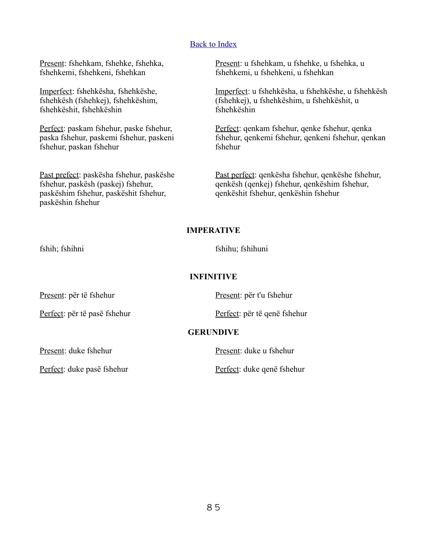Present: fshehkam, fshehke, fshehka, fshehkemi, fshehkeni, fshehkan

Imperfect: fshehkësha, fshehkëshe, fshehkësh (fshehkej), fshehkëshim, fshehkëshit, fshehkëshin

Perfect: paskam fshehur, paske fshehur, paska fshehur, paskemi fshehur, paskeni fshehur, paskan fshehur

Past prefect: paskësha fshehur, paskëshe fshehur, paskësh (paskej) fshehur, paskëshim fshehur, paskëshit fshehur, paskëshin fshehur

Present: u fshehkam, u fshehke, u fshehka, u fshehkemi, u fshehkeni, u fshehkan

Imperfect: u fshehkësha, u fshehkëshe, u fshehkësh (fshehkej), u fshehkëshim, u fshehkëshit, u fshehkëshin

Perfect: qenkam fshehur, qenke fshehur, qenka fshehur, qenkemi fshehur, qenkeni fshehur, qenkan fshehur

Past perfect: qenkësha fshehur, qenkëshe fshehur, qenkësh (qenkej) fshehur, qenkëshim fshehur, qenkëshit fshehur, qenkëshin fshehur

# **IMPERATIVE**

fshih; fshihni fshihu; fshihuni

#### **INFINITIVE**

**GERUNDIVE**

Present: për të fshehur Present: për t'u fshehur

Perfect: për të pasë fshehur Perfect: për të qenë fshehur

Present: duke fshehur Present: duke u fshehur

Perfect: duke pasë fshehur Perfect: duke qenë fshehur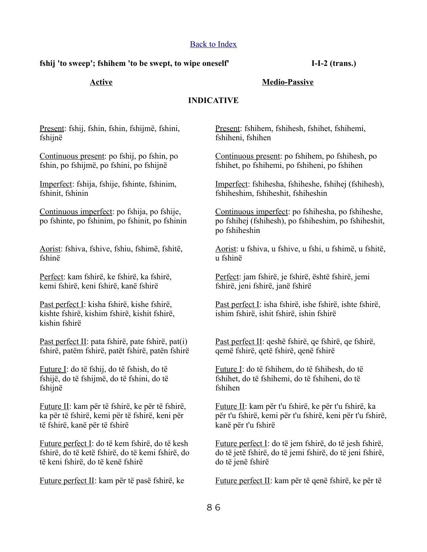#### **fshij 'to sweep'; fshihem 'to be swept, to wipe oneself' I-I-2 (trans.)**

# **Active Medio-Passive**

#### **INDICATIVE**

Present: fshij, fshin, fshin, fshijmë, fshini, fshijnë

Continuous present: po fshij, po fshin, po fshin, po fshijmë, po fshini, po fshijnë

Imperfect: fshija, fshije, fshinte, fshinim, fshinit, fshinin

Continuous imperfect: po fshija, po fshije, po fshinte, po fshinim, po fshinit, po fshinin

Aorist: fshiva, fshive, fshiu, fshimë, fshitë, fshinë

Perfect: kam fshirë, ke fshirë, ka fshirë, kemi fshirë, keni fshirë, kanë fshirë

Past perfect I: kisha fshirë, kishe fshirë, kishte fshirë, kishim fshirë, kishit fshirë, kishin fshirë

Past perfect II: pata fshirë, pate fshirë, pat(i) fshirë, patëm fshirë, patët fshirë, patën fshirë

Future I: do të fshij, do të fshish, do të fshijë, do të fshijmë, do të fshini, do të fshijnë

Future II: kam për të fshirë, ke për të fshirë, ka për të fshirë, kemi për të fshirë, keni për të fshirë, kanë për të fshirë

Future perfect I: do të kem fshirë, do të kesh fshirë, do të ketë fshirë, do të kemi fshirë, do të keni fshirë, do të kenë fshirë

Present: fshihem, fshihesh, fshihet, fshihemi, fshiheni, fshihen

Continuous present: po fshihem, po fshihesh, po fshihet, po fshihemi, po fshiheni, po fshihen

Imperfect: fshihesha, fshiheshe, fshihej (fshihesh), fshiheshim, fshiheshit, fshiheshin

Continuous imperfect: po fshihesha, po fshiheshe, po fshihej (fshihesh), po fshiheshim, po fshiheshit, po fshiheshin

Aorist: u fshiva, u fshive, u fshi, u fshimë, u fshitë, u fshinë

Perfect: jam fshirë, je fshirë, është fshirë, jemi fshirë, jeni fshirë, janë fshirë

Past perfect I: isha fshirë, ishe fshirë, ishte fshirë, ishim fshirë, ishit fshirë, ishin fshirë

Past perfect II: qeshë fshirë, qe fshirë, qe fshirë, qemë fshirë, qetë fshirë, qenë fshirë

Future I: do të fshihem, do të fshihesh, do të fshihet, do të fshihemi, do të fshiheni, do të fshihen

Future II: kam për t'u fshirë, ke për t'u fshirë, ka për t'u fshirë, kemi për t'u fshirë, keni për t'u fshirë, kanë për t'u fshirë

Future perfect I: do të jem fshirë, do të jesh fshirë, do të jetë fshirë, do të jemi fshirë, do të jeni fshirë, do të jenë fshirë

Future perfect II: kam për të pasë fshirë, ke Future perfect II: kam për të qenë fshirë, ke për të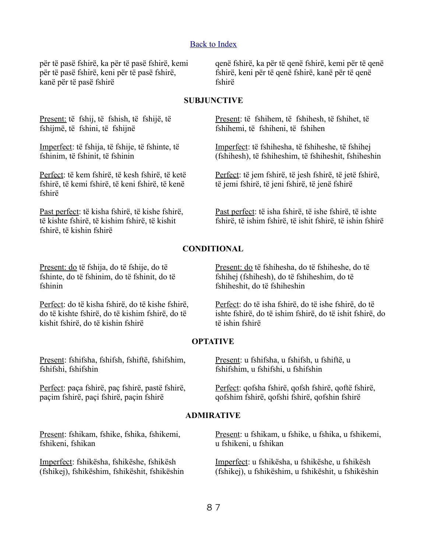për të pasë fshirë, ka për të pasë fshirë, kemi për të pasë fshirë, keni për të pasë fshirë, kanë për të pasë fshirë

qenë fshirë, ka për të qenë fshirë, kemi për të qenë fshirë, keni për të qenë fshirë, kanë për të qenë fshirë

### **SUBJUNCTIVE**

Present: të fshij, të fshish, të fshijë, të fshijmë, të fshini, të fshijnë

Imperfect: të fshija, të fshije, të fshinte, të fshinim, të fshinit, të fshinin

Perfect: të kem fshirë, të kesh fshirë, të ketë fshirë, të kemi fshirë, të keni fshirë, të kenë fshirë

Past perfect: të kisha fshirë, të kishe fshirë, të kishte fshirë, të kishim fshirë, të kishit fshirë, të kishin fshirë

Present: të fshihem, të fshihesh, të fshihet, të fshihemi, të fshiheni, të fshihen

Imperfect: të fshihesha, të fshiheshe, të fshihej (fshihesh), të fshiheshim, të fshiheshit, fshiheshin

Perfect: të jem fshirë, të jesh fshirë, të jetë fshirë, të jemi fshirë, të jeni fshirë, të jenë fshirë

Past perfect: të isha fshirë, të ishe fshirë, të ishte fshirë, të ishim fshirë, të ishit fshirë, të ishin fshirë

#### **CONDITIONAL**

Present: do të fshija, do të fshije, do të fshinte, do të fshinim, do të fshinit, do të fshinin

Perfect: do të kisha fshirë, do të kishe fshirë, do të kishte fshirë, do të kishim fshirë, do të kishit fshirë, do të kishin fshirë

Present: do të fshihesha, do të fshiheshe, do të fshihej (fshihesh), do të fshiheshim, do të fshiheshit, do të fshiheshin

Perfect: do të isha fshirë, do të ishe fshirë, do të ishte fshirë, do të ishim fshirë, do të ishit fshirë, do të ishin fshirë

#### **OPTATIVE**

Present: fshifsha, fshifsh, fshiftë, fshifshim, fshifshi, fshifshin

Perfect: paça fshirë, paç fshirë, pastë fshirë, paçim fshirë, paçi fshirë, paçin fshirë

Present: u fshifsha, u fshifsh, u fshiftë, u fshifshim, u fshifshi, u fshifshin

Perfect: qofsha fshirë, qofsh fshirë, qoftë fshirë, qofshim fshirë, qofshi fshirë, qofshin fshirë

# **ADMIRATIVE**

Present: fshikam, fshike, fshika, fshikemi, fshikeni, fshikan

Imperfect: fshikësha, fshikëshe, fshikësh (fshikej), fshikëshim, fshikëshit, fshikëshin Present: u fshikam, u fshike, u fshika, u fshikemi, u fshikeni, u fshikan

Imperfect: u fshikësha, u fshikëshe, u fshikësh (fshikej), u fshikëshim, u fshikëshit, u fshikëshin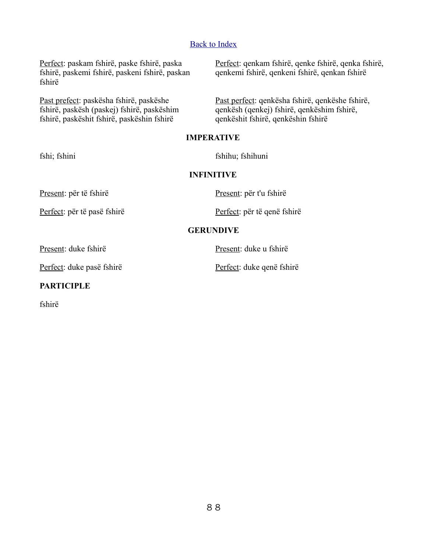Perfect: paskam fshirë, paske fshirë, paska fshirë, paskemi fshirë, paskeni fshirë, paskan fshirë

Past prefect: paskësha fshirë, paskëshe fshirë, paskësh (paskej) fshirë, paskëshim fshirë, paskëshit fshirë, paskëshin fshirë

Perfect: qenkam fshirë, qenke fshirë, qenka fshirë, qenkemi fshirë, qenkeni fshirë, qenkan fshirë

Past perfect: qenkësha fshirë, qenkëshe fshirë, qenkësh (qenkej) fshirë, qenkëshim fshirë, qenkëshit fshirë, qenkëshin fshirë

#### **IMPERATIVE**

fshi; fshini fshihu; fshihuni

# **INFINITIVE**

| Present: për të fshirë      | Present: për t'u fshirë     |
|-----------------------------|-----------------------------|
| Perfect: për të pasë fshirë | Perfect: për të qenë fshirë |
|                             | <b>GERUNDIVE</b>            |
| Present: duke fshirë        | Present: duke u fshirë      |

Perfect: duke pasë fshirë Perfect: duke qenë fshirë

#### **PARTICIPLE**

fshirë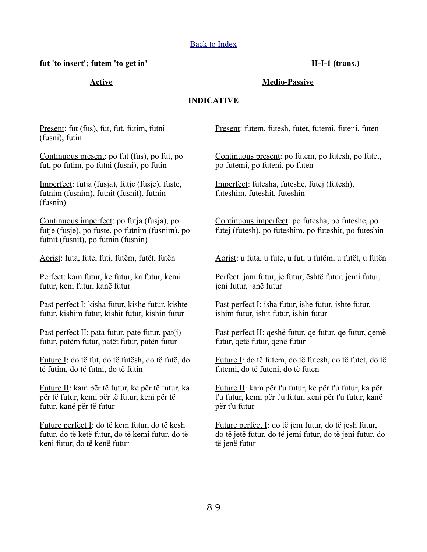### **fut 'to insert'; futem 'to get in' II-I-1 (trans.)**

## **Active Medio-Passive**

### **INDICATIVE**

Present: fut (fus), fut, fut, futim, futni (fusni), futin

Continuous present: po fut (fus), po fut, po fut, po futim, po futni (fusni), po futin

Imperfect: futja (fusja), futje (fusje), fuste, futnim (fusnim), futnit (fusnit), futnin (fusnin)

Continuous imperfect: po futja (fusja), po futje (fusje), po fuste, po futnim (fusnim), po futnit (fusnit), po futnin (fusnin)

Perfect: kam futur, ke futur, ka futur, kemi futur, keni futur, kanë futur

Past perfect I: kisha futur, kishe futur, kishte futur, kishim futur, kishit futur, kishin futur

Past perfect II: pata futur, pate futur, pat(i) futur, patëm futur, patët futur, patën futur

Future I: do të fut, do të futësh, do të futë, do të futim, do të futni, do të futin

Future II: kam për të futur, ke për të futur, ka për të futur, kemi për të futur, keni për të futur, kanë për të futur

Future perfect I: do të kem futur, do të kesh futur, do të ketë futur, do të kemi futur, do të keni futur, do të kenë futur

Present: futem, futesh, futet, futemi, futeni, futen

Continuous present: po futem, po futesh, po futet, po futemi, po futeni, po futen

Imperfect: futesha, futeshe, futej (futesh), futeshim, futeshit, futeshin

Continuous imperfect: po futesha, po futeshe, po futej (futesh), po futeshim, po futeshit, po futeshin

Aorist: futa, fute, futi, futëm, futët, futën Aorist: u futa, u fute, u fut, u futëm, u futët, u futën

Perfect: jam futur, je futur, është futur, jemi futur, jeni futur, janë futur

Past perfect I: isha futur, ishe futur, ishte futur, ishim futur, ishit futur, ishin futur

Past perfect II: qeshë futur, qe futur, qe futur, qemë futur, qetë futur, qenë futur

Future I: do të futem, do të futesh, do të futet, do të futemi, do të futeni, do të futen

Future II: kam për t'u futur, ke për t'u futur, ka për t'u futur, kemi për t'u futur, keni për t'u futur, kanë për t'u futur

Future perfect I: do të jem futur, do të jesh futur, do të jetë futur, do të jemi futur, do të jeni futur, do të jenë futur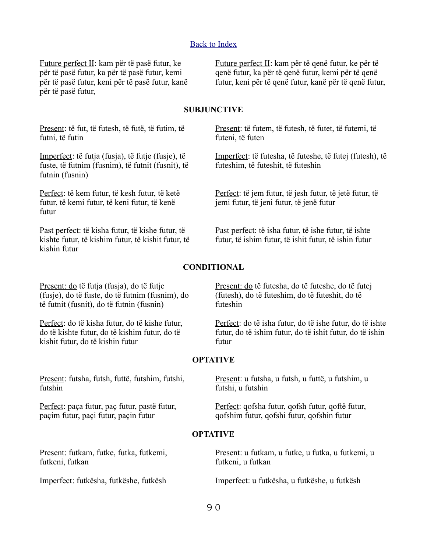Future perfect II: kam për të pasë futur, ke për të pasë futur, ka për të pasë futur, kemi për të pasë futur, keni për të pasë futur, kanë për të pasë futur,

Future perfect II: kam për të qenë futur, ke për të qenë futur, ka për të qenë futur, kemi për të qenë futur, keni për të qenë futur, kanë për të qenë futur,

#### **SUBJUNCTIVE**

Present: të fut, të futesh, të futë, të futim, të futni, të futin Present: të futem, të futesh, të futet, të futemi, të futeni, të futen Imperfect: të futja (fusja), të futje (fusje), të fuste, të futnim (fusnim), të futnit (fusnit), të futnin (fusnin) Imperfect: të futesha, të futeshe, të futej (futesh), të futeshim, të futeshit, të futeshin Perfect: të kem futur, të kesh futur, të ketë futur, të kemi futur, të keni futur, të kenë futur Perfect: të jem futur, të jesh futur, të jetë futur, të jemi futur, të jeni futur, të jenë futur Past perfect: të kisha futur, të kishe futur, të kishte futur, të kishim futur, të kishit futur, të kishin futur Past perfect: të isha futur, të ishe futur, të ishte futur, të ishim futur, të ishit futur, të ishin futur **CONDITIONAL**

Present: do të futja (fusja), do të futje (fusje), do të fuste, do të futnim (fusnim), do të futnit (fusnit), do të futnin (fusnin)

Perfect: do të kisha futur, do të kishe futur, do të kishte futur, do të kishim futur, do të kishit futur, do të kishin futur

Present: futsha, futsh, futtë, futshim, futshi, futshin

Perfect: paça futur, paç futur, pastë futur, paçim futur, paçi futur, paçin futur

Present: futkam, futke, futka, futkemi, futkeni, futkan

Present: do të futesha, do të futeshe, do të futej (futesh), do të futeshim, do të futeshit, do të futeshin

Perfect: do të isha futur, do të ishe futur, do të ishte futur, do të ishim futur, do të ishit futur, do të ishin futur

#### **OPTATIVE**

Present: u futsha, u futsh, u futtë, u futshim, u futshi, u futshin

Perfect: qofsha futur, qofsh futur, qoftë futur, qofshim futur, qofshi futur, qofshin futur

### **OPTATIVE**

Present: u futkam, u futke, u futka, u futkemi, u futkeni, u futkan

Imperfect: futkësha, futkëshe, futkëshe, mengerfect: u futkësha, u futkëshe, u futkëshe

90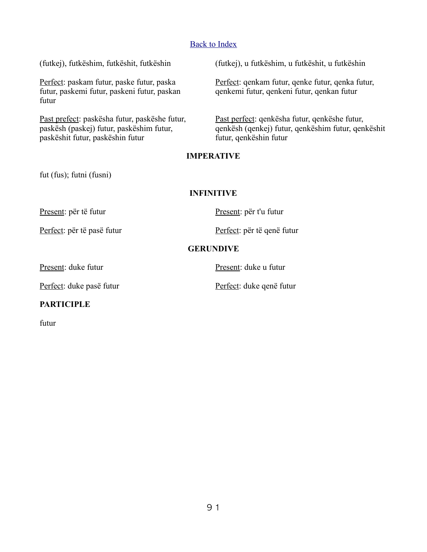| (futkej), futkëshim, futkëshit, futkëshin                                                                                     | (futkej), u futkëshim, u futkëshit, u futkëshin                                                                               |  |
|-------------------------------------------------------------------------------------------------------------------------------|-------------------------------------------------------------------------------------------------------------------------------|--|
| Perfect: paskam futur, paske futur, paska<br>futur, paskemi futur, paskeni futur, paskan<br>futur                             | Perfect: qenkam futur, qenke futur, qenka futur,<br>qenkemi futur, qenkeni futur, qenkan futur                                |  |
| Past prefect: paskësha futur, paskëshe futur,<br>paskësh (paskej) futur, paskëshim futur,<br>paskëshit futur, paskëshin futur | Past perfect: qenkësha futur, qenkëshe futur,<br>qenkësh (qenkej) futur, qenkëshim futur, qenkëshit<br>futur, qenkëshin futur |  |
| <b>IMPERATIVE</b>                                                                                                             |                                                                                                                               |  |
| fut (fus); futni (fusni)                                                                                                      |                                                                                                                               |  |
| <b>INFINITIVE</b>                                                                                                             |                                                                                                                               |  |
| Present: për të futur                                                                                                         | Present: për t'u futur                                                                                                        |  |
| Perfect: për të pasë futur                                                                                                    | Perfect: për të qenë futur                                                                                                    |  |
| <b>GERUNDIVE</b>                                                                                                              |                                                                                                                               |  |
| Present: duke futur                                                                                                           | Present: duke u futur                                                                                                         |  |
| Perfect: duke pasë futur                                                                                                      | Perfect: duke qenë futur                                                                                                      |  |
| <b>PARTICIPLE</b>                                                                                                             |                                                                                                                               |  |
| futur                                                                                                                         |                                                                                                                               |  |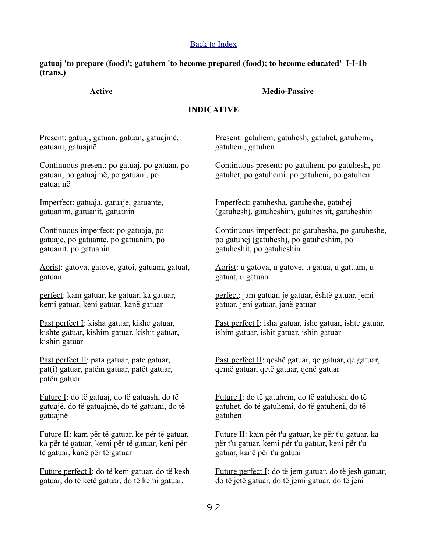# **gatuaj 'to prepare (food)'; gatuhem 'to become prepared (food); to become educated' I-I-1b (trans.)**

#### **Active Medio-Passive**

### **INDICATIVE**

Present: gatuaj, gatuan, gatuan, gatuajmë, gatuani, gatuajnë

Continuous present: po gatuaj, po gatuan, po gatuan, po gatuajmë, po gatuani, po gatuaijnë

Imperfect: gatuaja, gatuaje, gatuante, gatuanim, gatuanit, gatuanin

Continuous imperfect: po gatuaja, po gatuaje, po gatuante, po gatuanim, po gatuanit, po gatuanin

Aorist: gatova, gatove, gatoi, gatuam, gatuat, gatuan

perfect: kam gatuar, ke gatuar, ka gatuar, kemi gatuar, keni gatuar, kanë gatuar

Past perfect I: kisha gatuar, kishe gatuar, kishte gatuar, kishim gatuar, kishit gatuar, kishin gatuar

Past perfect II: pata gatuar, pate gatuar, pat(i) gatuar, patëm gatuar, patët gatuar, patën gatuar

Future I: do të gatuaj, do të gatuash, do të gatuajë, do të gatuajmë, do të gatuani, do të gatuajnë

Future II: kam për të gatuar, ke për të gatuar, ka për të gatuar, kemi për të gatuar, keni për të gatuar, kanë për të gatuar

Future perfect I: do të kem gatuar, do të kesh gatuar, do të ketë gatuar, do të kemi gatuar,

Present: gatuhem, gatuhesh, gatuhet, gatuhemi, gatuheni, gatuhen

Continuous present: po gatuhem, po gatuhesh, po gatuhet, po gatuhemi, po gatuheni, po gatuhen

Imperfect: gatuhesha, gatuheshe, gatuhej (gatuhesh), gatuheshim, gatuheshit, gatuheshin

Continuous imperfect: po gatuhesha, po gatuheshe, po gatuhej (gatuhesh), po gatuheshim, po gatuheshit, po gatuheshin

Aorist: u gatova, u gatove, u gatua, u gatuam, u gatuat, u gatuan

perfect: jam gatuar, je gatuar, është gatuar, jemi gatuar, jeni gatuar, janë gatuar

Past perfect I: isha gatuar, ishe gatuar, ishte gatuar, ishim gatuar, ishit gatuar, ishin gatuar

Past perfect II: qeshë gatuar, qe gatuar, qe gatuar, qemë gatuar, qetë gatuar, qenë gatuar

Future I: do të gatuhem, do të gatuhesh, do të gatuhet, do të gatuhemi, do të gatuheni, do të gatuhen

Future II: kam për t'u gatuar, ke për t'u gatuar, ka për t'u gatuar, kemi për t'u gatuar, keni për t'u gatuar, kanë për t'u gatuar

Future perfect I: do të jem gatuar, do të jesh gatuar, do të jetë gatuar, do të jemi gatuar, do të jeni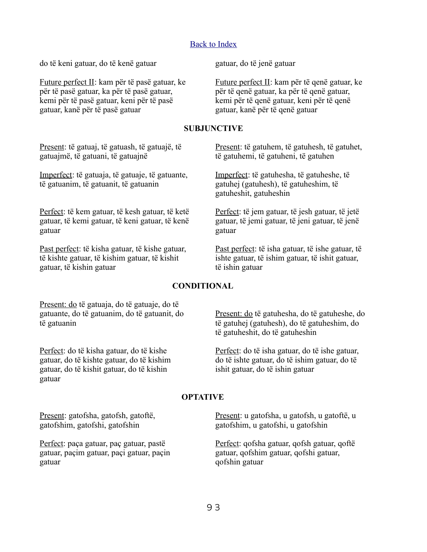do të keni gatuar, do të kenë gatuar gatuar, do të jenë gatuar

Future perfect II: kam për të pasë gatuar, ke për të pasë gatuar, ka për të pasë gatuar, kemi për të pasë gatuar, keni për të pasë gatuar, kanë për të pasë gatuar

gatuheshit, gatuheshin

Future perfect II: kam për të qenë gatuar, ke për të qenë gatuar, ka për të qenë gatuar, kemi për të qenë gatuar, keni për të qenë gatuar, kanë për të qenë gatuar

Present: të gatuhem, të gatuhesh, të gatuhet,

të gatuhemi, të gatuheni, të gatuhen

Imperfect: të gatuhesha, të gatuheshe, të gatuhej (gatuhesh), të gatuheshim, të

Perfect: të jem gatuar, të jesh gatuar, të jetë gatuar, të jemi gatuar, të jeni gatuar, të jenë

# **SUBJUNCTIVE**

gatuar

Present: të gatuaj, të gatuash, të gatuajë, të gatuajmë, të gatuani, të gatuajnë

Imperfect: të gatuaja, të gatuaje, të gatuante, të gatuanim, të gatuanit, të gatuanin

Perfect: të kem gatuar, të kesh gatuar, të ketë gatuar, të kemi gatuar, të keni gatuar, të kenë gatuar

Past perfect: të kisha gatuar, të kishe gatuar, të kishte gatuar, të kishim gatuar, të kishit gatuar, të kishin gatuar

Present: do të gatuaja, do të gatuaje, do të gatuante, do të gatuanim, do të gatuanit, do të gatuanin

Perfect: do të kisha gatuar, do të kishe gatuar, do të kishte gatuar, do të kishim gatuar, do të kishit gatuar, do të kishin gatuar

ishte gatuar, të ishim gatuar, të ishit gatuar, të ishin gatuar

Past perfect: të isha gatuar, të ishe gatuar, të

# **CONDITIONAL**

Present: do të gatuhesha, do të gatuheshe, do të gatuhej (gatuhesh), do të gatuheshim, do të gatuheshit, do të gatuheshin

Perfect: do të isha gatuar, do të ishe gatuar, do të ishte gatuar, do të ishim gatuar, do të ishit gatuar, do të ishin gatuar

# **OPTATIVE**

Present: gatofsha, gatofsh, gatoftë, gatofshim, gatofshi, gatofshin

Perfect: paça gatuar, paç gatuar, pastë gatuar, paçim gatuar, paçi gatuar, paçin gatuar

Present: u gatofsha, u gatofsh, u gatoftë, u gatofshim, u gatofshi, u gatofshin

Perfect: qofsha gatuar, qofsh gatuar, qoftë gatuar, qofshim gatuar, qofshi gatuar, qofshin gatuar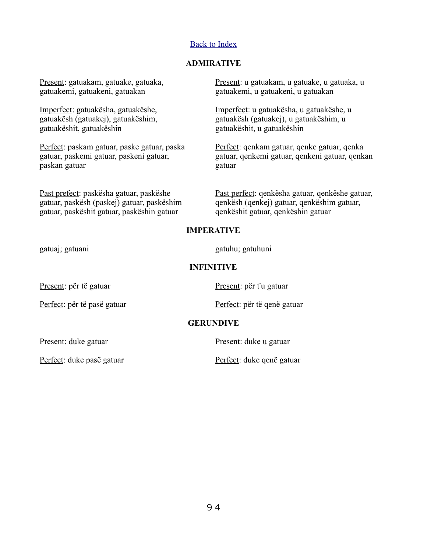# **ADMIRATIVE**

| Present: gatuakam, gatuake, gatuaka,<br>gatuakemi, gatuakeni, gatuakan                                                              | Present: u gatuakam, u gatuake, u gatuaka, u<br>gatuakemi, u gatuakeni, u gatuakan                                                  |  |
|-------------------------------------------------------------------------------------------------------------------------------------|-------------------------------------------------------------------------------------------------------------------------------------|--|
| Imperfect: gatuakësha, gatuakëshe,<br>gatuakësh (gatuakej), gatuakëshim,<br>gatuakëshit, gatuakëshin                                | Imperfect: u gatuakësha, u gatuakëshe, u<br>gatuakësh (gatuakej), u gatuakëshim, u<br>gatuakëshit, u gatuakëshin                    |  |
| Perfect: paskam gatuar, paske gatuar, paska<br>gatuar, paskemi gatuar, paskeni gatuar,<br>paskan gatuar                             | Perfect: qenkam gatuar, qenke gatuar, qenka<br>gatuar, qenkemi gatuar, qenkeni gatuar, qenkan<br>gatuar                             |  |
| Past prefect: paskësha gatuar, paskëshe<br>gatuar, paskësh (paskej) gatuar, paskëshim<br>gatuar, paskëshit gatuar, paskëshin gatuar | Past perfect: qenkësha gatuar, qenkëshe gatuar,<br>qenkësh (qenkej) gatuar, qenkëshim gatuar,<br>qenkëshit gatuar, qenkëshin gatuar |  |
| <b>IMPERATIVE</b>                                                                                                                   |                                                                                                                                     |  |
| gatuaj; gatuani                                                                                                                     | gatuhu; gatuhuni                                                                                                                    |  |
| <b>INFINITIVE</b>                                                                                                                   |                                                                                                                                     |  |
| Present: për të gatuar                                                                                                              | Present: për t'u gatuar                                                                                                             |  |
| Perfect: për të pasë gatuar                                                                                                         | Perfect: për të qenë gatuar                                                                                                         |  |
| <b>GERUNDIVE</b>                                                                                                                    |                                                                                                                                     |  |
| Present: duke gatuar                                                                                                                | Present: duke u gatuar                                                                                                              |  |
| Perfect: duke pasë gatuar                                                                                                           | Perfect: duke qenë gatuar                                                                                                           |  |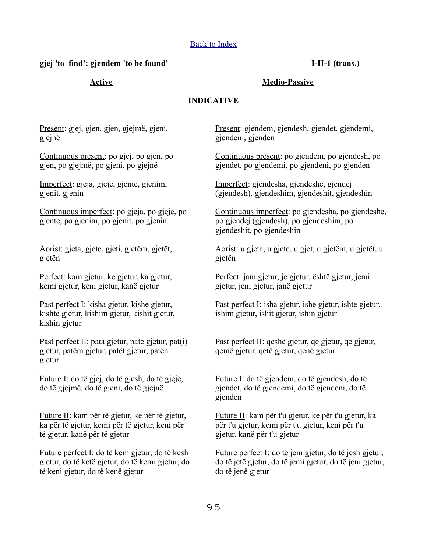### **gjej 'to find'; gjendem 'to be found' I-II-1 (trans.)**

# **Active Medio-Passive**

# **INDICATIVE**

Present: gjej, gjen, gjen, gjejmë, gjeni, gjejnë

Continuous present: po gjej, po gjen, po gjen, po gjejmë, po gjeni, po gjejnë

Imperfect: gjeja, gjeje, gjente, gjenim, gjenit, gjenin

Continuous imperfect: po gjeja, po gjeje, po gjente, po gjenim, po gjenit, po gjenin

Aorist: gjeta, gjete, gjeti, gjetëm, gjetët, gjetën

Perfect: kam gjetur, ke gjetur, ka gjetur, kemi gjetur, keni gjetur, kanë gjetur

Past perfect I: kisha gjetur, kishe gjetur, kishte gjetur, kishim gjetur, kishit gjetur, kishin gjetur

Past perfect  $II$ : pata gjetur, pate gjetur, pat(i) gjetur, patëm gjetur, patët gjetur, patën gjetur

Future I: do të gjej, do të gjesh, do të gjejë, do të gjejmë, do të gjeni, do të gjejnë

Future II: kam për të gjetur, ke për të gjetur, ka për të gjetur, kemi për të gjetur, keni për të gjetur, kanë për të gjetur

Future perfect I: do të kem gjetur, do të kesh gjetur, do të ketë gjetur, do të kemi gjetur, do të keni gjetur, do të kenë gjetur

Present: gjendem, gjendesh, gjendet, gjendemi, gjendeni, gjenden

Continuous present: po gjendem, po gjendesh, po gjendet, po gjendemi, po gjendeni, po gjenden

Imperfect: gjendesha, gjendeshe, gjendej (gjendesh), gjendeshim, gjendeshit, gjendeshin

Continuous imperfect: po gjendesha, po gjendeshe, po gjendej (gjendesh), po gjendeshim, po gjendeshit, po gjendeshin

Aorist: u gjeta, u gjete, u gjet, u gjetëm, u gjetët, u gjetën

Perfect: jam gjetur, je gjetur, është gjetur, jemi gjetur, jeni gjetur, janë gjetur

Past perfect I: isha gjetur, ishe gjetur, ishte gjetur, ishim gjetur, ishit gjetur, ishin gjetur

Past perfect II: qeshë gjetur, qe gjetur, qe gjetur, qemë gjetur, qetë gjetur, qenë gjetur

Future I: do të gjendem, do të gjendesh, do të gjendet, do të gjendemi, do të gjendeni, do të gjenden

Future II: kam për t'u gjetur, ke për t'u gjetur, ka për t'u gjetur, kemi për t'u gjetur, keni për t'u gjetur, kanë për t'u gjetur

Future perfect I: do të jem gjetur, do të jesh gjetur, do të jetë gjetur, do të jemi gjetur, do të jeni gjetur, do të jenë gjetur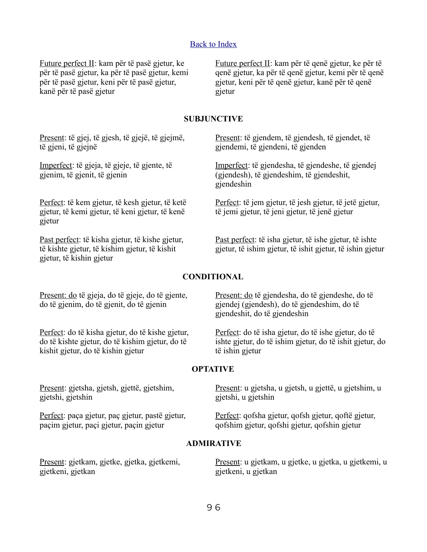Future perfect II: kam për të pasë gjetur, ke për të pasë gjetur, ka për të pasë gjetur, kemi për të pasë gjetur, keni për të pasë gjetur, kanë për të pasë gjetur

Future perfect II: kam për të qenë gjetur, ke për të qenë gjetur, ka për të qenë gjetur, kemi për të qenë gjetur, keni për të qenë gjetur, kanë për të qenë gjetur

# **SUBJUNCTIVE**

Present: të gjej, të gjesh, të gjejë, të gjejmë, të gjeni, të gjejnë Present: të gjendem, të gjendesh, të gjendet, të gjendemi, të gjendeni, të gjenden Imperfect: të gjeja, të gjeje, të gjente, të gjenim, të gjenit, të gjenin Imperfect: të gjendesha, të gjendeshe, të gjendej (gjendesh), të gjendeshim, të gjendeshit, gjendeshin Perfect: të kem gjetur, të kesh gjetur, të ketë gjetur, të kemi gjetur, të keni gjetur, të kenë gjetur Perfect: të jem gjetur, të jesh gjetur, të jetë gjetur, të jemi gjetur, të jeni gjetur, të jenë gjetur Past perfect: të kisha gjetur, të kishe gjetur, të kishte gjetur, të kishim gjetur, të kishit gjetur, të kishin gjetur Past perfect: të isha gjetur, të ishe gjetur, të ishte gjetur, të ishim gjetur, të ishit gjetur, të ishin gjetur **CONDITIONAL** Present: do të gjeja, do të gjeje, do të gjente, do të gjenim, do të gjenit, do të gjenin Present: do të gjendesha, do të gjendeshe, do të gjendej (gjendesh), do të gjendeshim, do të gjendeshit, do të gjendeshin Perfect: do të kisha gjetur, do të kishe gjetur, do të kishte gjetur, do të kishim gjetur, do të kishit gjetur, do të kishin gjetur Perfect: do të isha gjetur, do të ishe gjetur, do të ishte gjetur, do të ishim gjetur, do të ishit gjetur, do të ishin gjetur **OPTATIVE** Present: gjetsha, gjetsh, gjettë, gjetshim, gjetshi, gjetshin Present: u gjetsha, u gjetsh, u gjettë, u gjetshim, u gjetshi, u gjetshin Perfect: paça gjetur, paç gjetur, pastë gjetur, paçim gjetur, paçi gjetur, paçin gjetur Perfect: qofsha gjetur, qofsh gjetur, qoftë gjetur, qofshim gjetur, qofshi gjetur, qofshin gjetur **ADMIRATIVE** Present: gjetkam, gjetke, gjetka, gjetkemi, gjetkeni, gjetkan Present: u gjetkam, u gjetke, u gjetka, u gjetkemi, u gjetkeni, u gjetkan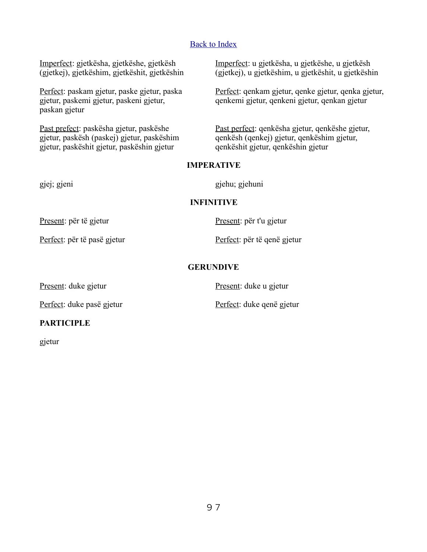| Imperfect: gjetkësha, gjetkëshe, gjetkësh<br>(gjetkej), gjetkëshim, gjetkëshit, gjetkëshin                                          | Imperfect: u gjetkësha, u gjetkëshe, u gjetkësh<br>(gjetkej), u gjetkëshim, u gjetkëshit, u gjetkëshin                              |  |
|-------------------------------------------------------------------------------------------------------------------------------------|-------------------------------------------------------------------------------------------------------------------------------------|--|
| Perfect: paskam gjetur, paske gjetur, paska<br>gjetur, paskemi gjetur, paskeni gjetur,<br>paskan gjetur                             | Perfect: qenkam gjetur, qenke gjetur, qenka gjetur,<br>qenkemi gjetur, qenkeni gjetur, qenkan gjetur                                |  |
| Past prefect: paskësha gjetur, paskëshe<br>gjetur, paskësh (paskej) gjetur, paskëshim<br>gjetur, paskëshit gjetur, paskëshin gjetur | Past perfect: qenkësha gjetur, qenkëshe gjetur,<br>qenkësh (qenkej) gjetur, qenkëshim gjetur,<br>qenkëshit gjetur, qenkëshin gjetur |  |
| <b>IMPERATIVE</b>                                                                                                                   |                                                                                                                                     |  |
| gjej; gjeni                                                                                                                         | gjehu; gjehuni                                                                                                                      |  |
| <b>INFINITIVE</b>                                                                                                                   |                                                                                                                                     |  |
| Present: për të gjetur                                                                                                              | Present: për t'u gjetur                                                                                                             |  |
| Perfect: për të pasë gjetur                                                                                                         | Perfect: për të qenë gjetur                                                                                                         |  |
| <b>GERUNDIVE</b>                                                                                                                    |                                                                                                                                     |  |
| Present: duke gjetur                                                                                                                | Present: duke u gjetur                                                                                                              |  |
| Perfect: duke pasë gjetur                                                                                                           | Perfect: duke qenë gjetur                                                                                                           |  |
| <b>PARTICIPLE</b>                                                                                                                   |                                                                                                                                     |  |

gjetur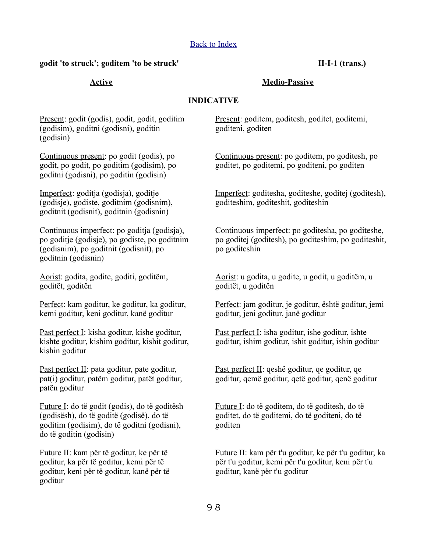#### **godit 'to struck'; goditem 'to be struck' II-I-1 (trans.)**

# **Active Medio-Passive**

#### **INDICATIVE**

Present: godit (godis), godit, godit, goditim (godisim), goditni (godisni), goditin (godisin)

Continuous present: po godit (godis), po godit, po godit, po goditim (godisim), po goditni (godisni), po goditin (godisin)

Imperfect: goditja (godisja), goditje (godisje), godiste, goditnim (godisnim), goditnit (godisnit), goditnin (godisnin)

Continuous imperfect: po goditja (godisja), po goditje (godisje), po godiste, po goditnim (godisnim), po goditnit (godisnit), po goditnin (godisnin)

Aorist: godita, godite, goditi, goditëm, goditët, goditën

Perfect: kam goditur, ke goditur, ka goditur, kemi goditur, keni goditur, kanë goditur

Past perfect I: kisha goditur, kishe goditur, kishte goditur, kishim goditur, kishit goditur, kishin goditur

Past perfect II: pata goditur, pate goditur, pat(i) goditur, patëm goditur, patët goditur, patën goditur

Future I: do të godit (godis), do të goditësh (godisësh), do të goditë (godisë), do të goditim (godisim), do të goditni (godisni), do të goditin (godisin)

Future II: kam për të goditur, ke për të goditur, ka për të goditur, kemi për të goditur, keni për të goditur, kanë për të goditur

Present: goditem, goditesh, goditet, goditemi, goditeni, goditen

Continuous present: po goditem, po goditesh, po goditet, po goditemi, po goditeni, po goditen

Imperfect: goditesha, goditeshe, goditej (goditesh), goditeshim, goditeshit, goditeshin

Continuous imperfect: po goditesha, po goditeshe, po goditej (goditesh), po goditeshim, po goditeshit, po goditeshin

Aorist: u godita, u godite, u godit, u goditëm, u goditët, u goditën

Perfect: jam goditur, je goditur, është goditur, jemi goditur, jeni goditur, janë goditur

Past perfect I: isha goditur, ishe goditur, ishte goditur, ishim goditur, ishit goditur, ishin goditur

Past perfect II: qeshë goditur, qe goditur, qe goditur, qemë goditur, qetë goditur, qenë goditur

Future I: do të goditem, do të goditesh, do të goditet, do të goditemi, do të goditeni, do të goditen

Future II: kam për t'u goditur, ke për t'u goditur, ka për t'u goditur, kemi për t'u goditur, keni për t'u goditur, kanë për t'u goditur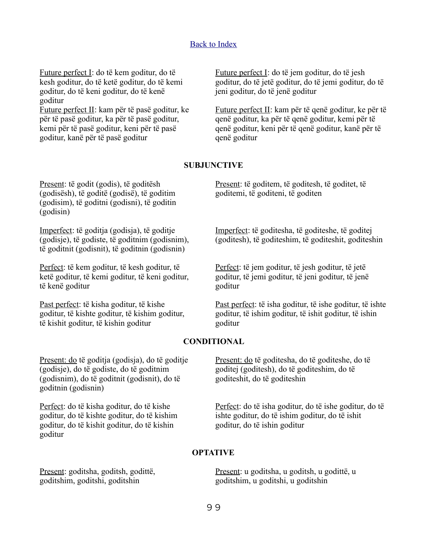Future perfect I: do të kem goditur, do të kesh goditur, do të ketë goditur, do të kemi goditur, do të keni goditur, do të kenë goditur

Future perfect II: kam për të pasë goditur, ke për të pasë goditur, ka për të pasë goditur, kemi për të pasë goditur, keni për të pasë goditur, kanë për të pasë goditur

Future perfect I: do të jem goditur, do të jesh goditur, do të jetë goditur, do të jemi goditur, do të jeni goditur, do të jenë goditur

Future perfect II: kam për të qenë goditur, ke për të qenë goditur, ka për të qenë goditur, kemi për të qenë goditur, keni për të qenë goditur, kanë për të qenë goditur

#### **SUBJUNCTIVE**

Present: të godit (godis), të goditësh (godisësh), të goditë (godisë), të goditim (godisim), të goditni (godisni), të goditin (godisin)

Imperfect: të goditja (godisja), të goditje (godisje), të godiste, të goditnim (godisnim), të goditnit (godisnit), të goditnin (godisnin)

Perfect: të kem goditur, të kesh goditur, të ketë goditur, të kemi goditur, të keni goditur, të kenë goditur

Past perfect: të kisha goditur, të kishe goditur, të kishte goditur, të kishim goditur, të kishit goditur, të kishin goditur

Present: do të goditja (godisja), do të goditje (godisje), do të godiste, do të goditnim (godisnim), do të goditnit (godisnit), do të goditnin (godisnin)

Perfect: do të kisha goditur, do të kishe goditur, do të kishte goditur, do të kishim goditur, do të kishit goditur, do të kishin goditur

Present: goditsha, goditsh, godittë, goditshim, goditshi, goditshin

Present: të goditem, të goditesh, të goditet, të goditemi, të goditeni, të goditen

Imperfect: të goditesha, të goditeshe, të goditej (goditesh), të goditeshim, të goditeshit, goditeshin

Perfect: të jem goditur, të jesh goditur, të jetë goditur, të jemi goditur, të jeni goditur, të jenë goditur

Past perfect: të isha goditur, të ishe goditur, të ishte goditur, të ishim goditur, të ishit goditur, të ishin goditur

#### **CONDITIONAL**

Present: do të goditesha, do të goditeshe, do të goditej (goditesh), do të goditeshim, do të goditeshit, do të goditeshin

Perfect: do të isha goditur, do të ishe goditur, do të ishte goditur, do të ishim goditur, do të ishit goditur, do të ishin goditur

### **OPTATIVE**

Present: u goditsha, u goditsh, u godittë, u goditshim, u goditshi, u goditshin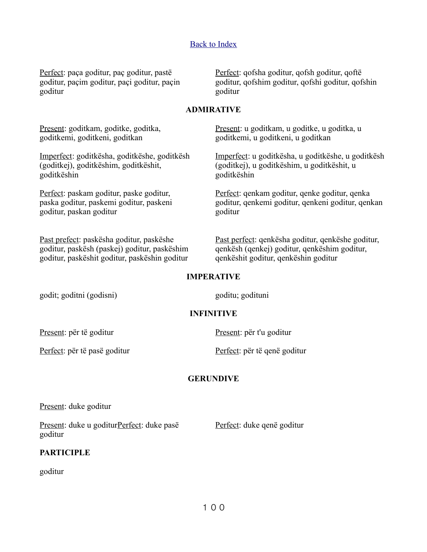Perfect: paça goditur, paç goditur, pastë goditur, paçim goditur, paçi goditur, paçin goditur

Perfect: qofsha goditur, qofsh goditur, qoftë goditur, qofshim goditur, qofshi goditur, qofshin goditur

# **ADMIRATIVE**

Present: goditkam, goditke, goditka, goditkemi, goditkeni, goditkan Present: u goditkam, u goditke, u goditka, u goditkemi, u goditkeni, u goditkan Imperfect: goditkësha, goditkëshe, goditkësh (goditkej), goditkëshim, goditkëshit, goditkëshin goditkëshin Perfect: paskam goditur, paske goditur, paska goditur, paskemi goditur, paskeni

Past prefect: paskësha goditur, paskëshe goditur, paskësh (paskej) goditur, paskëshim

goditur, paskëshit goditur, paskëshin goditur

goditur, paskan goditur

Imperfect: u goditkësha, u goditkëshe, u goditkësh

(goditkej), u goditkëshim, u goditkëshit, u

Perfect: qenkam goditur, qenke goditur, qenka goditur, qenkemi goditur, qenkeni goditur, qenkan goditur

Past perfect: qenkësha goditur, qenkëshe goditur, qenkësh (qenkej) goditur, qenkëshim goditur, qenkëshit goditur, qenkëshin goditur

## **IMPERATIVE**

| godit; goditni (godisni)                             | goditu; godituni             |
|------------------------------------------------------|------------------------------|
|                                                      | <b>INFINITIVE</b>            |
| Present: për të goditur                              | Present: për t'u goditur     |
| Perfect: për të pasë goditur                         | Perfect: për të qenë goditur |
|                                                      | <b>GERUNDIVE</b>             |
| Present: duke goditur                                |                              |
| Present: duke u goditurPerfect: duke pasë<br>goditur | Perfect: duke qenë goditur   |

# **PARTICIPLE**

goditur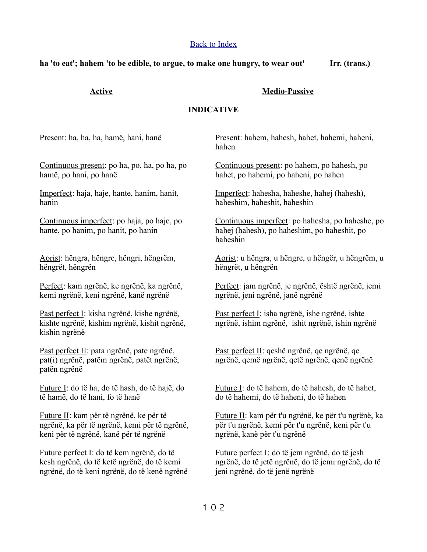# **ha 'to eat'; hahem 'to be edible, to argue, to make one hungry, to wear out' Irr. (trans.)**

## **Active Medio-Passive**

# **INDICATIVE**

Continuous present: po ha, po, ha, po ha, po hamë, po hani, po hanë

Imperfect: haja, haje, hante, hanim, hanit, hanin

Continuous imperfect: po haja, po haje, po hante, po hanim, po hanit, po hanin

Aorist: hëngra, hëngre, hëngri, hëngrëm, hëngrët, hëngrën

Perfect: kam ngrënë, ke ngrënë, ka ngrënë, kemi ngrënë, keni ngrënë, kanë ngrënë

Past perfect I: kisha ngrënë, kishe ngrënë, kishte ngrënë, kishim ngrënë, kishit ngrënë, kishin ngrënë

Past perfect II: pata ngrënë, pate ngrënë, pat(i) ngrënë, patëm ngrënë, patët ngrënë, patën ngrënë

Future I: do të ha, do të hash, do të hajë, do të hamë, do të hani, fo të hanë

Future II: kam për të ngrënë, ke për të ngrënë, ka për të ngrënë, kemi për të ngrënë, keni për të ngrënë, kanë për të ngrënë

Future perfect I: do të kem ngrënë, do të kesh ngrënë, do të ketë ngrënë, do të kemi ngrënë, do të keni ngrënë, do të kenë ngrënë

Present: ha, ha, ha, hamë, hani, hanë Present: hahem, hahesh, hahet, hahemi, haheni, hahen

> Continuous present: po hahem, po hahesh, po hahet, po hahemi, po haheni, po hahen

Imperfect: hahesha, haheshe, hahej (hahesh), haheshim, haheshit, haheshin

Continuous imperfect: po hahesha, po haheshe, po hahej (hahesh), po haheshim, po haheshit, po haheshin

Aorist: u hëngra, u hëngre, u hëngër, u hëngrëm, u hëngrët, u hëngrën

Perfect: jam ngrënë, je ngrënë, është ngrënë, jemi ngrënë, jeni ngrënë, janë ngrënë

Past perfect I: isha ngrënë, ishe ngrënë, ishte ngrënë, ishim ngrënë, ishit ngrënë, ishin ngrënë

Past perfect II: qeshë ngrënë, qe ngrënë, qe ngrënë, qemë ngrënë, qetë ngrënë, qenë ngrënë

Future I: do të hahem, do të hahesh, do të hahet, do të hahemi, do të haheni, do të hahen

Future II: kam për t'u ngrënë, ke për t'u ngrënë, ka për t'u ngrënë, kemi për t'u ngrënë, keni për t'u ngrënë, kanë për t'u ngrënë

Future perfect I: do të jem ngrënë, do të jesh ngrënë, do të jetë ngrënë, do të jemi ngrënë, do të jeni ngrënë, do të jenë ngrënë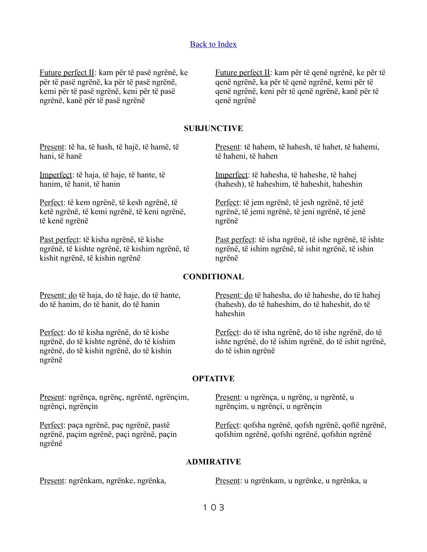Future perfect II: kam për të pasë ngrënë, ke për të pasë ngrënë, ka për të pasë ngrënë, kemi për të pasë ngrënë, keni për të pasë ngrënë, kanë për të pasë ngrënë

Future perfect II: kam për të qenë ngrënë, ke për të qenë ngrënë, ka për të qenë ngrënë, kemi për të qenë ngrënë, keni për të qenë ngrënë, kanë për të qenë ngrënë

# **SUBJUNCTIVE**

Present: të ha, të hash, të hajë, të hamë, të hani, të hanë

Imperfect: të haja, të haje, të hante, të hanim, të hanit, të hanin

Perfect: të kem ngrënë, të kesh ngrënë, të ketë ngrënë, të kemi ngrënë, të keni ngrënë, të kenë ngrënë

Past perfect: të kisha ngrënë, të kishe ngrënë, të kishte ngrënë, të kishim ngrënë, të kishit ngrënë, të kishin ngrënë

Present: të hahem, të hahesh, të hahet, të hahemi, të haheni, të hahen

Imperfect: të hahesha, të haheshe, të hahej (hahesh), të haheshim, të haheshit, haheshin

Perfect: të jem ngrënë, të jesh ngrënë, të jetë ngrënë, të jemi ngrënë, të jeni ngrënë, të jenë ngrënë

Past perfect: të isha ngrënë, të ishe ngrënë, të ishte ngrënë, të ishim ngrënë, të ishit ngrënë, të ishin ngrënë

# **CONDITIONAL**

Present: do të haja, do të haje, do të hante, do të hanim, do të hanit, do të hanin

Perfect: do të kisha ngrënë, do të kishe ngrënë, do të kishte ngrënë, do të kishim ngrënë, do të kishit ngrënë, do të kishin ngrënë

Present: do të hahesha, do të haheshe, do të hahej (hahesh), do të haheshim, do të haheshit, do të haheshin

Perfect: do të isha ngrënë, do të ishe ngrënë, do të ishte ngrënë, do të ishim ngrënë, do të ishit ngrënë, do të ishin ngrënë

#### **OPTATIVE**

| Present: ngrënça, ngrënç, ngrëntë, ngrënçim,                                                  | Present: u ngrënça, u ngrënç, u ngrëntë, u                                                           |
|-----------------------------------------------------------------------------------------------|------------------------------------------------------------------------------------------------------|
| ngrënçi, ngrënçin                                                                             | ngrënçim, u ngrënçi, u ngrënçin                                                                      |
| Perfect: paça ngrënë, paç ngrënë, pastë<br>ngrënë, paçim ngrënë, paçi ngrënë, paçin<br>ngrënë | Perfect: qofsha ngrënë, qofsh ngrënë, qoftë ngrënë,<br>qofshim ngrënë, qofshi ngrënë, qofshin ngrënë |

# **ADMIRATIVE**

Present: ngrënkam, ngrënke, ngrënka, Present: u ngrënkam, u ngrënke, u ngrënka, u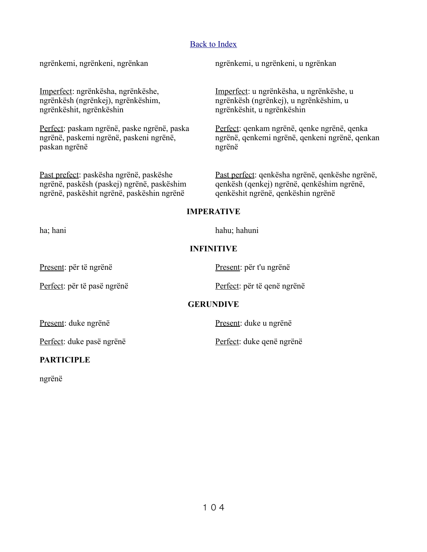ngrënkemi, ngrënkeni, ngrënkan ngrënkemi, u ngrënkeni, u ngrënkan Imperfect: ngrënkësha, ngrënkëshe, ngrënkësh (ngrënkej), ngrënkëshim, ngrënkëshit, ngrënkëshin Imperfect: u ngrënkësha, u ngrënkëshe, u ngrënkësh (ngrënkej), u ngrënkëshim, u ngrënkëshit, u ngrënkëshin Perfect: paskam ngrënë, paske ngrënë, paska ngrënë, paskemi ngrënë, paskeni ngrënë, paskan ngrënë Perfect: qenkam ngrënë, qenke ngrënë, qenka ngrënë, qenkemi ngrënë, qenkeni ngrënë, qenkan ngrënë Past prefect: paskësha ngrënë, paskëshe ngrënë, paskësh (paskej) ngrënë, paskëshim ngrënë, paskëshit ngrënë, paskëshin ngrënë Past perfect: qenkësha ngrënë, qenkëshe ngrënë, qenkësh (qenkej) ngrënë, qenkëshim ngrënë, qenkëshit ngrënë, qenkëshin ngrënë **IMPERATIVE** ha; hani hahu; hahuni **INFINITIVE** Present: për të ngrënë Present: për t'u ngrënë Perfect: për të pasë ngrënë veritete për të qenë ngrënë

### **GERUNDIVE**

| Present: duke ngrënë      | Present: duke u ngrënë    |
|---------------------------|---------------------------|
| Perfect: duke pasë ngrënë | Perfect: duke qenë ngrënë |

# **PARTICIPLE**

ngrënë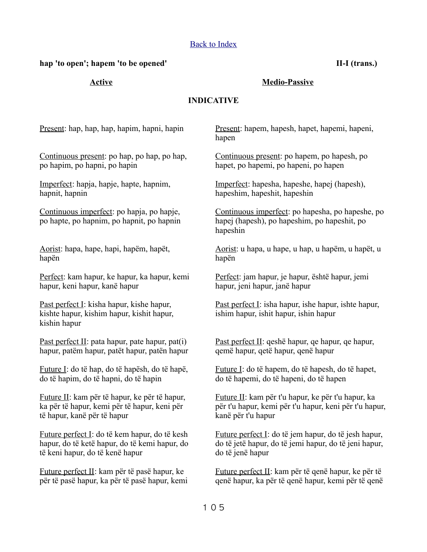### **hap 'to open'; hapem 'to be opened' II-I (trans.)**

# **Active Medio-Passive**

# **INDICATIVE**

Continuous present: po hap, po hap, po hap, po hapim, po hapni, po hapin

Imperfect: hapja, hapje, hapte, hapnim, hapnit, hapnin

Continuous imperfect: po hapja, po hapje, po hapte, po hapnim, po hapnit, po hapnin

Aorist: hapa, hape, hapi, hapëm, hapët, hapën

Perfect: kam hapur, ke hapur, ka hapur, kemi hapur, keni hapur, kanë hapur

Past perfect I: kisha hapur, kishe hapur, kishte hapur, kishim hapur, kishit hapur, kishin hapur

Past perfect  $II$ : pata hapur, pate hapur, pat(i) hapur, patëm hapur, patët hapur, patën hapur

Future I: do të hap, do të hapësh, do të hapë, do të hapim, do të hapni, do të hapin

Future II: kam për të hapur, ke për të hapur, ka për të hapur, kemi për të hapur, keni për të hapur, kanë për të hapur

Future perfect I: do të kem hapur, do të kesh hapur, do të ketë hapur, do të kemi hapur, do të keni hapur, do të kenë hapur

Future perfect II: kam për të pasë hapur, ke për të pasë hapur, ka për të pasë hapur, kemi

Present: hap, hap, hap, hapim, hapni, hapin Present: hapem, hapesh, hapet, hapemi, hapeni, hapen

> Continuous present: po hapem, po hapesh, po hapet, po hapemi, po hapeni, po hapen

Imperfect: hapesha, hapeshe, hapej (hapesh), hapeshim, hapeshit, hapeshin

Continuous imperfect: po hapesha, po hapeshe, po hapej (hapesh), po hapeshim, po hapeshit, po hapeshin

Aorist: u hapa, u hape, u hap, u hapëm, u hapët, u hapën

Perfect: jam hapur, je hapur, është hapur, jemi hapur, jeni hapur, janë hapur

Past perfect I: isha hapur, ishe hapur, ishte hapur, ishim hapur, ishit hapur, ishin hapur

Past perfect II: qeshë hapur, qe hapur, qe hapur, qemë hapur, qetë hapur, qenë hapur

Future I: do të hapem, do të hapesh, do të hapet, do të hapemi, do të hapeni, do të hapen

Future II: kam për t'u hapur, ke për t'u hapur, ka për t'u hapur, kemi për t'u hapur, keni për t'u hapur, kanë për t'u hapur

Future perfect I: do të jem hapur, do të jesh hapur, do të jetë hapur, do të jemi hapur, do të jeni hapur, do të jenë hapur

Future perfect II: kam për të qenë hapur, ke për të qenë hapur, ka për të qenë hapur, kemi për të qenë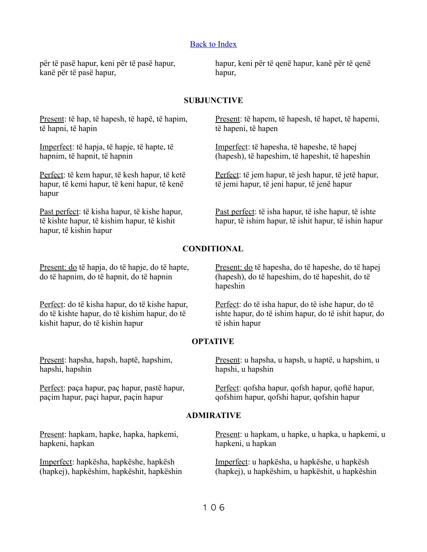për të pasë hapur, keni për të pasë hapur, kanë për të pasë hapur,

hapur, keni për të qenë hapur, kanë për të qenë hapur,

## **SUBJUNCTIVE**

Present: të hap, të hapesh, të hapë, të hapim, të hapni, të hapin të hapeni, të hapen Imperfect: të hapja, të hapje, të hapte, të hapnim, të hapnit, të hapnin Perfect: të kem hapur, të kesh hapur, të ketë

hapur, të kemi hapur, të keni hapur, të kenë hapur

Past perfect: të kisha hapur, të kishe hapur, të kishte hapur, të kishim hapur, të kishit hapur, të kishin hapur

Present: të hapem, të hapesh, të hapet, të hapemi,

Imperfect: të hapesha, të hapeshe, të hapej (hapesh), të hapeshim, të hapeshit, të hapeshin

Perfect: të jem hapur, të jesh hapur, të jetë hapur, të jemi hapur, të jeni hapur, të jenë hapur

Past perfect: të isha hapur, të ishe hapur, të ishte hapur, të ishim hapur, të ishit hapur, të ishin hapur

# **CONDITIONAL**

Present: do të hapja, do të hapje, do të hapte, do të hapnim, do të hapnit, do të hapnin

Perfect: do të kisha hapur, do të kishe hapur, do të kishte hapur, do të kishim hapur, do të kishit hapur, do të kishin hapur

Present: do të hapesha, do të hapeshe, do të hapej (hapesh), do të hapeshim, do të hapeshit, do të hapeshin

Perfect: do të isha hapur, do të ishe hapur, do të ishte hapur, do të ishim hapur, do të ishit hapur, do të ishin hapur

# **OPTATIVE**

Present: hapsha, hapsh, haptë, hapshim, hapshi, hapshin

Perfect: paça hapur, paç hapur, pastë hapur, paçim hapur, paçi hapur, paçin hapur

hapshi, u hapshin Perfect: qofsha hapur, qofsh hapur, qoftë hapur,

Present: u hapsha, u hapsh, u haptë, u hapshim, u

qofshim hapur, qofshi hapur, qofshin hapur

# **ADMIRATIVE**

Present: hapkam, hapke, hapka, hapkemi, hapkeni, hapkan

Imperfect: hapkësha, hapkëshe, hapkësh (hapkej), hapkëshim, hapkëshit, hapkëshin Present: u hapkam, u hapke, u hapka, u hapkemi, u hapkeni, u hapkan

Imperfect: u hapkësha, u hapkëshe, u hapkësh (hapkej), u hapkëshim, u hapkëshit, u hapkëshin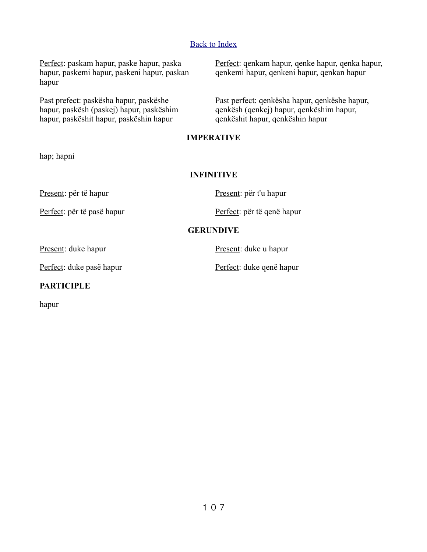Perfect: paskam hapur, paske hapur, paska hapur, paskemi hapur, paskeni hapur, paskan hapur

Past prefect: paskësha hapur, paskëshe hapur, paskësh (paskej) hapur, paskëshim hapur, paskëshit hapur, paskëshin hapur

Perfect: qenkam hapur, qenke hapur, qenka hapur, qenkemi hapur, qenkeni hapur, qenkan hapur

Past perfect: qenkësha hapur, qenkëshe hapur, qenkësh (qenkej) hapur, qenkëshim hapur, qenkëshit hapur, qenkëshin hapur

# **IMPERATIVE**

hap; hapni

# **INFINITIVE**

| Present: për të hapur              | Present: për t'u hapur     |
|------------------------------------|----------------------------|
| <u>Perfect</u> : për të pasë hapur | Perfect: për të qenë hapur |
|                                    | <b>GERUNDIVE</b>           |
| Present: duke hapur                | Present: duke u hapur      |
| Perfect: duke pasë hapur           | Perfect: duke qenë hapur   |

# **PARTICIPLE**

hapur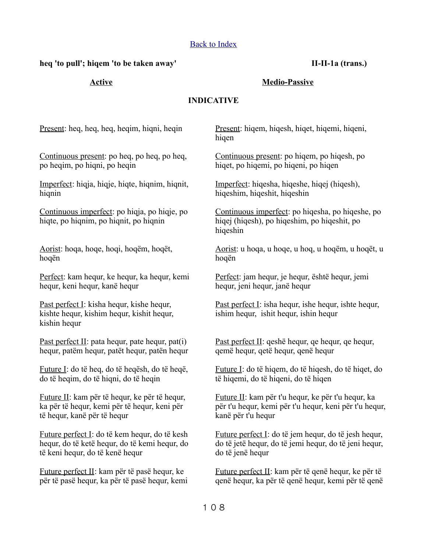### **heq 'to pull'; hiqem 'to be taken away' II-II-1a (trans.)**

# **Active Medio-Passive**

## **INDICATIVE**

Continuous present: po heq, po heq, po heq, po heqim, po hiqni, po heqin

Imperfect: hiqja, hiqje, hiqte, hiqnim, hiqnit, hiqnin

Continuous imperfect: po hiqja, po hiqje, po hiqte, po hiqnim, po hiqnit, po hiqnin

Aorist: hoqa, hoqe, hoqi, hoqëm, hoqët, hoqën

Perfect: kam hequr, ke hequr, ka hequr, kemi hequr, keni hequr, kanë hequr

Past perfect I: kisha hequr, kishe hequr, kishte hequr, kishim hequr, kishit hequr, kishin hequr

Past perfect  $II$ : pata hequr, pate hequr, pat(i) hequr, patëm hequr, patët hequr, patën hequr

Future I: do të heq, do të heqësh, do të heqë, do të heqim, do të hiqni, do të heqin

Future II: kam për të hequr, ke për të hequr, ka për të hequr, kemi për të hequr, keni për të hequr, kanë për të hequr

Future perfect I: do të kem hequr, do të kesh hequr, do të ketë hequr, do të kemi hequr, do të keni hequr, do të kenë hequr

Future perfect II: kam për të pasë hequr, ke për të pasë hequr, ka për të pasë hequr, kemi

Present: heq, heq, heq, heqim, hiqni, heqin Present: hiqem, hiqesh, hiqet, hiqemi, hiqeni, hiqen

> Continuous present: po hiqem, po hiqesh, po hiqet, po hiqemi, po hiqeni, po hiqen

Imperfect: hiqesha, hiqeshe, hiqej (hiqesh), hiqeshim, hiqeshit, hiqeshin

Continuous imperfect: po hiqesha, po hiqeshe, po hiqej (hiqesh), po hiqeshim, po hiqeshit, po hiqeshin

Aorist: u hoqa, u hoqe, u hoq, u hoqëm, u hoqët, u hoqën

Perfect: jam hequr, je hequr, është hequr, jemi hequr, jeni hequr, janë hequr

Past perfect I: isha hequr, ishe hequr, ishte hequr, ishim hequr, ishit hequr, ishin hequr

Past perfect II: qeshë hequr, qe hequr, qe hequr, qemë hequr, qetë hequr, qenë hequr

Future I: do të hiqem, do të hiqesh, do të hiqet, do të hiqemi, do të hiqeni, do të hiqen

Future II: kam për t'u hequr, ke për t'u hequr, ka për t'u hequr, kemi për t'u hequr, keni për t'u hequr, kanë për t'u hequr

Future perfect I: do të jem hequr, do të jesh hequr, do të jetë hequr, do të jemi hequr, do të jeni hequr, do të jenë hequr

Future perfect II: kam për të qenë hequr, ke për të qenë hequr, ka për të qenë hequr, kemi për të qenë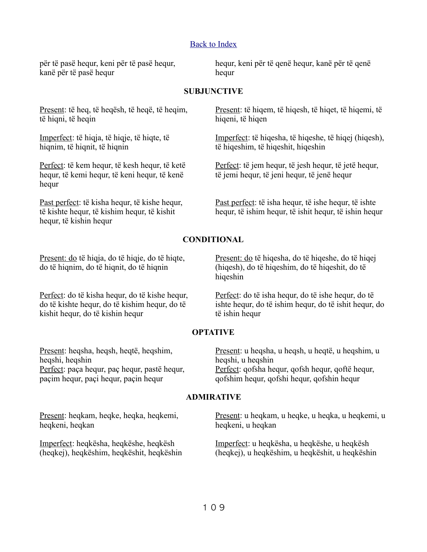për të pasë hequr, keni për të pasë hequr, kanë për të pasë hequr

hequr, keni për të qenë hequr, kanë për të qenë hequr

## **SUBJUNCTIVE**

Present: të heq, të heqësh, të heqë, të heqim, të hiqni, të heqin

Imperfect: të hiqja, të hiqje, të hiqte, të hiqnim, të hiqnit, të hiqnin

Perfect: të kem hequr, të kesh hequr, të ketë hequr, të kemi hequr, të keni hequr, të kenë hequr

Past perfect: të kisha hequr, të kishe hequr, të kishte hequr, të kishim hequr, të kishit hequr, të kishin hequr

Present: të hiqem, të hiqesh, të hiqet, të hiqemi, të hiqeni, të hiqen

Imperfect: të hiqesha, të hiqeshe, të hiqej (hiqesh), të hiqeshim, të hiqeshit, hiqeshin

Perfect: të jem hequr, të jesh hequr, të jetë hequr, të jemi hequr, të jeni hequr, të jenë hequr

Past perfect: të isha hequr, të ishe hequr, të ishte hequr, të ishim hequr, të ishit hequr, të ishin hequr

# **CONDITIONAL**

Present: do të hiqja, do të hiqje, do të hiqte, do të hiqnim, do të hiqnit, do të hiqnin Present: do të hiqesha, do të hiqeshe, do të hiqej (hiqesh), do të hiqeshim, do të hiqeshit, do të hiqeshin Perfect: do të kisha hequr, do të kishe hequr, do të kishte hequr, do të kishim hequr, do të kishit hequr, do të kishin hequr Perfect: do të isha hequr, do të ishe hequr, do të ishte hequr, do të ishim hequr, do të ishit hequr, do të ishin hequr **OPTATIVE**

Present: heqsha, heqsh, heqtë, heqshim, heqshi, heqshin Present: u heqsha, u heqsh, u heqtë, u heqshim, u heqshi, u heqshin Perfect: paça hequr, paç hequr, pastë hequr, paçim hequr, paçi hequr, paçin hequr Perfect: qofsha hequr, qofsh hequr, qoftë hequr, qofshim hequr, qofshi hequr, qofshin hequr **ADMIRATIVE**

Present: heqkam, heqke, heqka, heqkemi, heqkeni, heqkan

Imperfect: heqkësha, heqkëshe, heqkësh (heqkej), heqkëshim, heqkëshit, heqkëshin Present: u heqkam, u heqke, u heqka, u heqkemi, u heqkeni, u heqkan

Imperfect: u heqkësha, u heqkëshe, u heqkësh (heqkej), u heqkëshim, u heqkëshit, u heqkëshin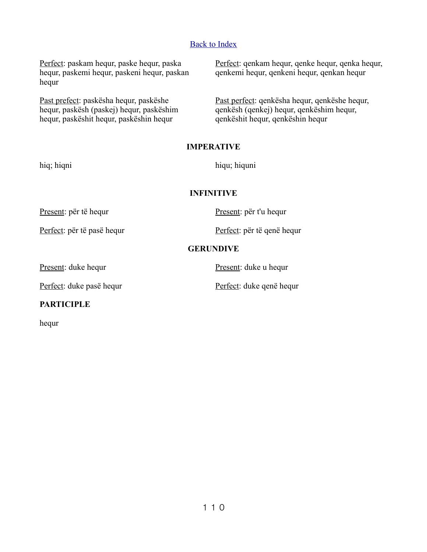Perfect: paskam hequr, paske hequr, paska hequr, paskemi hequr, paskeni hequr, paskan hequr Perfect: qenkam hequr, qenke hequr, qenka hequr, qenkemi hequr, qenkeni hequr, qenkan hequr Past prefect: paskësha hequr, paskëshe hequr, paskësh (paskej) hequr, paskëshim hequr, paskëshit hequr, paskëshin hequr Past perfect: qenkësha hequr, qenkëshe hequr, qenkësh (qenkej) hequr, qenkëshim hequr, qenkëshit hequr, qenkëshin hequr **IMPERATIVE** hiq; hiqni hiqu; hiquni **INFINITIVE** Present: për të hequr Present: për t'u hequr Perfect: për të pasë hequr Perfect: për të qenë hequr **GERUNDIVE** Present: duke hequr Present: duke u hequr Perfect: duke pasë hequr Perfect: duke qenë hequr **PARTICIPLE**

hequr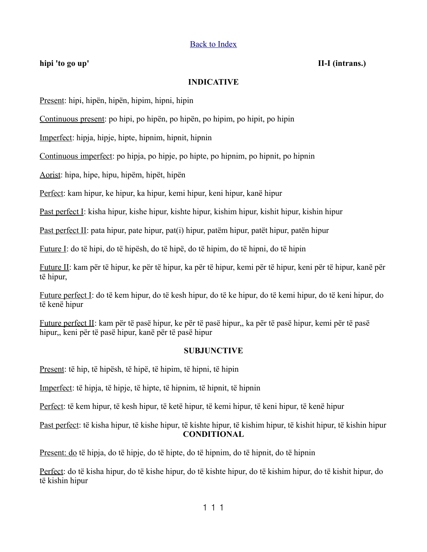# **hipi 'to go up' II-I (intrans.)**

# **INDICATIVE**

Present: hipi, hipën, hipën, hipim, hipni, hipin

Continuous present: po hipi, po hipën, po hipën, po hipim, po hipit, po hipin

Imperfect: hipja, hipje, hipte, hipnim, hipnit, hipnin

Continuous imperfect: po hipja, po hipje, po hipte, po hipnim, po hipnit, po hipnin

Aorist: hipa, hipe, hipu, hipëm, hipët, hipën

Perfect: kam hipur, ke hipur, ka hipur, kemi hipur, keni hipur, kanë hipur

Past perfect I: kisha hipur, kishe hipur, kishte hipur, kishim hipur, kishit hipur, kishin hipur

Past perfect II: pata hipur, pate hipur, pat(i) hipur, patëm hipur, patët hipur, patën hipur

Future I: do të hipi, do të hipësh, do të hipë, do të hipim, do të hipni, do të hipin

Future II: kam për të hipur, ke për të hipur, ka për të hipur, kemi për të hipur, keni për të hipur, kanë për të hipur,

Future perfect I: do të kem hipur, do të kesh hipur, do të ke hipur, do të kemi hipur, do të keni hipur, do të kenë hipur

Future perfect II: kam për të pasë hipur, ke për të pasë hipur,, ka për të pasë hipur, kemi për të pasë hipur,, keni për të pasë hipur, kanë për të pasë hipur

## **SUBJUNCTIVE**

Present: të hip, të hipësh, të hipë, të hipim, të hipni, të hipin

Imperfect: të hipja, të hipje, të hipte, të hipnim, të hipnit, të hipnin

Perfect: të kem hipur, të kesh hipur, të ketë hipur, të kemi hipur, të keni hipur, të kenë hipur

Past perfect: të kisha hipur, të kishe hipur, të kishte hipur, të kishim hipur, të kishit hipur, të kishin hipur **CONDITIONAL**

Present: do të hipja, do të hipje, do të hipte, do të hipnim, do të hipnit, do të hipnin

Perfect: do të kisha hipur, do të kishe hipur, do të kishte hipur, do të kishim hipur, do të kishit hipur, do të kishin hipur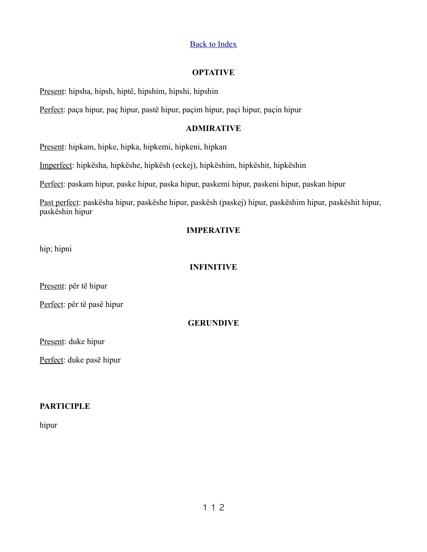## **OPTATIVE**

Present: hipsha, hipsh, hiptë, hipshim, hipshi, hipshin

Perfect: paça hipur, paç hipur, pastë hipur, paçim hipur, paçi hipur, paçin hipur

# **ADMIRATIVE**

Present: hipkam, hipke, hipka, hipkemi, hipkeni, hipkan

Imperfect: hipkësha, hipkëshe, hipkësh (eckej), hipkëshim, hipkëshit, hipkëshin

Perfect: paskam hipur, paske hipur, paska hipur, paskemi hipur, paskeni hipur, paskan hipur

Past perfect: paskësha hipur, paskëshe hipur, paskësh (paskej) hipur, paskëshim hipur, paskëshit hipur, paskëshin hipur

# **IMPERATIVE**

hip; hipni

# **INFINITIVE**

Present: për të hipur

Perfect: për të pasë hipur

# **GERUNDIVE**

Present: duke hipur

Perfect: duke pasë hipur

# **PARTICIPLE**

hipur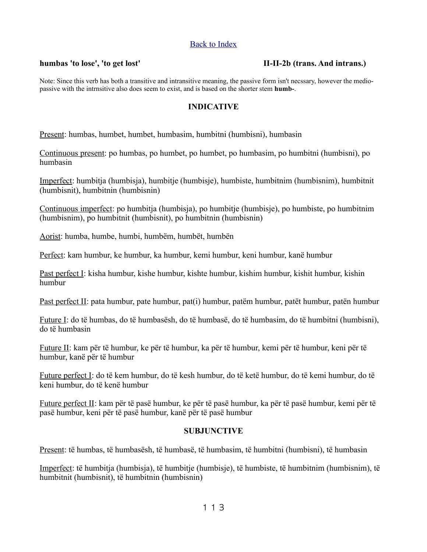# **humbas 'to lose', 'to get lost' II-II-2b (trans. And intrans.)**

Note: Since this verb has both a transitive and intransitive meaning, the passive form isn't necssary, however the mediopassive with the intrnsitive also does seem to exist, and is based on the shorter stem **humb-**.

# **INDICATIVE**

Present: humbas, humbet, humbet, humbasim, humbitni (humbisni), humbasin

Continuous present: po humbas, po humbet, po humbet, po humbasim, po humbitni (humbisni), po humbasin

Imperfect: humbitja (humbisja), humbitje (humbisje), humbiste, humbitnim (humbisnim), humbitnit (humbisnit), humbitnin (humbisnin)

Continuous imperfect: po humbitja (humbisja), po humbitje (humbisje), po humbiste, po humbitnim (humbisnim), po humbitnit (humbisnit), po humbitnin (humbisnin)

Aorist: humba, humbe, humbi, humbëm, humbët, humbën

Perfect: kam humbur, ke humbur, ka humbur, kemi humbur, keni humbur, kanë humbur

Past perfect I: kisha humbur, kishe humbur, kishte humbur, kishim humbur, kishit humbur, kishin humbur

Past perfect II: pata humbur, pate humbur, pat(i) humbur, patëm humbur, patët humbur, patën humbur

Future I: do të humbas, do të humbasësh, do të humbasë, do të humbasim, do të humbitni (humbisni), do të humbasin

Future II: kam për të humbur, ke për të humbur, ka për të humbur, kemi për të humbur, keni për të humbur, kanë për të humbur

Future perfect I: do të kem humbur, do të kesh humbur, do të ketë humbur, do të kemi humbur, do të keni humbur, do të kenë humbur

Future perfect II: kam për të pasë humbur, ke për të pasë humbur, ka për të pasë humbur, kemi për të pasë humbur, keni për të pasë humbur, kanë për të pasë humbur

#### **SUBJUNCTIVE**

Present: të humbas, të humbasësh, të humbasë, të humbasim, të humbitni (humbisni), të humbasin

Imperfect: të humbitja (humbisja), të humbitje (humbisje), të humbiste, të humbitnim (humbisnim), të humbitnit (humbisnit), të humbitnin (humbisnin)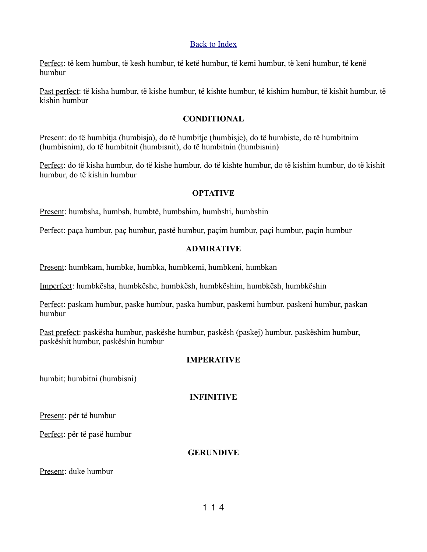Perfect: të kem humbur, të kesh humbur, të ketë humbur, të kemi humbur, të keni humbur, të kenë humbur

Past perfect: të kisha humbur, të kishe humbur, të kishte humbur, të kishim humbur, të kishit humbur, të kishin humbur

#### **CONDITIONAL**

Present: do të humbitja (humbisja), do të humbitje (humbisje), do të humbiste, do të humbitnim (humbisnim), do të humbitnit (humbisnit), do të humbitnin (humbisnin)

Perfect: do të kisha humbur, do të kishe humbur, do të kishte humbur, do të kishim humbur, do të kishit humbur, do të kishin humbur

## **OPTATIVE**

Present: humbsha, humbsh, humbtë, humbshim, humbshi, humbshin

Perfect: paça humbur, paç humbur, pastë humbur, paçim humbur, paçi humbur, paçin humbur

#### **ADMIRATIVE**

Present: humbkam, humbke, humbka, humbkemi, humbkeni, humbkan

Imperfect: humbkësha, humbkëshe, humbkësh, humbkëshim, humbkësh, humbkëshin

Perfect: paskam humbur, paske humbur, paska humbur, paskemi humbur, paskeni humbur, paskan humbur

Past prefect: paskësha humbur, paskëshe humbur, paskësh (paskej) humbur, paskëshim humbur, paskëshit humbur, paskëshin humbur

## **IMPERATIVE**

humbit; humbitni (humbisni)

## **INFINITIVE**

Present: për të humbur

Perfect: për të pasë humbur

## **GERUNDIVE**

Present: duke humbur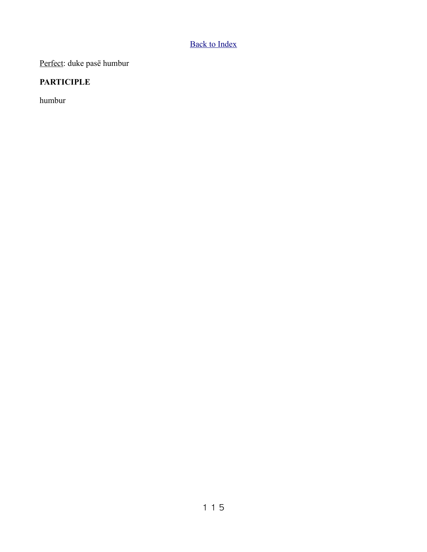Perfect: duke pasë humbur

# **PARTICIPLE**

humbur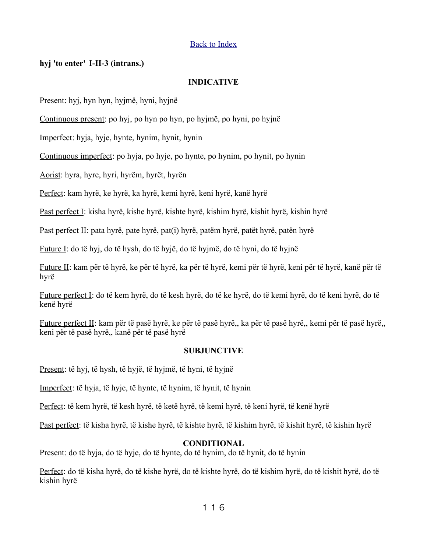# **hyj 'to enter' I-II-3 (intrans.)**

# **INDICATIVE**

Present: hyj, hyn hyn, hyjmë, hyni, hyjnë

Continuous present: po hyj, po hyn po hyn, po hyjmë, po hyni, po hyjnë

Imperfect: hyja, hyje, hynte, hynim, hynit, hynin

Continuous imperfect: po hyja, po hyje, po hynte, po hynim, po hynit, po hynin

Aorist: hyra, hyre, hyri, hyrëm, hyrët, hyrën

Perfect: kam hyrë, ke hyrë, ka hyrë, kemi hyrë, keni hyrë, kanë hyrë

Past perfect I: kisha hyrë, kishe hyrë, kishte hyrë, kishim hyrë, kishit hyrë, kishin hyrë

Past perfect II: pata hyrë, pate hyrë, pat $(i)$  hyrë, patëm hyrë, patët hyrë, patën hyrë

Future I: do të hyj, do të hysh, do të hyjë, do të hyjmë, do të hyni, do të hyjnë

Future II: kam për të hyrë, ke për të hyrë, ka për të hyrë, kemi për të hyrë, keni për të hyrë, kanë për të hyrë

Future perfect I: do të kem hyrë, do të kesh hyrë, do të ke hyrë, do të kemi hyrë, do të keni hyrë, do të kenë hyrë

Future perfect II: kam për të pasë hyrë, ke për të pasë hyrë,, ka për të pasë hyrë,, kemi për të pasë hyrë,, keni për të pasë hyrë,, kanë për të pasë hyrë

## **SUBJUNCTIVE**

Present: të hyj, të hysh, të hyjë, të hyjmë, të hyni, të hyjnë

Imperfect: të hyja, të hyje, të hynte, të hynim, të hynit, të hynin

Perfect: të kem hyrë, të kesh hyrë, të ketë hyrë, të kemi hyrë, të keni hyrë, të kenë hyrë

Past perfect: të kisha hyrë, të kishe hyrë, të kishte hyrë, të kishim hyrë, të kishit hyrë, të kishin hyrë

## **CONDITIONAL**

Present: do të hyja, do të hyje, do të hynte, do të hynim, do të hynit, do të hynin

Perfect: do të kisha hyrë, do të kishe hyrë, do të kishte hyrë, do të kishim hyrë, do të kishit hyrë, do të kishin hyrë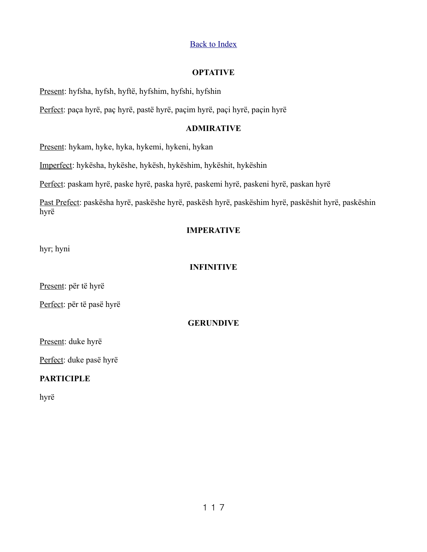## **OPTATIVE**

Present: hyfsha, hyfsh, hyftë, hyfshim, hyfshi, hyfshin

Perfect: paça hyrë, paç hyrë, pastë hyrë, paçim hyrë, paçi hyrë, paçin hyrë

# **ADMIRATIVE**

Present: hykam, hyke, hyka, hykemi, hykeni, hykan

Imperfect: hykësha, hykëshe, hykësh, hykëshim, hykëshit, hykëshin

Perfect: paskam hyrë, paske hyrë, paska hyrë, paskemi hyrë, paskeni hyrë, paskan hyrë

Past Prefect: paskësha hyrë, paskëshe hyrë, paskësh hyrë, paskëshim hyrë, paskëshit hyrë, paskëshin hyrë

# **IMPERATIVE**

hyr; hyni

# **INFINITIVE**

Present: për të hyrë

Perfect: për të pasë hyrë

# **GERUNDIVE**

Present: duke hyrë

Perfect: duke pasë hyrë

# **PARTICIPLE**

hyrë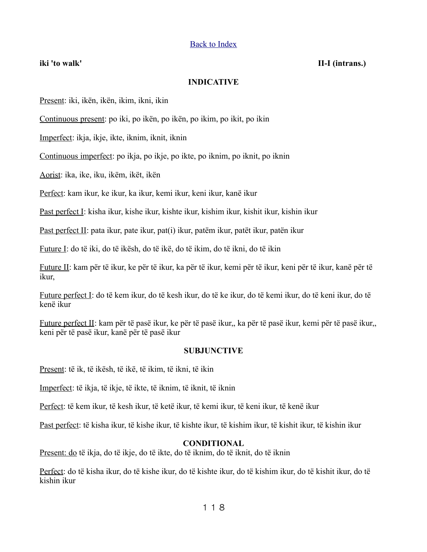# **iki 'to walk' II-I (intrans.)**

## **INDICATIVE**

Present: iki, ikën, ikën, ikim, ikni, ikin

Continuous present: po iki, po ikën, po ikën, po ikim, po ikit, po ikin

Imperfect: ikja, ikje, ikte, iknim, iknit, iknin

Continuous imperfect: po ikja, po ikje, po ikte, po iknim, po iknit, po iknin

Aorist: ika, ike, iku, ikëm, ikët, ikën

Perfect: kam ikur, ke ikur, ka ikur, kemi ikur, keni ikur, kanë ikur

Past perfect I: kisha ikur, kishe ikur, kishte ikur, kishim ikur, kishit ikur, kishin ikur

Past perfect II: pata ikur, pate ikur, pat(i) ikur, patëm ikur, patët ikur, patën ikur

Future I: do të iki, do të ikësh, do të ikë, do të ikim, do të ikni, do të ikin

Future II: kam për të ikur, ke për të ikur, ka për të ikur, kemi për të ikur, keni për të ikur, kanë për të ikur,

Future perfect I: do të kem ikur, do të kesh ikur, do të ke ikur, do të kemi ikur, do të keni ikur, do të kenë ikur

Future perfect II: kam për të pasë ikur, ke për të pasë ikur,, ka për të pasë ikur, kemi për të pasë ikur,, keni për të pasë ikur, kanë për të pasë ikur

#### **SUBJUNCTIVE**

Present: të ik, të ikësh, të ikë, të ikim, të ikni, të ikin

Imperfect: të ikja, të ikje, të ikte, të iknim, të iknit, të iknin

Perfect: të kem ikur, të kesh ikur, të ketë ikur, të kemi ikur, të keni ikur, të kenë ikur

Past perfect: të kisha ikur, të kishe ikur, të kishte ikur, të kishim ikur, të kishit ikur, të kishin ikur

#### **CONDITIONAL**

Present: do të ikja, do të ikje, do të ikte, do të iknim, do të iknit, do të iknin

Perfect: do të kisha ikur, do të kishe ikur, do të kishte ikur, do të kishim ikur, do të kishit ikur, do të kishin ikur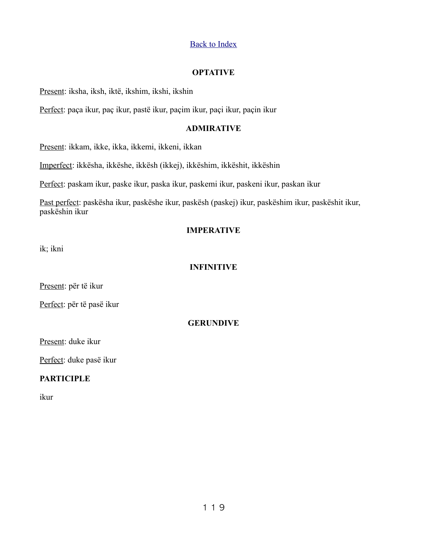# **OPTATIVE**

Present: iksha, iksh, iktë, ikshim, ikshi, ikshin

Perfect: paça ikur, paç ikur, pastë ikur, paçim ikur, paçi ikur, paçin ikur

# **ADMIRATIVE**

Present: ikkam, ikke, ikka, ikkemi, ikkeni, ikkan

Imperfect: ikkësha, ikkëshe, ikkësh (ikkej), ikkëshim, ikkëshit, ikkëshin

Perfect: paskam ikur, paske ikur, paska ikur, paskemi ikur, paskeni ikur, paskan ikur

Past perfect: paskësha ikur, paskëshe ikur, paskësh (paskej) ikur, paskëshim ikur, paskëshit ikur, paskëshin ikur

# **IMPERATIVE**

ik; ikni

# **INFINITIVE**

Present: për të ikur

Perfect: për të pasë ikur

# **GERUNDIVE**

Present: duke ikur

Perfect: duke pasë ikur

# **PARTICIPLE**

ikur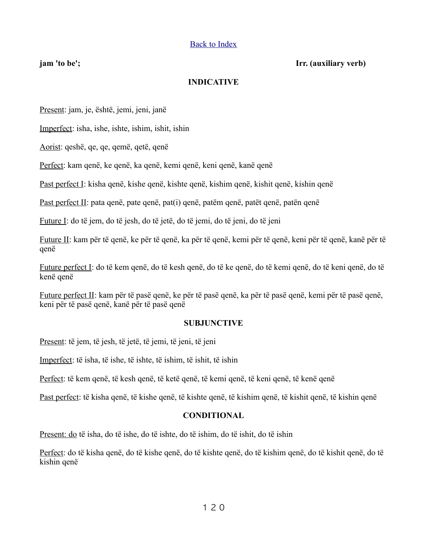#### **jam 'to be'; Irr. (auxiliary verb)**

#### **INDICATIVE**

Present: jam, je, është, jemi, jeni, janë

Imperfect: isha, ishe, ishte, ishim, ishit, ishin

Aorist: qeshë, qe, qe, qemë, qetë, qenë

Perfect: kam qenë, ke qenë, ka qenë, kemi qenë, keni qenë, kanë qenë

Past perfect I: kisha qenë, kishe qenë, kishte qenë, kishim qenë, kishit qenë, kishin qenë

Past perfect II: pata qenë, pate qenë, pat(i) qenë, patëm qenë, patët qenë, patën qenë

Future I: do të jem, do të jesh, do të jetë, do të jemi, do të jeni, do të jeni

Future II: kam për të qenë, ke për të qenë, ka për të qenë, kemi për të qenë, keni për të qenë, kanë për të qenë

Future perfect I: do të kem qenë, do të kesh qenë, do të ke qenë, do të kemi qenë, do të keni qenë, do të kenë qenë

Future perfect II: kam për të pasë qenë, ke për të pasë qenë, ka për të pasë qenë, kemi për të pasë qenë, keni për të pasë qenë, kanë për të pasë qenë

#### **SUBJUNCTIVE**

Present: të jem, të jesh, të jetë, të jemi, të jeni, të jeni

Imperfect: të isha, të ishe, të ishte, të ishim, të ishit, të ishin

Perfect: të kem qenë, të kesh qenë, të ketë qenë, të kemi qenë, të keni qenë, të kenë qenë

Past perfect: të kisha qenë, të kishe qenë, të kishte qenë, të kishim qenë, të kishit qenë, të kishin qenë

# **CONDITIONAL**

Present: do të isha, do të ishe, do të ishte, do të ishim, do të ishit, do të ishin

Perfect: do të kisha qenë, do të kishe qenë, do të kishte qenë, do të kishim qenë, do të kishit qenë, do të kishin qenë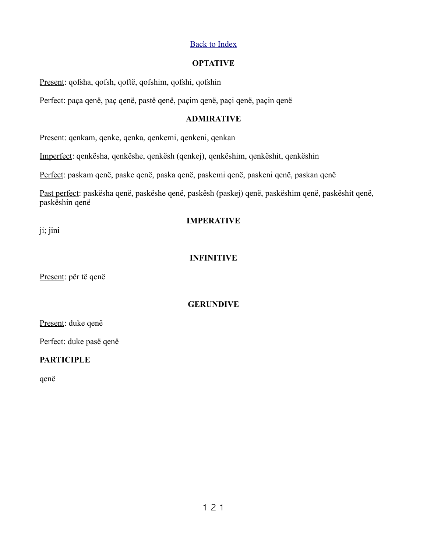# **OPTATIVE**

Present: qofsha, qofsh, qoftë, qofshim, qofshi, qofshin

Perfect: paça qenë, paç qenë, pastë qenë, paçim qenë, paçi qenë, paçin qenë

# **ADMIRATIVE**

Present: qenkam, qenke, qenka, qenkemi, qenkeni, qenkan

Imperfect: qenkësha, qenkëshe, qenkësh (qenkej), qenkëshim, qenkëshit, qenkëshin

Perfect: paskam qenë, paske qenë, paska qenë, paskemi qenë, paskeni qenë, paskan qenë

Past perfect: paskësha qenë, paskëshe qenë, paskësh (paskej) qenë, paskëshim qenë, paskëshit qenë, paskëshin qenë

# **IMPERATIVE**

ji; jini

# **INFINITIVE**

Present: për të qenë

# **GERUNDIVE**

Present: duke qenë

Perfect: duke pasë qenë

# **PARTICIPLE**

qenë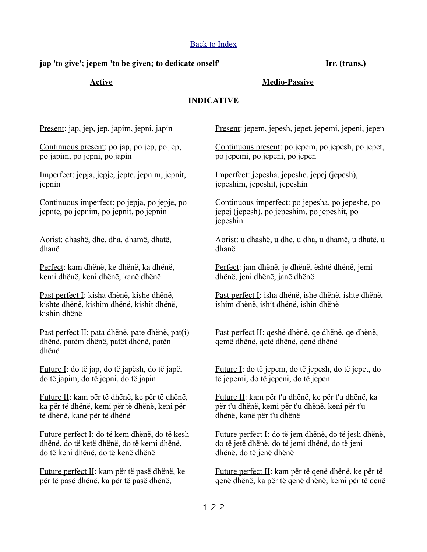# **jap 'to give'; jepem 'to be given; to dedicate onself' Irr. (trans.)**

# **Active Medio-Passive**

# **INDICATIVE**

Continuous present: po jap, po jep, po jep, po japim, po jepni, po japin

Imperfect: jepja, jepje, jepte, jepnim, jepnit, jepnin

Continuous imperfect: po jepja, po jepje, po jepnte, po jepnim, po jepnit, po jepnin

Aorist: dhashë, dhe, dha, dhamë, dhatë, dhanë

Perfect: kam dhënë, ke dhënë, ka dhënë, kemi dhënë, keni dhënë, kanë dhënë

Past perfect I: kisha dhënë, kishe dhënë, kishte dhënë, kishim dhënë, kishit dhënë, kishin dhënë

Past perfect II: pata dhënë, pate dhënë, pat(i) dhënë, patëm dhënë, patët dhënë, patën dhënë

Future I: do të jap, do të japësh, do të japë, do të japim, do të jepni, do të japin

Future II: kam për të dhënë, ke për të dhënë, ka për të dhënë, kemi për të dhënë, keni për të dhënë, kanë për të dhënë

Future perfect I: do të kem dhënë, do të kesh dhënë, do të ketë dhënë, do të kemi dhënë, do të keni dhënë, do të kenë dhënë

Future perfect II: kam për të pasë dhënë, ke për të pasë dhënë, ka për të pasë dhënë,

Present: jap, jep, jep, japim, jepni, japin Present: jepem, jepesh, jepet, jepemi, jepeni, jepen

Continuous present: po jepem, po jepesh, po jepet, po jepemi, po jepeni, po jepen

Imperfect: jepesha, jepeshe, jepej (jepesh), jepeshim, jepeshit, jepeshin

Continuous imperfect: po jepesha, po jepeshe, po jepej (jepesh), po jepeshim, po jepeshit, po jepeshin

Aorist: u dhashë, u dhe, u dha, u dhamë, u dhatë, u dhanë

Perfect: jam dhënë, je dhënë, është dhënë, jemi dhënë, jeni dhënë, janë dhënë

Past perfect I: isha dhënë, ishe dhënë, ishte dhënë, ishim dhënë, ishit dhënë, ishin dhënë

Past perfect II: qeshë dhënë, qe dhënë, qe dhënë, qemë dhënë, qetë dhënë, qenë dhënë

Future I: do të jepem, do të jepesh, do të jepet, do të jepemi, do të jepeni, do të jepen

Future II: kam për t'u dhënë, ke për t'u dhënë, ka për t'u dhënë, kemi për t'u dhënë, keni për t'u dhënë, kanë për t'u dhënë

Future perfect I: do të jem dhënë, do të jesh dhënë, do të jetë dhënë, do të jemi dhënë, do të jeni dhënë, do të jenë dhënë

Future perfect II: kam për të qenë dhënë, ke për të qenë dhënë, ka për të qenë dhënë, kemi për të qenë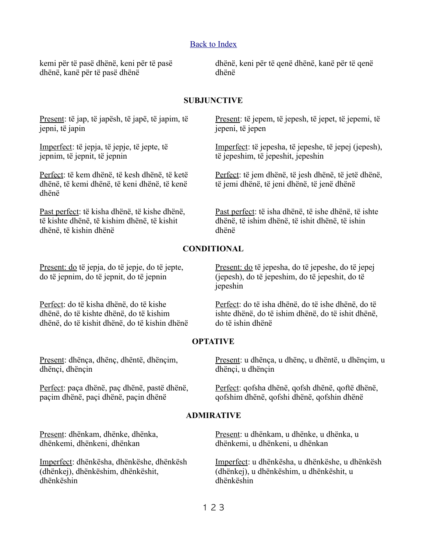kemi për të pasë dhënë, keni për të pasë dhënë, kanë për të pasë dhënë

(dhënkej), dhënkëshim, dhënkëshit,

dhënkëshin

dhënë, keni për të qenë dhënë, kanë për të qenë dhënë

#### **SUBJUNCTIVE**

Present: të jap, të japësh, të japë, të japim, të jepni, të japin Present: të jepem, të jepesh, të jepet, të jepemi, të jepeni, të jepen Imperfect: të jepja, të jepje, të jepte, të jepnim, të jepnit, të jepnin Imperfect: të jepesha, të jepeshe, të jepej (jepesh), të jepeshim, të jepeshit, jepeshin Perfect: të kem dhënë, të kesh dhënë, të ketë dhënë, të kemi dhënë, të keni dhënë, të kenë dhënë Perfect: të jem dhënë, të jesh dhënë, të jetë dhënë, të jemi dhënë, të jeni dhënë, të jenë dhënë Past perfect: të kisha dhënë, të kishe dhënë, të kishte dhënë, të kishim dhënë, të kishit dhënë, të kishin dhënë Past perfect: të isha dhënë, të ishe dhënë, të ishte dhënë, të ishim dhënë, të ishit dhënë, të ishin dhënë **CONDITIONAL** Present: do të jepja, do të jepje, do të jepte, do të jepnim, do të jepnit, do të jepnin Present: do të jepesha, do të jepeshe, do të jepej (jepesh), do të jepeshim, do të jepeshit, do të jepeshin Perfect: do të kisha dhënë, do të kishe dhënë, do të kishte dhënë, do të kishim dhënë, do të kishit dhënë, do të kishin dhënë Perfect: do të isha dhënë, do të ishe dhënë, do të ishte dhënë, do të ishim dhënë, do të ishit dhënë, do të ishin dhënë **OPTATIVE** Present: dhënça, dhënç, dhëntë, dhënçim, dhënçi, dhënçin Present: u dhënça, u dhënç, u dhëntë, u dhëncim, u dhënçi, u dhënçin Perfect: paça dhënë, paç dhënë, pastë dhënë, paçim dhënë, paçi dhënë, paçin dhënë Perfect: qofsha dhënë, qofsh dhënë, qoftë dhënë, qofshim dhënë, qofshi dhënë, qofshin dhënë **ADMIRATIVE** Present: dhënkam, dhënke, dhënka, dhënkemi, dhënkeni, dhënkan Present: u dhënkam, u dhënke, u dhënka, u dhënkemi, u dhënkeni, u dhënkan Imperfect: dhënkësha, dhënkëshe, dhënkësh

Imperfect: u dhënkësha, u dhënkëshe, u dhënkësh (dhënkej), u dhënkëshim, u dhënkëshit, u dhënkëshin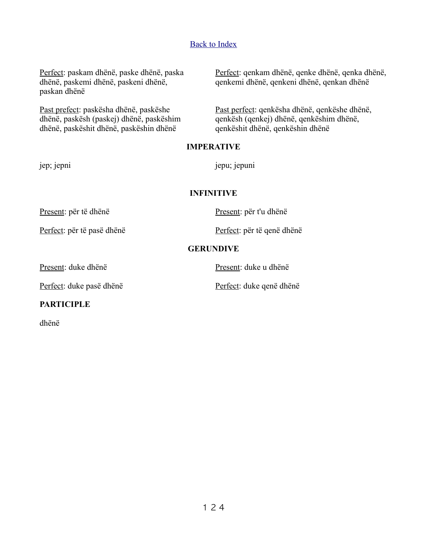| Perfect: paskam dhënë, paske dhënë, paska<br>dhënë, paskemi dhënë, paskeni dhënë,<br>paskan dhënë                             | Perfect: qenkam dhënë, qenke dhënë, qenka dhënë,<br>qenkemi dhënë, qenkeni dhënë, qenkan dhënë                                |  |
|-------------------------------------------------------------------------------------------------------------------------------|-------------------------------------------------------------------------------------------------------------------------------|--|
| Past prefect: paskësha dhënë, paskëshe<br>dhënë, paskësh (paskej) dhënë, paskëshim<br>dhënë, paskëshit dhënë, paskëshin dhënë | Past perfect: qenkësha dhënë, qenkëshe dhënë,<br>qenkësh (qenkej) dhënë, qenkëshim dhënë,<br>qenkëshit dhënë, qenkëshin dhënë |  |
| <b>IMPERATIVE</b>                                                                                                             |                                                                                                                               |  |
| jep; jepni                                                                                                                    | jepu; jepuni                                                                                                                  |  |
| <b>INFINITIVE</b>                                                                                                             |                                                                                                                               |  |
| Present: për të dhënë                                                                                                         | Present: për t'u dhënë                                                                                                        |  |
| Perfect: për të pasë dhënë                                                                                                    | Perfect: për të qenë dhënë                                                                                                    |  |
| <b>GERUNDIVE</b>                                                                                                              |                                                                                                                               |  |
| Present: duke dhënë                                                                                                           | Present: duke u dhënë                                                                                                         |  |
| Perfect: duke pasë dhënë                                                                                                      | Perfect: duke qenë dhënë                                                                                                      |  |
| <b>PARTICIPLE</b>                                                                                                             |                                                                                                                               |  |

dhënë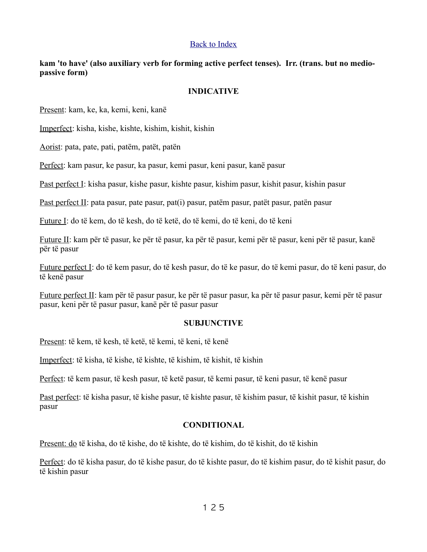**kam 'to have' (also auxiliary verb for forming active perfect tenses). Irr. (trans. but no mediopassive form)**

#### **INDICATIVE**

Present: kam, ke, ka, kemi, keni, kanë

Imperfect: kisha, kishe, kishte, kishim, kishit, kishin

Aorist: pata, pate, pati, patëm, patët, patën

Perfect: kam pasur, ke pasur, ka pasur, kemi pasur, keni pasur, kanë pasur

Past perfect I: kisha pasur, kishe pasur, kishte pasur, kishim pasur, kishit pasur, kishin pasur

Past perfect II: pata pasur, pate pasur, pat(i) pasur, patëm pasur, patët pasur, patën pasur

Future I: do të kem, do të kesh, do të ketë, do të kemi, do të keni, do të keni

Future II: kam për të pasur, ke për të pasur, ka për të pasur, kemi për të pasur, keni për të pasur, kanë për të pasur

Future perfect I: do të kem pasur, do të kesh pasur, do të ke pasur, do të kemi pasur, do të keni pasur, do të kenë pasur

Future perfect II: kam për të pasur pasur, ke për të pasur pasur, ka për të pasur pasur, kemi për të pasur pasur, keni për të pasur pasur, kanë për të pasur pasur

#### **SUBJUNCTIVE**

Present: të kem, të kesh, të ketë, të kemi, të keni, të kenë

Imperfect: të kisha, të kishe, të kishte, të kishim, të kishit, të kishin

Perfect: të kem pasur, të kesh pasur, të ketë pasur, të kemi pasur, të keni pasur, të kenë pasur

Past perfect: të kisha pasur, të kishe pasur, të kishte pasur, të kishim pasur, të kishit pasur, të kishin pasur

#### **CONDITIONAL**

Present: do të kisha, do të kishe, do të kishte, do të kishim, do të kishit, do të kishin

Perfect: do të kisha pasur, do të kishe pasur, do të kishte pasur, do të kishim pasur, do të kishit pasur, do të kishin pasur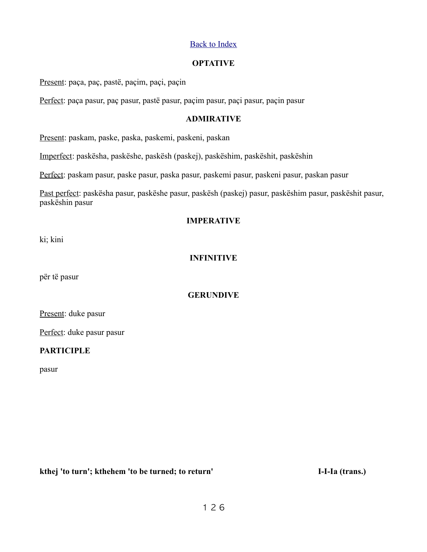# **OPTATIVE**

Present: paça, paç, pastë, paçim, paçi, paçin

Perfect: paça pasur, paç pasur, pastë pasur, paçim pasur, paçi pasur, paçin pasur

# **ADMIRATIVE**

Present: paskam, paske, paska, paskemi, paskeni, paskan

Imperfect: paskësha, paskëshe, paskësh (paskej), paskëshim, paskëshit, paskëshin

Perfect: paskam pasur, paske pasur, paska pasur, paskemi pasur, paskeni pasur, paskan pasur

Past perfect: paskësha pasur, paskëshe pasur, paskësh (paskej) pasur, paskëshim pasur, paskëshit pasur, paskëshin pasur

# **IMPERATIVE**

ki; kini

# **INFINITIVE**

për të pasur

# **GERUNDIVE**

Present: duke pasur

Perfect: duke pasur pasur

# **PARTICIPLE**

pasur

## **kthej 'to turn'; kthehem 'to be turned; to return' I-I-Ia (trans.)**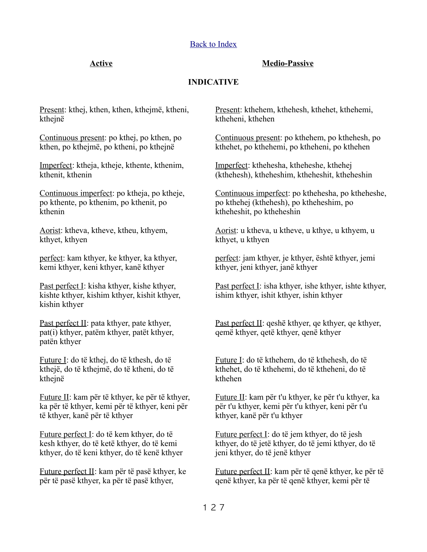# **Active Medio-Passive**

# **INDICATIVE**

Present: kthej, kthen, kthen, kthejmë, ktheni, kthejnë

Continuous present: po kthej, po kthen, po kthen, po kthejmë, po ktheni, po kthejnë

Imperfect: ktheja, ktheje, kthente, kthenim, kthenit, kthenin

Continuous imperfect: po ktheja, po ktheje, po kthente, po kthenim, po kthenit, po kthenin

Aorist: ktheva, ktheve, ktheu, kthyem, kthyet, kthyen

perfect: kam kthyer, ke kthyer, ka kthyer, kemi kthyer, keni kthyer, kanë kthyer

Past perfect I: kisha kthyer, kishe kthyer, kishte kthyer, kishim kthyer, kishit kthyer, kishin kthyer

Past perfect II: pata kthyer, pate kthyer, pat(i) kthyer, patëm kthyer, patët kthyer, patën kthyer

Future I: do të kthej, do të kthesh, do të kthejë, do të kthejmë, do të ktheni, do të kthejnë

Future II: kam për të kthyer, ke për të kthyer, ka për të kthyer, kemi për të kthyer, keni për të kthyer, kanë për të kthyer

Future perfect I: do të kem kthyer, do të kesh kthyer, do të ketë kthyer, do të kemi kthyer, do të keni kthyer, do të kenë kthyer

Future perfect II: kam për të pasë kthyer, ke për të pasë kthyer, ka për të pasë kthyer,

Present: kthehem, kthehesh, kthehet, kthehemi, ktheheni, kthehen

Continuous present: po kthehem, po kthehesh, po kthehet, po kthehemi, po ktheheni, po kthehen

Imperfect: kthehesha, ktheheshe, kthehej (kthehesh), ktheheshim, ktheheshit, ktheheshin

Continuous imperfect: po kthehesha, po ktheheshe, po kthehej (kthehesh), po ktheheshim, po ktheheshit, po ktheheshin

Aorist: u ktheva, u ktheve, u kthye, u kthyem, u kthyet, u kthyen

perfect: jam kthyer, je kthyer, është kthyer, jemi kthyer, jeni kthyer, janë kthyer

Past perfect I: isha kthyer, ishe kthyer, ishte kthyer, ishim kthyer, ishit kthyer, ishin kthyer

Past perfect II: qeshë kthyer, qe kthyer, qe kthyer, qemë kthyer, qetë kthyer, qenë kthyer

Future I: do të kthehem, do të kthehesh, do të kthehet, do të kthehemi, do të ktheheni, do të kthehen

Future II: kam për t'u kthyer, ke për t'u kthyer, ka për t'u kthyer, kemi për t'u kthyer, keni për t'u kthyer, kanë për t'u kthyer

Future perfect I: do të jem kthyer, do të jesh kthyer, do të jetë kthyer, do të jemi kthyer, do të jeni kthyer, do të jenë kthyer

Future perfect II: kam për të qenë kthyer, ke për të qenë kthyer, ka për të qenë kthyer, kemi për të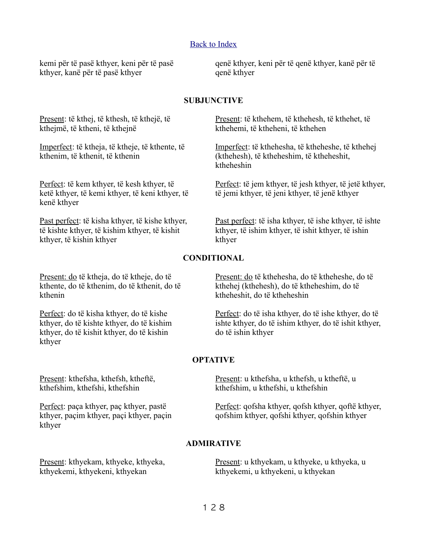kemi për të pasë kthyer, keni për të pasë kthyer, kanë për të pasë kthyer

qenë kthyer, keni për të qenë kthyer, kanë për të qenë kthyer

# **SUBJUNCTIVE**

Present: të kthej, të kthesh, të kthejë, të kthejmë, të ktheni, të kthejnë Imperfect: të ktheja, të ktheje, të kthente, të kthenim, të kthenit, të kthenin

Perfect: të kem kthyer, të kesh kthyer, të ketë kthyer, të kemi kthyer, të keni kthyer, të kenë kthyer

Past perfect: të kisha kthyer, të kishe kthyer, të kishte kthyer, të kishim kthyer, të kishit kthyer, të kishin kthyer

Present: do të ktheja, do të ktheje, do të kthente, do të kthenim, do të kthenit, do të kthenin

Perfect: do të kisha kthyer, do të kishe kthyer, do të kishte kthyer, do të kishim kthyer, do të kishit kthyer, do të kishin kthyer

Present: kthefsha, kthefsh, ktheftë, kthefshim, kthefshi, kthefshin

Perfect: paça kthyer, paç kthyer, pastë kthyer, paçim kthyer, paçi kthyer, paçin kthyer

Present: kthyekam, kthyeke, kthyeka, kthyekemi, kthyekeni, kthyekan

Present: të kthehem, të kthehesh, të kthehet, të kthehemi, të ktheheni, të kthehen

Imperfect: të kthehesha, të ktheheshe, të kthehej (kthehesh), të ktheheshim, të ktheheshit, ktheheshin

Perfect: të jem kthyer, të jesh kthyer, të jetë kthyer, të jemi kthyer, të jeni kthyer, të jenë kthyer

Past perfect: të isha kthyer, të ishe kthyer, të ishte kthyer, të ishim kthyer, të ishit kthyer, të ishin kthyer

# **CONDITIONAL**

Present: do të kthehesha, do të ktheheshe, do të kthehej (kthehesh), do të ktheheshim, do të ktheheshit, do të ktheheshin

Perfect: do të isha kthyer, do të ishe kthyer, do të ishte kthyer, do të ishim kthyer, do të ishit kthyer, do të ishin kthyer

#### **OPTATIVE**

Present: u kthefsha, u kthefsh, u ktheftë, u kthefshim, u kthefshi, u kthefshin

Perfect: qofsha kthyer, qofsh kthyer, qoftë kthyer, qofshim kthyer, qofshi kthyer, qofshin kthyer

#### **ADMIRATIVE**

Present: u kthyekam, u kthyeke, u kthyeka, u kthyekemi, u kthyekeni, u kthyekan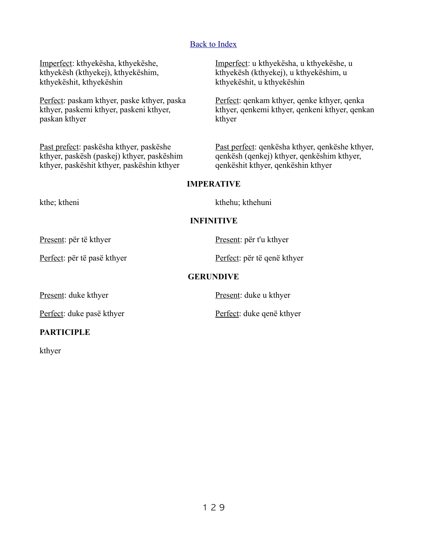| Imperfect: kthyekësha, kthyekëshe,<br>kthyekësh (kthyekej), kthyekëshim,<br>kthyekëshit, kthyekëshin                                | Imperfect: u kthyekësha, u kthyekëshe, u<br>kthyekësh (kthyekej), u kthyekëshim, u<br>kthyekëshit, u kthyekëshin                    |  |
|-------------------------------------------------------------------------------------------------------------------------------------|-------------------------------------------------------------------------------------------------------------------------------------|--|
| Perfect: paskam kthyer, paske kthyer, paska<br>kthyer, paskemi kthyer, paskeni kthyer,<br>paskan kthyer                             | Perfect: qenkam kthyer, qenke kthyer, qenka<br>kthyer, qenkemi kthyer, qenkeni kthyer, qenkan<br>kthyer                             |  |
| Past prefect: paskësha kthyer, paskëshe<br>kthyer, paskësh (paskej) kthyer, paskëshim<br>kthyer, paskëshit kthyer, paskëshin kthyer | Past perfect: qenkësha kthyer, qenkëshe kthyer,<br>qenkësh (qenkej) kthyer, qenkëshim kthyer,<br>qenkëshit kthyer, qenkëshin kthyer |  |
| <b>IMPERATIVE</b>                                                                                                                   |                                                                                                                                     |  |
| kthe; ktheni                                                                                                                        | kthehu; kthehuni                                                                                                                    |  |
| <b>INFINITIVE</b>                                                                                                                   |                                                                                                                                     |  |
| Present: për të kthyer                                                                                                              | Present: për t'u kthyer                                                                                                             |  |
| Perfect: për të pasë kthyer                                                                                                         | Perfect: për të qenë kthyer                                                                                                         |  |
| <b>GERUNDIVE</b>                                                                                                                    |                                                                                                                                     |  |
| Present: duke kthyer                                                                                                                | Present: duke u kthyer                                                                                                              |  |
| Perfect: duke pasë kthyer                                                                                                           | Perfect: duke qenë kthyer                                                                                                           |  |
| <b>PARTICIPLE</b>                                                                                                                   |                                                                                                                                     |  |

kthyer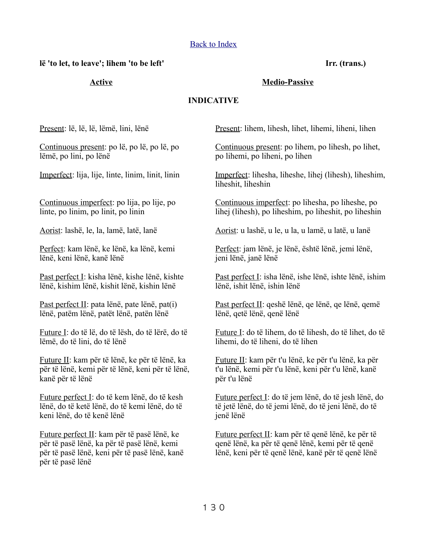# **lë 'to let, to leave'; lihem 'to be left' Irr. (trans.)**

# **Active Medio-Passive**

# **INDICATIVE**

Continuous present: po lë, po lë, po lë, po lëmë, po lini, po lënë

Continuous imperfect: po lija, po lije, po linte, po linim, po linit, po linin

Perfect: kam lënë, ke lënë, ka lënë, kemi lënë, keni lënë, kanë lënë

Past perfect I: kisha lënë, kishe lënë, kishte lënë, kishim lënë, kishit lënë, kishin lënë

Past perfect II: pata lënë, pate lënë, pat(i) lënë, patëm lënë, patët lënë, patën lënë

Future I: do të lë, do të lësh, do të lërë, do të lëmë, do të lini, do të lënë

Future II: kam për të lënë, ke për të lënë, ka për të lënë, kemi për të lënë, keni për të lënë, kanë për të lënë

Future perfect I: do të kem lënë, do të kesh lënë, do të ketë lënë, do të kemi lënë, do të keni lënë, do të kenë lënë

Future perfect II: kam për të pasë lënë, ke për të pasë lënë, ka për të pasë lënë, kemi për të pasë lënë, keni për të pasë lënë, kanë për të pasë lënë

Present: lë, lë, lë, lëmë, lini, lënë Present: lihem, lihesh, lihet, lihemi, liheni, liheni, liheni

Continuous present: po lihem, po lihesh, po lihet, po lihemi, po liheni, po lihen

Imperfect: lija, lije, linte, linim, linit, linin Imperfect: lihesha, liheshe, lihej (lihesh), liheshim, liheshit, liheshin

> Continuous imperfect: po lihesha, po liheshe, po lihej (lihesh), po liheshim, po liheshit, po liheshin

Aorist: lashë, le, la, lamë, latë, lanë Aorist: u lashë, u le, u la, u lamë, u latë, u lanë

Perfect: jam lënë, je lënë, është lënë, jemi lënë, jeni lënë, janë lënë

Past perfect I: isha lënë, ishe lënë, ishte lënë, ishim lënë, ishit lënë, ishin lënë

Past perfect II: qeshë lënë, qe lënë, qe lënë, qemë lënë, qetë lënë, qenë lënë

Future I: do të lihem, do të lihesh, do të lihet, do të lihemi, do të liheni, do të lihen

Future II: kam për t'u lënë, ke për t'u lënë, ka për t'u lënë, kemi për t'u lënë, keni për t'u lënë, kanë për t'u lënë

Future perfect I: do të jem lënë, do të jesh lënë, do të jetë lënë, do të jemi lënë, do të jeni lënë, do të jenë lënë

Future perfect II: kam për të qenë lënë, ke për të qenë lënë, ka për të qenë lënë, kemi për të qenë lënë, keni për të qenë lënë, kanë për të qenë lënë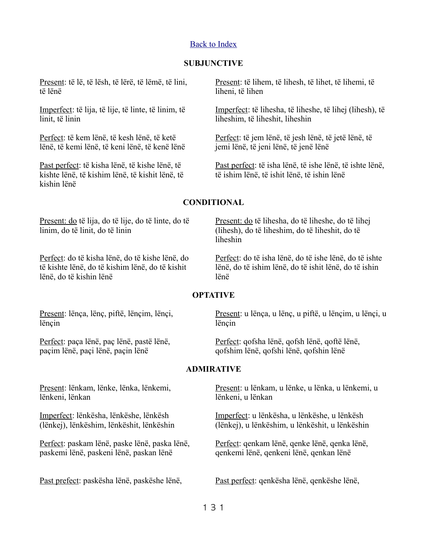## **SUBJUNCTIVE**

Present: të lë, të lësh, të lërë, të lëmë, të lini, të lënë

Imperfect: të lija, të lije, të linte, të linim, të linit, të linin

Perfect: të kem lënë, të kesh lënë, të ketë lënë, të kemi lënë, të keni lënë, të kenë lënë

Past perfect: të kisha lënë, të kishe lënë, të kishte lënë, të kishim lënë, të kishit lënë, të kishin lënë

Present: të lihem, të lihesh, të lihet, të lihemi, të liheni, të lihen

Imperfect: të lihesha, të liheshe, të lihej (lihesh), të liheshim, të liheshit, liheshin

Perfect: të jem lënë, të jesh lënë, të jetë lënë, të jemi lënë, të jeni lënë, të jenë lënë

Past perfect: të isha lënë, të ishe lënë, të ishte lënë, të ishim lënë, të ishit lënë, të ishin lënë

## **CONDITIONAL**

Present: do të lija, do të lije, do të linte, do të linim, do të linit, do të linin

Perfect: do të kisha lënë, do të kishe lënë, do të kishte lënë, do të kishim lënë, do të kishit lënë, do të kishin lënë

Present: do të lihesha, do të liheshe, do të lihej (lihesh), do të liheshim, do të liheshit, do të liheshin

Perfect: do të isha lënë, do të ishe lënë, do të ishte lënë, do të ishim lënë, do të ishit lënë, do të ishin lënë

## **OPTATIVE**

Present: lënça, lënç, piftë, lënçim, lënçi, lënçin

Perfect: paça lënë, paç lënë, pastë lënë, paçim lënë, paçi lënë, paçin lënë

Present: lënkam, lënke, lënka, lënkemi, lënkeni, lënkan

Imperfect: lënkësha, lënkëshe, lënkësh (lënkej), lënkëshim, lënkëshit, lënkëshin

Perfect: paskam lënë, paske lënë, paska lënë, paskemi lënë, paskeni lënë, paskan lënë

Present: u lënça, u lënç, u piftë, u lënçim, u lënçi, u lënçin

Perfect: qofsha lënë, qofsh lënë, qoftë lënë, qofshim lënë, qofshi lënë, qofshin lënë

# **ADMIRATIVE**

Present: u lënkam, u lënke, u lënka, u lënkemi, u lënkeni, u lënkan

Imperfect: u lënkësha, u lënkëshe, u lënkësh (lënkej), u lënkëshim, u lënkëshit, u lënkëshin

Perfect: qenkam lënë, qenke lënë, qenka lënë, qenkemi lënë, qenkeni lënë, qenkan lënë

Past prefect: paskësha lënë, paskëshe lënë, Past perfect: qenkësha lënë, qenkëshe lënë,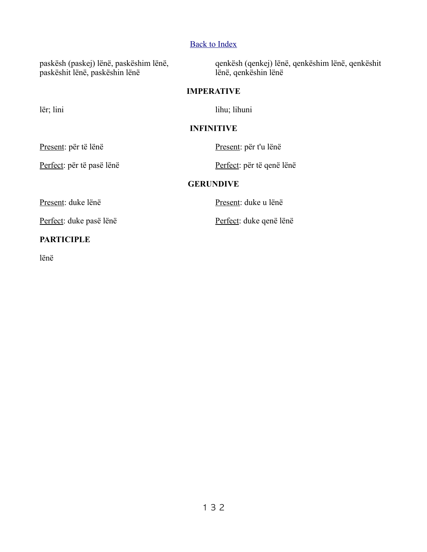| paskësh (paskej) lënë, paskëshim lënë,<br>paskëshit lënë, paskëshin lënë | qenkësh (qenkej) lënë, qenkëshim lënë, qenkëshit<br>lënë, qenkëshin lënë |  |
|--------------------------------------------------------------------------|--------------------------------------------------------------------------|--|
| <b>IMPERATIVE</b>                                                        |                                                                          |  |
| lër; lini                                                                | lihu; lihuni                                                             |  |
| <b>INFINITIVE</b>                                                        |                                                                          |  |
| Present: për të lënë                                                     | Present: për t'u lënë                                                    |  |
| Perfect: për të pasë lënë                                                | Perfect: për të qenë lënë                                                |  |
| <b>GERUNDIVE</b>                                                         |                                                                          |  |
| Present: duke lënë                                                       | Present: duke u lënë                                                     |  |
| Perfect: duke pasë lënë                                                  | Perfect: duke qenë lënë                                                  |  |
| <b>PARTICIPLE</b>                                                        |                                                                          |  |
| lënë                                                                     |                                                                          |  |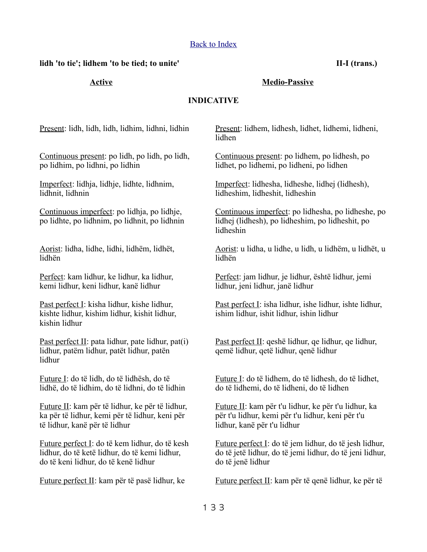#### **lidh 'to tie'; lidhem 'to be tied; to unite' II-I (trans.)**

# **Active Medio-Passive**

#### **INDICATIVE**

Continuous present: po lidh, po lidh, po lidh, po lidhim, po lidhni, po lidhin

Imperfect: lidhja, lidhje, lidhte, lidhnim, lidhnit, lidhnin

Continuous imperfect: po lidhja, po lidhje, po lidhte, po lidhnim, po lidhnit, po lidhnin

Aorist: lidha, lidhe, lidhi, lidhëm, lidhët, lidhën

Perfect: kam lidhur, ke lidhur, ka lidhur, kemi lidhur, keni lidhur, kanë lidhur

Past perfect I: kisha lidhur, kishe lidhur, kishte lidhur, kishim lidhur, kishit lidhur, kishin lidhur

Past perfect II: pata lidhur, pate lidhur, pat(i) lidhur, patëm lidhur, patët lidhur, patën lidhur

Future I: do të lidh, do të lidhësh, do të lidhë, do të lidhim, do të lidhni, do të lidhin

Future II: kam për të lidhur, ke për të lidhur, ka për të lidhur, kemi për të lidhur, keni për të lidhur, kanë për të lidhur

Future perfect I: do të kem lidhur, do të kesh lidhur, do të ketë lidhur, do të kemi lidhur, do të keni lidhur, do të kenë lidhur

Present: lidh, lidh, lidh, lidhim, lidhni, lidhin Present: lidhem, lidhesh, lidhet, lidhemi, lidheni, lidhen

> Continuous present: po lidhem, po lidhesh, po lidhet, po lidhemi, po lidheni, po lidhen

> Imperfect: lidhesha, lidheshe, lidhej (lidhesh), lidheshim, lidheshit, lidheshin

Continuous imperfect: po lidhesha, po lidheshe, po lidhej (lidhesh), po lidheshim, po lidheshit, po lidheshin

Aorist: u lidha, u lidhe, u lidh, u lidhëm, u lidhët, u lidhën

Perfect: jam lidhur, je lidhur, është lidhur, jemi lidhur, jeni lidhur, janë lidhur

Past perfect I: isha lidhur, ishe lidhur, ishte lidhur, ishim lidhur, ishit lidhur, ishin lidhur

Past perfect II: qeshë lidhur, qe lidhur, qe lidhur, qemë lidhur, qetë lidhur, qenë lidhur

Future I: do të lidhem, do të lidhesh, do të lidhet, do të lidhemi, do të lidheni, do të lidhen

Future II: kam për t'u lidhur, ke për t'u lidhur, ka për t'u lidhur, kemi për t'u lidhur, keni për t'u lidhur, kanë për t'u lidhur

Future perfect I: do të jem lidhur, do të jesh lidhur, do të jetë lidhur, do të jemi lidhur, do të jeni lidhur, do të jenë lidhur

Future perfect II: kam për të pasë lidhur, ke Future perfect II: kam për të qenë lidhur, ke për të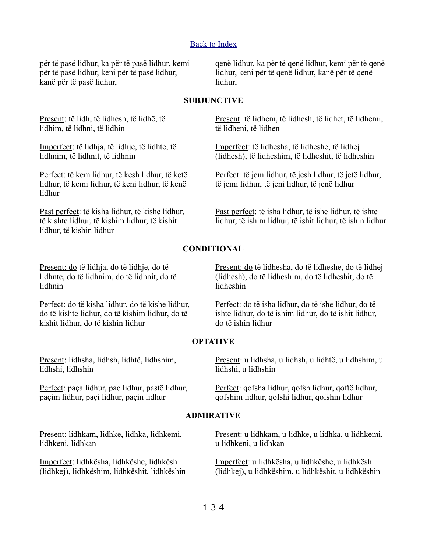për të pasë lidhur, ka për të pasë lidhur, kemi për të pasë lidhur, keni për të pasë lidhur, kanë për të pasë lidhur,

qenë lidhur, ka për të qenë lidhur, kemi për të qenë lidhur, keni për të qenë lidhur, kanë për të qenë lidhur,

#### **SUBJUNCTIVE**

Present: të lidh, të lidhesh, të lidhë, të lidhim, të lidhni, të lidhin

Imperfect: të lidhja, të lidhje, të lidhte, të lidhnim, të lidhnit, të lidhnin

Perfect: të kem lidhur, të kesh lidhur, të ketë lidhur, të kemi lidhur, të keni lidhur, të kenë lidhur

Past perfect: të kisha lidhur, të kishe lidhur, të kishte lidhur, të kishim lidhur, të kishit lidhur, të kishin lidhur

Present: të lidhem, të lidhesh, të lidhet, të lidhemi, të lidheni, të lidhen

Imperfect: të lidhesha, të lidheshe, të lidhej (lidhesh), të lidheshim, të lidheshit, të lidheshin

Perfect: të jem lidhur, të jesh lidhur, të jetë lidhur, të jemi lidhur, të jeni lidhur, të jenë lidhur

Past perfect: të isha lidhur, të ishe lidhur, të ishte lidhur, të ishim lidhur, të ishit lidhur, të ishin lidhur

Present: do të lidhesha, do të lidheshe, do të lidhej (lidhesh), do të lidheshim, do të lidheshit, do të

#### **CONDITIONAL**

lidheshin

Present: do të lidhja, do të lidhje, do të lidhnte, do të lidhnim, do të lidhnit, do të lidhnin

Perfect: do të kisha lidhur, do të kishe lidhur, do të kishte lidhur, do të kishim lidhur, do të kishit lidhur, do të kishin lidhur

Perfect: do të isha lidhur, do të ishe lidhur, do të ishte lidhur, do të ishim lidhur, do të ishit lidhur, do të ishin lidhur

#### **OPTATIVE**

Present: lidhsha, lidhsh, lidhtë, lidhshim, lidhshi, lidhshin

Perfect: paça lidhur, paç lidhur, pastë lidhur, paçim lidhur, paçi lidhur, paçin lidhur

Present: lidhkam, lidhke, lidhka, lidhkemi, lidhkeni, lidhkan

Imperfect: lidhkësha, lidhkëshe, lidhkësh (lidhkej), lidhkëshim, lidhkëshit, lidhkëshin Present: u lidhsha, u lidhsh, u lidhtë, u lidhshim, u lidhshi, u lidhshin

Perfect: qofsha lidhur, qofsh lidhur, qoftë lidhur, qofshim lidhur, qofshi lidhur, qofshin lidhur

#### **ADMIRATIVE**

Present: u lidhkam, u lidhke, u lidhka, u lidhkemi, u lidhkeni, u lidhkan

Imperfect: u lidhkësha, u lidhkëshe, u lidhkësh (lidhkej), u lidhkëshim, u lidhkëshit, u lidhkëshin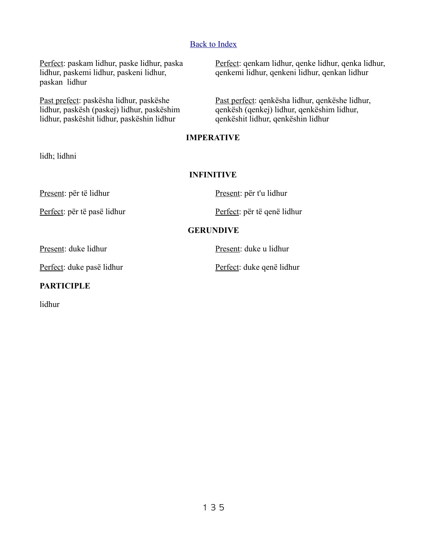Perfect: paskam lidhur, paske lidhur, paska lidhur, paskemi lidhur, paskeni lidhur, paskan lidhur Perfect: qenkam lidhur, qenke lidhur, qenka lidhur, qenkemi lidhur, qenkeni lidhur, qenkan lidhur Past prefect: paskësha lidhur, paskëshe lidhur, paskësh (paskej) lidhur, paskëshim lidhur, paskëshit lidhur, paskëshin lidhur Past perfect: qenkësha lidhur, qenkëshe lidhur, qenkësh (qenkej) lidhur, qenkëshim lidhur, qenkëshit lidhur, qenkëshin lidhur **IMPERATIVE** lidh; lidhni **INFINITIVE** Present: për të lidhur Present: për t'u lidhur Perfect: për të pasë lidhur Perfect: për të qenë lidhur **GERUNDIVE** Present: duke lidhur Present: duke u lidhur Perfect: duke pasë lidhur Perfect: duke qenë lidhur **PARTICIPLE**

lidhur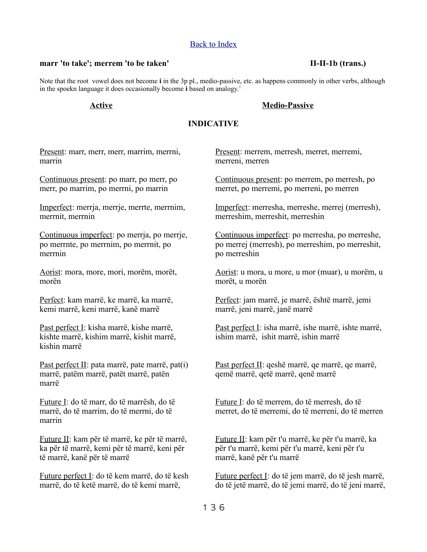#### **marr 'to take'; merrem 'to be taken' II-II-1b (trans.)**

Note that the root vowel does not become **i** in the 3p pl., medio-passive, etc. as happens commonly in other verbs, although in the spoekn language it does occasionally become **i** based on analogy.[1](#page-233-0)

#### **Active Medio-Passive**

# **INDICATIVE**

Present: marr, merr, merr, marrim, merrni, marrin

Continuous present: po marr, po merr, po merr, po marrim, po merrni, po marrin

Imperfect: merrja, merrje, merrte, merrnim, merrnit, merrnin

Continuous imperfect: po merrja, po merrje, po merrnte, po merrnim, po merrnit, po merrnin

Aorist: mora, more, mori, morëm, morët, morën

Perfect: kam marrë, ke marrë, ka marrë, kemi marrë, keni marrë, kanë marrë

Past perfect I: kisha marrë, kishe marrë, kishte marrë, kishim marrë, kishit marrë, kishin marrë

Past perfect II: pata marrë, pate marrë, pat(i) marrë, patëm marrë, patët marrë, patën marrë

Future I: do të marr, do të marrësh, do të marrë, do të marrim, do të merrni, do të marrin

Future II: kam për të marrë, ke për të marrë, ka për të marrë, kemi për të marrë, keni për të marrë, kanë për të marrë

Future perfect I: do të kem marrë, do të kesh marrë, do të ketë marrë, do të kemi marrë,

Present: merrem, merresh, merret, merremi, merreni, merren

Continuous present: po merrem, po merresh, po merret, po merremi, po merreni, po merren

Imperfect: merresha, merreshe, merrej (merresh), merreshim, merreshit, merreshin

Continuous imperfect: po merresha, po merreshe, po merrej (merresh), po merreshim, po merreshit, po merreshin

Aorist: u mora, u more, u mor (muar), u morëm, u morët, u morën

Perfect: jam marrë, je marrë, është marrë, jemi marrë, jeni marrë, janë marrë

Past perfect I: isha marrë, ishe marrë, ishte marrë, ishim marrë, ishit marrë, ishin marrë

Past perfect II: qeshë marrë, qe marrë, qe marrë, qemë marrë, qetë marrë, qenë marrë

Future I: do të merrem, do të merresh, do të merret, do të merremi, do të merreni, do të merren

Future II: kam për t'u marrë, ke për t'u marrë, ka për t'u marrë, kemi për t'u marrë, keni për t'u marrë, kanë për t'u marrë

Future perfect I: do të jem marrë, do të jesh marrë, do të jetë marrë, do të jemi marrë, do të jeni marrë,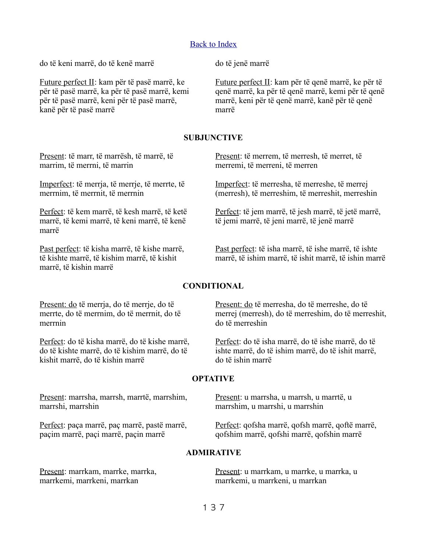do të keni marrë, do të kenë marrë do të jenë marrë

Future perfect II: kam për të pasë marrë, ke për të pasë marrë, ka për të pasë marrë, kemi për të pasë marrë, keni për të pasë marrë, kanë për të pasë marrë

Future perfect II: kam për të qenë marrë, ke për të qenë marrë, ka për të qenë marrë, kemi për të qenë marrë, keni për të qenë marrë, kanë për të qenë marrë

# **SUBJUNCTIVE**

Present: të marr, të marrësh, të marrë, të marrim, të merrni, të marrin

Imperfect: të merrja, të merrje, të merrte, të merrnim, të merrnit, të merrnin

Perfect: të kem marrë, të kesh marrë, të ketë marrë, të kemi marrë, të keni marrë, të kenë marrë

Past perfect: të kisha marrë, të kishe marrë, të kishte marrë, të kishim marrë, të kishit marrë, të kishin marrë

Present: të merrem, të merresh, të merret, të merremi, të merreni, të merren

Imperfect: të merresha, të merreshe, të merrej (merresh), të merreshim, të merreshit, merreshin

Perfect: të jem marrë, të jesh marrë, të jetë marrë, të jemi marrë, të jeni marrë, të jenë marrë

Past perfect: të isha marrë, të ishe marrë, të ishte marrë, të ishim marrë, të ishit marrë, të ishin marrë

# **CONDITIONAL**

Present: do të merrja, do të merrje, do të merrte, do të merrnim, do të merrnit, do të merrnin

Perfect: do të kisha marrë, do të kishe marrë, do të kishte marrë, do të kishim marrë, do të kishit marrë, do të kishin marrë

Present: do të merresha, do të merreshe, do të merrej (merresh), do të merreshim, do të merreshit, do të merreshin

Perfect: do të isha marrë, do të ishe marrë, do të ishte marrë, do të ishim marrë, do të ishit marrë, do të ishin marrë

## **OPTATIVE**

| Present: marrsha, marrsh, marrtë, marrshim,  | Present: u marrsha, u marrsh, u marrtë, u        |
|----------------------------------------------|--------------------------------------------------|
| marrshi, marrshin                            | marrshim, u marrshi, u marrshin                  |
| Perfect: paça marrë, paç marrë, pastë marrë, | Perfect: qofsha marrë, qofsh marrë, qoftë marrë, |
| paçim marrë, paçi marrë, paçin marrë         | qofshim marrë, qofshi marrë, qofshin marrë       |

# **ADMIRATIVE**

| Present: marrkam, marrke, marrka, | Present: u marrkam, u marrke, u marrka, u |
|-----------------------------------|-------------------------------------------|
| marrkemi, marrkeni, marrkan       | marrkemi, u marrkeni, u marrkan           |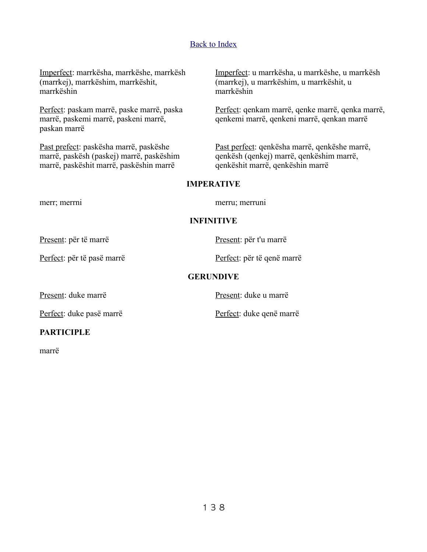| Imperfect: marrkësha, marrkëshe, marrkësh<br>(marrkej), marrkëshim, marrkëshit,<br>marrkëshin                                 | Imperfect: u marrkësha, u marrkëshe, u marrkësh<br>(marrkej), u marrkëshim, u marrkëshit, u<br>marrkëshin                     |  |
|-------------------------------------------------------------------------------------------------------------------------------|-------------------------------------------------------------------------------------------------------------------------------|--|
| Perfect: paskam marrë, paske marrë, paska<br>marrë, paskemi marrë, paskeni marrë,<br>paskan marrë                             | Perfect: qenkam marrë, qenke marrë, qenka marrë,<br>qenkemi marrë, qenkeni marrë, qenkan marrë                                |  |
| Past prefect: paskësha marrë, paskëshe<br>marrë, paskësh (paskej) marrë, paskëshim<br>marrë, paskëshit marrë, paskëshin marrë | Past perfect: qenkësha marrë, qenkëshe marrë,<br>qenkësh (qenkej) marrë, qenkëshim marrë,<br>qenkëshit marrë, qenkëshin marrë |  |
| <b>IMPERATIVE</b>                                                                                                             |                                                                                                                               |  |
| merr; merrni                                                                                                                  | merru; merruni                                                                                                                |  |
| <b>INFINITIVE</b>                                                                                                             |                                                                                                                               |  |
| Present: për të marrë                                                                                                         | Present: për t'u marrë                                                                                                        |  |
| Perfect: për të pasë marrë                                                                                                    | Perfect: për të qenë marrë                                                                                                    |  |
| <b>GERUNDIVE</b>                                                                                                              |                                                                                                                               |  |
| Present: duke marrë                                                                                                           | Present: duke u marrë                                                                                                         |  |
| Perfect: duke pasë marrë                                                                                                      | Perfect: duke qenë marrë                                                                                                      |  |
| <b>PARTICIPLE</b>                                                                                                             |                                                                                                                               |  |

marrë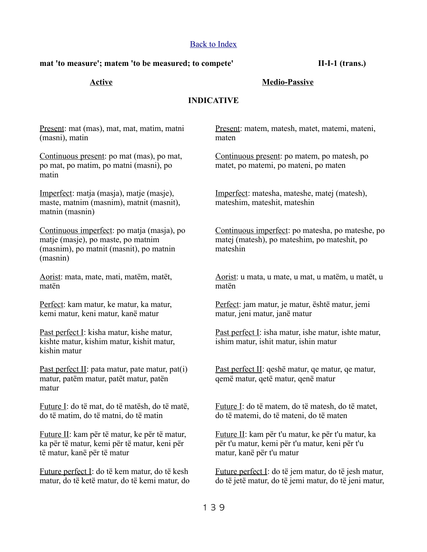#### **mat 'to measure'; matem 'to be measured; to compete' II-I-1 (trans.)**

# **Active Medio-Passive**

#### **INDICATIVE**

Present: mat (mas), mat, mat, matim, matni (masni), matin

Continuous present: po mat (mas), po mat, po mat, po matim, po matni (masni), po matin

Imperfect: matja (masja), matje (masje), maste, matnim (masnim), matnit (masnit), matnin (masnin)

Continuous imperfect: po matja (masja), po matje (masje), po maste, po matnim (masnim), po matnit (masnit), po matnin (masnin)

Aorist: mata, mate, mati, matëm, matët, matën

Perfect: kam matur, ke matur, ka matur, kemi matur, keni matur, kanë matur

Past perfect I: kisha matur, kishe matur, kishte matur, kishim matur, kishit matur, kishin matur

Past perfect II: pata matur, pate matur, pat(i) matur, patëm matur, patët matur, patën matur

Future I: do të mat, do të matësh, do të matë, do të matim, do të matni, do të matin

Future II: kam për të matur, ke për të matur, ka për të matur, kemi për të matur, keni për të matur, kanë për të matur

Future perfect I: do të kem matur, do të kesh matur, do të ketë matur, do të kemi matur, do Present: matem, matesh, matet, matemi, mateni, maten

Continuous present: po matem, po matesh, po matet, po matemi, po mateni, po maten

Imperfect: matesha, mateshe, matej (matesh), mateshim, mateshit, mateshin

Continuous imperfect: po matesha, po mateshe, po matej (matesh), po mateshim, po mateshit, po mateshin

Aorist: u mata, u mate, u mat, u matëm, u matët, u matën

Perfect: jam matur, je matur, është matur, jemi matur, jeni matur, janë matur

Past perfect I: isha matur, ishe matur, ishte matur, ishim matur, ishit matur, ishin matur

Past perfect II: qeshë matur, qe matur, qe matur, qemë matur, qetë matur, qenë matur

Future I: do të matem, do të matesh, do të matet, do të matemi, do të mateni, do të maten

Future II: kam për t'u matur, ke për t'u matur, ka për t'u matur, kemi për t'u matur, keni për t'u matur, kanë për t'u matur

Future perfect I: do të jem matur, do të jesh matur, do të jetë matur, do të jemi matur, do të jeni matur,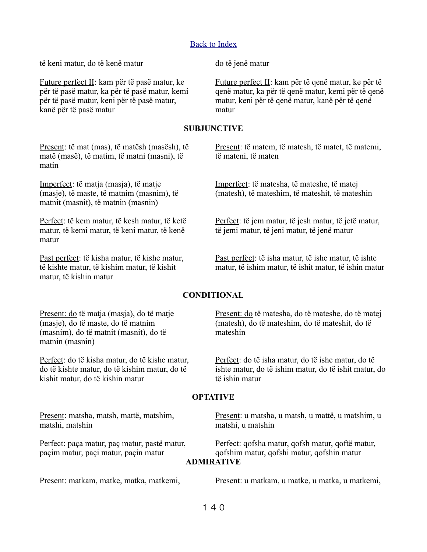të keni matur, do të kenë matur do të jenë matur

Future perfect II: kam për të pasë matur, ke për të pasë matur, ka për të pasë matur, kemi për të pasë matur, keni për të pasë matur, kanë për të pasë matur

Future perfect II: kam për të qenë matur, ke për të qenë matur, ka për të qenë matur, kemi për të qenë matur, keni për të qenë matur, kanë për të qenë matur

# **SUBJUNCTIVE**

Present: të mat (mas), të matësh (masësh), të matë (masë), të matim, të matni (masni), të matin

Imperfect: të matja (masja), të matje (masje), të maste, të matnim (masnim), të matnit (masnit), të matnin (masnin)

Perfect: të kem matur, të kesh matur, të ketë matur, të kemi matur, të keni matur, të kenë matur

Past perfect: të kisha matur, të kishe matur, të kishte matur, të kishim matur, të kishit matur, të kishin matur

Present: të matem, të matesh, të matet, të matemi, të mateni, të maten

Imperfect: të matesha, të mateshe, të matej (matesh), të mateshim, të mateshit, të mateshin

Perfect: të jem matur, të jesh matur, të jetë matur, të jemi matur, të jeni matur, të jenë matur

Past perfect: të isha matur, të ishe matur, të ishte matur, të ishim matur, të ishit matur, të ishin matur

# **CONDITIONAL**

Present: do të matja (masja), do të matje (masje), do të maste, do të matnim (masnim), do të matnit (masnit), do të matnin (masnin)

Perfect: do të kisha matur, do të kishe matur, do të kishte matur, do të kishim matur, do të kishit matur, do të kishin matur

Present: do të matesha, do të mateshe, do të matej (matesh), do të mateshim, do të mateshit, do të mateshin

Perfect: do të isha matur, do të ishe matur, do të ishte matur, do të ishim matur, do të ishit matur, do të ishin matur

## **OPTATIVE**

Present: matsha, matsh, mattë, matshim, matshi, matshin

Perfect: paça matur, paç matur, pastë matur, paçim matur, paçi matur, paçin matur

**ADMIRATIVE**

matshi, u matshin

Present: u matsha, u matsh, u mattë, u matshim, u

Perfect: qofsha matur, qofsh matur, qoftë matur, qofshim matur, qofshi matur, qofshin matur

Present: matkam, matke, matka, matkemi, Present: u matkam, u matke, u matka, u matkemi,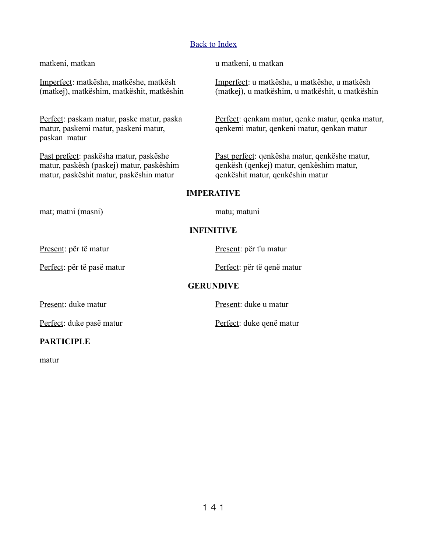| matkeni, matkan                                                                                                               | u matkeni, u matkan                                                                                                           |
|-------------------------------------------------------------------------------------------------------------------------------|-------------------------------------------------------------------------------------------------------------------------------|
| Imperfect: matkësha, matkëshe, matkësh<br>(matkej), matkëshim, matkëshit, matkëshin                                           | Imperfect: u matkësha, u matkëshe, u matkësh<br>(matkej), u matkëshim, u matkëshit, u matkëshin                               |
| Perfect: paskam matur, paske matur, paska<br>matur, paskemi matur, paskeni matur,<br>paskan matur                             | Perfect: qenkam matur, qenke matur, qenka matur,<br>qenkemi matur, qenkeni matur, qenkan matur                                |
| Past prefect: paskësha matur, paskëshe<br>matur, paskësh (paskej) matur, paskëshim<br>matur, paskëshit matur, paskëshin matur | Past perfect: qenkësha matur, qenkëshe matur,<br>qenkësh (qenkej) matur, qenkëshim matur,<br>qenkëshit matur, qenkëshin matur |
| <b>IMPERATIVE</b>                                                                                                             |                                                                                                                               |
| mat; matni (masni)                                                                                                            | matu; matuni                                                                                                                  |
| <b>INFINITIVE</b>                                                                                                             |                                                                                                                               |
| Present: për të matur                                                                                                         | Present: për t'u matur                                                                                                        |
| Perfect: për të pasë matur                                                                                                    | Perfect: për të qenë matur                                                                                                    |
| <b>GERUNDIVE</b>                                                                                                              |                                                                                                                               |
| Present: duke matur                                                                                                           | Present: duke u matur                                                                                                         |
| Perfect: duke pasë matur                                                                                                      | Perfect: duke qenë matur                                                                                                      |
| <b>PARTICIPLE</b>                                                                                                             |                                                                                                                               |

matur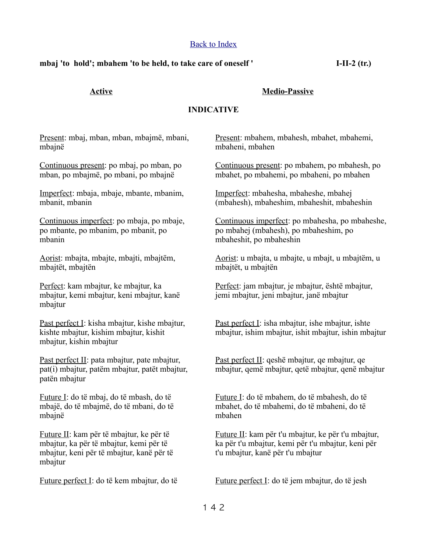#### **mbaj 'to hold'; mbahem 'to be held, to take care of oneself ' I-II-2 (tr.)**

#### **Active Medio-Passive**

#### **INDICATIVE**

Present: mbaj, mban, mban, mbajmë, mbani, mbajnë

Continuous present: po mbaj, po mban, po mban, po mbajmë, po mbani, po mbajnë

Imperfect: mbaja, mbaje, mbante, mbanim, mbanit, mbanin

Continuous imperfect: po mbaja, po mbaje, po mbante, po mbanim, po mbanit, po mbanin

Aorist: mbajta, mbajte, mbajti, mbajtëm, mbajtët, mbajtën

Perfect: kam mbajtur, ke mbajtur, ka mbajtur, kemi mbajtur, keni mbajtur, kanë mbajtur

Past perfect I: kisha mbajtur, kishe mbajtur, kishte mbajtur, kishim mbajtur, kishit mbajtur, kishin mbajtur

Past perfect II: pata mbajtur, pate mbajtur, pat(i) mbajtur, patëm mbajtur, patët mbajtur, patën mbajtur

Future I: do të mbaj, do të mbash, do të mbajë, do të mbajmë, do të mbani, do të mbajnë

Future II: kam për të mbajtur, ke për të mbajtur, ka për të mbajtur, kemi për të mbajtur, keni për të mbajtur, kanë për të mbajtur

Present: mbahem, mbahesh, mbahet, mbahemi, mbaheni, mbahen

Continuous present: po mbahem, po mbahesh, po mbahet, po mbahemi, po mbaheni, po mbahen

Imperfect: mbahesha, mbaheshe, mbahej (mbahesh), mbaheshim, mbaheshit, mbaheshin

Continuous imperfect: po mbahesha, po mbaheshe, po mbahej (mbahesh), po mbaheshim, po mbaheshit, po mbaheshin

Aorist: u mbajta, u mbajte, u mbajt, u mbajtëm, u mbajtët, u mbajtën

Perfect: jam mbajtur, je mbajtur, është mbajtur, jemi mbajtur, jeni mbajtur, janë mbajtur

Past perfect I: isha mbajtur, ishe mbajtur, ishte mbajtur, ishim mbajtur, ishit mbajtur, ishin mbajtur

Past perfect II: qeshë mbajtur, qe mbajtur, qe mbajtur, qemë mbajtur, qetë mbajtur, qenë mbajtur

Future I: do të mbahem, do të mbahesh, do të mbahet, do të mbahemi, do të mbaheni, do të mbahen

Future II: kam për t'u mbajtur, ke për t'u mbajtur, ka për t'u mbajtur, kemi për t'u mbajtur, keni për t'u mbajtur, kanë për t'u mbajtur

Future perfect I: do të kem mbajtur, do të kem mbajtur, do të Future perfect I: do të jem mbajtur, do të jesh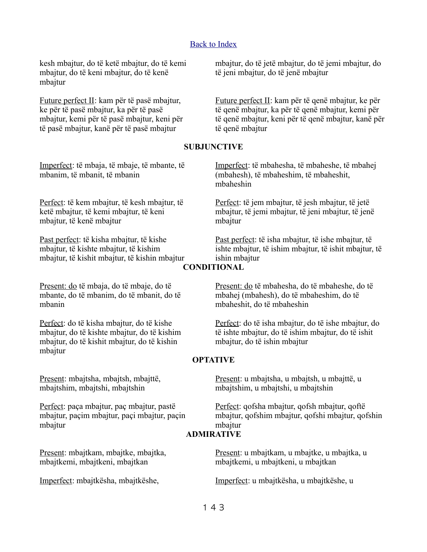kesh mbajtur, do të ketë mbajtur, do të kemi mbajtur, do të keni mbajtur, do të kenë mbajtur

Future perfect II: kam për të pasë mbajtur, ke për të pasë mbajtur, ka për të pasë mbajtur, kemi për të pasë mbajtur, keni për të pasë mbajtur, kanë për të pasë mbajtur

Imperfect: të mbaja, të mbaje, të mbante, të mbanim, të mbanit, të mbanin

Perfect: të kem mbajtur, të kesh mbajtur, të ketë mbajtur, të kemi mbajtur, të keni mbajtur, të kenë mbajtur

Past perfect: të kisha mbajtur, të kishe mbajtur, të kishte mbajtur, të kishim mbajtur, të kishit mbajtur, të kishin mbajtur

Present: do të mbaja, do të mbaje, do të mbante, do të mbanim, do të mbanit, do të mbanin

Perfect: do të kisha mbajtur, do të kishe mbajtur, do të kishte mbajtur, do të kishim mbajtur, do të kishit mbajtur, do të kishin mbajtur

Present: mbajtsha, mbajtsh, mbajttë, mbajtshim, mbajtshi, mbajtshin

Perfect: paça mbajtur, paç mbajtur, pastë mbajtur, paçim mbajtur, paçi mbajtur, paçin mbajtur

Present: mbajtkam, mbajtke, mbajtka, mbajtkemi, mbajtkeni, mbajtkan

mbajtur, do të jetë mbajtur, do të jemi mbajtur, do të jeni mbajtur, do të jenë mbajtur

Future perfect II: kam për të qenë mbajtur, ke për të qenë mbajtur, ka për të qenë mbajtur, kemi për të qenë mbajtur, keni për të qenë mbajtur, kanë për të qenë mbajtur

# **SUBJUNCTIVE**

Imperfect: të mbahesha, të mbaheshe, të mbahej (mbahesh), të mbaheshim, të mbaheshit, mbaheshin

Perfect: të jem mbajtur, të jesh mbajtur, të jetë mbajtur, të jemi mbajtur, të jeni mbajtur, të jenë mbajtur

Past perfect: të isha mbajtur, të ishe mbajtur, të ishte mbajtur, të ishim mbajtur, të ishit mbajtur, të ishin mbajtur

## **CONDITIONAL**

Present: do të mbahesha, do të mbaheshe, do të mbahej (mbahesh), do të mbaheshim, do të mbaheshit, do të mbaheshin

Perfect: do të isha mbajtur, do të ishe mbajtur, do të ishte mbajtur, do të ishim mbajtur, do të ishit mbajtur, do të ishin mbajtur

# **OPTATIVE**

Present: u mbajtsha, u mbajtsh, u mbajttë, u mbajtshim, u mbajtshi, u mbajtshin

Perfect: qofsha mbajtur, qofsh mbajtur, qoftë mbajtur, qofshim mbajtur, qofshi mbajtur, qofshin mbajtur

# **ADMIRATIVE**

Present: u mbajtkam, u mbajtke, u mbajtka, u mbajtkemi, u mbajtkeni, u mbajtkan

Imperfect: mbajtkësha, mbajtkëshe, Imperfect: u mbajtkësha, u mbajtkëshe, u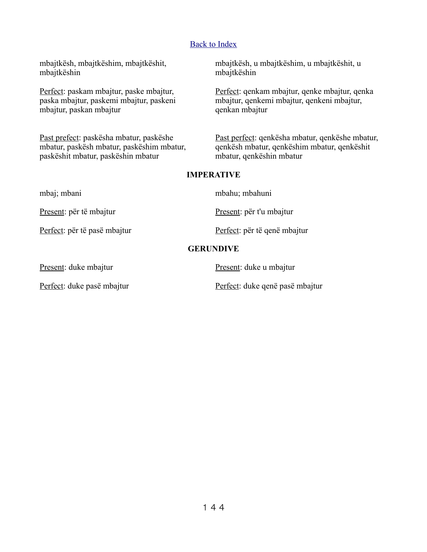mbajtkësh, mbajtkëshim, mbajtkëshit, mbajtkëshin mbajtkësh, u mbajtkëshim, u mbajtkëshit, u mbajtkëshin Perfect: paskam mbajtur, paske mbajtur, paska mbajtur, paskemi mbajtur, paskeni mbajtur, paskan mbajtur Perfect: qenkam mbajtur, qenke mbajtur, qenka mbajtur, qenkemi mbajtur, qenkeni mbajtur, qenkan mbajtur Past prefect: paskësha mbatur, paskëshe mbatur, paskësh mbatur, paskëshim mbatur, paskëshit mbatur, paskëshin mbatur Past perfect: qenkësha mbatur, qenkëshe mbatur, qenkësh mbatur, qenkëshim mbatur, qenkëshit mbatur, qenkëshin mbatur **IMPERATIVE** mbaj; mbani mbahu; mbahuni Present: për të mbajtur Present: për t'u mbajtur Perfect: për të pasë mbajtur Perfect: për të qenë mbajtur **GERUNDIVE** Present: duke mbajtur Present: duke u mbajtur

Perfect: duke pasë mbajtur Perfect: duke qenë pasë mbajtur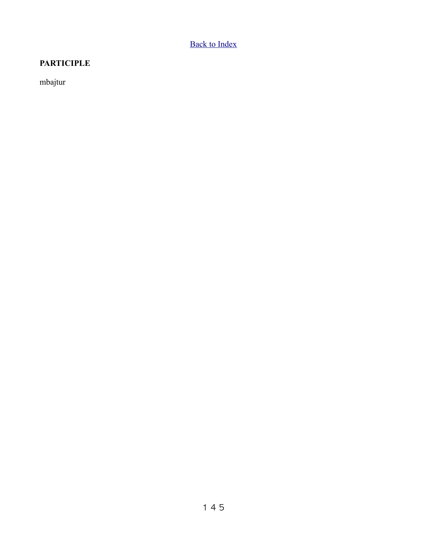# **PARTICIPLE**

mbajtur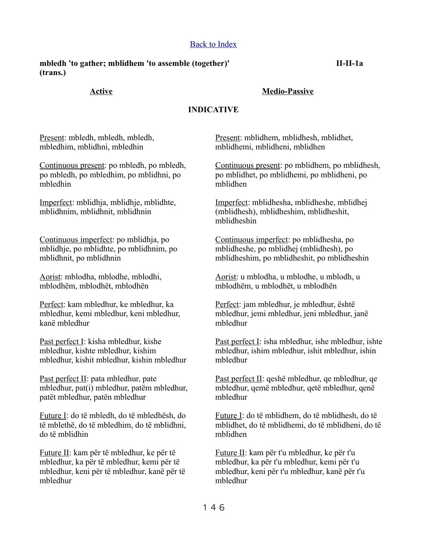# **mbledh 'to gather; mblidhem 'to assemble (together)' II-II-1a (trans.)**

# **Active Medio-Passive**

# **INDICATIVE**

Present: mbledh, mbledh, mbledh, mbledhim, mblidhni, mbledhin

Continuous present: po mbledh, po mbledh, po mbledh, po mbledhim, po mblidhni, po mbledhin

Imperfect: mblidhja, mblidhje, mblidhte, mblidhnim, mblidhnit, mblidhnin

Continuous imperfect: po mblidhja, po mblidhje, po mblidhte, po mblidhnim, po mblidhnit, po mblidhnin

Aorist: mblodha, mblodhe, mblodhi, mblodhëm, mblodhët, mblodhën

Perfect: kam mbledhur, ke mbledhur, ka mbledhur, kemi mbledhur, keni mbledhur, kanë mbledhur

Past perfect I: kisha mbledhur, kishe mbledhur, kishte mbledhur, kishim mbledhur, kishit mbledhur, kishin mbledhur

Past perfect II: pata mbledhur, pate mbledhur, pat(i) mbledhur, patëm mbledhur, patët mbledhur, patën mbledhur

Future I: do të mbledh, do të mbledhësh, do të mblethë, do të mbledhim, do të mblidhni, do të mblidhin

Future II: kam për të mbledhur, ke për të mbledhur, ka për të mbledhur, kemi për të mbledhur, keni për të mbledhur, kanë për të mbledhur

Present: mblidhem, mblidhesh, mblidhet, mblidhemi, mblidheni, mblidhen

Continuous present: po mblidhem, po mblidhesh, po mblidhet, po mblidhemi, po mblidheni, po mblidhen

Imperfect: mblidhesha, mblidheshe, mblidhej (mblidhesh), mblidheshim, mblidheshit, mblidheshin

Continuous imperfect: po mblidhesha, po mblidheshe, po mblidhej (mblidhesh), po mblidheshim, po mblidheshit, po mblidheshin

Aorist: u mblodha, u mblodhe, u mblodh, u mblodhëm, u mblodhët, u mblodhën

Perfect: jam mbledhur, je mbledhur, është mbledhur, jemi mbledhur, jeni mbledhur, janë mbledhur

Past perfect I: isha mbledhur, ishe mbledhur, ishte mbledhur, ishim mbledhur, ishit mbledhur, ishin mbledhur

Past perfect II: qeshë mbledhur, qe mbledhur, qe mbledhur, qemë mbledhur, qetë mbledhur, qenë mbledhur

Future I: do të mblidhem, do të mblidhesh, do të mblidhet, do të mblidhemi, do të mblidheni, do të mblidhen

Future II: kam për t'u mbledhur, ke për t'u mbledhur, ka për t'u mbledhur, kemi për t'u mbledhur, keni për t'u mbledhur, kanë për t'u mbledhur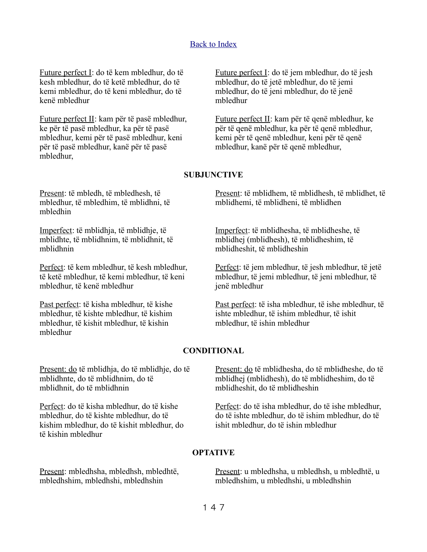Future perfect I: do të kem mbledhur, do të kesh mbledhur, do të ketë mbledhur, do të kemi mbledhur, do të keni mbledhur, do të kenë mbledhur

Future perfect II: kam për të pasë mbledhur, ke për të pasë mbledhur, ka për të pasë mbledhur, kemi për të pasë mbledhur, keni për të pasë mbledhur, kanë për të pasë mbledhur,

Present: të mbledh, të mbledhesh, të mbledhur, të mbledhim, të mblidhni, të mbledhin

Imperfect: të mblidhja, të mblidhje, të mblidhte, të mblidhnim, të mblidhnit, të mblidhnin

Perfect: të kem mbledhur, të kesh mbledhur, të ketë mbledhur, të kemi mbledhur, të keni mbledhur, të kenë mbledhur

Past perfect: të kisha mbledhur, të kishe mbledhur, të kishte mbledhur, të kishim mbledhur, të kishit mbledhur, të kishin mbledhur

Present: do të mblidhja, do të mblidhje, do të mblidhnte, do të mblidhnim, do të mblidhnit, do të mblidhnin

Perfect: do të kisha mbledhur, do të kishe mbledhur, do të kishte mbledhur, do të kishim mbledhur, do të kishit mbledhur, do të kishin mbledhur

Present: mbledhsha, mbledhsh, mbledhtë, mbledhshim, mbledhshi, mbledhshin

Future perfect I: do të jem mbledhur, do të jesh mbledhur, do të jetë mbledhur, do të jemi mbledhur, do të jeni mbledhur, do të jenë mbledhur

Future perfect II: kam për të qenë mbledhur, ke për të qenë mbledhur, ka për të qenë mbledhur, kemi për të qenë mbledhur, keni për të qenë mbledhur, kanë për të qenë mbledhur,

# **SUBJUNCTIVE**

Present: të mblidhem, të mblidhesh, të mblidhet, të mblidhemi, të mblidheni, të mblidhen

Imperfect: të mblidhesha, të mblidheshe, të mblidhej (mblidhesh), të mblidheshim, të mblidheshit, të mblidheshin

Perfect: të jem mbledhur, të jesh mbledhur, të jetë mbledhur, të jemi mbledhur, të jeni mbledhur, të jenë mbledhur

Past perfect: të isha mbledhur, të ishe mbledhur, të ishte mbledhur, të ishim mbledhur, të ishit mbledhur, të ishin mbledhur

# **CONDITIONAL**

Present: do të mblidhesha, do të mblidheshe, do të mblidhej (mblidhesh), do të mblidheshim, do të mblidheshit, do të mblidheshin

Perfect: do të isha mbledhur, do të ishe mbledhur, do të ishte mbledhur, do të ishim mbledhur, do të ishit mbledhur, do të ishin mbledhur

# **OPTATIVE**

Present: u mbledhsha, u mbledhsh, u mbledhtë, u mbledhshim, u mbledhshi, u mbledhshin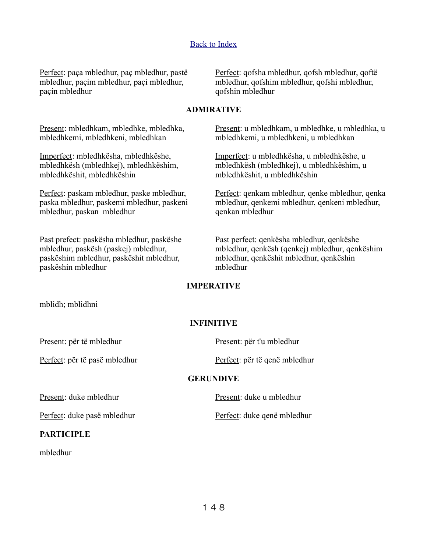Perfect: paça mbledhur, paç mbledhur, pastë mbledhur, paçim mbledhur, paçi mbledhur, paçin mbledhur

Perfect: qofsha mbledhur, qofsh mbledhur, qoftë mbledhur, qofshim mbledhur, qofshi mbledhur, qofshin mbledhur

# **ADMIRATIVE**

Present: mbledhkam, mbledhke, mbledhka, mbledhkemi, mbledhkeni, mbledhkan

Imperfect: mbledhkësha, mbledhkëshe, mbledhkësh (mbledhkej), mbledhkëshim, mbledhkëshit, mbledhkëshin

Perfect: paskam mbledhur, paske mbledhur, paska mbledhur, paskemi mbledhur, paskeni mbledhur, paskan mbledhur

Past prefect: paskësha mbledhur, paskëshe mbledhur, paskësh (paskej) mbledhur, paskëshim mbledhur, paskëshit mbledhur, paskëshin mbledhur

Present: u mbledhkam, u mbledhke, u mbledhka, u mbledhkemi, u mbledhkeni, u mbledhkan

Imperfect: u mbledhkësha, u mbledhkëshe, u mbledhkësh (mbledhkej), u mbledhkëshim, u mbledhkëshit, u mbledhkëshin

Perfect: qenkam mbledhur, qenke mbledhur, qenka mbledhur, qenkemi mbledhur, qenkeni mbledhur, qenkan mbledhur

Past perfect: qenkësha mbledhur, qenkëshe mbledhur, qenkësh (qenkej) mbledhur, qenkëshim mbledhur, qenkëshit mbledhur, qenkëshin mbledhur

# **IMPERATIVE**

mblidh; mblidhni

# **INFINITIVE**

Present: për të mbledhur Present: për t'u mbledhur

Perfect: për të pasë mbledhur Perfect: për të qenë mbledhur

# **PARTICIPLE**

mbledhur

# **GERUNDIVE**

Present: duke mbledhur Present: duke u mbledhur

Perfect: duke pasë mbledhur Perfect: duke qenë mbledhur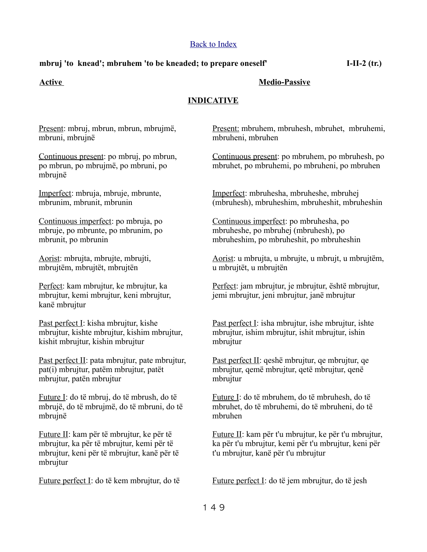# **mbruj 'to knead'; mbruhem 'to be kneaded; to prepare oneself' I-II-2 (tr.)**

# **Active Active Active Active Active Active Active Active Active Active Active Active Active Active Active Active**

# **INDICATIVE**

Present: mbruj, mbrun, mbruj, mbrujmë, mbruni, mbrujnë

Continuous present: po mbruj, po mbrun, po mbrun, po mbrujmë, po mbruni, po mbrujnë

Imperfect: mbruja, mbruje, mbrunte, mbrunim, mbrunit, mbrunin

Continuous imperfect: po mbruja, po mbruje, po mbrunte, po mbrunim, po mbrunit, po mbrunin

Aorist: mbrujta, mbrujte, mbrujti, mbrujtëm, mbrujtët, mbrujtën

Perfect: kam mbrujtur, ke mbrujtur, ka mbrujtur, kemi mbrujtur, keni mbrujtur, kanë mbrujtur

Past perfect I: kisha mbrujtur, kishe mbrujtur, kishte mbrujtur, kishim mbrujtur, kishit mbrujtur, kishin mbrujtur

Past perfect II: pata mbrujtur, pate mbrujtur, pat(i) mbrujtur, patëm mbrujtur, patët mbrujtur, patën mbrujtur

Future I: do të mbruj, do të mbrush, do të mbrujë, do të mbrujmë, do të mbruni, do të mbrujnë

Future II: kam për të mbrujtur, ke për të mbrujtur, ka për të mbrujtur, kemi për të mbrujtur, keni për të mbrujtur, kanë për të mbrujtur

Present: mbruhem, mbruhesh, mbruhet, mbruhemi, mbruheni, mbruhen

Continuous present: po mbruhem, po mbruhesh, po mbruhet, po mbruhemi, po mbruheni, po mbruhen

Imperfect: mbruhesha, mbruheshe, mbruhej (mbruhesh), mbruheshim, mbruheshit, mbruheshin

Continuous imperfect: po mbruhesha, po mbruheshe, po mbruhej (mbruhesh), po mbruheshim, po mbruheshit, po mbruheshin

Aorist: u mbrujta, u mbrujte, u mbrujt, u mbrujtëm, u mbrujtët, u mbrujtën

Perfect: jam mbrujtur, je mbrujtur, është mbrujtur, jemi mbrujtur, jeni mbrujtur, janë mbrujtur

Past perfect I: isha mbrujtur, ishe mbrujtur, ishte mbrujtur, ishim mbrujtur, ishit mbrujtur, ishin mbrujtur

Past perfect II: qeshë mbrujtur, qe mbrujtur, qe mbrujtur, qemë mbrujtur, qetë mbrujtur, qenë mbrujtur

Future I: do të mbruhem, do të mbruhesh, do të mbruhet, do të mbruhemi, do të mbruheni, do të mbruhen

Future II: kam për t'u mbrujtur, ke për t'u mbrujtur, ka për t'u mbrujtur, kemi për t'u mbrujtur, keni për t'u mbrujtur, kanë për t'u mbrujtur

Future perfect I: do të kem mbrujtur, do të Future perfect I: do të jem mbrujtur, do të jesh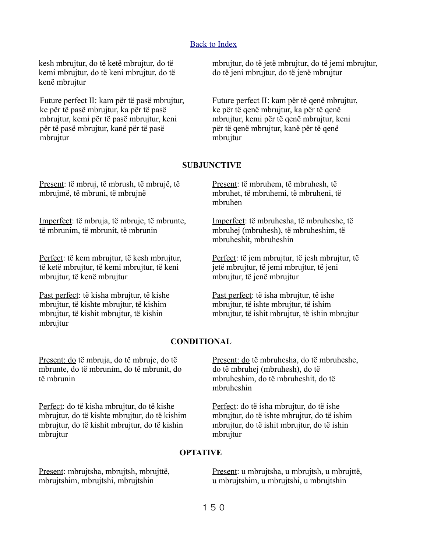kesh mbrujtur, do të ketë mbrujtur, do të kemi mbrujtur, do të keni mbrujtur, do të kenë mbrujtur

Future perfect II: kam për të pasë mbrujtur, ke për të pasë mbrujtur, ka për të pasë mbrujtur, kemi për të pasë mbrujtur, keni për të pasë mbrujtur, kanë për të pasë mbrujtur

mbrujtur, do të jetë mbrujtur, do të jemi mbrujtur, do të jeni mbrujtur, do të jenë mbrujtur

Future perfect II: kam për të qenë mbrujtur, ke për të qenë mbrujtur, ka për të qenë mbrujtur, kemi për të qenë mbrujtur, keni për të qenë mbrujtur, kanë për të qenë mbrujtur

# **SUBJUNCTIVE**

Present: të mbruj, të mbrush, të mbrujë, të mbrujmë, të mbruni, të mbrujnë

Imperfect: të mbruja, të mbruje, të mbrunte, të mbrunim, të mbrunit, të mbrunin

Perfect: të kem mbrujtur, të kesh mbrujtur, të ketë mbrujtur, të kemi mbrujtur, të keni mbrujtur, të kenë mbrujtur

Past perfect: të kisha mbrujtur, të kishe mbrujtur, të kishte mbrujtur, të kishim mbrujtur, të kishit mbrujtur, të kishin mbrujtur

Present: të mbruhem, të mbruhesh, të mbruhet, të mbruhemi, të mbruheni, të mbruhen

Imperfect: të mbruhesha, të mbruheshe, të mbruhej (mbruhesh), të mbruheshim, të mbruheshit, mbruheshin

Perfect: të jem mbrujtur, të jesh mbrujtur, të jetë mbrujtur, të jemi mbrujtur, të jeni mbrujtur, të jenë mbrujtur

Past perfect: të isha mbrujtur, të ishe mbrujtur, të ishte mbrujtur, të ishim mbrujtur, të ishit mbrujtur, të ishin mbrujtur

### **CONDITIONAL**

Present: do të mbruja, do të mbruje, do të mbrunte, do të mbrunim, do të mbrunit, do të mbrunin

Perfect: do të kisha mbrujtur, do të kishe mbrujtur, do të kishte mbrujtur, do të kishim mbrujtur, do të kishit mbrujtur, do të kishin mbruitur

Present: mbrujtsha, mbrujtsh, mbrujttë, mbrujtshim, mbrujtshi, mbrujtshin

Present: do të mbruhesha, do të mbruheshe, do të mbruhej (mbruhesh), do të mbruheshim, do të mbruheshit, do të mbruheshin

Perfect: do të isha mbrujtur, do të ishe mbrujtur, do të ishte mbrujtur, do të ishim mbrujtur, do të ishit mbrujtur, do të ishin mbruitur

### **OPTATIVE**

Present: u mbrujtsha, u mbrujtsh, u mbrujttë, u mbrujtshim, u mbrujtshi, u mbrujtshin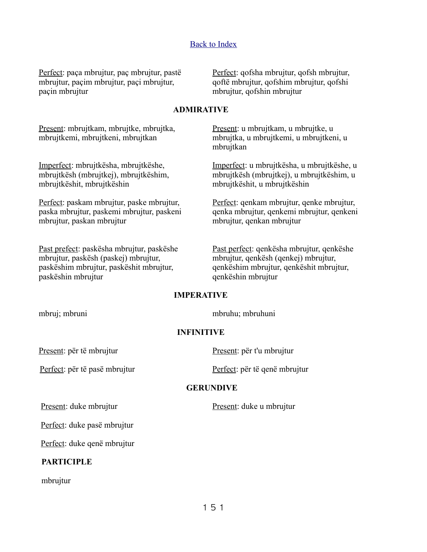Perfect: paça mbrujtur, paç mbrujtur, pastë mbrujtur, paçim mbrujtur, paçi mbrujtur, paçin mbrujtur

Perfect: qofsha mbrujtur, qofsh mbrujtur, qoftë mbrujtur, qofshim mbrujtur, qofshi mbrujtur, qofshin mbrujtur

# **ADMIRATIVE**

Present: mbrujtkam, mbrujtke, mbrujtka, mbrujtkemi, mbrujtkeni, mbrujtkan

Imperfect: mbrujtkësha, mbrujtkëshe, mbrujtkësh (mbrujtkej), mbrujtkëshim, mbrujtkëshit, mbrujtkëshin

Perfect: paskam mbrujtur, paske mbrujtur, paska mbrujtur, paskemi mbrujtur, paskeni mbrujtur, paskan mbrujtur

Past prefect: paskësha mbrujtur, paskëshe mbrujtur, paskësh (paskej) mbrujtur, paskëshim mbrujtur, paskëshit mbrujtur, paskëshin mbrujtur

mbrujtur

Present: u mbrujtkam, u mbrujtke, u mbrujtka, u mbrujtkemi, u mbrujtkeni, u mbrujtkan

Imperfect: u mbrujtkësha, u mbrujtkëshe, u mbrujtkësh (mbrujtkej), u mbrujtkëshim, u mbrujtkëshit, u mbrujtkëshin

Perfect: qenkam mbrujtur, qenke mbrujtur, qenka mbrujtur, qenkemi mbrujtur, qenkeni mbrujtur, qenkan mbrujtur

Past perfect: qenkësha mbrujtur, qenkëshe mbrujtur, qenkësh (qenkej) mbrujtur, qenkëshim mbrujtur, qenkëshit mbrujtur, qenkëshin mbrujtur

# **IMPERATIVE**

| mbruj; mbruni                    | mbruhu; mbruhuni              |
|----------------------------------|-------------------------------|
|                                  | <b>INFINITIVE</b>             |
| <u>Present</u> : për të mbrujtur | Present: për t'u mbrujtur     |
| Perfect: për të pasë mbrujtur    | Perfect: për të qenë mbrujtur |
|                                  | <b>GERUNDIVE</b>              |
| Present: duke mbrujtur           | Present: duke u mbrujtur      |
| Perfect: duke pasë mbrujtur      |                               |
| Perfect: duke qenë mbrujtur      |                               |
| <b>PARTICIPLE</b>                |                               |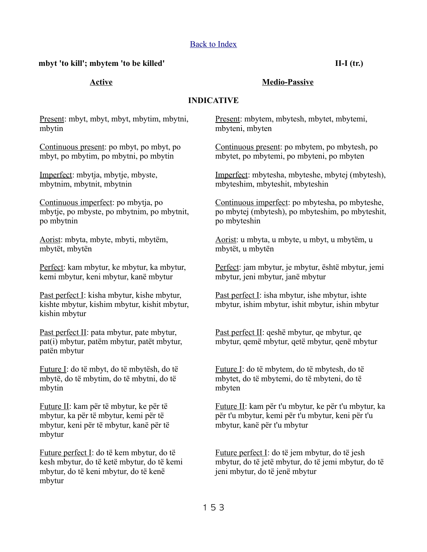# **mbyt 'to kill'; mbytem 'to be killed' II-I (tr.)**

# **Active Medio-Passive**

# **INDICATIVE**

Present: mbyt, mbyt, mbyt, mbytim, mbytni, mbytin

Continuous present: po mbyt, po mbyt, po mbyt, po mbytim, po mbytni, po mbytin

Imperfect: mbytja, mbytje, mbyste, mbytnim, mbytnit, mbytnin

Continuous imperfect: po mbytja, po mbytje, po mbyste, po mbytnim, po mbytnit, po mbytnin

Aorist: mbyta, mbyte, mbyti, mbytëm, mbytët, mbytën

Perfect: kam mbytur, ke mbytur, ka mbytur, kemi mbytur, keni mbytur, kanë mbytur

Past perfect I: kisha mbytur, kishe mbytur, kishte mbytur, kishim mbytur, kishit mbytur, kishin mbytur

Past perfect II: pata mbytur, pate mbytur, pat(i) mbytur, patëm mbytur, patët mbytur, patën mbytur

Future I: do të mbyt, do të mbytësh, do të mbytë, do të mbytim, do të mbytni, do të mbytin

Future II: kam për të mbytur, ke për të mbytur, ka për të mbytur, kemi për të mbytur, keni për të mbytur, kanë për të mbytur

Future perfect I: do të kem mbytur, do të kesh mbytur, do të ketë mbytur, do të kemi mbytur, do të keni mbytur, do të kenë mbytur

Present: mbytem, mbytesh, mbytet, mbytemi, mbyteni, mbyten

Continuous present: po mbytem, po mbytesh, po mbytet, po mbytemi, po mbyteni, po mbyten

Imperfect: mbytesha, mbyteshe, mbytej (mbytesh), mbyteshim, mbyteshit, mbyteshin

Continuous imperfect: po mbytesha, po mbyteshe, po mbytej (mbytesh), po mbyteshim, po mbyteshit, po mbyteshin

Aorist: u mbyta, u mbyte, u mbyt, u mbytëm, u mbytët, u mbytën

Perfect: jam mbytur, je mbytur, është mbytur, jemi mbytur, jeni mbytur, janë mbytur

Past perfect I: isha mbytur, ishe mbytur, ishte mbytur, ishim mbytur, ishit mbytur, ishin mbytur

Past perfect II: qeshë mbytur, qe mbytur, qe mbytur, qemë mbytur, qetë mbytur, qenë mbytur

Future I: do të mbytem, do të mbytesh, do të mbytet, do të mbytemi, do të mbyteni, do të mbyten

Future II: kam për t'u mbytur, ke për t'u mbytur, ka për t'u mbytur, kemi për t'u mbytur, keni për t'u mbytur, kanë për t'u mbytur

Future perfect I: do të jem mbytur, do të jesh mbytur, do të jetë mbytur, do të jemi mbytur, do të jeni mbytur, do të jenë mbytur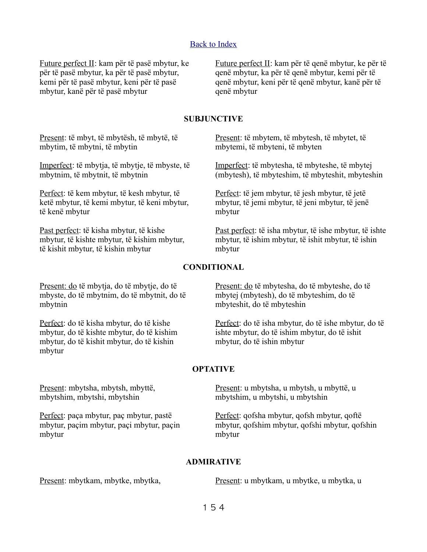Future perfect II: kam për të pasë mbytur, ke për të pasë mbytur, ka për të pasë mbytur, kemi për të pasë mbytur, keni për të pasë mbytur, kanë për të pasë mbytur

Future perfect II: kam për të qenë mbytur, ke për të qenë mbytur, ka për të qenë mbytur, kemi për të qenë mbytur, keni për të qenë mbytur, kanë për të qenë mbytur

# **SUBJUNCTIVE**

Present: të mbyt, të mbytësh, të mbytë, të mbytim, të mbytni, të mbytin Present: të mbytem, të mbytesh, të mbytet, të mbytemi, të mbyteni, të mbyten Imperfect: të mbytja, të mbytje, të mbyste, të mbytnim, të mbytnit, të mbytnin Imperfect: të mbytesha, të mbyteshe, të mbytej (mbytesh), të mbyteshim, të mbyteshit, mbyteshin Perfect: të kem mbytur, të kesh mbytur, të ketë mbytur, të kemi mbytur, të keni mbytur, të kenë mbytur Perfect: të jem mbytur, të jesh mbytur, të jetë mbytur, të jemi mbytur, të jeni mbytur, të jenë mbytur Past perfect: të kisha mbytur, të kishe mbytur, të kishte mbytur, të kishim mbytur, të kishit mbytur, të kishin mbytur Past perfect: të isha mbytur, të ishe mbytur, të ishte mbytur, të ishim mbytur, të ishit mbytur, të ishin mbytur **CONDITIONAL** Present: do të mbytja, do të mbytje, do të mbyste, do të mbytnim, do të mbytnit, do të mbytnin Present: do të mbytesha, do të mbyteshe, do të mbytej (mbytesh), do të mbyteshim, do të mbyteshit, do të mbyteshin Perfect: do të kisha mbytur, do të kishe mbytur, do të kishte mbytur, do të kishim mbytur, do të kishit mbytur, do të kishin Perfect: do të isha mbytur, do të ishe mbytur, do të ishte mbytur, do të ishim mbytur, do të ishit mbytur, do të ishin mbytur

# **OPTATIVE**

Present: u mbytsha, u mbytsh, u mbyttë, u mbytshim, u mbytshi, u mbytshin

Perfect: qofsha mbytur, qofsh mbytur, qoftë mbytur, qofshim mbytur, qofshi mbytur, qofshin mbytur

# **ADMIRATIVE**

Present: mbytsha, mbytsh, mbyttë, mbytshim, mbytshi, mbytshin

Perfect: paça mbytur, paç mbytur, pastë mbytur, paçim mbytur, paçi mbytur, paçin

mbytur

mbytur

Present: mbytkam, mbytke, mbytka, Present: u mbytkam, u mbytke, u mbytka, u

154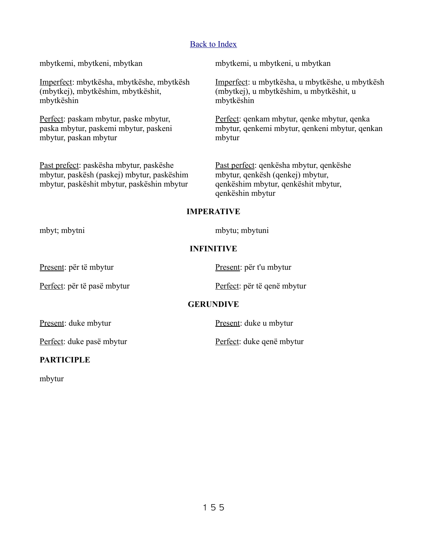| mbytkemi, mbytkeni, mbytkan                                                                                                         | mbytkemi, u mbytkeni, u mbytkan                                                                                                        |  |
|-------------------------------------------------------------------------------------------------------------------------------------|----------------------------------------------------------------------------------------------------------------------------------------|--|
| Imperfect: mbytkësha, mbytkëshe, mbytkësh<br>(mbytkej), mbytkëshim, mbytkëshit,<br>mbytkëshin                                       | Imperfect: u mbytkësha, u mbytkëshe, u mbytkësh<br>(mbytkej), u mbytkëshim, u mbytkëshit, u<br>mbytkëshin                              |  |
| Perfect: paskam mbytur, paske mbytur,<br>paska mbytur, paskemi mbytur, paskeni<br>mbytur, paskan mbytur                             | Perfect: qenkam mbytur, qenke mbytur, qenka<br>mbytur, qenkemi mbytur, qenkeni mbytur, qenkan<br>mbytur                                |  |
| Past prefect: paskësha mbytur, paskëshe<br>mbytur, paskësh (paskej) mbytur, paskëshim<br>mbytur, paskëshit mbytur, paskëshin mbytur | Past perfect: qenkësha mbytur, qenkëshe<br>mbytur, qenkësh (qenkej) mbytur,<br>qenkëshim mbytur, qenkëshit mbytur,<br>qenkëshin mbytur |  |
| <b>IMPERATIVE</b>                                                                                                                   |                                                                                                                                        |  |
| mbyt; mbytni                                                                                                                        | mbytu; mbytuni                                                                                                                         |  |
| <b>INFINITIVE</b>                                                                                                                   |                                                                                                                                        |  |
| Present: për të mbytur                                                                                                              | Present: për t'u mbytur                                                                                                                |  |
| Perfect: për të pasë mbytur                                                                                                         | Perfect: për të qenë mbytur                                                                                                            |  |
| <b>GERUNDIVE</b>                                                                                                                    |                                                                                                                                        |  |
| Present: duke mbytur                                                                                                                | Present: duke u mbytur                                                                                                                 |  |
| Perfect: duke pasë mbytur                                                                                                           | Perfect: duke qenë mbytur                                                                                                              |  |

# **PARTICIPLE**

mbytur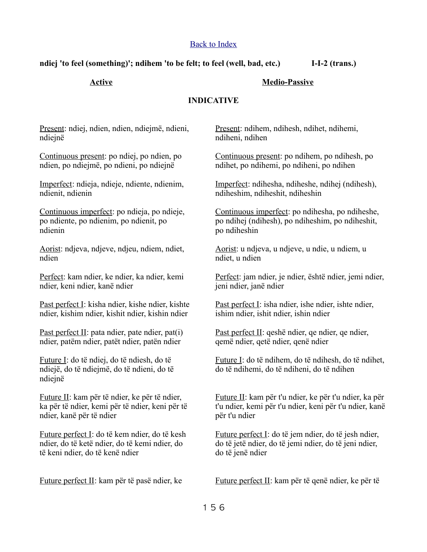# **ndiej 'to feel (something)'; ndihem 'to be felt; to feel (well, bad, etc.) I-I-2 (trans.)**

### **Active Medio-Passive**

### **INDICATIVE**

Present: ndiej, ndien, ndien, ndiejmë, ndieni, ndiejnë

Continuous present: po ndiej, po ndien, po ndien, po ndiejmë, po ndieni, po ndiejnë

Imperfect: ndieja, ndieje, ndiente, ndienim, ndienit, ndienin

Continuous imperfect: po ndieja, po ndieje, po ndiente, po ndienim, po ndienit, po ndienin

Aorist: ndjeva, ndjeve, ndjeu, ndiem, ndiet, ndien

Perfect: kam ndier, ke ndier, ka ndier, kemi ndier, keni ndier, kanë ndier

Past perfect I: kisha ndier, kishe ndier, kishte ndier, kishim ndier, kishit ndier, kishin ndier

Past perfect II: pata ndier, pate ndier, pat(i) ndier, patëm ndier, patët ndier, patën ndier

Future I: do të ndiej, do të ndiesh, do të ndiejë, do të ndiejmë, do të ndieni, do të ndiejnë

Future II: kam për të ndier, ke për të ndier, ka për të ndier, kemi për të ndier, keni për të ndier, kanë për të ndier

Future perfect I: do të kem ndier, do të kesh ndier, do të ketë ndier, do të kemi ndier, do të keni ndier, do të kenë ndier

Present: ndihem, ndihesh, ndihet, ndihemi, ndiheni, ndihen

Continuous present: po ndihem, po ndihesh, po ndihet, po ndihemi, po ndiheni, po ndihen

Imperfect: ndihesha, ndiheshe, ndihej (ndihesh), ndiheshim, ndiheshit, ndiheshin

Continuous imperfect: po ndihesha, po ndiheshe, po ndihej (ndihesh), po ndiheshim, po ndiheshit, po ndiheshin

Aorist: u ndjeva, u ndjeve, u ndie, u ndiem, u ndiet, u ndien

Perfect: jam ndier, je ndier, është ndier, jemi ndier, jeni ndier, janë ndier

Past perfect I: isha ndier, ishe ndier, ishte ndier, ishim ndier, ishit ndier, ishin ndier

Past perfect II: qeshë ndier, qe ndier, qe ndier, qemë ndier, qetë ndier, qenë ndier

Future I: do të ndihem, do të ndihesh, do të ndihet, do të ndihemi, do të ndiheni, do të ndihen

Future II: kam për t'u ndier, ke për t'u ndier, ka për t'u ndier, kemi për t'u ndier, keni për t'u ndier, kanë për t'u ndier

Future perfect I: do të jem ndier, do të jesh ndier, do të jetë ndier, do të jemi ndier, do të jeni ndier, do të jenë ndier

Future perfect II: kam për të pasë ndier, ke Future perfect II: kam për të qenë ndier, ke për të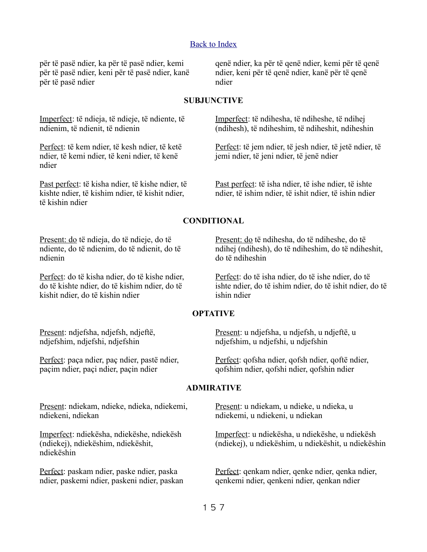për të pasë ndier, ka për të pasë ndier, kemi për të pasë ndier, keni për të pasë ndier, kanë për të pasë ndier

qenë ndier, ka për të qenë ndier, kemi për të qenë ndier, keni për të qenë ndier, kanë për të qenë ndier

# **SUBJUNCTIVE**

Imperfect: të ndieja, të ndieje, të ndiente, të ndienim, të ndienit, të ndienin

Perfect: të kem ndier, të kesh ndier, të ketë ndier, të kemi ndier, të keni ndier, të kenë ndier

Past perfect: të kisha ndier, të kishe ndier, të kishte ndier, të kishim ndier, të kishit ndier, të kishin ndier

Imperfect: të ndihesha, të ndiheshe, të ndihej (ndihesh), të ndiheshim, të ndiheshit, ndiheshin

Perfect: të jem ndier, të jesh ndier, të jetë ndier, të jemi ndier, të jeni ndier, të jenë ndier

Past perfect: të isha ndier, të ishe ndier, të ishte ndier, të ishim ndier, të ishit ndier, të ishin ndier

### **CONDITIONAL**

Present: do të ndieja, do të ndieje, do të ndiente, do të ndienim, do të ndienit, do të ndienin

Perfect: do të kisha ndier, do të kishe ndier, do të kishte ndier, do të kishim ndier, do të kishit ndier, do të kishin ndier

Present: ndjefsha, ndjefsh, ndjeftë, ndjefshim, ndjefshi, ndjefshin

Perfect: paça ndier, paç ndier, pastë ndier, paçim ndier, paçi ndier, paçin ndier

Present: do të ndihesha, do të ndiheshe, do të ndihej (ndihesh), do të ndiheshim, do të ndiheshit, do të ndiheshin

Perfect: do të isha ndier, do të ishe ndier, do të ishte ndier, do të ishim ndier, do të ishit ndier, do të ishin ndier

### **OPTATIVE**

Present: u ndjefsha, u ndjefsh, u ndjeftë, u ndjefshim, u ndjefshi, u ndjefshin

Perfect: qofsha ndier, qofsh ndier, qoftë ndier, qofshim ndier, qofshi ndier, qofshin ndier

### **ADMIRATIVE**

Present: ndiekam, ndieke, ndieka, ndiekemi, ndiekeni, ndiekan

Imperfect: ndiekësha, ndiekëshe, ndiekësh (ndiekej), ndiekëshim, ndiekëshit, ndiekëshin

Perfect: paskam ndier, paske ndier, paska ndier, paskemi ndier, paskeni ndier, paskan Present: u ndiekam, u ndieke, u ndieka, u ndiekemi, u ndiekeni, u ndiekan

Imperfect: u ndiekësha, u ndiekëshe, u ndiekësh (ndiekej), u ndiekëshim, u ndiekëshit, u ndiekëshin

Perfect: qenkam ndier, qenke ndier, qenka ndier, qenkemi ndier, qenkeni ndier, qenkan ndier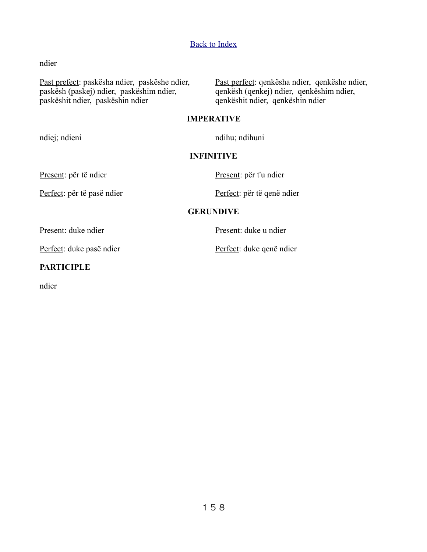ndier

Past prefect: paskësha ndier, paskëshe ndier, paskësh (paskej) ndier, paskëshim ndier, paskëshit ndier, paskëshin ndier

Past perfect: qenkësha ndier, qenkëshe ndier, qenkësh (qenkej) ndier, qenkëshim ndier, qenkëshit ndier, qenkëshin ndier

# **IMPERATIVE**

ndiej; ndieni ndihu; ndihuni ndihu; ndihuni

# **INFINITIVE**

Present: për të ndier Present: për t'u ndier

Perfect: për të pasë ndier Perfect: për të qenë ndier

# **GERUNDIVE**

| Present: duke ndier      | Present: duke u ndier    |
|--------------------------|--------------------------|
| Perfect: duke pasë ndier | Perfect: duke qenë ndier |

# **PARTICIPLE**

ndier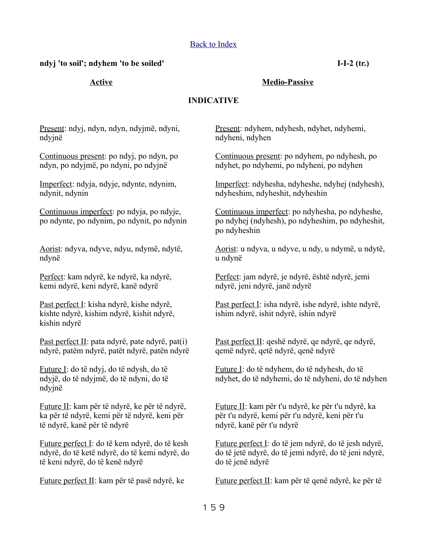# **ndyj 'to soil'; ndyhem 'to be soiled' I-I-2 (tr.)**

# **Active Medio-Passive**

### **INDICATIVE**

Present: ndyj, ndyn, ndyn, ndyjmë, ndyni, ndyjnë

Continuous present: po ndyj, po ndyn, po ndyn, po ndyjmë, po ndyni, po ndyjnë

Imperfect: ndyja, ndyje, ndynte, ndynim, ndynit, ndynin

Continuous imperfect: po ndyja, po ndyje, po ndynte, po ndynim, po ndynit, po ndynin

Aorist: ndyva, ndyve, ndyu, ndymë, ndytë, ndynë

Perfect: kam ndyrë, ke ndyrë, ka ndyrë, kemi ndyrë, keni ndyrë, kanë ndyrë

Past perfect I: kisha ndyrë, kishe ndyrë, kishte ndyrë, kishim ndyrë, kishit ndyrë, kishin ndyrë

Past perfect II: pata ndyrë, pate ndyrë, pat(i) ndyrë, patëm ndyrë, patët ndyrë, patën ndyrë

Future I: do të ndyj, do të ndysh, do të ndyjë, do të ndyjmë, do të ndyni, do të ndyjnë

Future II: kam për të ndyrë, ke për të ndyrë, ka për të ndyrë, kemi për të ndyrë, keni për të ndyrë, kanë për të ndyrë

Future perfect I: do të kem ndyrë, do të kesh ndyrë, do të ketë ndyrë, do të kemi ndyrë, do të keni ndyrë, do të kenë ndyrë

Present: ndyhem, ndyhesh, ndyhet, ndyhemi, ndyheni, ndyhen

Continuous present: po ndyhem, po ndyhesh, po ndyhet, po ndyhemi, po ndyheni, po ndyhen

Imperfect: ndyhesha, ndyheshe, ndyhej (ndyhesh), ndyheshim, ndyheshit, ndyheshin

Continuous imperfect: po ndyhesha, po ndyheshe, po ndyhej (ndyhesh), po ndyheshim, po ndyheshit, po ndyheshin

Aorist: u ndyva, u ndyve, u ndy, u ndymë, u ndytë, u ndynë

Perfect: jam ndyrë, je ndyrë, është ndyrë, jemi ndyrë, jeni ndyrë, janë ndyrë

Past perfect I: isha ndyrë, ishe ndyrë, ishte ndyrë, ishim ndyrë, ishit ndyrë, ishin ndyrë

Past perfect II: qeshë ndyrë, qe ndyrë, qe ndyrë, qemë ndyrë, qetë ndyrë, qenë ndyrë

Future I: do të ndyhem, do të ndyhesh, do të ndyhet, do të ndyhemi, do të ndyheni, do të ndyhen

Future II: kam për t'u ndyrë, ke për t'u ndyrë, ka për t'u ndyrë, kemi për t'u ndyrë, keni për t'u ndyrë, kanë për t'u ndyrë

Future perfect I: do të jem ndyrë, do të jesh ndyrë, do të jetë ndyrë, do të jemi ndyrë, do të jeni ndyrë, do të jenë ndyrë

Future perfect II: kam për të pasë ndyrë, ke Future perfect II: kam për të qenë ndyrë, ke për të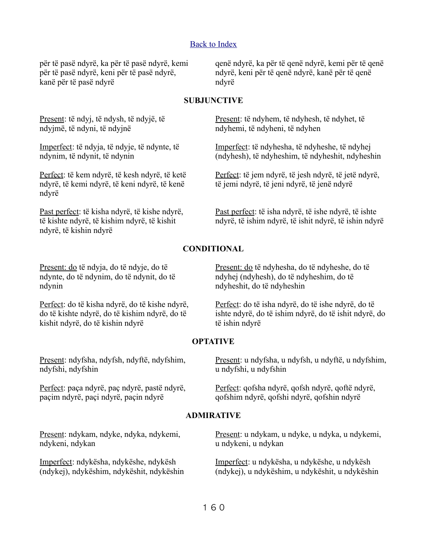për të pasë ndyrë, ka për të pasë ndyrë, kemi për të pasë ndyrë, keni për të pasë ndyrë, kanë për të pasë ndyrë

qenë ndyrë, ka për të qenë ndyrë, kemi për të qenë ndyrë, keni për të qenë ndyrë, kanë për të qenë ndyrë

# **SUBJUNCTIVE**

Present: të ndyj, të ndysh, të ndyjë, të ndyjmë, të ndyni, të ndyjnë

Imperfect: të ndyja, të ndyje, të ndynte, të ndynim, të ndynit, të ndynin

Perfect: të kem ndyrë, të kesh ndyrë, të ketë ndyrë, të kemi ndyrë, të keni ndyrë, të kenë ndyrë

Past perfect: të kisha ndyrë, të kishe ndyrë, të kishte ndyrë, të kishim ndyrë, të kishit ndyrë, të kishin ndyrë

Present: të ndyhem, të ndyhesh, të ndyhet, të ndyhemi, të ndyheni, të ndyhen

Imperfect: të ndyhesha, të ndyheshe, të ndyhej (ndyhesh), të ndyheshim, të ndyheshit, ndyheshin

Perfect: të jem ndyrë, të jesh ndyrë, të jetë ndyrë, të jemi ndyrë, të jeni ndyrë, të jenë ndyrë

Past perfect: të isha ndyrë, të ishe ndyrë, të ishte ndyrë, të ishim ndyrë, të ishit ndyrë, të ishin ndyrë

# **CONDITIONAL**

Present: do të ndyja, do të ndyje, do të ndynte, do të ndynim, do të ndynit, do të ndynin

Perfect: do të kisha ndyrë, do të kishe ndyrë, do të kishte ndyrë, do të kishim ndyrë, do të kishit ndyrë, do të kishin ndyrë

Present: do të ndyhesha, do të ndyheshe, do të ndyhej (ndyhesh), do të ndyheshim, do të ndyheshit, do të ndyheshin

Perfect: do të isha ndyrë, do të ishe ndyrë, do të ishte ndyrë, do të ishim ndyrë, do të ishit ndyrë, do të ishin ndyrë

# **OPTATIVE**

Present: ndyfsha, ndyfsh, ndyftë, ndyfshim, ndyfshi, ndyfshin

Perfect: paça ndyrë, paç ndyrë, pastë ndyrë, paçim ndyrë, paçi ndyrë, paçin ndyrë

Present: ndykam, ndyke, ndyka, ndykemi, ndykeni, ndykan

Imperfect: ndykësha, ndykëshe, ndykësh (ndykej), ndykëshim, ndykëshit, ndykëshin Present: u ndyfsha, u ndyfsh, u ndyftë, u ndyfshim, u ndyfshi, u ndyfshin

Perfect: qofsha ndyrë, qofsh ndyrë, qoftë ndyrë, qofshim ndyrë, qofshi ndyrë, qofshin ndyrë

# **ADMIRATIVE**

Present: u ndykam, u ndyke, u ndyka, u ndykemi, u ndykeni, u ndykan

Imperfect: u ndykësha, u ndykëshe, u ndykësh (ndykej), u ndykëshim, u ndykëshit, u ndykëshin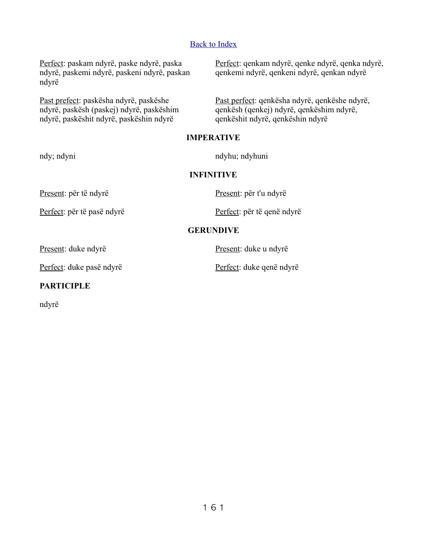Perfect: paskam ndyrë, paske ndyrë, paska ndyrë, paskemi ndyrë, paskeni ndyrë, paskan ndyrë

Past prefect: paskësha ndyrë, paskëshe ndyrë, paskësh (paskej) ndyrë, paskëshim ndyrë, paskëshit ndyrë, paskëshin ndyrë

Perfect: qenkam ndyrë, qenke ndyrë, qenka ndyrë, qenkemi ndyrë, qenkeni ndyrë, qenkan ndyrë

Past perfect: qenkësha ndyrë, qenkëshe ndyrë, qenkësh (qenkej) ndyrë, qenkëshim ndyrë, qenkëshit ndyrë, qenkëshin ndyrë

# **IMPERATIVE**

ndy; ndyni ndyhu; ndyhuni

**INFINITIVE**

| Present: për të ndyrë      | Present: për t'u ndyrë     |
|----------------------------|----------------------------|
| Perfect: për të pasë ndyrë | Perfect: për të qenë ndyrë |
|                            | <b>GERUNDIVE</b>           |
| Present: duke ndyrë        | Present: duke u ndyrë      |

Perfect: duke pasë ndyrë Perfect: duke qenë ndyrë

# **PARTICIPLE**

ndyrë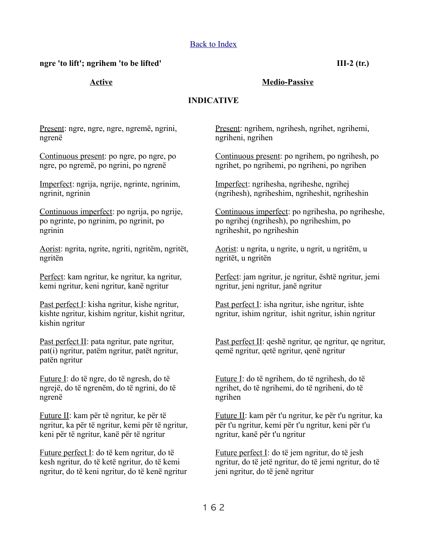# **ngre 'to lift'; ngrihem 'to be lifted' III-2 (tr.)**

# **Active Medio-Passive**

# **INDICATIVE**

Present: ngre, ngre, ngre, ngremë, ngrini, ngrenë

Continuous present: po ngre, po ngre, po ngre, po ngremë, po ngrini, po ngrenë

Imperfect: ngrija, ngrije, ngrinte, ngrinim, ngrinit, ngrinin

Continuous imperfect: po ngrija, po ngrije, po ngrinte, po ngrinim, po ngrinit, po ngrinin

Aorist: ngrita, ngrite, ngriti, ngritëm, ngritët, ngritën

Perfect: kam ngritur, ke ngritur, ka ngritur, kemi ngritur, keni ngritur, kanë ngritur

Past perfect I: kisha ngritur, kishe ngritur, kishte ngritur, kishim ngritur, kishit ngritur, kishin ngritur

Past perfect II: pata ngritur, pate ngritur, pat(i) ngritur, patëm ngritur, patët ngritur, patën ngritur

Future I: do të ngre, do të ngresh, do të ngrejë, do të ngrenëm, do të ngrini, do të ngrenë

Future II: kam për të ngritur, ke për të ngritur, ka për të ngritur, kemi për të ngritur, keni për të ngritur, kanë për të ngritur

Future perfect I: do të kem ngritur, do të kesh ngritur, do të ketë ngritur, do të kemi ngritur, do të keni ngritur, do të kenë ngritur Present: ngrihem, ngrihesh, ngrihet, ngrihemi, ngriheni, ngrihen

Continuous present: po ngrihem, po ngrihesh, po ngrihet, po ngrihemi, po ngriheni, po ngrihen

Imperfect: ngrihesha, ngriheshe, ngrihej (ngrihesh), ngriheshim, ngriheshit, ngriheshin

Continuous imperfect: po ngrihesha, po ngriheshe, po ngrihej (ngrihesh), po ngriheshim, po ngriheshit, po ngriheshin

Aorist: u ngrita, u ngrite, u ngrit, u ngritëm, u ngritët, u ngritën

Perfect: jam ngritur, je ngritur, është ngritur, jemi ngritur, jeni ngritur, janë ngritur

Past perfect I: isha ngritur, ishe ngritur, ishte ngritur, ishim ngritur, ishit ngritur, ishin ngritur

Past perfect II: qeshë ngritur, qe ngritur, qe ngritur, qemë ngritur, qetë ngritur, qenë ngritur

Future I: do të ngrihem, do të ngrihesh, do të ngrihet, do të ngrihemi, do të ngriheni, do të ngrihen

Future II: kam për t'u ngritur, ke për t'u ngritur, ka për t'u ngritur, kemi për t'u ngritur, keni për t'u ngritur, kanë për t'u ngritur

Future perfect I: do të jem ngritur, do të jesh ngritur, do të jetë ngritur, do të jemi ngritur, do të jeni ngritur, do të jenë ngritur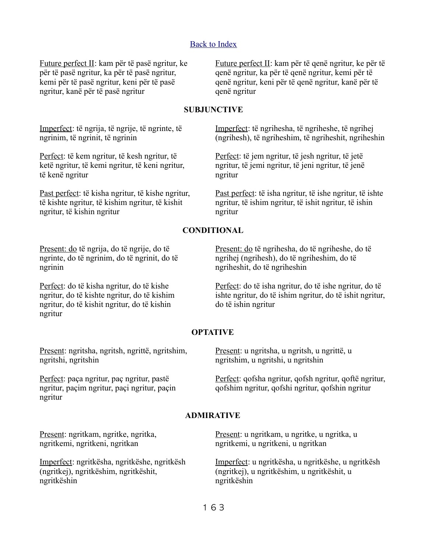Future perfect II: kam për të pasë ngritur, ke për të pasë ngritur, ka për të pasë ngritur, kemi për të pasë ngritur, keni për të pasë ngritur, kanë për të pasë ngritur

Future perfect II: kam për të qenë ngritur, ke për të qenë ngritur, ka për të qenë ngritur, kemi për të qenë ngritur, keni për të qenë ngritur, kanë për të qenë ngritur

Imperfect: të ngrihesha, të ngriheshe, të ngrihej (ngrihesh), të ngriheshim, të ngriheshit, ngriheshin

Perfect: të jem ngritur, të jesh ngritur, të jetë ngritur, të jemi ngritur, të jeni ngritur, të jenë

### **SUBJUNCTIVE**

Imperfect: të ngrija, të ngrije, të ngrinte, të ngrinim, të ngrinit, të ngrinin

Perfect: të kem ngritur, të kesh ngritur, të ketë ngritur, të kemi ngritur, të keni ngritur, të kenë ngritur

Past perfect: të kisha ngritur, të kishe ngritur, të kishte ngritur, të kishim ngritur, të kishit ngritur, të kishin ngritur

Present: do të ngrija, do të ngrije, do të ngrinte, do të ngrinim, do të ngrinit, do të ngrinin

Perfect: do të kisha ngritur, do të kishe ngritur, do të kishte ngritur, do të kishim ngritur, do të kishit ngritur, do të kishin ngritur

ngritur Past perfect: të isha ngritur, të ishe ngritur, të ishte

ngritur, të ishim ngritur, të ishit ngritur, të ishin ngritur

# **CONDITIONAL**

Present: do të ngrihesha, do të ngriheshe, do të ngrihej (ngrihesh), do të ngriheshim, do të ngriheshit, do të ngriheshin

Perfect: do të isha ngritur, do të ishe ngritur, do të ishte ngritur, do të ishim ngritur, do të ishit ngritur, do të ishin ngritur

### **OPTATIVE**

Present: ngritsha, ngritsh, ngrittë, ngritshim, ngritshi, ngritshin

Perfect: paça ngritur, paç ngritur, pastë ngritur, paçim ngritur, paçi ngritur, paçin ngritur

Present: u ngritsha, u ngritsh, u ngrittë, u ngritshim, u ngritshi, u ngritshin

Perfect: qofsha ngritur, qofsh ngritur, qoftë ngritur, qofshim ngritur, qofshi ngritur, qofshin ngritur

### **ADMIRATIVE**

Present: ngritkam, ngritke, ngritka, ngritkemi, ngritkeni, ngritkan

Imperfect: ngritkësha, ngritkëshe, ngritkësh (ngritkej), ngritkëshim, ngritkëshit, ngritkëshin

Present: u ngritkam, u ngritke, u ngritka, u ngritkemi, u ngritkeni, u ngritkan

Imperfect: u ngritkësha, u ngritkëshe, u ngritkësh (ngritkej), u ngritkëshim, u ngritkëshit, u ngritkëshin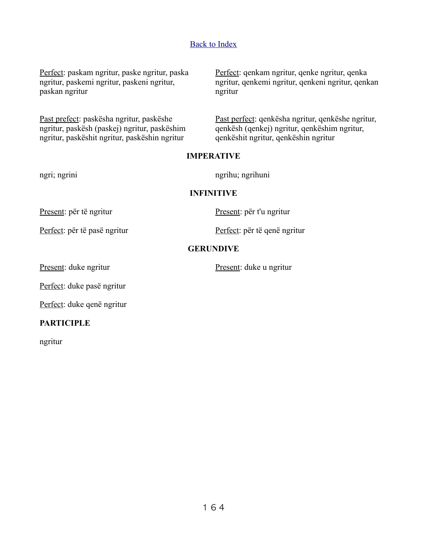| Perfect: paskam ngritur, paske ngritur, paska<br>ngritur, paskemi ngritur, paskeni ngritur,<br>paskan ngritur                             | Perfect: qenkam ngritur, qenke ngritur, qenka<br>ngritur, qenkemi ngritur, qenkeni ngritur, qenkan<br>ngritur                             |  |
|-------------------------------------------------------------------------------------------------------------------------------------------|-------------------------------------------------------------------------------------------------------------------------------------------|--|
| Past prefect: paskësha ngritur, paskëshe<br>ngritur, paskësh (paskej) ngritur, paskëshim<br>ngritur, paskëshit ngritur, paskëshin ngritur | Past perfect: qenkësha ngritur, qenkëshe ngritur,<br>qenkësh (qenkej) ngritur, qenkëshim ngritur,<br>qenkëshit ngritur, qenkëshin ngritur |  |
|                                                                                                                                           | <b>IMPERATIVE</b>                                                                                                                         |  |
| ngri; ngrini                                                                                                                              | ngrihu; ngrihuni                                                                                                                          |  |
| <b>INFINITIVE</b>                                                                                                                         |                                                                                                                                           |  |
| Present: për të ngritur                                                                                                                   | Present: për t'u ngritur                                                                                                                  |  |
| Perfect: për të pasë ngritur                                                                                                              | Perfect: për të qenë ngritur                                                                                                              |  |
|                                                                                                                                           | <b>GERUNDIVE</b>                                                                                                                          |  |
| Present: duke ngritur                                                                                                                     | Present: duke u ngritur                                                                                                                   |  |
| Perfect: duke pasë ngritur                                                                                                                |                                                                                                                                           |  |
| Perfect: duke qenë ngritur                                                                                                                |                                                                                                                                           |  |
| <b>PARTICIPLE</b>                                                                                                                         |                                                                                                                                           |  |

ngritur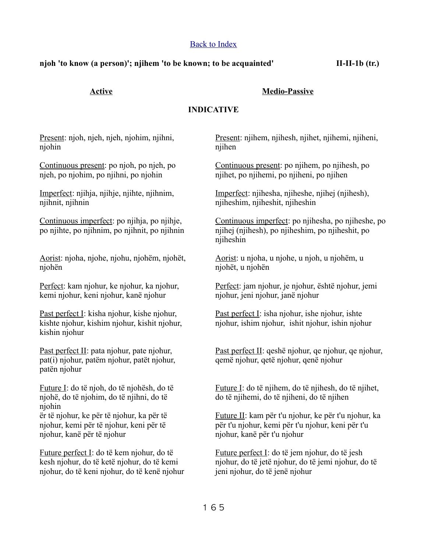# **njoh 'to know (a person)'; njihem 'to be known; to be acquainted' II-II-1b (tr.)**

# **Active Medio-Passive**

# **INDICATIVE**

Present: njoh, njeh, njeh, njohim, njihni, njohin

Continuous present: po njoh, po njeh, po njeh, po njohim, po njihni, po njohin

Imperfect: njihja, njihje, njihte, njihnim, njihnit, njihnin

Continuous imperfect: po njihja, po njihje, po njihte, po njihnim, po njihnit, po njihnin

Aorist: njoha, njohe, njohu, njohëm, njohët, njohën

Perfect: kam njohur, ke njohur, ka njohur, kemi njohur, keni njohur, kanë njohur

Past perfect I: kisha njohur, kishe njohur, kishte njohur, kishim njohur, kishit njohur, kishin njohur

Past perfect II: pata njohur, pate njohur, pat(i) njohur, patëm njohur, patët njohur, patën njohur

Future I: do të njoh, do të njohësh, do të njohë, do të njohim, do të njihni, do të njohin

ër të njohur, ke për të njohur, ka për të njohur, kemi për të njohur, keni për të njohur, kanë për të njohur

Future perfect I: do të kem njohur, do të kesh njohur, do të ketë njohur, do të kemi njohur, do të keni njohur, do të kenë njohur Present: njihem, njihesh, njihet, njihemi, njiheni, niihen

Continuous present: po njihem, po njihesh, po njihet, po njihemi, po njiheni, po njihen

Imperfect: njihesha, njiheshe, njihej (njihesh), njiheshim, njiheshit, njiheshin

Continuous imperfect: po njihesha, po njiheshe, po njihej (njihesh), po njiheshim, po njiheshit, po niiheshin

Aorist: u njoha, u njohe, u njoh, u njohëm, u njohët, u njohën

Perfect: jam njohur, je njohur, është njohur, jemi njohur, jeni njohur, janë njohur

Past perfect I: isha njohur, ishe njohur, ishte njohur, ishim njohur, ishit njohur, ishin njohur

Past perfect II: qeshë njohur, qe njohur, qe njohur, qemë njohur, qetë njohur, qenë njohur

Future I: do të njihem, do të njihesh, do të njihet, do të njihemi, do të njiheni, do të njihen

Future II: kam për t'u njohur, ke për t'u njohur, ka për t'u njohur, kemi për t'u njohur, keni për t'u njohur, kanë për t'u njohur

Future perfect I: do të jem njohur, do të jesh njohur, do të jetë njohur, do të jemi njohur, do të jeni njohur, do të jenë njohur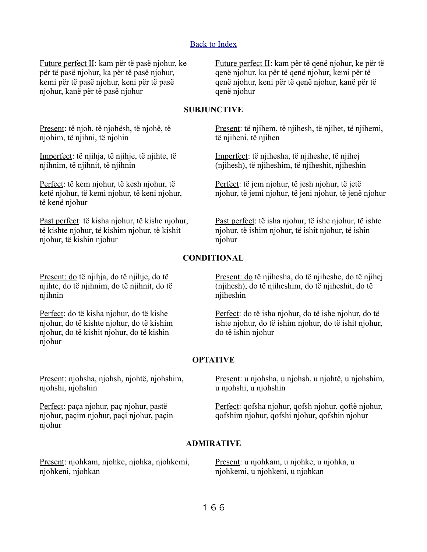Future perfect II: kam për të pasë njohur, ke për të pasë njohur, ka për të pasë njohur, kemi për të pasë njohur, keni për të pasë njohur, kanë për të pasë njohur

Present: të njoh, të njohësh, të njohë, të

Imperfect: të njihja, të njihje, të njihte, të

Perfect: të kem njohur, të kesh njohur, të ketë njohur, të kemi njohur, të keni njohur,

njohim, të njihni, të njohin

njihnim, të njihnit, të njihnin

të kenë njohur

njohur, të kishin njohur

Future perfect II: kam për të qenë njohur, ke për të qenë njohur, ka për të qenë njohur, kemi për të qenë njohur, keni për të qenë njohur, kanë për të qenë njohur

# **SUBJUNCTIVE**

Present: të njihem, të njihesh, të njihet, të njihemi, të njiheni, të njihen

Imperfect: të njihesha, të njiheshe, të njihej (njihesh), të njiheshim, të njiheshit, njiheshin

Perfect: të jem njohur, të jesh njohur, të jetë njohur, të jemi njohur, të jeni njohur, të jenë njohur

Past perfect: të isha njohur, të ishe njohur, të ishte njohur, të ishim njohur, të ishit njohur, të ishin njohur

# **CONDITIONAL**

Present: do të njihja, do të njihje, do të njihte, do të njihnim, do të njihnit, do të njihnin

Past perfect: të kisha njohur, të kishe njohur, të kishte njohur, të kishim njohur, të kishit

Perfect: do të kisha njohur, do të kishe njohur, do të kishte njohur, do të kishim njohur, do të kishit njohur, do të kishin njohur

Present: njohsha, njohsh, njohtë, njohshim, njohshi, njohshin

Perfect: paça njohur, paç njohur, pastë njohur, paçim njohur, paçi njohur, paçin njohur

Present: njohkam, njohke, njohka, njohkemi, njohkeni, njohkan

Present: do të njihesha, do të njiheshe, do të njihej (njihesh), do të njiheshim, do të njiheshit, do të njiheshin

Perfect: do të isha njohur, do të ishe njohur, do të ishte njohur, do të ishim njohur, do të ishit njohur, do të ishin njohur

# **OPTATIVE**

Present: u njohsha, u njohsh, u njohtë, u njohshim, u njohshi, u njohshin

Perfect: qofsha njohur, qofsh njohur, qoftë njohur, qofshim njohur, qofshi njohur, qofshin njohur

# **ADMIRATIVE**

Present: u njohkam, u njohke, u njohka, u njohkemi, u njohkeni, u njohkan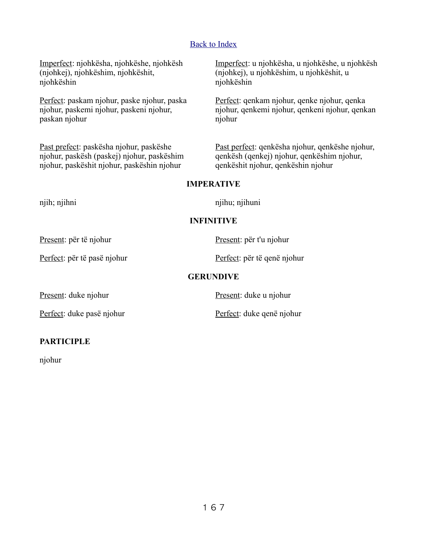| Imperfect: njohkësha, njohkëshe, njohkësh<br>(njohkej), njohkëshim, njohkëshit,<br>njohkëshin                                       | Imperfect: u njohkësha, u njohkëshe, u njohkësh<br>(njohkej), u njohkëshim, u njohkëshit, u<br>njohkëshin                           |  |
|-------------------------------------------------------------------------------------------------------------------------------------|-------------------------------------------------------------------------------------------------------------------------------------|--|
| Perfect: paskam njohur, paske njohur, paska<br>njohur, paskemi njohur, paskeni njohur,<br>paskan njohur                             | Perfect: qenkam njohur, qenke njohur, qenka<br>njohur, qenkemi njohur, qenkeni njohur, qenkan<br>njohur                             |  |
| Past prefect: paskësha njohur, paskëshe<br>njohur, paskësh (paskej) njohur, paskëshim<br>njohur, paskëshit njohur, paskëshin njohur | Past perfect: qenkësha njohur, qenkëshe njohur,<br>qenkësh (qenkej) njohur, qenkëshim njohur,<br>qenkëshit njohur, qenkëshin njohur |  |
| <b>IMPERATIVE</b>                                                                                                                   |                                                                                                                                     |  |
| njih; njihni                                                                                                                        | njihu; njihuni                                                                                                                      |  |
| <b>INFINITIVE</b>                                                                                                                   |                                                                                                                                     |  |
| Present: për të njohur                                                                                                              | Present: për t'u njohur                                                                                                             |  |
| Perfect: për të pasë njohur                                                                                                         | Perfect: për të qenë njohur                                                                                                         |  |
| <b>GERUNDIVE</b>                                                                                                                    |                                                                                                                                     |  |
| Present: duke njohur                                                                                                                | Present: duke u njohur                                                                                                              |  |
| Perfect: duke pasë njohur                                                                                                           | Perfect: duke qenë njohur                                                                                                           |  |
|                                                                                                                                     |                                                                                                                                     |  |

**PARTICIPLE**

njohur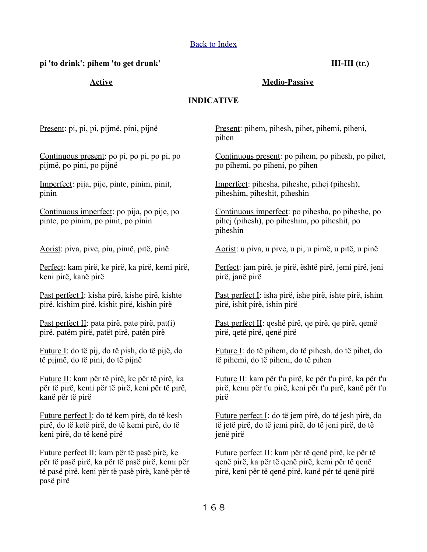# **pi 'to drink'; pihem 'to get drunk' III-III (tr.)**

# **Active Medio-Passive**

# **INDICATIVE**

Continuous present: po pi, po pi, po pi, po pijmë, po pini, po pijnë

Imperfect: pija, pije, pinte, pinim, pinit, pinin

Continuous imperfect: po pija, po pije, po pinte, po pinim, po pinit, po pinin

Perfect: kam pirë, ke pirë, ka pirë, kemi pirë, keni pirë, kanë pirë

Past perfect I: kisha pirë, kishe pirë, kishte pirë, kishim pirë, kishit pirë, kishin pirë

Past perfect II: pata pirë, pate pirë, pat(i) pirë, patëm pirë, patët pirë, patën pirë

Future I: do të pij, do të pish, do të pijë, do të pijmë, do të pini, do të pijnë

Future II: kam për të pirë, ke për të pirë, ka për të pirë, kemi për të pirë, keni për të pirë, kanë për të pirë

Future perfect I: do të kem pirë, do të kesh pirë, do të ketë pirë, do të kemi pirë, do të keni pirë, do të kenë pirë

Future perfect II: kam për të pasë pirë, ke për të pasë pirë, ka për të pasë pirë, kemi për të pasë pirë, keni për të pasë pirë, kanë për të pasë pirë

Present: pi, pi, pi, pijmë, pini, pijnë Present: pihem, pihesh, pihet, pihemi, piheni, pihen

> Continuous present: po pihem, po pihesh, po pihet, po pihemi, po piheni, po pihen

Imperfect: pihesha, piheshe, pihej (pihesh), piheshim, piheshit, piheshin

Continuous imperfect: po pihesha, po piheshe, po pihej (pihesh), po piheshim, po piheshit, po piheshin

Aorist: piva, pive, piu, pimë, pitë, pinë Aorist: u piva, u pive, u pi, u pimë, u pitë, u pinë

Perfect: jam pirë, je pirë, është pirë, jemi pirë, jeni pirë, janë pirë

Past perfect I: isha pirë, ishe pirë, ishte pirë, ishim pirë, ishit pirë, ishin pirë

Past perfect II: qeshë pirë, qe pirë, qe pirë, qemë pirë, qetë pirë, qenë pirë

Future I: do të pihem, do të pihesh, do të pihet, do të pihemi, do të piheni, do të pihen

Future II: kam për t'u pirë, ke për t'u pirë, ka për t'u pirë, kemi për t'u pirë, keni për t'u pirë, kanë për t'u pirë

Future perfect I: do të jem pirë, do të jesh pirë, do të jetë pirë, do të jemi pirë, do të jeni pirë, do të jenë pirë

Future perfect II: kam për të qenë pirë, ke për të qenë pirë, ka për të qenë pirë, kemi për të qenë pirë, keni për të qenë pirë, kanë për të qenë pirë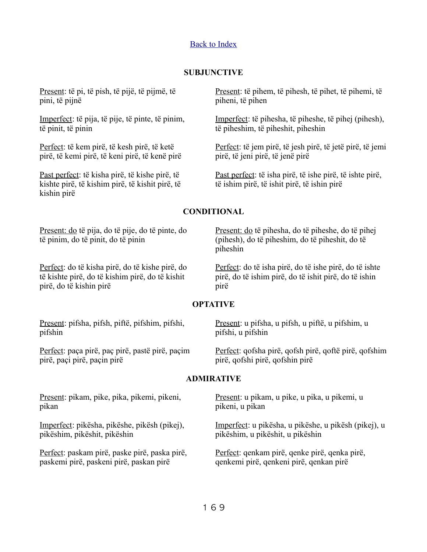# **SUBJUNCTIVE**

Present: të pi, të pish, të pijë, të pijmë, të pini, të pijnë

Imperfect: të pija, të pije, të pinte, të pinim, të pinit, të pinin

Perfect: të kem pirë, të kesh pirë, të ketë pirë, të kemi pirë, të keni pirë, të kenë pirë

Past perfect: të kisha pirë, të kishe pirë, të kishte pirë, të kishim pirë, të kishit pirë, të kishin pirë

Present: të pihem, të pihesh, të pihet, të pihemi, të piheni, të pihen

Imperfect: të pihesha, të piheshe, të pihej (pihesh), të piheshim, të piheshit, piheshin

Perfect: të jem pirë, të jesh pirë, të jetë pirë, të jemi pirë, të jeni pirë, të jenë pirë

Past perfect: të isha pirë, të ishe pirë, të ishte pirë, të ishim pirë, të ishit pirë, të ishin pirë

# **CONDITIONAL**

Present: do të pija, do të pije, do të pinte, do të pinim, do të pinit, do të pinin

Perfect: do të kisha pirë, do të kishe pirë, do të kishte pirë, do të kishim pirë, do të kishit pirë, do të kishin pirë

Present: do të pihesha, do të piheshe, do të pihej (pihesh), do të piheshim, do të piheshit, do të piheshin

Perfect: do të isha pirë, do të ishe pirë, do të ishte pirë, do të ishim pirë, do të ishit pirë, do të ishin pirë

# **OPTATIVE**

Present: pifsha, pifsh, piftë, pifshim, pifshi, pifshin

Perfect: paça pirë, paç pirë, pastë pirë, paçim pirë, paçi pirë, paçin pirë

Present: u pifsha, u pifsh, u piftë, u pifshim, u pifshi, u pifshin

Perfect: qofsha pirë, qofsh pirë, qoftë pirë, qofshim pirë, qofshi pirë, qofshin pirë

# **ADMIRATIVE**

| Present: pikam, pike, pika, pikemi, pikeni,   | Present: u pikam, u pike, u pika, u pikemi, u        |
|-----------------------------------------------|------------------------------------------------------|
| pikan                                         | pikeni, u pikan                                      |
| Imperfect: pikësha, pikëshe, pikësh (pikej),  | Imperfect: u pikësha, u pikëshe, u pikësh (pikej), u |
| pikëshim, pikëshit, pikëshin                  | pikëshim, u pikëshit, u pikëshin                     |
| Perfect: paskam pirë, paske pirë, paska pirë, | Perfect: qenkam pirë, qenke pirë, qenka pirë,        |
| paskemi pirë, paskeni pirë, paskan pirë       | qenkemi pirë, qenkeni pirë, qenkan pirë              |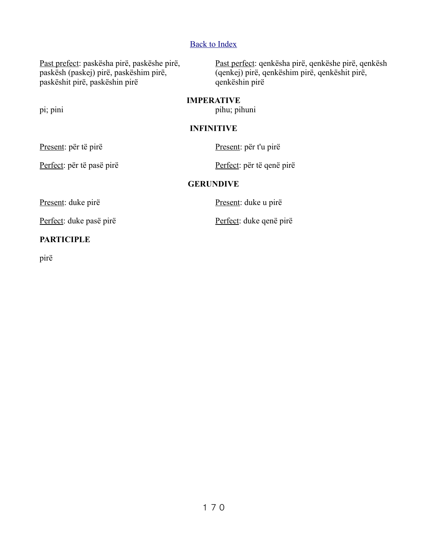Past prefect: paskësha pirë, paskëshe pirë, paskësh (paskej) pirë, paskëshim pirë, paskëshit pirë, paskëshin pirë

Past perfect: qenkësha pirë, qenkëshe pirë, qenkësh (qenkej) pirë, qenkëshim pirë, qenkëshit pirë, qenkëshin pirë

# **IMPERATIVE**

pi; pini pihu; pihuni

# **INFINITIVE**

| Present: për të pirë      | Present: për t'u pirë     |
|---------------------------|---------------------------|
| Perfect: për të pasë pirë | Perfect: për të qenë pirë |
|                           | <b>GERUNDIVE</b>          |
| Present: duke pirë        | Present: duke u pirë      |
| Perfect: duke pasë pirë   | Perfect: duke qenë pirë   |

# **PARTICIPLE**

pirë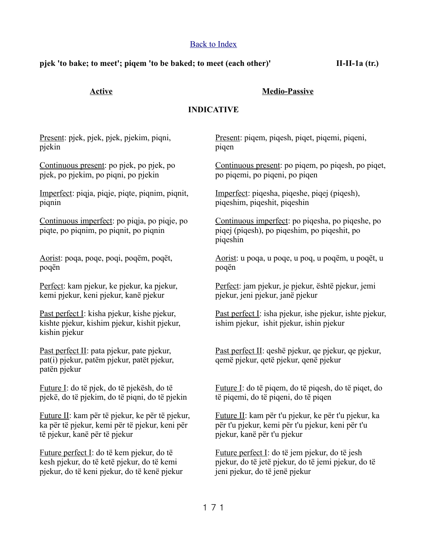# **pjek 'to bake; to meet'; piqem 'to be baked; to meet (each other)' II-II-1a (tr.)**

# **Active Medio-Passive**

# **INDICATIVE**

Present: pjek, pjek, pjek, pjekim, piqni, pjekin

Continuous present: po pjek, po pjek, po pjek, po pjekim, po piqni, po pjekin

Imperfect: piqja, piqje, piqte, piqnim, piqnit, piqnin

Continuous imperfect: po piqja, po piqje, po piqte, po piqnim, po piqnit, po piqnin

Aorist: poqa, poqe, poqi, poqëm, poqët, poqën

Perfect: kam pjekur, ke pjekur, ka pjekur, kemi pjekur, keni pjekur, kanë pjekur

Past perfect I: kisha pjekur, kishe pjekur, kishte pjekur, kishim pjekur, kishit pjekur, kishin pjekur

Past perfect II: pata pjekur, pate pjekur, pat(i) pjekur, patëm pjekur, patët pjekur, patën pjekur

Future I: do të pjek, do të pjekësh, do të pjekë, do të pjekim, do të piqni, do të pjekin

Future II: kam për të pjekur, ke për të pjekur, ka për të pjekur, kemi për të pjekur, keni për të pjekur, kanë për të pjekur

Future perfect I: do të kem pjekur, do të kesh pjekur, do të ketë pjekur, do të kemi pjekur, do të keni pjekur, do të kenë pjekur

Present: piqem, piqesh, piqet, piqemi, piqeni, piqen

Continuous present: po piqem, po piqesh, po piqet, po piqemi, po piqeni, po piqen

Imperfect: piqesha, piqeshe, piqej (piqesh), piqeshim, piqeshit, piqeshin

Continuous imperfect: po piqesha, po piqeshe, po piqej (piqesh), po piqeshim, po piqeshit, po piqeshin

Aorist: u poqa, u poqe, u poq, u poqëm, u poqët, u poqën

Perfect: jam pjekur, je pjekur, është pjekur, jemi pjekur, jeni pjekur, janë pjekur

Past perfect I: isha pjekur, ishe pjekur, ishte pjekur, ishim pjekur, ishit pjekur, ishin pjekur

Past perfect II: qeshë pjekur, qe pjekur, qe pjekur, qemë pjekur, qetë pjekur, qenë pjekur

Future I: do të piqem, do të piqesh, do të piqet, do të piqemi, do të piqeni, do të piqen

Future II: kam për t'u pjekur, ke për t'u pjekur, ka për t'u pjekur, kemi për t'u pjekur, keni për t'u pjekur, kanë për t'u pjekur

Future perfect I: do të jem pjekur, do të jesh pjekur, do të jetë pjekur, do të jemi pjekur, do të jeni pjekur, do të jenë pjekur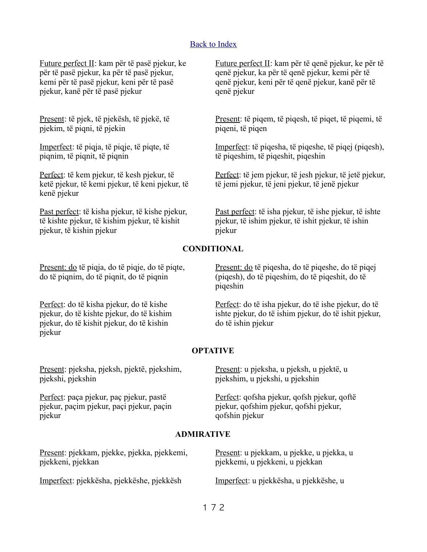Future perfect II: kam për të pasë pjekur, ke për të pasë pjekur, ka për të pasë pjekur, kemi për të pasë pjekur, keni për të pasë pjekur, kanë për të pasë pjekur

Present: të pjek, të pjekësh, të pjekë, të pjekim, të piqni, të pjekin

Imperfect: të piqja, të piqje, të piqte, të piqnim, të piqnit, të piqnin

Perfect: të kem pjekur, të kesh pjekur, të ketë pjekur, të kemi pjekur, të keni pjekur, të kenë pjekur

Past perfect: të kisha pjekur, të kishe pjekur, të kishte pjekur, të kishim pjekur, të kishit pjekur, të kishin pjekur

Future perfect II: kam për të qenë pjekur, ke për të qenë pjekur, ka për të qenë pjekur, kemi për të qenë pjekur, keni për të qenë pjekur, kanë për të qenë pjekur

Present: të piqem, të piqesh, të piqet, të piqemi, të piqeni, të piqen

Imperfect: të piqesha, të piqeshe, të piqej (piqesh), të piqeshim, të piqeshit, piqeshin

Perfect: të jem pjekur, të jesh pjekur, të jetë pjekur, të jemi pjekur, të jeni pjekur, të jenë pjekur

Past perfect: të isha pjekur, të ishe pjekur, të ishte pjekur, të ishim pjekur, të ishit pjekur, të ishin pjekur

### **CONDITIONAL**

Present: do të piqja, do të piqje, do të piqte, do të piqnim, do të piqnit, do të piqnin

Perfect: do të kisha pjekur, do të kishe pjekur, do të kishte pjekur, do të kishim pjekur, do të kishit pjekur, do të kishin pjekur

Present: do të piqesha, do të piqeshe, do të piqej (piqesh), do të piqeshim, do të piqeshit, do të piqeshin

Perfect: do të isha pjekur, do të ishe pjekur, do të ishte pjekur, do të ishim pjekur, do të ishit pjekur, do të ishin pjekur

# **OPTATIVE**

Present: pjeksha, pjeksh, pjektë, pjekshim, pjekshi, pjekshin Present: u pjeksha, u pjeksh, u pjektë, u pjekshim, u pjekshi, u pjekshin Perfect: paça pjekur, paç pjekur, pastë pjekur, paçim pjekur, paçi pjekur, paçin pjekur Perfect: qofsha pjekur, qofsh pjekur, qoftë pjekur, qofshim pjekur, qofshi pjekur, qofshin pjekur

### **ADMIRATIVE**

| Present: pjekkam, pjekke, pjekka, pjekkemi, | Present: u pjekkam, u pjekke, u pjekka, u |
|---------------------------------------------|-------------------------------------------|
| pjekkeni, pjekkan                           | pjekkemi, u pjekkeni, u pjekkan           |
| Imperfect: pjekkësha, pjekkëshe, pjekkësh   | Imperfect: u pjekkësha, u pjekkëshe, u    |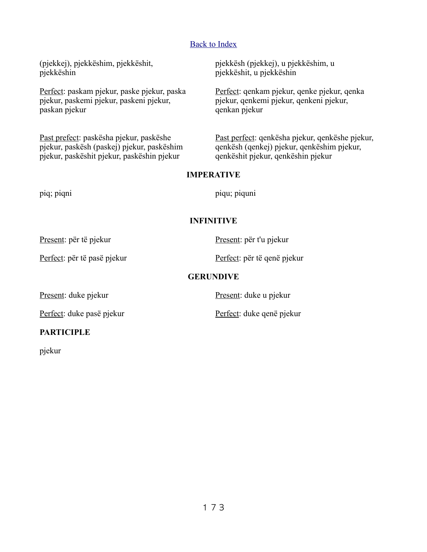| (pjekkej), pjekkëshim, pjekkëshit,<br>pjekkëshin                                                                                    | pjekkësh (pjekkej), u pjekkëshim, u<br>pjekkëshit, u pjekkëshin                                                                     |  |
|-------------------------------------------------------------------------------------------------------------------------------------|-------------------------------------------------------------------------------------------------------------------------------------|--|
| Perfect: paskam pjekur, paske pjekur, paska<br>pjekur, paskemi pjekur, paskeni pjekur,<br>paskan pjekur                             | Perfect: qenkam pjekur, qenke pjekur, qenka<br>pjekur, qenkemi pjekur, qenkeni pjekur,<br>qenkan pjekur                             |  |
| Past prefect: paskësha pjekur, paskëshe<br>pjekur, paskësh (paskej) pjekur, paskëshim<br>pjekur, paskëshit pjekur, paskëshin pjekur | Past perfect: qenkësha pjekur, qenkëshe pjekur,<br>qenkësh (qenkej) pjekur, qenkëshim pjekur,<br>qenkëshit pjekur, qenkëshin pjekur |  |
| <b>IMPERATIVE</b>                                                                                                                   |                                                                                                                                     |  |
| piq; piqni                                                                                                                          | piqu; piquni                                                                                                                        |  |
| <b>INFINITIVE</b>                                                                                                                   |                                                                                                                                     |  |
| Present: për të pjekur                                                                                                              | Present: për t'u pjekur                                                                                                             |  |
| Perfect: për të pasë pjekur                                                                                                         | Perfect: për të qenë pjekur                                                                                                         |  |
| <b>GERUNDIVE</b>                                                                                                                    |                                                                                                                                     |  |
| Present: duke pjekur                                                                                                                | Present: duke u pjekur                                                                                                              |  |
| Perfect: duke pasë pjekur                                                                                                           | Perfect: duke qenë pjekur                                                                                                           |  |
| <b>PARTICIPLE</b>                                                                                                                   |                                                                                                                                     |  |

pjekur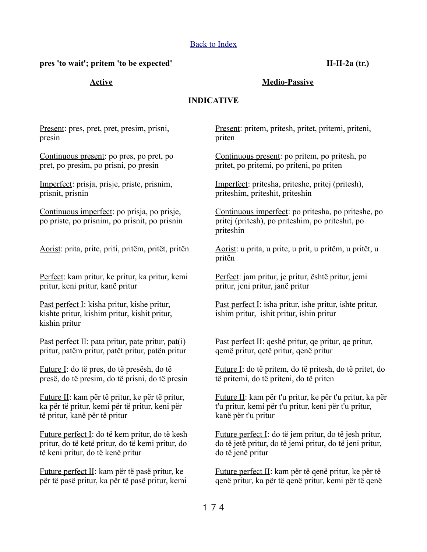# **pres 'to wait'; pritem 'to be expected' II-II-2a (tr.)**

# **Active Medio-Passive**

# **INDICATIVE**

Present: pres, pret, pret, presim, prisni, presin

Continuous present: po pres, po pret, po pret, po presim, po prisni, po presin

Imperfect: prisja, prisje, priste, prisnim, prisnit, prisnin

Continuous imperfect: po prisja, po prisje, po priste, po prisnim, po prisnit, po prisnin

Perfect: kam pritur, ke pritur, ka pritur, kemi pritur, keni pritur, kanë pritur

Past perfect I: kisha pritur, kishe pritur, kishte pritur, kishim pritur, kishit pritur, kishin pritur

Past perfect  $II$ : pata pritur, pate pritur, pat(i) pritur, patëm pritur, patët pritur, patën pritur

Future I: do të pres, do të presësh, do të presë, do të presim, do të prisni, do të presin

Future II: kam për të pritur, ke për të pritur, ka për të pritur, kemi për të pritur, keni për të pritur, kanë për të pritur

Future perfect I: do të kem pritur, do të kesh pritur, do të ketë pritur, do të kemi pritur, do të keni pritur, do të kenë pritur

Future perfect II: kam për të pasë pritur, ke për të pasë pritur, ka për të pasë pritur, kemi Present: pritem, pritesh, pritet, pritemi, priteni, priten

Continuous present: po pritem, po pritesh, po pritet, po pritemi, po priteni, po priten

Imperfect: pritesha, priteshe, pritej (pritesh), priteshim, priteshit, priteshin

Continuous imperfect: po pritesha, po priteshe, po pritej (pritesh), po priteshim, po priteshit, po priteshin

Aorist: prita, prite, priti, pritëm, pritët, pritën Aorist: u prita, u prite, u prit, u pritëm, u pritët, u pritën

> Perfect: jam pritur, je pritur, është pritur, jemi pritur, jeni pritur, janë pritur

Past perfect I: isha pritur, ishe pritur, ishte pritur, ishim pritur, ishit pritur, ishin pritur

Past perfect II: qeshë pritur, qe pritur, qe pritur, qemë pritur, qetë pritur, qenë pritur

Future I: do të pritem, do të pritesh, do të pritet, do të pritemi, do të priteni, do të priten

Future II: kam për t'u pritur, ke për t'u pritur, ka për t'u pritur, kemi për t'u pritur, keni për t'u pritur, kanë për t'u pritur

Future perfect I: do të jem pritur, do të jesh pritur, do të jetë pritur, do të jemi pritur, do të jeni pritur, do të jenë pritur

Future perfect II: kam për të qenë pritur, ke për të qenë pritur, ka për të qenë pritur, kemi për të qenë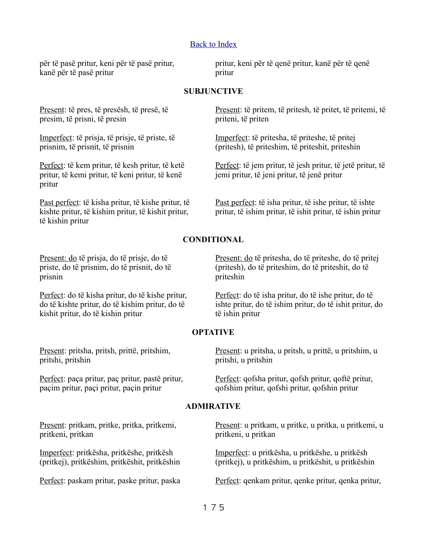për të pasë pritur, keni për të pasë pritur, kanë për të pasë pritur

pritur, keni për të qenë pritur, kanë për të qenë pritur

### **SUBJUNCTIVE**

Present: të pres, të presësh, të presë, të presim, të prisni, të presin

Imperfect: të prisja, të prisje, të priste, të prisnim, të prisnit, të prisnin

Perfect: të kem pritur, të kesh pritur, të ketë pritur, të kemi pritur, të keni pritur, të kenë pritur

Past perfect: të kisha pritur, të kishe pritur, të kishte pritur, të kishim pritur, të kishit pritur, të kishin pritur

Present: të pritem, të pritesh, të pritet, të pritemi, të priteni, të priten

Imperfect: të pritesha, të priteshe, të pritej (pritesh), të priteshim, të priteshit, priteshin

Perfect: të jem pritur, të jesh pritur, të jetë pritur, të jemi pritur, të jeni pritur, të jenë pritur

Past perfect: të isha pritur, të ishe pritur, të ishte pritur, të ishim pritur, të ishit pritur, të ishin pritur

# **CONDITIONAL**

Present: do të prisja, do të prisje, do të priste, do të prisnim, do të prisnit, do të prisnin

Perfect: do të kisha pritur, do të kishe pritur, do të kishte pritur, do të kishim pritur, do të kishit pritur, do të kishin pritur

Present: pritsha, pritsh, prittë, pritshim, pritshi, pritshin

Perfect: paça pritur, paç pritur, pastë pritur, paçim pritur, paçi pritur, paçin pritur

Present: do të pritesha, do të priteshe, do të pritej (pritesh), do të priteshim, do të priteshit, do të priteshin

Perfect: do të isha pritur, do të ishe pritur, do të ishte pritur, do të ishim pritur, do të ishit pritur, do të ishin pritur

# **OPTATIVE**

Present: u pritsha, u pritsh, u prittë, u pritshim, u pritshi, u pritshin

Perfect: qofsha pritur, qofsh pritur, qoftë pritur, qofshim pritur, qofshi pritur, qofshin pritur

# **ADMIRATIVE**

Present: pritkam, pritke, pritka, pritkemi, pritkeni, pritkan Present: u pritkam, u pritke, u pritka, u pritkemi, u pritkeni, u pritkan Imperfect: pritkësha, pritkëshe, pritkësh (pritkej), pritkëshim, pritkëshit, pritkëshin Imperfect: u pritkësha, u pritkëshe, u pritkësh (pritkej), u pritkëshim, u pritkëshit, u pritkëshin Perfect: paskam pritur, paske pritur, paska Perfect: qenkam pritur, qenke pritur, qenka pritur,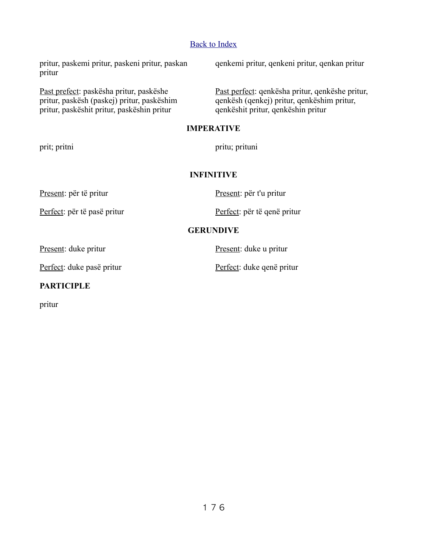| pritur, paskemi pritur, paskeni pritur, paskan<br>pritur                                                                            | qenkemi pritur, qenkeni pritur, qenkan pritur                                                                                       |
|-------------------------------------------------------------------------------------------------------------------------------------|-------------------------------------------------------------------------------------------------------------------------------------|
| Past prefect: paskësha pritur, paskëshe<br>pritur, paskësh (paskej) pritur, paskëshim<br>pritur, paskëshit pritur, paskëshin pritur | Past perfect: qenkësha pritur, qenkëshe pritur,<br>qenkësh (qenkej) pritur, qenkëshim pritur,<br>qenkëshit pritur, qenkëshin pritur |
|                                                                                                                                     | <b>IMPERATIVE</b>                                                                                                                   |
| prit; pritni                                                                                                                        | pritu; prituni                                                                                                                      |
|                                                                                                                                     | <b>INFINITIVE</b>                                                                                                                   |
| Present: për të pritur                                                                                                              | Present: për t'u pritur                                                                                                             |
| Perfect: për të pasë pritur                                                                                                         | Perfect: për të qenë pritur                                                                                                         |
|                                                                                                                                     | <b>GERUNDIVE</b>                                                                                                                    |
| Present: duke pritur                                                                                                                | Present: duke u pritur                                                                                                              |
| Perfect: duke pasë pritur                                                                                                           | Perfect: duke qenë pritur                                                                                                           |
| <b>PARTICIPLE</b>                                                                                                                   |                                                                                                                                     |
| pritur                                                                                                                              |                                                                                                                                     |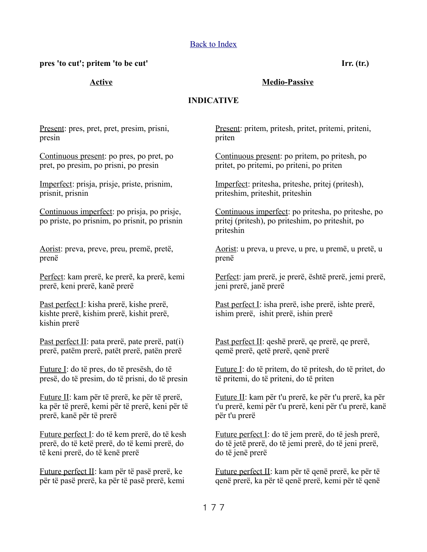# **pres 'to cut'; pritem 'to be cut' Irr. (tr.)**

# **Active Medio-Passive**

# **INDICATIVE**

Present: pres, pret, pret, presim, prisni, presin

Continuous present: po pres, po pret, po pret, po presim, po prisni, po presin

Imperfect: prisja, prisje, priste, prisnim, prisnit, prisnin

Continuous imperfect: po prisja, po prisje, po priste, po prisnim, po prisnit, po prisnin

Aorist: preva, preve, preu, premë, pretë, prenë

Perfect: kam prerë, ke prerë, ka prerë, kemi prerë, keni prerë, kanë prerë

Past perfect I: kisha prerë, kishe prerë, kishte prerë, kishim prerë, kishit prerë, kishin prerë

Past perfect II: pata prerë, pate prerë, pat(i) prerë, patëm prerë, patët prerë, patën prerë

Future I: do të pres, do të presësh, do të presë, do të presim, do të prisni, do të presin

Future II: kam për të prerë, ke për të prerë, ka për të prerë, kemi për të prerë, keni për të prerë, kanë për të prerë

Future perfect I: do të kem prerë, do të kesh prerë, do të ketë prerë, do të kemi prerë, do të keni prerë, do të kenë prerë

Future perfect II: kam për të pasë prerë, ke për të pasë prerë, ka për të pasë prerë, kemi Present: pritem, pritesh, pritet, pritemi, priteni, priten

Continuous present: po pritem, po pritesh, po pritet, po pritemi, po priteni, po priten

Imperfect: pritesha, priteshe, pritej (pritesh), priteshim, priteshit, priteshin

Continuous imperfect: po pritesha, po priteshe, po pritej (pritesh), po priteshim, po priteshit, po priteshin

Aorist: u preva, u preve, u pre, u premë, u pretë, u prenë

Perfect: jam prerë, je prerë, është prerë, jemi prerë, jeni prerë, janë prerë

Past perfect I: isha prerë, ishe prerë, ishte prerë, ishim prerë, ishit prerë, ishin prerë

Past perfect II: qeshë prerë, qe prerë, qe prerë, qemë prerë, qetë prerë, qenë prerë

Future I: do të pritem, do të pritesh, do të pritet, do të pritemi, do të priteni, do të priten

Future II: kam për t'u prerë, ke për t'u prerë, ka për t'u prerë, kemi për t'u prerë, keni për t'u prerë, kanë për t'u prerë

Future perfect I: do të jem prerë, do të jesh prerë, do të jetë prerë, do të jemi prerë, do të jeni prerë, do të jenë prerë

Future perfect II: kam për të qenë prerë, ke për të qenë prerë, ka për të qenë prerë, kemi për të qenë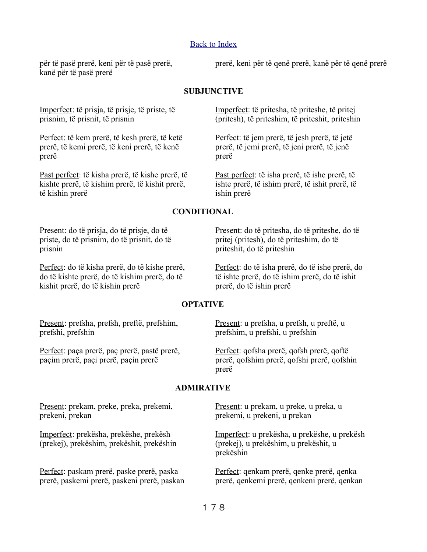për të pasë prerë, keni për të pasë prerë, kanë për të pasë prerë

prerë, keni për të qenë prerë, kanë për të qenë prerë

### **SUBJUNCTIVE**

Imperfect: të prisja, të prisje, të priste, të prisnim, të prisnit, të prisnin

Perfect: të kem prerë, të kesh prerë, të ketë prerë, të kemi prerë, të keni prerë, të kenë prerë

Past perfect: të kisha prerë, të kishe prerë, të kishte prerë, të kishim prerë, të kishit prerë, të kishin prerë

Imperfect: të pritesha, të priteshe, të pritej (pritesh), të priteshim, të priteshit, priteshin

Perfect: të jem prerë, të jesh prerë, të jetë prerë, të jemi prerë, të jeni prerë, të jenë prerë

Past perfect: të isha prerë, të ishe prerë, të ishte prerë, të ishim prerë, të ishit prerë, të ishin prerë

### **CONDITIONAL**

Present: do të prisja, do të prisje, do të priste, do të prisnim, do të prisnit, do të prisnin

Perfect: do të kisha prerë, do të kishe prerë, do të kishte prerë, do të kishim prerë, do të kishit prerë, do të kishin prerë

Present: do të pritesha, do të priteshe, do të pritej (pritesh), do të priteshim, do të priteshit, do të priteshin

Perfect: do të isha prerë, do të ishe prerë, do të ishte prerë, do të ishim prerë, do të ishit prerë, do të ishin prerë

### **OPTATIVE**

| <b>ADMIRATIVE</b>                                                                    |                                                                                                   |
|--------------------------------------------------------------------------------------|---------------------------------------------------------------------------------------------------|
| Perfect: paça prerë, paç prerë, pastë prerë,<br>paçim prerë, paçi prerë, paçin prerë | Perfect: qofsha prerë, qofsh prerë, qoftë<br>prerë, qofshim prerë, qofshi prerë, qofshin<br>prerë |
| <u>Present</u> : prefsha, prefsh, preftë, prefshim,<br>prefshi, prefshin             | Present: u prefsha, u prefsh, u preftë, u<br>prefshim, u prefshi, u prefshin                      |

Present: prekam, preke, preka, prekemi, prekeni, prekan

Imperfect: prekësha, prekëshe, prekësh (prekej), prekëshim, prekëshit, prekëshin

Perfect: paskam prerë, paske prerë, paska prerë, paskemi prerë, paskeni prerë, paskan Present: u prekam, u preke, u preka, u prekemi, u prekeni, u prekan

Imperfect: u prekësha, u prekëshe, u prekësh (prekej), u prekëshim, u prekëshit, u prekëshin

Perfect: qenkam prerë, qenke prerë, qenka prerë, qenkemi prerë, qenkeni prerë, qenkan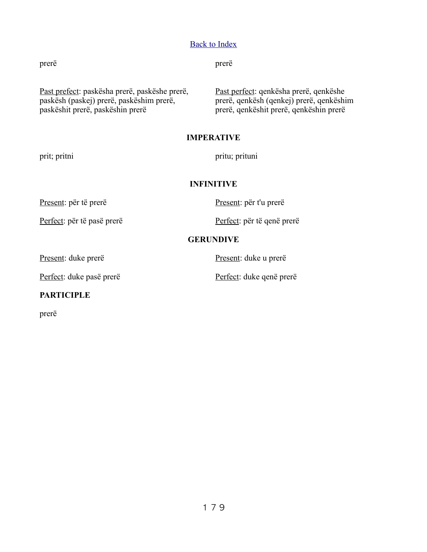| prerë                                                                                                                         | prerë                                                                                                                         |
|-------------------------------------------------------------------------------------------------------------------------------|-------------------------------------------------------------------------------------------------------------------------------|
| Past prefect: paskësha prerë, paskëshe prerë,<br>paskësh (paskej) prerë, paskëshim prerë,<br>paskëshit prerë, paskëshin prerë | Past perfect: qenkësha prerë, qenkëshe<br>prerë, qenkësh (qenkej) prerë, qenkëshim<br>prerë, qenkëshit prerë, qenkëshin prerë |
|                                                                                                                               | <b>IMPERATIVE</b>                                                                                                             |
| prit; pritni                                                                                                                  | pritu; prituni                                                                                                                |
|                                                                                                                               | <b>INFINITIVE</b>                                                                                                             |
| Present: për të prerë                                                                                                         | Present: për t'u prerë                                                                                                        |
| Perfect: për të pasë prerë                                                                                                    | Perfect: për të qenë prerë                                                                                                    |
|                                                                                                                               | <b>GERUNDIVE</b>                                                                                                              |
| Present: duke prerë                                                                                                           | Present: duke u prerë                                                                                                         |
| Perfect: duke pasë prerë                                                                                                      | Perfect: duke qenë prerë                                                                                                      |
| <b>PARTICIPLE</b>                                                                                                             |                                                                                                                               |

prerë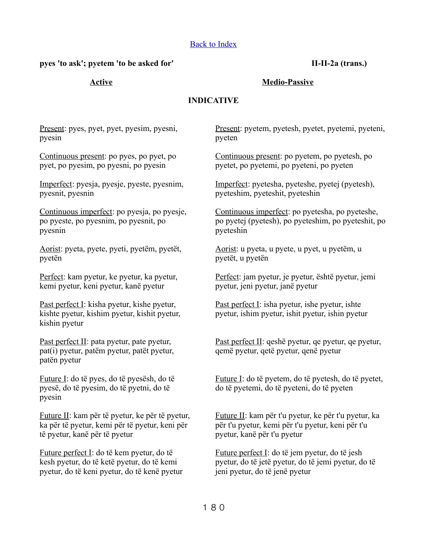# **pyes 'to ask'; pyetem 'to be asked for' II-II-2a (trans.)**

# **Active Medio-Passive**

# **INDICATIVE**

Present: pyes, pyet, pyet, pyesim, pyesni, pyesin

Continuous present: po pyes, po pyet, po pyet, po pyesim, po pyesni, po pyesin

Imperfect: pyesja, pyesje, pyeste, pyesnim, pyesnit, pyesnin

Continuous imperfect: po pyesja, po pyesje, po pyeste, po pyesnim, po pyesnit, po pyesnin

Aorist: pyeta, pyete, pyeti, pyetëm, pyetët, pyetën

Perfect: kam pyetur, ke pyetur, ka pyetur, kemi pyetur, keni pyetur, kanë pyetur

Past perfect I: kisha pyetur, kishe pyetur, kishte pyetur, kishim pyetur, kishit pyetur, kishin pyetur

Past perfect II: pata pyetur, pate pyetur, pat(i) pyetur, patëm pyetur, patët pyetur, patën pyetur

Future I: do të pyes, do të pyesësh, do të pyesë, do të pyesim, do të pyetni, do të pyesin

Future II: kam për të pyetur, ke për të pyetur, ka për të pyetur, kemi për të pyetur, keni për të pyetur, kanë për të pyetur

Future perfect I: do të kem pyetur, do të kesh pyetur, do të ketë pyetur, do të kemi pyetur, do të keni pyetur, do të kenë pyetur Present: pyetem, pyetesh, pyetet, pyetemi, pyeteni, pyeten

Continuous present: po pyetem, po pyetesh, po pyetet, po pyetemi, po pyeteni, po pyeten

Imperfect: pyetesha, pyeteshe, pyetej (pyetesh), pyeteshim, pyeteshit, pyeteshin

Continuous imperfect: po pyetesha, po pyeteshe, po pyetej (pyetesh), po pyeteshim, po pyeteshit, po pyeteshin

Aorist: u pyeta, u pyete, u pyet, u pyetëm, u pyetët, u pyetën

Perfect: jam pyetur, je pyetur, është pyetur, jemi pyetur, jeni pyetur, janë pyetur

Past perfect I: isha pyetur, ishe pyetur, ishte pyetur, ishim pyetur, ishit pyetur, ishin pyetur

Past perfect II: qeshë pyetur, qe pyetur, qe pyetur, qemë pyetur, qetë pyetur, qenë pyetur

Future I: do të pyetem, do të pyetesh, do të pyetet, do të pyetemi, do të pyeteni, do të pyeten

Future II: kam për t'u pyetur, ke për t'u pyetur, ka për t'u pyetur, kemi për t'u pyetur, keni për t'u pyetur, kanë për t'u pyetur

Future perfect I: do të jem pyetur, do të jesh pyetur, do të jetë pyetur, do të jemi pyetur, do të jeni pyetur, do të jenë pyetur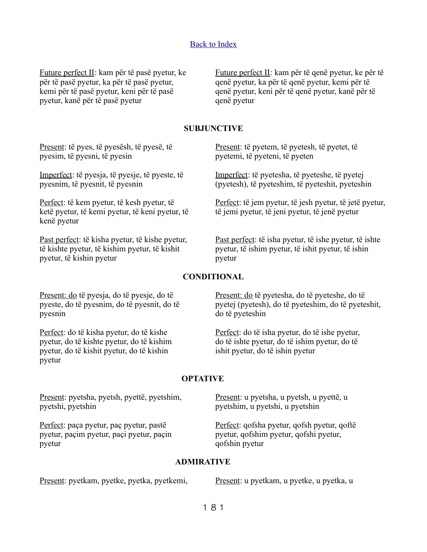Future perfect II: kam për të pasë pyetur, ke për të pasë pyetur, ka për të pasë pyetur, kemi për të pasë pyetur, keni për të pasë pyetur, kanë për të pasë pyetur

Future perfect II: kam për të qenë pyetur, ke për të qenë pyetur, ka për të qenë pyetur, kemi për të qenë pyetur, keni për të qenë pyetur, kanë për të qenë pyetur

# **SUBJUNCTIVE**

Present: të pyes, të pyesësh, të pyesë, të pyesim, të pyesni, të pyesin

Imperfect: të pyesja, të pyesje, të pyeste, të pyesnim, të pyesnit, të pyesnin

Perfect: të kem pyetur, të kesh pyetur, të ketë pyetur, të kemi pyetur, të keni pyetur, të kenë pyetur

Past perfect: të kisha pyetur, të kishe pyetur, të kishte pyetur, të kishim pyetur, të kishit pyetur, të kishin pyetur

Present: të pyetem, të pyetesh, të pyetet, të pyetemi, të pyeteni, të pyeten

Imperfect: të pyetesha, të pyeteshe, të pyetej (pyetesh), të pyeteshim, të pyeteshit, pyeteshin

Perfect: të jem pyetur, të jesh pyetur, të jetë pyetur, të jemi pyetur, të jeni pyetur, të jenë pyetur

Past perfect: të isha pyetur, të ishe pyetur, të ishte pyetur, të ishim pyetur, të ishit pyetur, të ishin pyetur

# **CONDITIONAL**

Present: do të pyesja, do të pyesje, do të pyeste, do të pyesnim, do të pyesnit, do të pyesnin

Perfect: do të kisha pyetur, do të kishe pyetur, do të kishte pyetur, do të kishim pyetur, do të kishit pyetur, do të kishin pyetur

Present: do të pyetesha, do të pyeteshe, do të pyetej (pyetesh), do të pyeteshim, do të pyeteshit, do të pyeteshin

Perfect: do të isha pyetur, do të ishe pyetur, do të ishte pyetur, do të ishim pyetur, do të ishit pyetur, do të ishin pyetur

### **OPTATIVE**

Present: pyetsha, pyetsh, pyettë, pyetshim, pyetshi, pyetshin

Perfect: paça pyetur, paç pyetur, pastë pyetur, paçim pyetur, paçi pyetur, paçin pyetur

Present: u pyetsha, u pyetsh, u pyettë, u pyetshim, u pyetshi, u pyetshin

Perfect: qofsha pyetur, qofsh pyetur, qoftë pyetur, qofshim pyetur, qofshi pyetur, qofshin pyetur

### **ADMIRATIVE**

Present: pyetkam, pyetke, pyetka, pyetkemi, Present: u pyetkam, u pyetke, u pyetka, u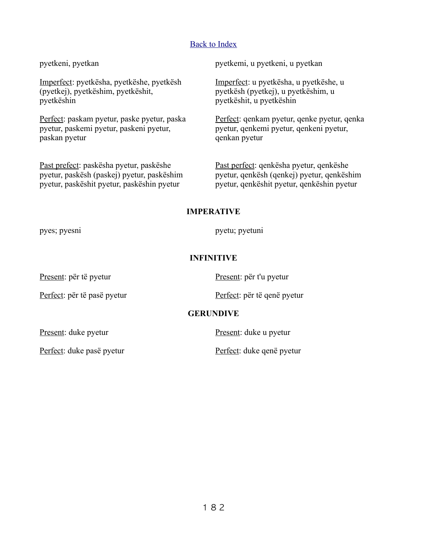pyetkeni, pyetkan pyetkemi, u pyetkeni, u pyetkan

| Imperfect: pyetkësha, pyetkëshe, pyetkësh<br>(pyetkej), pyetkëshim, pyetkëshit,<br>pyetkëshin                                       | Imperfect: u pyetkësha, u pyetkëshe, u<br>pyetkësh (pyetkej), u pyetkëshim, u<br>pyetkëshit, u pyetkëshin                           |
|-------------------------------------------------------------------------------------------------------------------------------------|-------------------------------------------------------------------------------------------------------------------------------------|
| Perfect: paskam pyetur, paske pyetur, paska<br>pyetur, paskemi pyetur, paskeni pyetur,<br>paskan pyetur                             | Perfect: qenkam pyetur, qenke pyetur, qenka<br>pyetur, qenkemi pyetur, qenkeni pyetur,<br>qenkan pyetur                             |
| Past prefect: paskësha pyetur, paskëshe<br>pyetur, paskësh (paskej) pyetur, paskëshim<br>pyetur, paskëshit pyetur, paskëshin pyetur | Past perfect: qenkësha pyetur, qenkëshe<br>pyetur, qenkësh (qenkej) pyetur, qenkëshim<br>pyetur, qenkëshit pyetur, qenkëshin pyetur |
| <b>IMPERATIVE</b>                                                                                                                   |                                                                                                                                     |
| pyes; pyesni                                                                                                                        | pyetu; pyetuni                                                                                                                      |
|                                                                                                                                     | <b>INFINITIVE</b>                                                                                                                   |
| <u>Present</u> : për të pyetur                                                                                                      | Present: për t'u pyetur                                                                                                             |
| Perfect: për të pasë pyetur                                                                                                         | Perfect: për të qenë pyetur                                                                                                         |
| <b>GERUNDIVE</b>                                                                                                                    |                                                                                                                                     |
| <u>Present</u> : duke pyetur                                                                                                        | Present: duke u pyetur                                                                                                              |

Perfect: duke pasë pyetur Perfect: duke qenë pyetur

182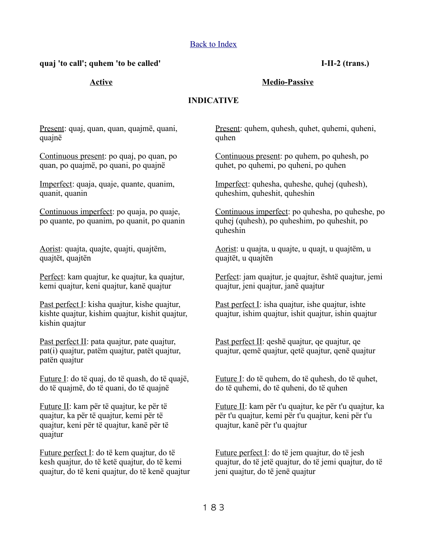# **quaj 'to call'; quhem 'to be called' I-II-2 (trans.)**

# **Active Medio-Passive**

# **INDICATIVE**

Present: quaj, quan, quan, quajmë, quani, quajnë

Continuous present: po quaj, po quan, po quan, po quajmë, po quani, po quajnë

Imperfect: quaja, quaje, quante, quanim, quanit, quanin

Continuous imperfect: po quaja, po quaje, po quante, po quanim, po quanit, po quanin

Aorist: quajta, quajte, quajti, quajtëm, quajtët, quajtën

Perfect: kam quajtur, ke quajtur, ka quajtur, kemi quajtur, keni quajtur, kanë quajtur

Past perfect I: kisha quajtur, kishe quajtur, kishte quajtur, kishim quajtur, kishit quajtur, kishin quajtur

Past perfect II: pata quajtur, pate quajtur, pat(i) quajtur, patëm quajtur, patët quajtur, patën quajtur

Future I: do të quaj, do të quash, do të quajë, do të quajmë, do të quani, do të quajnë

Future II: kam për të quajtur, ke për të quajtur, ka për të quajtur, kemi për të quajtur, keni për të quajtur, kanë për të quajtur

Future perfect I: do të kem quajtur, do të kesh quajtur, do të ketë quajtur, do të kemi quajtur, do të keni quajtur, do të kenë quajtur Present: quhem, quhesh, quhet, quhemi, quheni, quhen

Continuous present: po quhem, po quhesh, po quhet, po quhemi, po quheni, po quhen

Imperfect: quhesha, quheshe, quhej (quhesh), quheshim, quheshit, quheshin

Continuous imperfect: po quhesha, po quheshe, po quhej (quhesh), po quheshim, po quheshit, po quheshin

Aorist: u quajta, u quajte, u quajt, u quajtëm, u quajtët, u quajtën

Perfect: jam quajtur, je quajtur, është quajtur, jemi quajtur, jeni quajtur, janë quajtur

Past perfect I: isha quajtur, ishe quajtur, ishte quajtur, ishim quajtur, ishit quajtur, ishin quajtur

Past perfect II: qeshë quajtur, qe quajtur, qe quajtur, qemë quajtur, qetë quajtur, qenë quajtur

Future I: do të quhem, do të quhesh, do të quhet, do të quhemi, do të quheni, do të quhen

Future II: kam për t'u quajtur, ke për t'u quajtur, ka për t'u quajtur, kemi për t'u quajtur, keni për t'u quajtur, kanë për t'u quajtur

Future perfect I: do të jem quajtur, do të jesh quajtur, do të jetë quajtur, do të jemi quajtur, do të jeni quajtur, do të jenë quajtur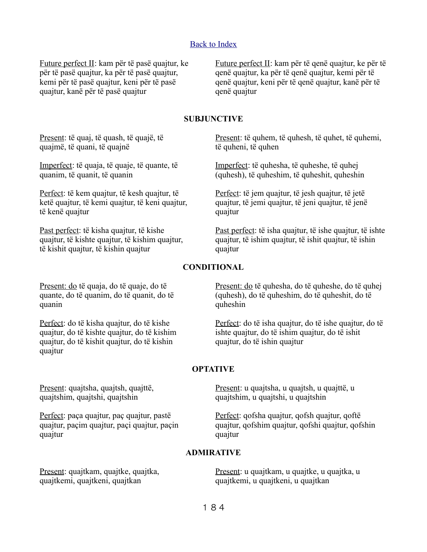Future perfect II: kam për të pasë quajtur, ke për të pasë quajtur, ka për të pasë quajtur, kemi për të pasë quajtur, keni për të pasë quajtur, kanë për të pasë quajtur

Future perfect II: kam për të qenë quajtur, ke për të qenë quajtur, ka për të qenë quajtur, kemi për të qenë quajtur, keni për të qenë quajtur, kanë për të qenë quajtur

# **SUBJUNCTIVE**

Present: të quaj, të quash, të quajë, të quajmë, të quani, të quajnë

Imperfect: të quaja, të quaje, të quante, të quanim, të quanit, të quanin

Perfect: të kem quajtur, të kesh quajtur, të ketë quajtur, të kemi quajtur, të keni quajtur, të kenë quajtur

Past perfect: të kisha quajtur, të kishe quajtur, të kishte quajtur, të kishim quajtur, të kishit quajtur, të kishin quajtur

Present: do të quaja, do të quaje, do të quante, do të quanim, do të quanit, do të quanin

Perfect: do të kisha quajtur, do të kishe quajtur, do të kishte quajtur, do të kishim quajtur, do të kishit quajtur, do të kishin quajtur

Present: quajtsha, quajtsh, quajttë, quajtshim, quajtshi, quajtshin

Perfect: paça quajtur, paç quajtur, pastë quajtur, paçim quajtur, paçi quajtur, paçin quajtur

Present: quajtkam, quajtke, quajtka, quajtkemi, quajtkeni, quajtkan

Present: të quhem, të quhesh, të quhet, të quhemi, të quheni, të quhen

Imperfect: të quhesha, të quheshe, të quhej (quhesh), të quheshim, të quheshit, quheshin

Perfect: të jem quajtur, të jesh quajtur, të jetë quajtur, të jemi quajtur, të jeni quajtur, të jenë quajtur

Past perfect: të isha quajtur, të ishe quajtur, të ishte quajtur, të ishim quajtur, të ishit quajtur, të ishin quajtur

#### **CONDITIONAL**

Present: do të quhesha, do të quheshe, do të quhej (quhesh), do të quheshim, do të quheshit, do të quheshin

Perfect: do të isha quajtur, do të ishe quajtur, do të ishte quajtur, do të ishim quajtur, do të ishit quajtur, do të ishin quajtur

# **OPTATIVE**

Present: u quajtsha, u quajtsh, u quajttë, u quajtshim, u quajtshi, u quajtshin

Perfect: qofsha quajtur, qofsh quajtur, qoftë quajtur, qofshim quajtur, qofshi quajtur, qofshin quajtur

# **ADMIRATIVE**

Present: u quajtkam, u quajtke, u quajtka, u quajtkemi, u quajtkeni, u quajtkan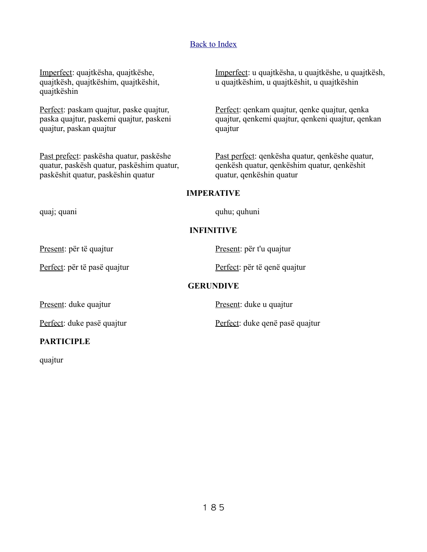| Imperfect: quajtkësha, quajtkëshe,<br>quajtkësh, quajtkëshim, quajtkëshit,<br>quajtkëshin                                  | Imperfect: u quajtkësha, u quajtkëshe, u quajtkësh,<br>u quajtkëshim, u quajtkëshit, u quajtkëshin                         |
|----------------------------------------------------------------------------------------------------------------------------|----------------------------------------------------------------------------------------------------------------------------|
| Perfect: paskam quajtur, paske quajtur,<br>paska quajtur, paskemi quajtur, paskeni<br>quajtur, paskan quajtur              | Perfect: qenkam quajtur, qenke quajtur, qenka<br>quajtur, qenkemi quajtur, qenkeni quajtur, qenkan<br>quajtur              |
| Past prefect: paskësha quatur, paskëshe<br>quatur, paskësh quatur, paskëshim quatur,<br>paskëshit quatur, paskëshin quatur | Past perfect: qenkësha quatur, qenkëshe quatur,<br>qenkësh quatur, qenkëshim quatur, qenkëshit<br>quatur, qenkëshin quatur |
| <b>IMPERATIVE</b>                                                                                                          |                                                                                                                            |
| quaj; quani                                                                                                                | quhu; quhuni                                                                                                               |
| <b>INFINITIVE</b>                                                                                                          |                                                                                                                            |
| Present: për të quajtur                                                                                                    | Present: për t'u quajtur                                                                                                   |
| Perfect: për të pasë quajtur                                                                                               | Perfect: për të qenë quajtur                                                                                               |
| <b>GERUNDIVE</b>                                                                                                           |                                                                                                                            |
| Present: duke quajtur                                                                                                      | Present: duke u quajtur                                                                                                    |
| Perfect: duke pasë quajtur                                                                                                 | Perfect: duke qenë pasë quajtur                                                                                            |
| <b>PARTICIPLE</b>                                                                                                          |                                                                                                                            |

quajtur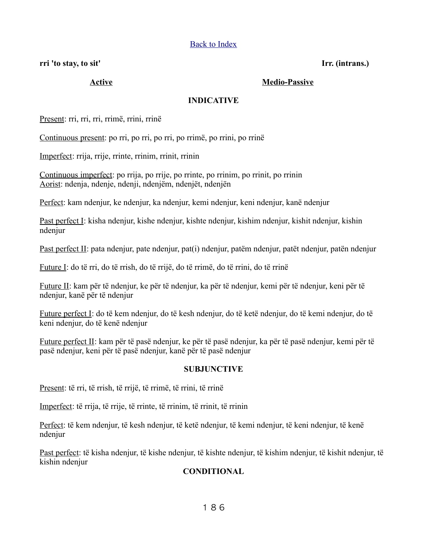**rri 'to stay, to sit' Irr. (intrans.)**

**Active Medio-Passive**

# **INDICATIVE**

Present: rri, rri, rri, rrimë, rrini, rrinë

Continuous present: po rri, po rri, po rri, po rrimë, po rrini, po rrinë

Imperfect: rrija, rrije, rrinte, rrinim, rrinit, rrinin

Continuous imperfect: po rrija, po rrije, po rrinte, po rrinim, po rrinit, po rrinin Aorist: ndenja, ndenje, ndenji, ndenjëm, ndenjët, ndenjën

Perfect: kam ndenjur, ke ndenjur, ka ndenjur, kemi ndenjur, keni ndenjur, kanë ndenjur

Past perfect I: kisha ndenjur, kishe ndenjur, kishte ndenjur, kishim ndenjur, kishit ndenjur, kishin ndenjur

Past perfect II: pata ndenjur, pate ndenjur, pat(i) ndenjur, patëm ndenjur, patët ndenjur, patën ndenjur

Future I: do të rri, do të rrish, do të rrijë, do të rrimë, do të rrini, do të rrinë

Future II: kam për të ndenjur, ke për të ndenjur, ka për të ndenjur, kemi për të ndenjur, keni për të ndenjur, kanë për të ndenjur

Future perfect I: do të kem ndenjur, do të kesh ndenjur, do të ketë ndenjur, do të kemi ndenjur, do të keni ndenjur, do të kenë ndenjur

Future perfect II: kam për të pasë ndenjur, ke për të pasë ndenjur, ka për të pasë ndenjur, kemi për të pasë ndenjur, keni për të pasë ndenjur, kanë për të pasë ndenjur

# **SUBJUNCTIVE**

Present: të rri, të rrish, të rrijë, të rrimë, të rrini, të rrinë

Imperfect: të rrija, të rrije, të rrinte, të rrinim, të rrinit, të rrinin

Perfect: të kem ndenjur, të kesh ndenjur, të ketë ndenjur, të kemi ndenjur, të keni ndenjur, të kenë ndenjur

Past perfect: të kisha ndenjur, të kishe ndenjur, të kishte ndenjur, të kishim ndenjur, të kishit ndenjur, të kishin ndenjur

# **CONDITIONAL**

# 186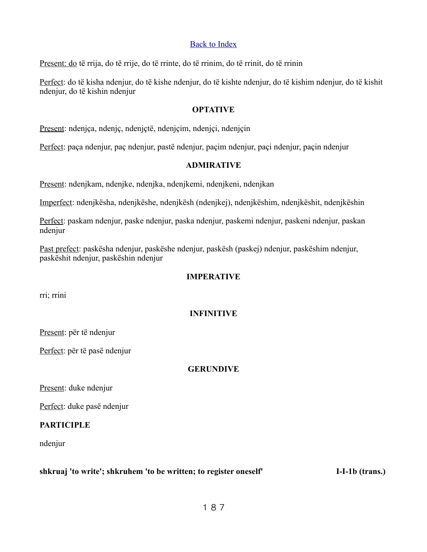Present: do të rrija, do të rrije, do të rrinte, do të rrinim, do të rrinit, do të rrinin

Perfect: do të kisha ndenjur, do të kishe ndenjur, do të kishte ndenjur, do të kishim ndenjur, do të kishit ndenjur, do të kishin ndenjur

# **OPTATIVE**

Present: ndenjça, ndenjç, ndenjçtë, ndenjçim, ndenjçi, ndenjçin

Perfect: paça ndenjur, paç ndenjur, pastë ndenjur, paçim ndenjur, paçi ndenjur, paçin ndenjur

# **ADMIRATIVE**

Present: ndenjkam, ndenjke, ndenjka, ndenjkemi, ndenjkeni, ndenjkan

Imperfect: ndenjkësha, ndenjkëshe, ndenjkësh (ndenjkej), ndenjkëshim, ndenjkëshit, ndenjkëshin

Perfect: paskam ndenjur, paske ndenjur, paska ndenjur, paskemi ndenjur, paskeni ndenjur, paskan ndenjur

Past prefect: paskësha ndenjur, paskëshe ndenjur, paskësh (paskej) ndenjur, paskëshim ndenjur, paskëshit ndenjur, paskëshin ndenjur

# **IMPERATIVE**

rri; rrini

# **INFINITIVE**

Present: për të ndenjur

Perfect: për të pasë ndenjur

# **GERUNDIVE**

Present: duke ndenjur

Perfect: duke pasë ndenjur

# **PARTICIPLE**

ndenjur

**shkruaj 'to write'; shkruhem 'to be written; to register oneself' I-I-1b (trans.)**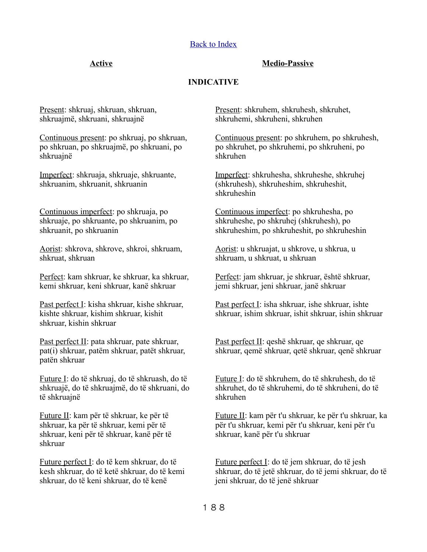# **Active Medio-Passive**

# **INDICATIVE**

Present: shkruaj, shkruan, shkruan, shkruajmë, shkruani, shkruajnë

Continuous present: po shkruaj, po shkruan, po shkruan, po shkruajmë, po shkruani, po shkruajnë

Imperfect: shkruaja, shkruaje, shkruante, shkruanim, shkruanit, shkruanin

Continuous imperfect: po shkruaja, po shkruaje, po shkruante, po shkruanim, po shkruanit, po shkruanin

Aorist: shkrova, shkrove, shkroi, shkruam, shkruat, shkruan

Perfect: kam shkruar, ke shkruar, ka shkruar, kemi shkruar, keni shkruar, kanë shkruar

Past perfect I: kisha shkruar, kishe shkruar, kishte shkruar, kishim shkruar, kishit shkruar, kishin shkruar

Past perfect II: pata shkruar, pate shkruar, pat(i) shkruar, patëm shkruar, patët shkruar, patën shkruar

Future I: do të shkruaj, do të shkruash, do të shkruajë, do të shkruajmë, do të shkruani, do të shkruajnë

Future II: kam për të shkruar, ke për të shkruar, ka për të shkruar, kemi për të shkruar, keni për të shkruar, kanë për të shkruar

Future perfect I: do të kem shkruar, do të kesh shkruar, do të ketë shkruar, do të kemi shkruar, do të keni shkruar, do të kenë

Present: shkruhem, shkruhesh, shkruhet, shkruhemi, shkruheni, shkruhen

Continuous present: po shkruhem, po shkruhesh, po shkruhet, po shkruhemi, po shkruheni, po shkruhen

Imperfect: shkruhesha, shkruheshe, shkruhej (shkruhesh), shkruheshim, shkruheshit, shkruheshin

Continuous imperfect: po shkruhesha, po shkruheshe, po shkruhej (shkruhesh), po shkruheshim, po shkruheshit, po shkruheshin

Aorist: u shkruajat, u shkrove, u shkrua, u shkruam, u shkruat, u shkruan

Perfect: jam shkruar, je shkruar, është shkruar, jemi shkruar, jeni shkruar, janë shkruar

Past perfect I: isha shkruar, ishe shkruar, ishte shkruar, ishim shkruar, ishit shkruar, ishin shkruar

Past perfect II: qeshë shkruar, qe shkruar, qe shkruar, qemë shkruar, qetë shkruar, qenë shkruar

Future I: do të shkruhem, do të shkruhesh, do të shkruhet, do të shkruhemi, do të shkruheni, do të shkruhen

Future II: kam për t'u shkruar, ke për t'u shkruar, ka për t'u shkruar, kemi për t'u shkruar, keni për t'u shkruar, kanë për t'u shkruar

Future perfect I: do të jem shkruar, do të jesh shkruar, do të jetë shkruar, do të jemi shkruar, do të jeni shkruar, do të jenë shkruar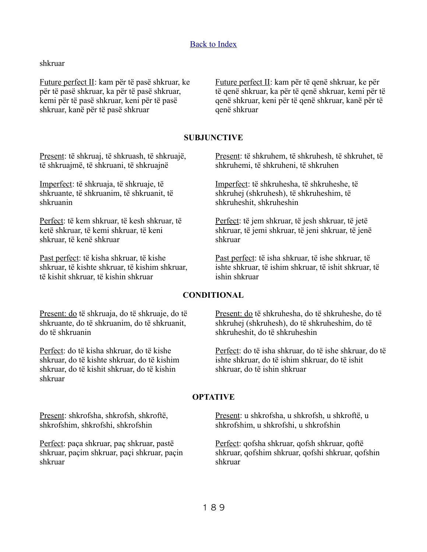## shkruar

Future perfect II: kam për të pasë shkruar, ke për të pasë shkruar, ka për të pasë shkruar, kemi për të pasë shkruar, keni për të pasë shkruar, kanë për të pasë shkruar

Future perfect II: kam për të qenë shkruar, ke për të qenë shkruar, ka për të qenë shkruar, kemi për të qenë shkruar, keni për të qenë shkruar, kanë për të qenë shkruar

### **SUBJUNCTIVE**

Present: të shkruaj, të shkruash, të shkruajë, të shkruajmë, të shkruani, të shkruajnë

Imperfect: të shkruaja, të shkruaje, të shkruante, të shkruanim, të shkruanit, të shkruanin

Perfect: të kem shkruar, të kesh shkruar, të ketë shkruar, të kemi shkruar, të keni shkruar, të kenë shkruar

Past perfect: të kisha shkruar, të kishe shkruar, të kishte shkruar, të kishim shkruar, të kishit shkruar, të kishin shkruar

Present: do të shkruaja, do të shkruaje, do të shkruante, do të shkruanim, do të shkruanit, do të shkruanin

Perfect: do të kisha shkruar, do të kishe shkruar, do të kishte shkruar, do të kishim shkruar, do të kishit shkruar, do të kishin shkruar

Present: shkrofsha, shkrofsh, shkroftë, shkrofshim, shkrofshi, shkrofshin

Perfect: paça shkruar, paç shkruar, pastë shkruar, paçim shkruar, paçi shkruar, paçin shkruar

Present: të shkruhem, të shkruhesh, të shkruhet, të shkruhemi, të shkruheni, të shkruhen

Imperfect: të shkruhesha, të shkruheshe, të shkruhej (shkruhesh), të shkruheshim, të shkruheshit, shkruheshin

Perfect: të jem shkruar, të jesh shkruar, të jetë shkruar, të jemi shkruar, të jeni shkruar, të jenë shkruar

Past perfect: të isha shkruar, të ishe shkruar, të ishte shkruar, të ishim shkruar, të ishit shkruar, të ishin shkruar

# **CONDITIONAL**

Present: do të shkruhesha, do të shkruheshe, do të shkruhej (shkruhesh), do të shkruheshim, do të shkruheshit, do të shkruheshin

Perfect: do të isha shkruar, do të ishe shkruar, do të ishte shkruar, do të ishim shkruar, do të ishit shkruar, do të ishin shkruar

# **OPTATIVE**

Present: u shkrofsha, u shkrofsh, u shkroftë, u shkrofshim, u shkrofshi, u shkrofshin

Perfect: qofsha shkruar, qofsh shkruar, qoftë shkruar, qofshim shkruar, qofshi shkruar, qofshin shkruar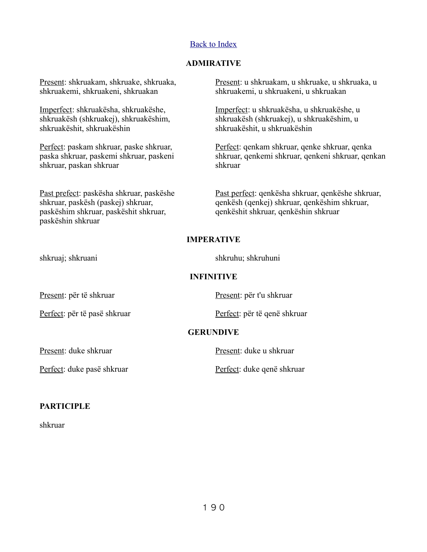# **ADMIRATIVE**

| Present: shkruakam, shkruake, shkruaka,<br>shkruakemi, shkruakeni, shkruakan                                                                 | Present: u shkruakam, u shkruake, u shkruaka, u<br>shkruakemi, u shkruakeni, u shkruakan                                                  |
|----------------------------------------------------------------------------------------------------------------------------------------------|-------------------------------------------------------------------------------------------------------------------------------------------|
| Imperfect: shkruakësha, shkruakëshe,<br>shkruakësh (shkruakej), shkruakëshim,<br>shkruakëshit, shkruakëshin                                  | Imperfect: u shkruakësha, u shkruakëshe, u<br>shkruakësh (shkruakej), u shkruakëshim, u<br>shkruakëshit, u shkruakëshin                   |
| Perfect: paskam shkruar, paske shkruar,<br>paska shkruar, paskemi shkruar, paskeni<br>shkruar, paskan shkruar                                | Perfect: qenkam shkruar, qenke shkruar, qenka<br>shkruar, qenkemi shkruar, qenkeni shkruar, qenkan<br>shkruar                             |
| Past prefect: paskësha shkruar, paskëshe<br>shkruar, paskësh (paskej) shkruar,<br>paskëshim shkruar, paskëshit shkruar,<br>paskëshin shkruar | Past perfect: qenkësha shkruar, qenkëshe shkruar,<br>qenkësh (qenkej) shkruar, qenkëshim shkruar,<br>qenkëshit shkruar, qenkëshin shkruar |
| <b>IMPERATIVE</b>                                                                                                                            |                                                                                                                                           |
| shkruaj; shkruani                                                                                                                            | shkruhu; shkruhuni                                                                                                                        |
|                                                                                                                                              | <b>INFINITIVE</b>                                                                                                                         |
| Present: për të shkruar                                                                                                                      | Present: për t'u shkruar                                                                                                                  |
| Perfect: për të pasë shkruar                                                                                                                 | Perfect: për të qenë shkruar                                                                                                              |
| <b>GERUNDIVE</b>                                                                                                                             |                                                                                                                                           |
| Present: duke shkruar                                                                                                                        | Present: duke u shkruar                                                                                                                   |
| Perfect: duke pasë shkruar                                                                                                                   | Perfect: duke qenë shkruar                                                                                                                |
|                                                                                                                                              |                                                                                                                                           |

# **PARTICIPLE**

shkruar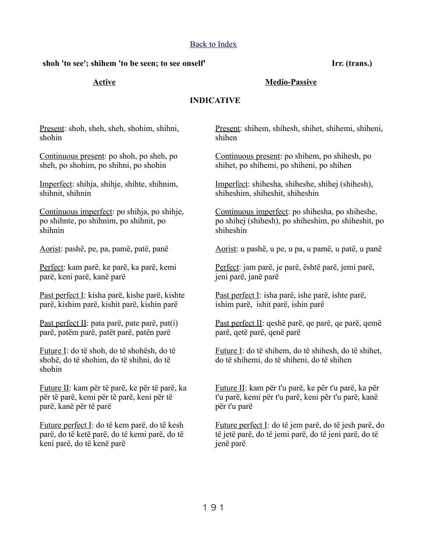## **shoh 'to see'; shihem 'to be seen; to see onself' Irr. (trans.)**

# **Active Medio-Passive**

### **INDICATIVE**

Present: shoh, sheh, sheh, shohim, shihni, shohin

Continuous present: po shoh, po sheh, po sheh, po shohim, po shihni, po shohin

Imperfect: shihja, shihje, shihte, shihnim, shihnit, shihnin

Continuous imperfect: po shihja, po shihje, po shihnte, po shihnim, po shihnit, po shihnin

Perfect: kam parë, ke parë, ka parë, kemi parë, keni parë, kanë parë

Past perfect I: kisha parë, kishe parë, kishte parë, kishim parë, kishit parë, kishin parë

Past perfect II: pata parë, pate parë, pat(i) parë, patëm parë, patët parë, patën parë

Future I: do të shoh, do të shohësh, do të shohë, do të shohim, do të shihni, do të shohin

Future II: kam për të parë, ke për të parë, ka për të parë, kemi për të parë, keni për të parë, kanë për të parë

Future perfect I: do të kem parë, do të kesh parë, do të ketë parë, do të kemi parë, do të keni parë, do të kenë parë

Present: shihem, shihesh, shihet, shihemi, shiheni, shihen

Continuous present: po shihem, po shihesh, po shihet, po shihemi, po shiheni, po shihen

Imperfect: shihesha, shiheshe, shihej (shihesh), shiheshim, shiheshit, shiheshin

Continuous imperfect: po shihesha, po shiheshe, po shihej (shihesh), po shiheshim, po shiheshit, po shiheshin

Aorist: pashë, pe, pa, pamë, patë, panë Aorist: u pashë, u pe, u pa, u pamë, u patë, u panë

Perfect: jam parë, je parë, është parë, jemi parë, jeni parë, janë parë

Past perfect I: isha parë, ishe parë, ishte parë, ishim parë, ishit parë, ishin parë

Past perfect II: qeshë parë, qe parë, qe parë, qemë parë, qetë parë, qenë parë

Future I: do të shihem, do të shihesh, do të shihet, do të shihemi, do të shiheni, do të shihen

Future II: kam për t'u parë, ke për t'u parë, ka për t'u parë, kemi për t'u parë, keni për t'u parë, kanë për t'u parë

Future perfect I: do të jem parë, do të jesh parë, do të jetë parë, do të jemi parë, do të jeni parë, do të jenë parë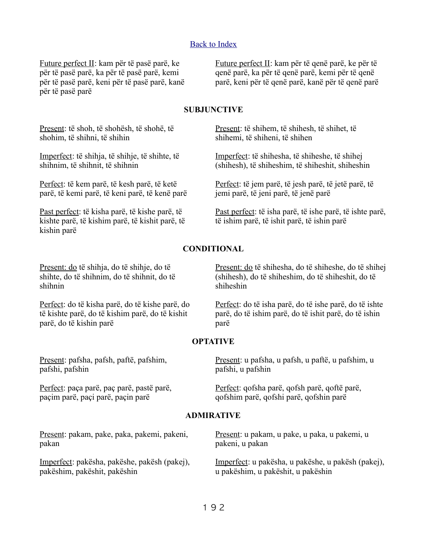Future perfect II: kam për të pasë parë, ke për të pasë parë, ka për të pasë parë, kemi për të pasë parë, keni për të pasë parë, kanë për të pasë parë

Future perfect II: kam për të qenë parë, ke për të qenë parë, ka për të qenë parë, kemi për të qenë parë, keni për të qenë parë, kanë për të qenë parë

#### **SUBJUNCTIVE**

Present: të shoh, të shohësh, të shohë, të shohim, të shihni, të shihin

Imperfect: të shihja, të shihje, të shihte, të shihnim, të shihnit, të shihnin

Perfect: të kem parë, të kesh parë, të ketë parë, të kemi parë, të keni parë, të kenë parë

Past perfect: të kisha parë, të kishe parë, të kishte parë, të kishim parë, të kishit parë, të kishin parë

Present: të shihem, të shihesh, të shihet, të shihemi, të shiheni, të shihen

Imperfect: të shihesha, të shiheshe, të shihej (shihesh), të shiheshim, të shiheshit, shiheshin

Perfect: të jem parë, të jesh parë, të jetë parë, të jemi parë, të jeni parë, të jenë parë

Past perfect: të isha parë, të ishe parë, të ishte parë, të ishim parë, të ishit parë, të ishin parë

#### **CONDITIONAL**

Present: do të shihja, do të shihje, do të shihte, do të shihnim, do të shihnit, do të shihnin

Perfect: do të kisha parë, do të kishe parë, do të kishte parë, do të kishim parë, do të kishit parë, do të kishin parë

Present: do të shihesha, do të shiheshe, do të shihej (shihesh), do të shiheshim, do të shiheshit, do të shiheshin

Perfect: do të isha parë, do të ishe parë, do të ishte parë, do të ishim parë, do të ishit parë, do të ishin parë

#### **OPTATIVE**

Present: pafsha, pafsh, paftë, pafshim, pafshi, pafshin

Perfect: paça parë, paç parë, pastë parë, paçim parë, paçi parë, paçin parë

Present: u pafsha, u pafsh, u paftë, u pafshim, u pafshi, u pafshin

Perfect: qofsha parë, qofsh parë, qoftë parë, qofshim parë, qofshi parë, qofshin parë

#### **ADMIRATIVE**

Present: pakam, pake, paka, pakemi, pakeni, pakan Present: u pakam, u pake, u paka, u pakemi, u pakeni, u pakan Imperfect: pakësha, pakëshe, pakësh (pakej), pakëshim, pakëshit, pakëshin Imperfect: u pakësha, u pakëshe, u pakësh (pakej), u pakëshim, u pakëshit, u pakëshin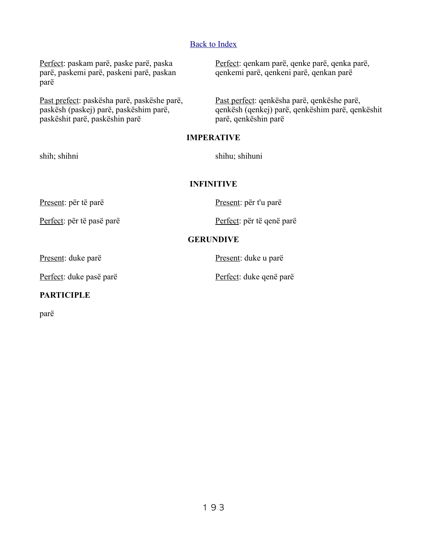| Perfect: paskam parë, paske parë, paska<br>parë, paskemi parë, paskeni parë, paskan<br>parë                             | Perfect: qenkam parë, qenke parë, qenka parë,<br>qenkemi parë, qenkeni parë, qenkan parë                                |
|-------------------------------------------------------------------------------------------------------------------------|-------------------------------------------------------------------------------------------------------------------------|
| Past prefect: paskësha parë, paskëshe parë,<br>paskësh (paskej) parë, paskëshim parë,<br>paskëshit parë, paskëshin parë | Past perfect: qenkësha parë, qenkëshe parë,<br>qenkësh (qenkej) parë, qenkëshim parë, qenkëshit<br>parë, qenkëshin parë |
|                                                                                                                         | <b>IMPERATIVE</b>                                                                                                       |
| shih; shihni                                                                                                            | shihu; shihuni                                                                                                          |
| <b>INFINITIVE</b>                                                                                                       |                                                                                                                         |
| Present: për të parë                                                                                                    | Present: për t'u parë                                                                                                   |
| Perfect: për të pasë parë                                                                                               | Perfect: për të qenë parë                                                                                               |
|                                                                                                                         | <b>GERUNDIVE</b>                                                                                                        |
| Present: duke parë                                                                                                      | Present: duke u parë                                                                                                    |
| Perfect: duke pasë parë                                                                                                 | Perfect: duke qenë parë                                                                                                 |
| <b>PARTICIPLE</b>                                                                                                       |                                                                                                                         |
| parë                                                                                                                    |                                                                                                                         |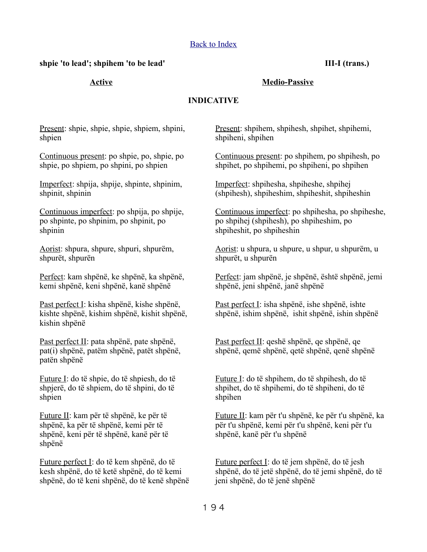# **shpie 'to lead'; shpihem 'to be lead' III-I (trans.)**

# **Active Medio-Passive**

# **INDICATIVE**

Present: shpie, shpie, shpie, shpiem, shpini, shpien

Continuous present: po shpie, po, shpie, po shpie, po shpiem, po shpini, po shpien

Imperfect: shpija, shpije, shpinte, shpinim, shpinit, shpinin

Continuous imperfect: po shpija, po shpije, po shpinte, po shpinim, po shpinit, po shpinin

Aorist: shpura, shpure, shpuri, shpurëm. shpurët, shpurën

Perfect: kam shpënë, ke shpënë, ka shpënë, kemi shpënë, keni shpënë, kanë shpënë

Past perfect I: kisha shpënë, kishe shpënë, kishte shpënë, kishim shpënë, kishit shpënë, kishin shpënë

Past perfect II: pata shpënë, pate shpënë, pat(i) shpënë, patëm shpënë, patët shpënë, patën shpënë

Future I: do të shpie, do të shpiesh, do të shpjerë, do të shpiem, do të shpini, do të shpien

Future II: kam për të shpënë, ke për të shpënë, ka për të shpënë, kemi për të shpënë, keni për të shpënë, kanë për të shpënë

Future perfect I: do të kem shpënë, do të kesh shpënë, do të ketë shpënë, do të kemi shpënë, do të keni shpënë, do të kenë shpënë Present: shpihem, shpihesh, shpihet, shpihemi, shpiheni, shpihen

Continuous present: po shpihem, po shpihesh, po shpihet, po shpihemi, po shpiheni, po shpihen

Imperfect: shpihesha, shpiheshe, shpihej (shpihesh), shpiheshim, shpiheshit, shpiheshin

Continuous imperfect: po shpihesha, po shpiheshe, po shpihej (shpihesh), po shpiheshim, po shpiheshit, po shpiheshin

Aorist: u shpura, u shpure, u shpur, u shpurëm, u shpurët, u shpurën

Perfect: jam shpënë, je shpënë, është shpënë, jemi shpënë, jeni shpënë, janë shpënë

Past perfect I: isha shpënë, ishe shpënë, ishte shpënë, ishim shpënë, ishit shpënë, ishin shpënë

Past perfect II: qeshë shpënë, qe shpënë, qe shpënë, qemë shpënë, qetë shpënë, qenë shpënë

Future I: do të shpihem, do të shpihesh, do të shpihet, do të shpihemi, do të shpiheni, do të shpihen

Future II: kam për t'u shpënë, ke për t'u shpënë, ka për t'u shpënë, kemi për t'u shpënë, keni për t'u shpënë, kanë për t'u shpënë

Future perfect I: do të jem shpënë, do të jesh shpënë, do të jetë shpënë, do të jemi shpënë, do të jeni shpënë, do të jenë shpënë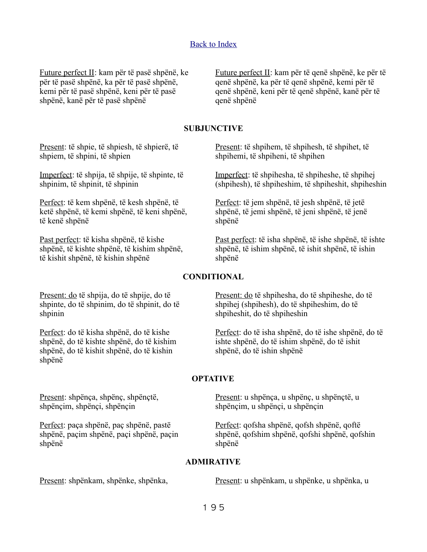Future perfect II: kam për të pasë shpënë, ke për të pasë shpënë, ka për të pasë shpënë, kemi për të pasë shpënë, keni për të pasë shpënë, kanë për të pasë shpënë

Future perfect II: kam për të qenë shpënë, ke për të qenë shpënë, ka për të qenë shpënë, kemi për të qenë shpënë, keni për të qenë shpënë, kanë për të qenë shpënë

# **SUBJUNCTIVE**

Present: të shpie, të shpiesh, të shpierë, të shpiem, të shpini, të shpien

Imperfect: të shpija, të shpije, të shpinte, të shpinim, të shpinit, të shpinin

Perfect: të kem shpënë, të kesh shpënë, të ketë shpënë, të kemi shpënë, të keni shpënë, të kenë shpënë

Past perfect: të kisha shpënë, të kishe shpënë, të kishte shpënë, të kishim shpënë, të kishit shpënë, të kishin shpënë

Present: të shpihem, të shpihesh, të shpihet, të shpihemi, të shpiheni, të shpihen

Imperfect: të shpihesha, të shpiheshe, të shpihej (shpihesh), të shpiheshim, të shpiheshit, shpiheshin

Perfect: të jem shpënë, të jesh shpënë, të jetë shpënë, të jemi shpënë, të jeni shpënë, të jenë shpënë

Past perfect: të isha shpënë, të ishe shpënë, të ishte shpënë, të ishim shpënë, të ishit shpënë, të ishin shpënë

# **CONDITIONAL**

Present: do të shpija, do të shpije, do të shpinte, do të shpinim, do të shpinit, do të shpinin

Perfect: do të kisha shpënë, do të kishe shpënë, do të kishte shpënë, do të kishim shpënë, do të kishit shpënë, do të kishin shpënë

Present: shpënça, shpënç, shpënçtë, shpënçim, shpënçi, shpënçin

Perfect: paça shpënë, paç shpënë, pastë shpënë, paçim shpënë, paçi shpënë, paçin shpënë

Present: do të shpihesha, do të shpiheshe, do të shpihej (shpihesh), do të shpiheshim, do të shpiheshit, do të shpiheshin

Perfect: do të isha shpënë, do të ishe shpënë, do të ishte shpënë, do të ishim shpënë, do të ishit shpënë, do të ishin shpënë

# **OPTATIVE**

Present: u shpënça, u shpënç, u shpënçtë, u shpënçim, u shpënçi, u shpënçin

Perfect: qofsha shpënë, qofsh shpënë, qoftë shpënë, qofshim shpënë, qofshi shpënë, qofshin shpënë

# **ADMIRATIVE**

Present: shpënkam, shpënke, shpënka, Present: u shpënkam, u shpënke, u shpënka, u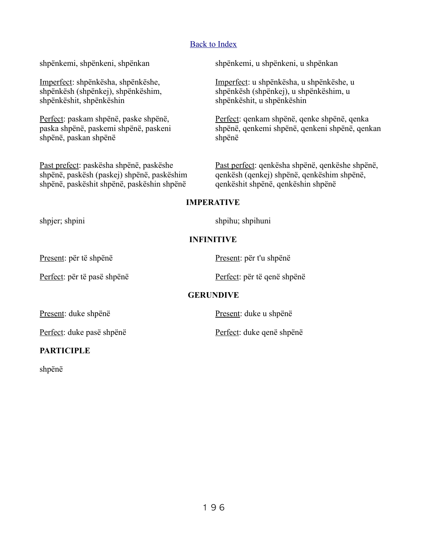shpënkemi, shpënkeni, shpënkan shpënkemi, u shpënkeni, u shpënkan Imperfect: shpënkësha, shpënkëshe, shpënkësh (shpënkej), shpënkëshim, shpënkëshit, shpënkëshin Imperfect: u shpënkësha, u shpënkëshe, u shpënkësh (shpënkej), u shpënkëshim, u shpënkëshit, u shpënkëshin Perfect: paskam shpënë, paske shpënë, paska shpënë, paskemi shpënë, paskeni shpënë, paskan shpënë Perfect: qenkam shpënë, qenke shpënë, qenka shpënë, qenkemi shpënë, qenkeni shpënë, qenkan shpënë Past prefect: paskësha shpënë, paskëshe shpënë, paskësh (paskej) shpënë, paskëshim shpënë, paskëshit shpënë, paskëshin shpënë Past perfect: qenkësha shpënë, qenkëshe shpënë, qenkësh (qenkej) shpënë, qenkëshim shpënë, qenkëshit shpënë, qenkëshin shpënë **IMPERATIVE** shpjer; shpini shpihu; shpihu; shpihuni **INFINITIVE** Present: për të shpënë Present: për t'u shpënë Perfect: për të pasë shpënë Perfect: për të qenë shpënë **GERUNDIVE**

Present: duke shpënë Present: duke u shpënë Perfect: duke pasë shpënë Perfect: duke qenë shpënë

# **PARTICIPLE**

shpënë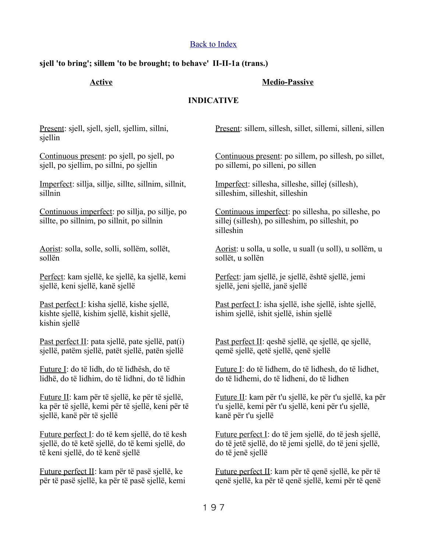# **sjell 'to bring'; sillem 'to be brought; to behave' II-II-1a (trans.)**

# **Active Medio-Passive**

# **INDICATIVE**

Present: sjell, sjell, sjell, sjellim, sillni, sjellin

Continuous present: po sjell, po sjell, po sjell, po sjellim, po sillni, po sjellin

Imperfect: sillja, sillje, sillte, sillnim, sillnit, sillnin

Continuous imperfect: po sillja, po sillje, po sillte, po sillnim, po sillnit, po sillnin

Aorist: solla, solle, solli, sollëm, sollët, sollën

Perfect: kam sjellë, ke sjellë, ka sjellë, kemi sjellë, keni sjellë, kanë sjellë

Past perfect I: kisha sjellë, kishe sjellë, kishte sjellë, kishim sjellë, kishit sjellë, kishin sjellë

Past perfect II: pata sjellë, pate sjellë, pat(i) sjellë, patëm sjellë, patët sjellë, patën sjellë

Future I: do të lidh, do të lidhësh, do të lidhë, do të lidhim, do të lidhni, do të lidhin

Future II: kam për të sjellë, ke për të sjellë, ka për të sjellë, kemi për të sjellë, keni për të sjellë, kanë për të sjellë

Future perfect I: do të kem sjellë, do të kesh sjellë, do të ketë sjellë, do të kemi sjellë, do të keni sjellë, do të kenë sjellë

Future perfect II: kam për të pasë sjellë, ke për të pasë sjellë, ka për të pasë sjellë, kemi Present: sillem, sillesh, sillet, sillemi, silleni, sillen

Continuous present: po sillem, po sillesh, po sillet, po sillemi, po silleni, po sillen

Imperfect: sillesha, silleshe, sillej (sillesh), silleshim, silleshit, silleshin

Continuous imperfect: po sillesha, po silleshe, po sillej (sillesh), po silleshim, po silleshit, po silleshin

Aorist: u solla, u solle, u suall (u soll), u sollëm, u sollët, u sollën

Perfect: jam sjellë, je sjellë, është sjellë, jemi sjellë, jeni sjellë, janë sjellë

Past perfect I: isha sjellë, ishe sjellë, ishte sjellë, ishim sjellë, ishit sjellë, ishin sjellë

Past perfect II: qeshë sjellë, qe sjellë, qe sjellë, qemë sjellë, qetë sjellë, qenë sjellë

Future I: do të lidhem, do të lidhesh, do të lidhet, do të lidhemi, do të lidheni, do të lidhen

Future II: kam për t'u sjellë, ke për t'u sjellë, ka për t'u sjellë, kemi për t'u sjellë, keni për t'u sjellë, kanë për t'u sjellë

Future perfect I: do të jem sjellë, do të jesh sjellë, do të jetë sjellë, do të jemi sjellë, do të jeni sjellë, do të jenë sjellë

Future perfect II: kam për të qenë sjellë, ke për të qenë sjellë, ka për të qenë sjellë, kemi për të qenë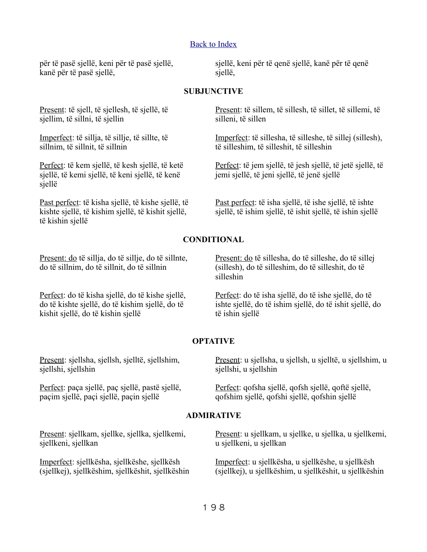për të pasë sjellë, keni për të pasë sjellë, kanë për të pasë sjellë,

sjellë, keni për të qenë sjellë, kanë për të qenë sjellë,

### **SUBJUNCTIVE**

Present: të sjell, të sjellesh, të sjellë, të sjellim, të sillni, të sjellin

Imperfect: të sillja, të sillje, të sillte, të sillnim, të sillnit, të sillnin

Perfect: të kem sjellë, të kesh sjellë, të ketë sjellë, të kemi sjellë, të keni sjellë, të kenë sjellë

Past perfect: të kisha sjellë, të kishe sjellë, të kishte sjellë, të kishim sjellë, të kishit sjellë, të kishin sjellë

Present: të sillem, të sillesh, të sillet, të sillemi, të silleni, të sillen

Imperfect: të sillesha, të silleshe, të sillej (sillesh), të silleshim, të silleshit, të silleshin

Perfect: të jem sjellë, të jesh sjellë, të jetë sjellë, të jemi sjellë, të jeni sjellë, të jenë sjellë

Past perfect: të isha sjellë, të ishe sjellë, të ishte sjellë, të ishim sjellë, të ishit sjellë, të ishin sjellë

# **CONDITIONAL**

Present: do të sillja, do të sillje, do të sillnte, do të sillnim, do të sillnit, do të sillnin

Perfect: do të kisha sjellë, do të kishe sjellë, do të kishte sjellë, do të kishim sjellë, do të kishit sjellë, do të kishin sjellë

Present: do të sillesha, do të silleshe, do të sillej (sillesh), do të silleshim, do të silleshit, do të silleshin

Perfect: do të isha sjellë, do të ishe sjellë, do të ishte sjellë, do të ishim sjellë, do të ishit sjellë, do të ishin sjellë

# **OPTATIVE**

Present: sjellsha, sjellsh, sjelltë, sjellshim, sjellshi, sjellshin

Perfect: paça sjellë, paç sjellë, pastë sjellë, paçim sjellë, paçi sjellë, paçin sjellë

Present: u sjellsha, u sjellsh, u sjelltë, u sjellshim, u sjellshi, u sjellshin

Perfect: qofsha sjellë, qofsh sjellë, qoftë sjellë, qofshim sjellë, qofshi sjellë, qofshin sjellë

# **ADMIRATIVE**

Present: sjellkam, sjellke, sjellka, sjellkemi, sjellkeni, sjellkan

Imperfect: sjellkësha, sjellkëshe, sjellkësh (sjellkej), sjellkëshim, sjellkëshit, sjellkëshin Present: u sjellkam, u sjellke, u sjellka, u sjellkemi, u sjellkeni, u sjellkan

Imperfect: u sjellkësha, u sjellkëshe, u sjellkësh (sjellkej), u sjellkëshim, u sjellkëshit, u sjellkëshin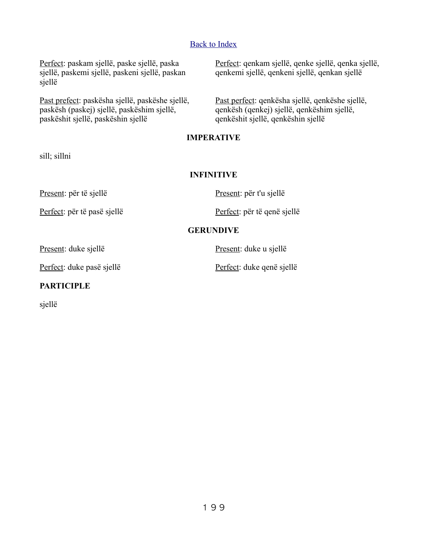Perfect: paskam sjellë, paske sjellë, paska sjellë, paskemi sjellë, paskeni sjellë, paskan sjellë Past prefect: paskësha sjellë, paskëshe sjellë, paskësh (paskej) sjellë, paskëshim sjellë, paskëshit sjellë, paskëshin sjellë **IMPERATIVE** sill; sillni **INFINITIVE** Present: për të sjellë Present: për t'u sjellë Perfect: për të pasë sjellë Perfect: për të qenë sjellë **GERUNDIVE** Present: duke sjellë Present: duke u sjellë

# **PARTICIPLE**

sjellë

Perfect: qenkam sjellë, qenke sjellë, qenka sjellë, qenkemi sjellë, qenkeni sjellë, qenkan sjellë

Past perfect: qenkësha sjellë, qenkëshe sjellë, qenkësh (qenkej) sjellë, qenkëshim sjellë, qenkëshit sjellë, qenkëshin sjellë

Perfect: duke pasë sjellë Perfect: duke qenë sjellë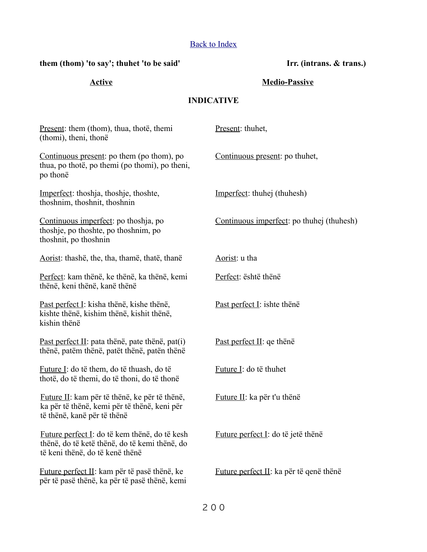# **them (thom) 'to say'; thuhet 'to be said' Irr. (intrans. & trans.)**

# **Active Medio-Passive**

# **INDICATIVE**

| Present: them (thom), thua, thotë, themi<br>(thomi), theni, thonë                                                                 | Present: thuhet,                          |
|-----------------------------------------------------------------------------------------------------------------------------------|-------------------------------------------|
| Continuous present: po them (po thom), po<br>thua, po thotë, po themi (po thomi), po theni,<br>po thonë                           | Continuous present: po thuhet,            |
| Imperfect: thoshja, thoshje, thoshte,<br>thoshnim, thoshnit, thoshnin                                                             | Imperfect: thuhej (thuhesh)               |
| Continuous imperfect: po thoshja, po<br>thoshje, po thoshte, po thoshnim, po<br>thoshnit, po thoshnin                             | Continuous imperfect: po thuhej (thuhesh) |
| Aorist: thashë, the, tha, thamë, thatë, thanë                                                                                     | Aorist: u tha                             |
| Perfect: kam thënë, ke thënë, ka thënë, kemi<br>thënë, keni thënë, kanë thënë                                                     | Perfect: është thënë                      |
| Past perfect I: kisha thënë, kishe thënë,<br>kishte thënë, kishim thënë, kishit thënë,<br>kishin thënë                            | Past perfect I: ishte thene               |
| Past perfect II: pata thënë, pate thënë, pat(i)<br>thënë, patëm thënë, patët thënë, patën thënë                                   | Past perfect II: qe thënë                 |
| Future I: do të them, do të thuash, do të<br>thotë, do të themi, do të thoni, do të thonë                                         | Future I: do të thuhet                    |
| Future II: kam për të thënë, ke për të thënë,<br>ka për të thënë, kemi për të thënë, keni për<br>të thënë, kanë për të thënë      | Future II: ka për t'u thënë               |
| Future perfect I: do të kem thënë, do të kesh<br>thënë, do të ketë thënë, do të kemi thënë, do<br>të keni thënë, do të kenë thënë | Future perfect I: do të jetë thënë        |
| Future perfect II: kam për të pasë thënë, ke<br>për të pasë thënë, ka për të pasë thënë, kemi                                     | Future perfect II: ka për të qenë thënë   |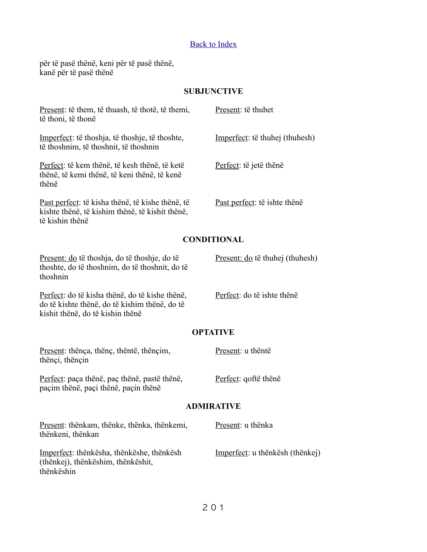për të pasë thënë, keni për të pasë thënë, kanë për të pasë thënë

# **SUBJUNCTIVE**

| Present: të them, të thuash, të thotë, të themi,<br>të thoni, të thonë                                                              | Present: të thuhet                     |
|-------------------------------------------------------------------------------------------------------------------------------------|----------------------------------------|
| Imperfect: të thoshja, të thoshje, të thoshte,<br>të thoshnim, të thoshnit, të thoshnin                                             | Imperfect: të thuhej (thuhesh)         |
| Perfect: të kem thënë, të kesh thënë, të ketë<br>thënë, të kemi thënë, të keni thënë, të kenë<br>thënë                              | Perfect: të jetë thënë                 |
| Past perfect: të kisha thënë, të kishe thënë, të<br>kishte thënë, të kishim thënë, të kishit thënë,<br>të kishin thënë              | Past perfect: të ishte thënë           |
|                                                                                                                                     | <b>CONDITIONAL</b>                     |
| Present: do të thoshja, do të thoshje, do të<br>thoshte, do të thoshnim, do të thoshnit, do të<br>thoshnin                          | <u>Present: do</u> të thuhej (thuhesh) |
| Perfect: do të kisha thënë, do të kishe thënë,<br>do të kishte thënë, do të kishim thënë, do të<br>kishit thënë, do të kishin thënë | Perfect: do të ishte thënë             |
|                                                                                                                                     | <b>OPTATIVE</b>                        |
| Present: thença, thenç, thente, thençim,<br>thënçi, thënçin                                                                         | Present: u thëntë                      |
| Perfect: paça thënë, paç thënë, pastë thënë,<br>paçim thênê, paçi thênê, paçin thênê                                                | Perfect: goftë thënë                   |
|                                                                                                                                     | <b>ADMIRATIVE</b>                      |
| Present: thënkam, thënke, thënka, thënkemi,<br>thënkeni, thënkan                                                                    | Present: u thënka                      |
| Imperfect: thënkësha, thënkëshe, thënkësh<br>(thënkej), thënkëshim, thënkëshit,<br>thënkëshin                                       | Imperfect: u thënkësh (thënkej)        |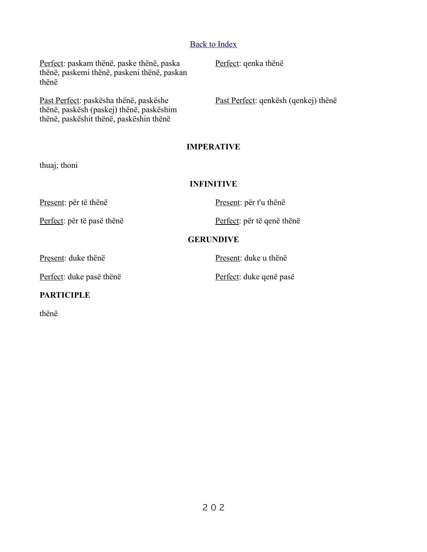Perfect: paskam thënë, paske thënë, paska thënë, paskemi thënë, paskeni thënë, paskan thënë

Past Perfect: paskësha thënë, paskëshe thënë, paskësh (paskej) thënë, paskëshim thënë, paskëshit thënë, paskëshin thënë

Perfect: qenka thënë

Past Perfect: qenkësh (qenkej) thënë

# **IMPERATIVE**

thuaj; thoni

# **INFINITIVE**

**GERUNDIVE**

Present: për të thënë Present: për t'u thënë

Perfect: për të pasë thënë Perfect: për të qenë thënë

Present: duke thënë Present: duke u thënë

Perfect: duke pasë thënë Perfect: duke qenë pasë

# **PARTICIPLE**

thënë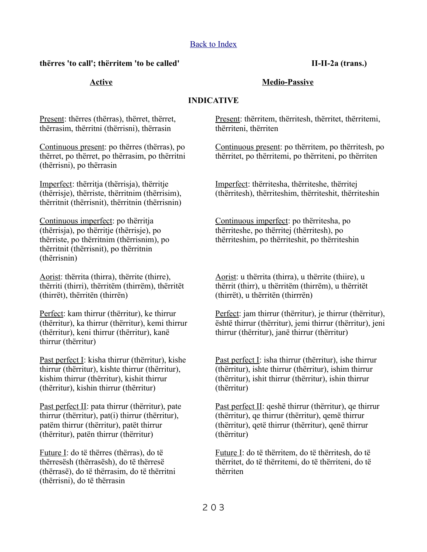# **thërres 'to call'; thërritem 'to be called' II-II-2a (trans.)**

# **Active Medio-Passive**

# **INDICATIVE**

Present: thërres (thërras), thërret, thërret, thërrasim, thërritni (thërrisni), thërrasin

Continuous present: po thërres (thërras), po thërret, po thërret, po thërrasim, po thërritni (thërrisni), po thërrasin

Imperfect: thërritja (thërrisja), thërritje (thërrisje), thërriste, thërritnim (thërrisim), thërritnit (thërrisnit), thërritnin (thërrisnin)

Continuous imperfect: po thërritja (thërrisja), po thërritje (thërrisje), po thërriste, po thërritnim (thërrisnim), po thërritnit (thërrisnit), po thërritnin (thërrisnin)

Aorist: thërrita (thirra), thërrite (thirre), thërriti (thirri), thërritëm (thirrëm), thërritët (thirrët), thërritën (thirrën)

Perfect: kam thirrur (thërritur), ke thirrur (thërritur), ka thirrur (thërritur), kemi thirrur (thërritur), keni thirrur (thërritur), kanë thirrur (thërritur)

Past perfect I: kisha thirrur (thërritur), kishe thirrur (thërritur), kishte thirrur (thërritur), kishim thirrur (thërritur), kishit thirrur (thërritur), kishin thirrur (thërritur)

Past perfect II: pata thirrur (thërritur), pate thirrur (thërritur), pat(i) thirrur (thërritur), patëm thirrur (thërritur), patët thirrur (thërritur), patën thirrur (thërritur)

Future I: do të thërres (thërras), do të thërresësh (thërrasësh), do të thërresë (thërrasë), do të thërrasim, do të thërritni (thërrisni), do të thërrasin

Present: thërritem, thërritesh, thërritet, thërritemi, thërriteni, thërriten

Continuous present: po thërritem, po thërritesh, po thërritet, po thërritemi, po thërriteni, po thërriten

Imperfect: thërritesha, thërriteshe, thërritej (thërritesh), thërriteshim, thërriteshit, thërriteshin

Continuous imperfect: po thërritesha, po thërriteshe, po thërritej (thërritesh), po thërriteshim, po thërriteshit, po thërriteshin

Aorist: u thërrita (thirra), u thërrite (thiire), u thërrit (thirr), u thërritëm (thirrëm), u thërritët (thirrët), u thërritën (thirrrën)

Perfect: jam thirrur (thërritur), je thirrur (thërritur), është thirrur (thërritur), jemi thirrur (thërritur), jeni thirrur (thërritur), janë thirrur (thërritur)

Past perfect I: isha thirrur (thërritur), ishe thirrur (thërritur), ishte thirrur (thërritur), ishim thirrur (thërritur), ishit thirrur (thërritur), ishin thirrur (thërritur)

Past perfect II: qeshë thirrur (thërritur), qe thirrur (thërritur), qe thirrur (thërritur), qemë thirrur (thërritur), qetë thirrur (thërritur), qenë thirrur (thërritur)

Future I: do të thërritem, do të thërritesh, do të thërritet, do të thërritemi, do të thërriteni, do të thërriten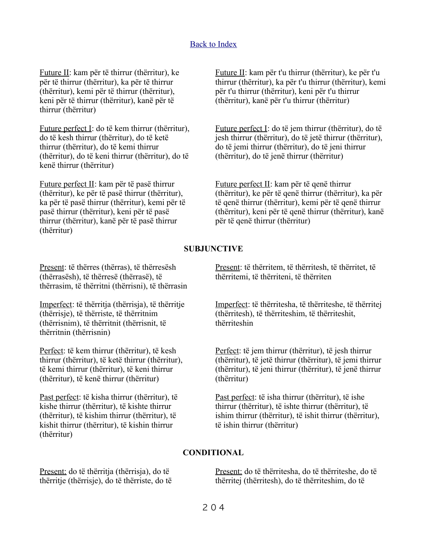Future II: kam për të thirrur (thërritur), ke për të thirrur (thërritur), ka për të thirrur (thërritur), kemi për të thirrur (thërritur), keni për të thirrur (thërritur), kanë për të thirrur (thërritur)

Future perfect I: do të kem thirrur (thërritur), do të kesh thirrur (thërritur), do të ketë thirrur (thërritur), do të kemi thirrur (thërritur), do të keni thirrur (thërritur), do të kenë thirrur (thërritur)

Future perfect II: kam për të pasë thirrur (thërritur), ke për të pasë thirrur (thërritur), ka për të pasë thirrur (thërritur), kemi për të pasë thirrur (thërritur), keni për të pasë thirrur (thërritur), kanë për të pasë thirrur (thërritur)

Future II: kam për t'u thirrur (thërritur), ke për t'u thirrur (thërritur), ka për t'u thirrur (thërritur), kemi për t'u thirrur (thërritur), keni për t'u thirrur (thërritur), kanë për t'u thirrur (thërritur)

Future perfect I: do të jem thirrur (thërritur), do të jesh thirrur (thërritur), do të jetë thirrur (thërritur), do të jemi thirrur (thërritur), do të jeni thirrur (thërritur), do të jenë thirrur (thërritur)

Future perfect II: kam për të qenë thirrur (thërritur), ke për të qenë thirrur (thërritur), ka për të qenë thirrur (thërritur), kemi për të qenë thirrur (thërritur), keni për të qenë thirrur (thërritur), kanë për të qenë thirrur (thërritur)

#### **SUBJUNCTIVE**

Present: të thërres (thërras), të thërresësh (thërrasësh), të thërresë (thërrasë), të thërrasim, të thërritni (thërrisni), të thërrasin

Imperfect: të thërritja (thërrisja), të thërritje (thërrisje), të thërriste, të thërritnim (thërrisnim), të thërritnit (thërrisnit, të thërritnin (thërrisnin)

Perfect: të kem thirrur (thërritur), të kesh thirrur (thërritur), të ketë thirrur (thërritur), të kemi thirrur (thërritur), të keni thirrur (thërritur), të kenë thirrur (thërritur)

Past perfect: të kisha thirrur (thërritur), të kishe thirrur (thërritur), të kishte thirrur (thërritur), të kishim thirrur (thërritur), të kishit thirrur (thërritur), të kishin thirrur (thërritur)

Present: do të thërritja (thërrisja), do të thërritje (thërrisje), do të thërriste, do të Present: të thërritem, të thërritesh, të thërritet, të thërritemi, të thërriteni, të thërriten

Imperfect: të thërritesha, të thërriteshe, të thërritej (thërritesh), të thërriteshim, të thërriteshit, thërriteshin

Perfect: të jem thirrur (thërritur), të jesh thirrur (thërritur), të jetë thirrur (thërritur), të jemi thirrur (thërritur), të jeni thirrur (thërritur), të jenë thirrur (thërritur)

Past perfect: të isha thirrur (thërritur), të ishe thirrur (thërritur), të ishte thirrur (thërritur), të ishim thirrur (thërritur), të ishit thirrur (thërritur), të ishin thirrur (thërritur)

# **CONDITIONAL**

Present: do të thërritesha, do të thërriteshe, do të thërritej (thërritesh), do të thërriteshim, do të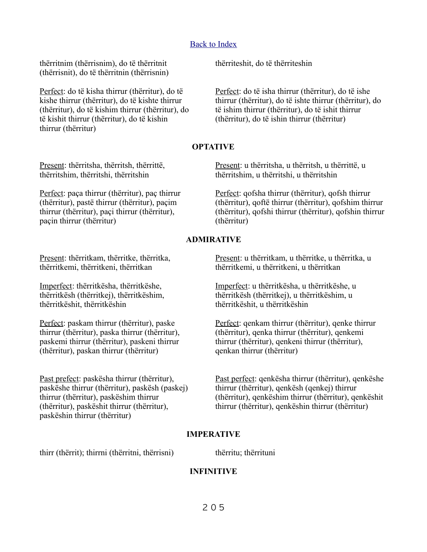thërritnim (thërrisnim), do të thërritnit (thërrisnit), do të thërritnin (thërrisnin)

Perfect: do të kisha thirrur (thërritur), do të kishe thirrur (thërritur), do të kishte thirrur (thërritur), do të kishim thirrur (thërritur), do të kishit thirrur (thërritur), do të kishin thirrur (thërritur)

Present: thërritsha, thërritsh, thërrittë, thërritshim, thërritshi, thërritshin

Perfect: paça thirrur (thërritur), paç thirrur (thërritur), pastë thirrur (thërritur), paçim thirrur (thërritur), paçi thirrur (thërritur), paçin thirrur (thërritur)

Present: thërritkam, thërritke, thërritka, thërritkemi, thërritkeni, thërritkan

Imperfect: thërritkësha, thërritkëshe, thërritkësh (thërritkej), thërritkëshim, thërritkëshit, thërritkëshin

Perfect: paskam thirrur (thërritur), paske thirrur (thërritur), paska thirrur (thërritur), paskemi thirrur (thërritur), paskeni thirrur (thërritur), paskan thirrur (thërritur)

Past prefect: paskësha thirrur (thërritur), paskëshe thirrur (thërritur), paskësh (paskej) thirrur (thërritur), paskëshim thirrur (thërritur), paskëshit thirrur (thërritur), paskëshin thirrur (thërritur)

thërriteshit, do të thërriteshin

Perfect: do të isha thirrur (thërritur), do të ishe thirrur (thërritur), do të ishte thirrur (thërritur), do të ishim thirrur (thërritur), do të ishit thirrur (thërritur), do të ishin thirrur (thërritur)

# **OPTATIVE**

Present: u thërritsha, u thërritsh, u thërrittë, u thërritshim, u thërritshi, u thërritshin

Perfect: qofsha thirrur (thërritur), qofsh thirrur (thërritur), qoftë thirrur (thërritur), qofshim thirrur (thërritur), qofshi thirrur (thërritur), qofshin thirrur (thërritur)

# **ADMIRATIVE**

Present: u thërritkam, u thërritke, u thërritka, u thërritkemi, u thërritkeni, u thërritkan

Imperfect: u thërritkësha, u thërritkëshe, u thërritkësh (thërritkej), u thërritkëshim, u thërritkëshit, u thërritkëshin

Perfect: qenkam thirrur (thërritur), qenke thirrur (thërritur), qenka thirrur (thërritur), qenkemi thirrur (thërritur), qenkeni thirrur (thërritur), qenkan thirrur (thërritur)

Past perfect: qenkësha thirrur (thërritur), qenkëshe thirrur (thërritur), qenkësh (qenkej) thirrur (thërritur), qenkëshim thirrur (thërritur), qenkëshit thirrur (thërritur), qenkëshin thirrur (thërritur)

# **IMPERATIVE**

thirr (thërrit); thirrni (thërritni, thërrisni) thërritu; thërrituni

# **INFINITIVE**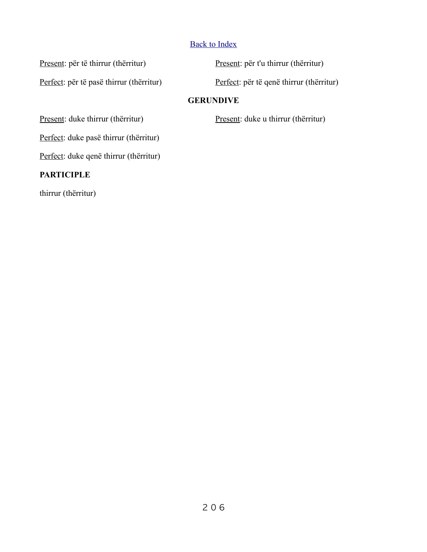Present: për të thirrur (thërritur) Present: për t'u thirrur (thërritur)

Perfect: për të pasë thirrur (thërritur) Perfect: për të qenë thirrur (thërritur)

# **GERUNDIVE**

Present: duke thirrur (thërritur) Present: duke u thirrur (thërritur)

Perfect: duke pasë thirrur (thërritur)

Perfect: duke qenë thirrur (thërritur)

# **PARTICIPLE**

thirrur (thërritur)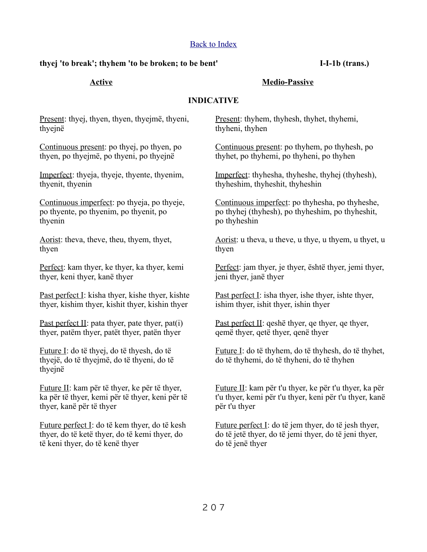# **thyej 'to break'; thyhem 'to be broken; to be bent' I-I-1b (trans.)**

# **Active Medio-Passive**

### **INDICATIVE**

Present: thyej, thyen, thyen, thyejmë, thyeni, thyejnë

Continuous present: po thyej, po thyen, po thyen, po thyejmë, po thyeni, po thyejnë

Imperfect: thyeja, thyeje, thyente, thyenim, thyenit, thyenin

Continuous imperfect: po thyeja, po thyeje, po thyente, po thyenim, po thyenit, po thyenin

Aorist: theva, theve, theu, thyem, thyet, thyen

Perfect: kam thyer, ke thyer, ka thyer, kemi thyer, keni thyer, kanë thyer

Past perfect I: kisha thyer, kishe thyer, kishte thyer, kishim thyer, kishit thyer, kishin thyer

Past perfect II: pata thyer, pate thyer, pat(i) thyer, patëm thyer, patët thyer, patën thyer

Future I: do të thyej, do të thyesh, do të thyejë, do të thyejmë, do të thyeni, do të thyejnë

Future II: kam për të thyer, ke për të thyer, ka për të thyer, kemi për të thyer, keni për të thyer, kanë për të thyer

Future perfect I: do të kem thyer, do të kesh thyer, do të ketë thyer, do të kemi thyer, do të keni thyer, do të kenë thyer

Present: thyhem, thyhesh, thyhet, thyhemi, thyheni, thyhen

Continuous present: po thyhem, po thyhesh, po thyhet, po thyhemi, po thyheni, po thyhen

Imperfect: thyhesha, thyheshe, thyhej (thyhesh), thyheshim, thyheshit, thyheshin

Continuous imperfect: po thyhesha, po thyheshe, po thyhej (thyhesh), po thyheshim, po thyheshit, po thyheshin

Aorist: u theva, u theve, u thye, u thyem, u thyet, u thyen

Perfect: jam thyer, je thyer, është thyer, jemi thyer, jeni thyer, janë thyer

Past perfect I: isha thyer, ishe thyer, ishte thyer, ishim thyer, ishit thyer, ishin thyer

Past perfect II: qeshë thyer, qe thyer, qe thyer, qemë thyer, qetë thyer, qenë thyer

Future I: do të thyhem, do të thyhesh, do të thyhet, do të thyhemi, do të thyheni, do të thyhen

Future II: kam për t'u thyer, ke për t'u thyer, ka për t'u thyer, kemi për t'u thyer, keni për t'u thyer, kanë për t'u thyer

Future perfect I: do të jem thyer, do të jesh thyer, do të jetë thyer, do të jemi thyer, do të jeni thyer, do të jenë thyer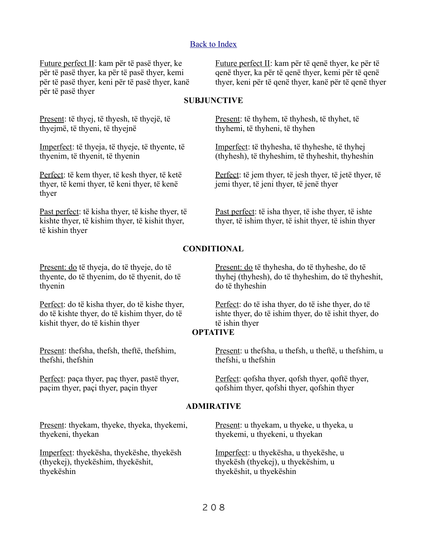Future perfect II: kam për të pasë thyer, ke për të pasë thyer, ka për të pasë thyer, kemi për të pasë thyer, keni për të pasë thyer, kanë për të pasë thyer

Future perfect II: kam për të qenë thyer, ke për të qenë thyer, ka për të qenë thyer, kemi për të qenë thyer, keni për të qenë thyer, kanë për të qenë thyer

#### **SUBJUNCTIVE**

Present: të thyej, të thyesh, të thyejë, të thyejmë, të thyeni, të thyejnë

Imperfect: të thyeja, të thyeje, të thyente, të thyenim, të thyenit, të thyenin

Perfect: të kem thyer, të kesh thyer, të ketë thyer, të kemi thyer, të keni thyer, të kenë thyer

Past perfect: të kisha thyer, të kishe thyer, të kishte thyer, të kishim thyer, të kishit thyer, të kishin thyer

Present: të thyhem, të thyhesh, të thyhet, të thyhemi, të thyheni, të thyhen

Imperfect: të thyhesha, të thyheshe, të thyhej (thyhesh), të thyheshim, të thyheshit, thyheshin

Perfect: të jem thyer, të jesh thyer, të jetë thyer, të jemi thyer, të jeni thyer, të jenë thyer

Past perfect: të isha thyer, të ishe thyer, të ishte thyer, të ishim thyer, të ishit thyer, të ishin thyer

#### **CONDITIONAL**

Present: do të thyeja, do të thyeje, do të thyente, do të thyenim, do të thyenit, do të thyenin

Perfect: do të kisha thyer, do të kishe thyer, do të kishte thyer, do të kishim thyer, do të kishit thyer, do të kishin thyer

Present: thefsha, thefsh, theftë, thefshim, thefshi, thefshin

Perfect: paça thyer, paç thyer, pastë thyer, paçim thyer, paçi thyer, paçin thyer

Present: do të thyhesha, do të thyheshe, do të thyhej (thyhesh), do të thyheshim, do të thyheshit, do të thyheshin

Perfect: do të isha thyer, do të ishe thyer, do të ishte thyer, do të ishim thyer, do të ishit thyer, do të ishin thyer

# **OPTATIVE**

Present: u thefsha, u thefsh, u theftë, u thefshim, u thefshi, u thefshin

Perfect: qofsha thyer, qofsh thyer, qoftë thyer, qofshim thyer, qofshi thyer, qofshin thyer

### **ADMIRATIVE**

Present: thyekam, thyeke, thyeka, thyekemi, thyekeni, thyekan

Imperfect: thyekësha, thyekëshe, thyekësh (thyekej), thyekëshim, thyekëshit, thyekëshin

Present: u thyekam, u thyeke, u thyeka, u thyekemi, u thyekeni, u thyekan

Imperfect: u thyekësha, u thyekëshe, u thyekësh (thyekej), u thyekëshim, u thyekëshit, u thyekëshin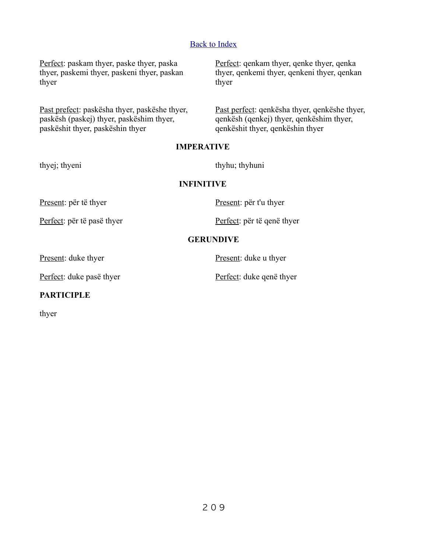| Perfect: paskam thyer, paske thyer, paska<br>thyer, paskemi thyer, paskeni thyer, paskan<br>thyer                             | Perfect: qenkam thyer, qenke thyer, qenka<br>thyer, qenkemi thyer, qenkeni thyer, qenkan<br>thyer                             |
|-------------------------------------------------------------------------------------------------------------------------------|-------------------------------------------------------------------------------------------------------------------------------|
| Past prefect: paskësha thyer, paskëshe thyer,<br>paskësh (paskej) thyer, paskëshim thyer,<br>paskëshit thyer, paskëshin thyer | Past perfect: qenkësha thyer, qenkëshe thyer,<br>qenkësh (qenkej) thyer, qenkëshim thyer,<br>qenkëshit thyer, qenkëshin thyer |
| <b>IMPERATIVE</b>                                                                                                             |                                                                                                                               |
| thyej; thyeni                                                                                                                 | thyhu; thyhuni                                                                                                                |
| <b>INFINITIVE</b>                                                                                                             |                                                                                                                               |
| Present: për të thyer                                                                                                         | Present: për t'u thyer                                                                                                        |
| Perfect: për të pasë thyer                                                                                                    | Perfect: për të qenë thyer                                                                                                    |
|                                                                                                                               | <b>GERUNDIVE</b>                                                                                                              |
| <b>Present:</b> duke thyer                                                                                                    | Present: duke u thyer                                                                                                         |
| Perfect: duke pasë thyer                                                                                                      | Perfect: duke qenë thyer                                                                                                      |
| <b>PARTICIPLE</b>                                                                                                             |                                                                                                                               |
| thyer                                                                                                                         |                                                                                                                               |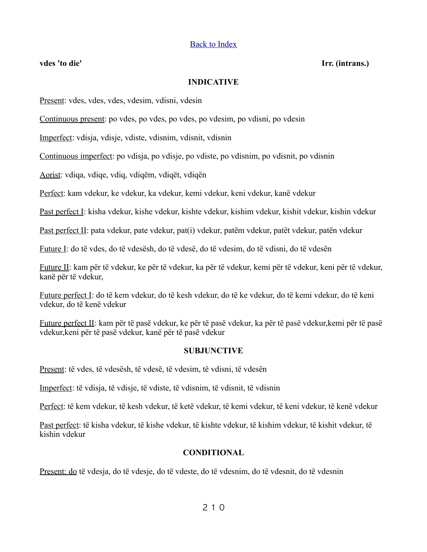## **vdes 'to die' Irr. (intrans.)**

# **INDICATIVE**

Present: vdes, vdes, vdes, vdesim, vdisni, vdesin

Continuous present: po vdes, po vdes, po vdes, po vdesim, po vdisni, po vdesin

Imperfect: vdisja, vdisje, vdiste, vdisnim, vdisnit, vdisnin

Continuous imperfect: po vdisja, po vdisje, po vdiste, po vdisnim, po vdisnit, po vdisnin

Aorist: vdiqa, vdiqe, vdiq, vdiqëm, vdiqët, vdiqën

Perfect: kam vdekur, ke vdekur, ka vdekur, kemi vdekur, keni vdekur, kanë vdekur

Past perfect I: kisha vdekur, kishe vdekur, kishte vdekur, kishim vdekur, kishit vdekur, kishin vdekur

Past perfect II: pata vdekur, pate vdekur, pat(i) vdekur, patëm vdekur, patët vdekur, patën vdekur

Future I: do të vdes, do të vdesësh, do të vdesë, do të vdesim, do të vdisni, do të vdesën

Future II: kam për të vdekur, ke për të vdekur, ka për të vdekur, kemi për të vdekur, keni për të vdekur, kanë për të vdekur,

Future perfect I: do të kem vdekur, do të kesh vdekur, do të ke vdekur, do të kemi vdekur, do të keni vdekur, do të kenë vdekur

Future perfect II: kam për të pasë vdekur, ke për të pasë vdekur, ka për të pasë vdekur,kemi për të pasë vdekur,keni për të pasë vdekur, kanë për të pasë vdekur

# **SUBJUNCTIVE**

Present: të vdes, të vdesësh, të vdesë, të vdesim, të vdisni, të vdesën

Imperfect: të vdisja, të vdisje, të vdiste, të vdisnim, të vdisnit, të vdisnin

Perfect: të kem vdekur, të kesh vdekur, të ketë vdekur, të kemi vdekur, të keni vdekur, të kenë vdekur

Past perfect: të kisha vdekur, të kishe vdekur, të kishte vdekur, të kishim vdekur, të kishit vdekur, të kishin vdekur

# **CONDITIONAL**

Present: do të vdesja, do të vdesje, do të vdeste, do të vdesnim, do të vdesnit, do të vdesnin

210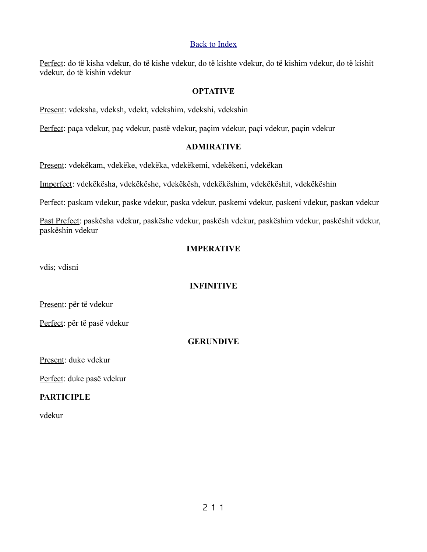Perfect: do të kisha vdekur, do të kishe vdekur, do të kishte vdekur, do të kishim vdekur, do të kishit vdekur, do të kishin vdekur

# **OPTATIVE**

Present: vdeksha, vdeksh, vdekt, vdekshim, vdekshi, vdekshin

Perfect: paça vdekur, paç vdekur, pastë vdekur, paçim vdekur, paçi vdekur, paçin vdekur

# **ADMIRATIVE**

Present: vdekëkam, vdekëke, vdekëka, vdekëkemi, vdekëkeni, vdekëkan

Imperfect: vdekëkësha, vdekëkëshe, vdekëkësh, vdekëkëshim, vdekëkëshit, vdekëkëshin

Perfect: paskam vdekur, paske vdekur, paska vdekur, paskemi vdekur, paskeni vdekur, paskan vdekur

Past Prefect: paskësha vdekur, paskëshe vdekur, paskësh vdekur, paskëshim vdekur, paskëshit vdekur, paskëshin vdekur

# **IMPERATIVE**

vdis; vdisni

# **INFINITIVE**

Present: për të vdekur

Perfect: për të pasë vdekur

# **GERUNDIVE**

Present: duke vdekur

Perfect: duke pasë vdekur

# **PARTICIPLE**

vdekur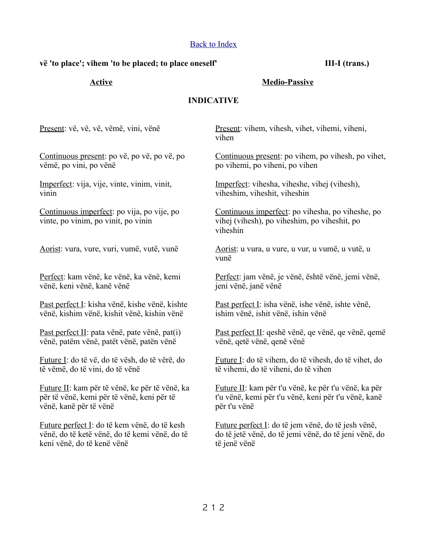# **vë 'to place'; vihem 'to be placed; to place oneself' III-I (trans.)**

# **Active Medio-Passive**

# **INDICATIVE**

Continuous present: po vë, po vë, po vë, po vëmë, po vini, po vënë

Imperfect: vija, vije, vinte, vinim, vinit, vinin

Continuous imperfect: po vija, po vije, po vinte, po vinim, po vinit, po vinin

Perfect: kam vënë, ke vënë, ka vënë, kemi vënë, keni vënë, kanë vënë

Past perfect I: kisha vënë, kishe vënë, kishte vënë, kishim vënë, kishit vënë, kishin vënë

Past perfect II: pata vënë, pate vënë, pat(i) vënë, patëm vënë, patët vënë, patën vënë

Future I: do të vë, do të vësh, do të vërë, do të vëmë, do të vini, do të vënë

Future II: kam për të vënë, ke për të vënë, ka për të vënë, kemi për të vënë, keni për të vënë, kanë për të vënë

Future perfect I: do të kem vënë, do të kesh vënë, do të ketë vënë, do të kemi vënë, do të keni vënë, do të kenë vënë

Present: vë, vë, vë, vëmë, vini, vënë Present: vihem, vihesh, vihet, vihemi, viheni, viheni, vihen

> Continuous present: po vihem, po vihesh, po vihet, po vihemi, po viheni, po vihen

Imperfect: vihesha, viheshe, vihej (vihesh), viheshim, viheshit, viheshin

Continuous imperfect: po vihesha, po viheshe, po vihej (vihesh), po viheshim, po viheshit, po viheshin

Aorist: vura, vure, vuri, vumë, vutë, vunë Aorist: u vura, u vure, u vur, u vumë, u vutë, u vunë

> Perfect: jam vënë, je vënë, është vënë, jemi vënë, jeni vënë, janë vënë

Past perfect I: isha vënë, ishe vënë, ishte vënë, ishim vënë, ishit vënë, ishin vënë

Past perfect II: qeshë vënë, qe vënë, qe vënë, qemë vënë, qetë vënë, qenë vënë

Future I: do të vihem, do të vihesh, do të vihet, do të vihemi, do të viheni, do të vihen

Future II: kam për t'u vënë, ke për t'u vënë, ka për t'u vënë, kemi për t'u vënë, keni për t'u vënë, kanë për t'u vënë

Future perfect I: do të jem vënë, do të jesh vënë, do të jetë vënë, do të jemi vënë, do të jeni vënë, do të jenë vënë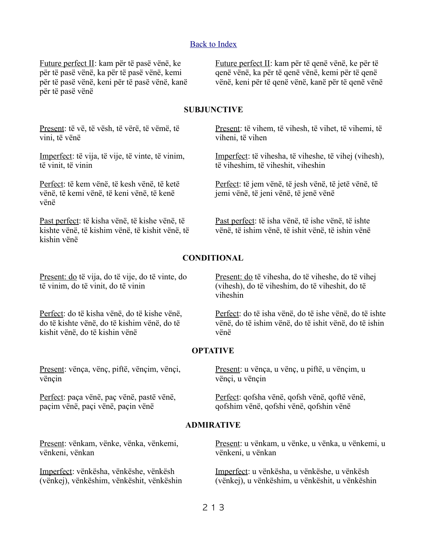Future perfect II: kam për të pasë vënë, ke për të pasë vënë, ka për të pasë vënë, kemi për të pasë vënë, keni për të pasë vënë, kanë për të pasë vënë

Future perfect II: kam për të qenë vënë, ke për të qenë vënë, ka për të qenë vënë, kemi për të qenë vënë, keni për të qenë vënë, kanë për të qenë vënë

#### **SUBJUNCTIVE**

Present: të vë, të vësh, të vërë, të vëmë, të vini, të vënë Present: të vihem, të vihesh, të vihet, të vihemi, të viheni, të vihen Imperfect: të vija, të vije, të vinte, të vinim, të vinit, të vinin Imperfect: të vihesha, të viheshe, të vihej (vihesh), të viheshim, të viheshit, viheshin Perfect: të kem vënë, të kesh vënë, të ketë vënë, të kemi vënë, të keni vënë, të kenë vënë Perfect: të jem vënë, të jesh vënë, të jetë vënë, të jemi vënë, të jeni vënë, të jenë vënë Past perfect: të kisha vënë, të kishe vënë, të kishte vënë, të kishim vënë, të kishit vënë, të kishin vënë Past perfect: të isha vënë, të ishe vënë, të ishte vënë, të ishim vënë, të ishit vënë, të ishin vënë **CONDITIONAL** Present: do të vija, do të vije, do të vinte, do të vinim, do të vinit, do të vinin Present: do të vihesha, do të viheshe, do të vihej (vihesh), do të viheshim, do të viheshit, do të viheshin Perfect: do të kisha vënë, do të kishe vënë, do të kishte vënë, do të kishim vënë, do të kishit vënë, do të kishin vënë Perfect: do të isha vënë, do të ishe vënë, do të ishte vënë, do të ishim vënë, do të ishit vënë, do të ishin vënë **OPTATIVE**

Present: vënça, vënç, piftë, vënçim, vënçi, vënçin

Perfect: paça vënë, paç vënë, pastë vënë, paçim vënë, paçi vënë, paçin vënë

Present: vënkam, vënke, vënka, vënkemi, vënkeni, vënkan

Imperfect: vënkësha, vënkëshe, vënkësh (vënkej), vënkëshim, vënkëshit, vënkëshin Present: u vënça, u vënç, u piftë, u vënçim, u vënçi, u vënçin

Perfect: qofsha vënë, qofsh vënë, qoftë vënë, qofshim vënë, qofshi vënë, qofshin vënë

#### **ADMIRATIVE**

Present: u vënkam, u vënke, u vënka, u vënkemi, u vënkeni, u vënkan

Imperfect: u vënkësha, u vënkëshe, u vënkësh (vënkej), u vënkëshim, u vënkëshit, u vënkëshin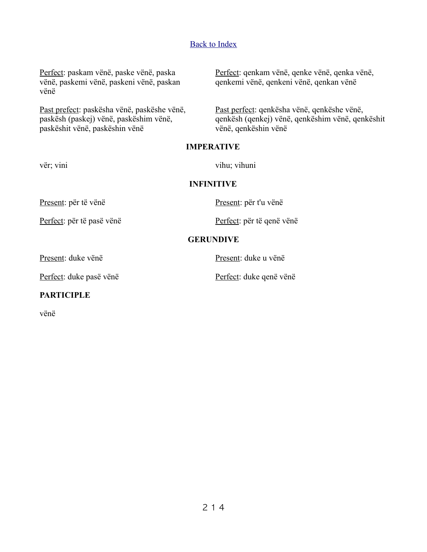| Perfect: paskam vënë, paske vënë, paska<br>vënë, paskemi vënë, paskeni vënë, paskan<br>vënë                             | Perfect: qenkam vënë, qenke vënë, qenka vënë,<br>qenkemi vënë, qenkeni vënë, qenkan vënë                                |
|-------------------------------------------------------------------------------------------------------------------------|-------------------------------------------------------------------------------------------------------------------------|
| Past prefect: paskësha vënë, paskëshe vënë,<br>paskësh (paskej) vënë, paskëshim vënë,<br>paskëshit vënë, paskëshin vënë | Past perfect: qenkësha vënë, qenkëshe vënë,<br>qenkësh (qenkej) vënë, qenkëshim vënë, qenkëshit<br>vënë, qenkëshin vënë |
| <b>IMPERATIVE</b>                                                                                                       |                                                                                                                         |
| vër; vini                                                                                                               | vihu; vihuni                                                                                                            |
| <b>INFINITIVE</b>                                                                                                       |                                                                                                                         |
| Present: për të vënë                                                                                                    | Present: për t'u vënë                                                                                                   |
| Perfect: për të pasë vënë                                                                                               | Perfect: për të qenë vënë                                                                                               |
|                                                                                                                         | <b>GERUNDIVE</b>                                                                                                        |
| Present: duke vënë                                                                                                      | Present: duke u vënë                                                                                                    |
| Perfect: duke pasë vënë                                                                                                 | Perfect: duke qenë vënë                                                                                                 |
| <b>PARTICIPLE</b>                                                                                                       |                                                                                                                         |
| vënë                                                                                                                    |                                                                                                                         |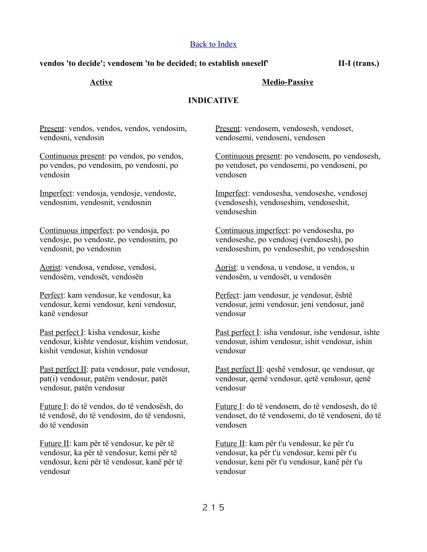#### **vendos 'to decide'; vendosem 'to be decided; to establish oneself' II-I (trans.)**

#### **Active Medio-Passive**

#### **INDICATIVE**

Present: vendos, vendos, vendos, vendosim, vendosni, vendosin

Continuous present: po vendos, po vendos, po vendos, po vendosim, po vendosni, po vendosin

Imperfect: vendosja, vendosje, vendoste, vendosnim, vendosnit, vendosnin

Continuous imperfect: po vendosja, po vendosje, po vendoste, po vendosnim, po vendosnit, po vendosnin

Aorist: vendosa, vendose, vendosi, vendosëm, vendosët, vendosën

Perfect: kam vendosur, ke vendosur, ka vendosur, kemi vendosur, keni vendosur, kanë vendosur

Past perfect I: kisha vendosur, kishe vendosur, kishte vendosur, kishim vendosur, kishit vendosur, kishin vendosur

Past perfect II: pata vendosur, pate vendosur, pat(i) vendosur, patëm vendosur, patët vendosur, patën vendosur

Future I: do të vendos, do të vendosësh, do të vendosë, do të vendosim, do të vendosni, do të vendosin

Future II: kam për të vendosur, ke për të vendosur, ka për të vendosur, kemi për të vendosur, keni për të vendosur, kanë për të vendosur

Present: vendosem, vendosesh, vendoset, vendosemi, vendoseni, vendosen

Continuous present: po vendosem, po vendosesh, po vendoset, po vendosemi, po vendoseni, po vendosen

Imperfect: vendosesha, vendoseshe, vendosej (vendosesh), vendoseshim, vendoseshit, vendoseshin

Continuous imperfect: po vendosesha, po vendoseshe, po vendosej (vendosesh), po vendoseshim, po vendoseshit, po vendoseshin

Aorist: u vendosa, u vendose, u vendos, u vendosëm, u vendosët, u vendosën

Perfect: jam vendosur, je vendosur, është vendosur, jemi vendosur, jeni vendosur, janë vendosur

Past perfect I: isha vendosur, ishe vendosur, ishte vendosur, ishim vendosur, ishit vendosur, ishin vendosur

Past perfect II: qeshë vendosur, qe vendosur, qe vendosur, qemë vendosur, qetë vendosur, qenë vendosur

Future I: do të vendosem, do të vendosesh, do të vendoset, do të vendosemi, do të vendoseni, do të vendosen

Future II: kam për t'u vendosur, ke për t'u vendosur, ka për t'u vendosur, kemi për t'u vendosur, keni për t'u vendosur, kanë për t'u vendosur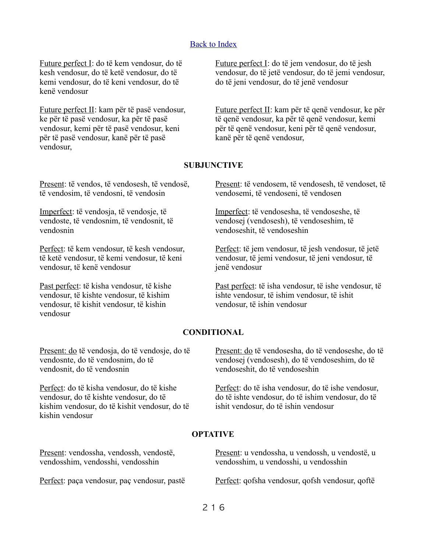Future perfect I: do të kem vendosur, do të kesh vendosur, do të ketë vendosur, do të kemi vendosur, do të keni vendosur, do të kenë vendosur

Future perfect II: kam për të pasë vendosur, ke për të pasë vendosur, ka për të pasë vendosur, kemi për të pasë vendosur, keni për të pasë vendosur, kanë për të pasë vendosur,

Present: të vendos, të vendosesh, të vendosë, të vendosim, të vendosni, të vendosin

Imperfect: të vendosja, të vendosje, të vendoste, të vendosnim, të vendosnit, të vendosnin

Perfect: të kem vendosur, të kesh vendosur, të ketë vendosur, të kemi vendosur, të keni vendosur, të kenë vendosur

Past perfect: të kisha vendosur, të kishe vendosur, të kishte vendosur, të kishim vendosur, të kishit vendosur, të kishin vendosur

Future perfect I: do të jem vendosur, do të jesh vendosur, do të jetë vendosur, do të jemi vendosur, do të jeni vendosur, do të jenë vendosur

Future perfect II: kam për të qenë vendosur, ke për të qenë vendosur, ka për të qenë vendosur, kemi për të qenë vendosur, keni për të qenë vendosur, kanë për të qenë vendosur,

## **SUBJUNCTIVE**

Present: të vendosem, të vendosesh, të vendoset, të vendosemi, të vendoseni, të vendosen

Imperfect: të vendosesha, të vendoseshe, të vendosej (vendosesh), të vendoseshim, të vendoseshit, të vendoseshin

Perfect: të jem vendosur, të jesh vendosur, të jetë vendosur, të jemi vendosur, të jeni vendosur, të jenë vendosur

Past perfect: të isha vendosur, të ishe vendosur, të ishte vendosur, të ishim vendosur, të ishit vendosur, të ishin vendosur

#### **CONDITIONAL**

Present: do të vendosja, do të vendosje, do të vendosnte, do të vendosnim, do të vendosnit, do të vendosnin

Perfect: do të kisha vendosur, do të kishe vendosur, do të kishte vendosur, do të kishim vendosur, do të kishit vendosur, do të kishin vendosur

Present: do të vendosesha, do të vendoseshe, do të vendosej (vendosesh), do të vendoseshim, do të vendoseshit, do të vendoseshin

Perfect: do të isha vendosur, do të ishe vendosur, do të ishte vendosur, do të ishim vendosur, do të ishit vendosur, do të ishin vendosur

#### **OPTATIVE**

| Present: vendossha, vendossh, vendostë,     | Present: u vendossha, u vendossh, u vendostë, u |
|---------------------------------------------|-------------------------------------------------|
| vendosshim, vendosshi, vendosshin           | vendosshim, u vendosshi, u vendosshin           |
| Perfect: paça vendosur, paç vendosur, pastë | Perfect: qofsha vendosur, qofsh vendosur, qoftë |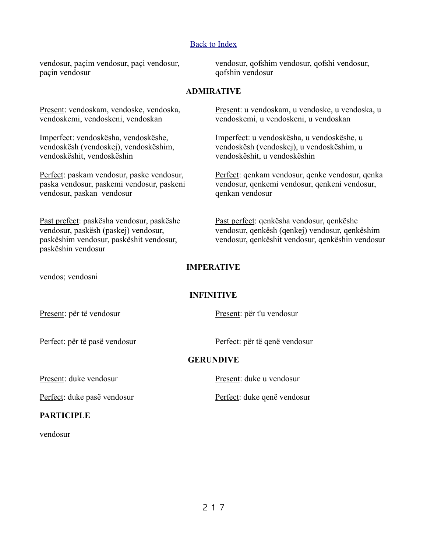vendosur, paçim vendosur, paçi vendosur, paçin vendosur

vendosur, qofshim vendosur, qofshi vendosur, qofshin vendosur

# **ADMIRATIVE**

Present: vendoskam, vendoske, vendoska, vendoskemi, vendoskeni, vendoskan

Imperfect: vendoskësha, vendoskëshe, vendoskësh (vendoskej), vendoskëshim, vendoskëshit, vendoskëshin

Perfect: paskam vendosur, paske vendosur, paska vendosur, paskemi vendosur, paskeni vendosur, paskan vendosur

Past prefect: paskësha vendosur, paskëshe vendosur, paskësh (paskej) vendosur, paskëshim vendosur, paskëshit vendosur, paskëshin vendosur

vendos; vendosni

Present: u vendoskam, u vendoske, u vendoska, u vendoskemi, u vendoskeni, u vendoskan

Imperfect: u vendoskësha, u vendoskëshe, u vendoskësh (vendoskej), u vendoskëshim, u vendoskëshit, u vendoskëshin

Perfect: qenkam vendosur, qenke vendosur, qenka vendosur, qenkemi vendosur, qenkeni vendosur, qenkan vendosur

Past perfect: qenkësha vendosur, qenkëshe vendosur, qenkësh (qenkej) vendosur, qenkëshim vendosur, qenkëshit vendosur, qenkëshin vendosur

# **IMPERATIVE**

# **INFINITIVE**

| Present: për të vendosur      | Present: për t'u vendosur     |
|-------------------------------|-------------------------------|
| Perfect: për të pasë vendosur | Perfect: për të qenë vendosur |
|                               | <b>GERUNDIVE</b>              |
| Present: duke vendosur        | Present: duke u vendosur      |

Perfect: duke pasë vendosur Perfect: duke qenë vendosur

# **PARTICIPLE**

vendosur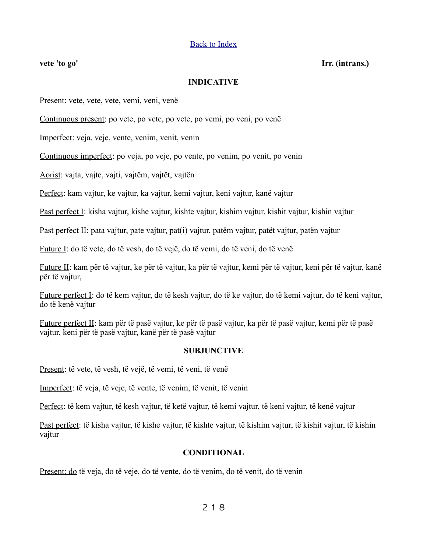### **vete 'to go' Irr. (intrans.)**

### **INDICATIVE**

Present: vete, vete, vete, vemi, veni, venë

Continuous present: po vete, po vete, po vete, po vemi, po veni, po venë

Imperfect: veja, veje, vente, venim, venit, venin

Continuous imperfect: po veja, po veje, po vente, po venim, po venit, po venin

Aorist: vajta, vajte, vajti, vajtëm, vajtët, vajtën

Perfect: kam vajtur, ke vajtur, ka vajtur, kemi vajtur, keni vajtur, kanë vajtur

Past perfect I: kisha vajtur, kishe vajtur, kishte vajtur, kishim vajtur, kishit vajtur, kishin vajtur

Past perfect II: pata vajtur, pate vajtur, pat(i) vajtur, patëm vajtur, patët vajtur, patën vajtur

Future I: do të vete, do të vesh, do të vejë, do të vemi, do të veni, do të venë

Future II: kam për të vajtur, ke për të vajtur, ka për të vajtur, kemi për të vajtur, keni për të vajtur, kanë për të vajtur,

Future perfect I: do të kem vajtur, do të kesh vajtur, do të ke vajtur, do të kemi vajtur, do të keni vajtur, do të kenë vajtur

Future perfect II: kam për të pasë vajtur, ke për të pasë vajtur, ka për të pasë vajtur, kemi për të pasë vajtur, keni për të pasë vajtur, kanë për të pasë vajtur

### **SUBJUNCTIVE**

Present: të vete, të vesh, të vejë, të vemi, të veni, të venë

Imperfect: të veja, të veje, të vente, të venim, të venit, të venin

Perfect: të kem vajtur, të kesh vajtur, të ketë vajtur, të kemi vajtur, të keni vajtur, të kenë vajtur

Past perfect: të kisha vajtur, të kishe vajtur, të kishte vajtur, të kishim vajtur, të kishit vajtur, të kishin vajtur

### **CONDITIONAL**

Present: do të veja, do të veje, do të vente, do të venim, do të venit, do të venin

218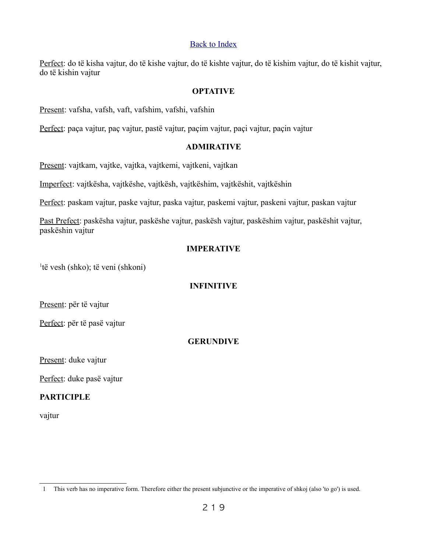Perfect: do të kisha vajtur, do të kishe vajtur, do të kishte vajtur, do të kishim vajtur, do të kishit vajtur, do të kishin vajtur

### **OPTATIVE**

Present: vafsha, vafsh, vaft, vafshim, vafshi, vafshin

Perfect: paça vajtur, paç vajtur, pastë vajtur, paçim vajtur, paçi vajtur, paçin vajtur

### **ADMIRATIVE**

Present: vajtkam, vajtke, vajtka, vajtkemi, vajtkeni, vajtkan

Imperfect: vajtkësha, vajtkëshe, vajtkësh, vajtkëshim, vajtkëshit, vajtkëshin

Perfect: paskam vajtur, paske vajtur, paska vajtur, paskemi vajtur, paskeni vajtur, paskan vajtur

Past Prefect: paskësha vajtur, paskëshe vajtur, paskësh vajtur, paskëshim vajtur, paskëshit vajtur, paskëshin vajtur

### **IMPERATIVE**

<sup>[1](#page-217-0)</sup>të vesh (shko); të veni (shkoni)

### **INFINITIVE**

Present: për të vajtur

Perfect: për të pasë vajtur

### **GERUNDIVE**

Present: duke vajtur

Perfect: duke pasë vajtur

### **PARTICIPLE**

vajtur

<span id="page-217-0"></span><sup>1</sup> This verb has no imperative form. Therefore either the present subjunctive or the imperative of shkoj (also 'to go') is used.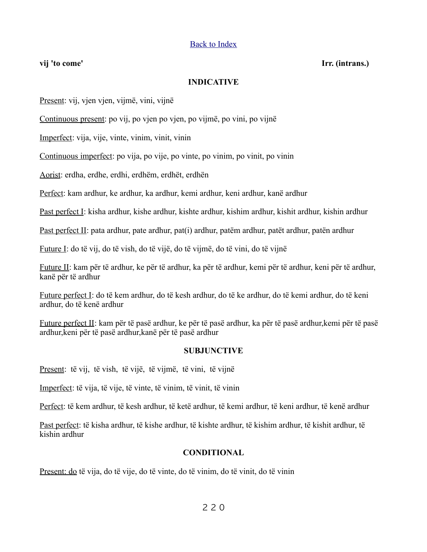### **vij 'to come' Irr. (intrans.)**

### **INDICATIVE**

Present: vij, vjen vjen, vijmë, vini, vijnë

Continuous present: po vij, po vjen po vjen, po vijmë, po vini, po vijnë

Imperfect: vija, vije, vinte, vinim, vinit, vinin

Continuous imperfect: po vija, po vije, po vinte, po vinim, po vinit, po vinin

Aorist: erdha, erdhe, erdhi, erdhëm, erdhët, erdhën

Perfect: kam ardhur, ke ardhur, ka ardhur, kemi ardhur, keni ardhur, kanë ardhur

Past perfect I: kisha ardhur, kishe ardhur, kishte ardhur, kishim ardhur, kishit ardhur, kishin ardhur

Past perfect II: pata ardhur, pate ardhur, pat(i) ardhur, patëm ardhur, patët ardhur, patën ardhur

Future I: do të vij, do të vish, do të vijë, do të vijmë, do të vini, do të vijnë

Future II: kam për të ardhur, ke për të ardhur, ka për të ardhur, kemi për të ardhur, keni për të ardhur, kanë për të ardhur

Future perfect I: do të kem ardhur, do të kesh ardhur, do të ke ardhur, do të kemi ardhur, do të keni ardhur, do të kenë ardhur

Future perfect II: kam për të pasë ardhur, ke për të pasë ardhur, ka për të pasë ardhur,kemi për të pasë ardhur,keni për të pasë ardhur,kanë për të pasë ardhur

### **SUBJUNCTIVE**

Present: të vij, të vish, të vijë, të vijmë, të vini, të vijnë

Imperfect: të vija, të vije, të vinte, të vinim, të vinit, të vinin

Perfect: të kem ardhur, të kesh ardhur, të ketë ardhur, të kemi ardhur, të keni ardhur, të kenë ardhur

Past perfect: të kisha ardhur, të kishe ardhur, të kishte ardhur, të kishim ardhur, të kishit ardhur, të kishin ardhur

### **CONDITIONAL**

Present: do të vija, do të vije, do të vinte, do të vinim, do të vinit, do të vinin

220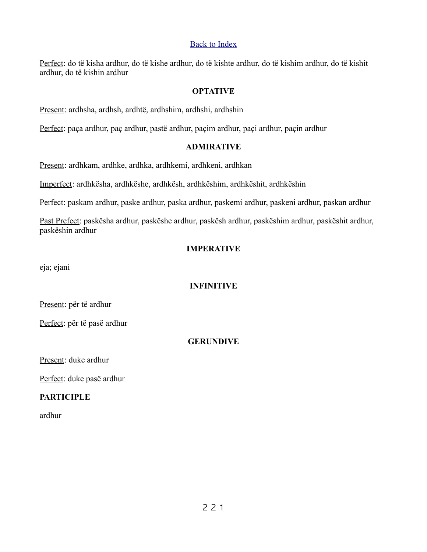Perfect: do të kisha ardhur, do të kishe ardhur, do të kishte ardhur, do të kishim ardhur, do të kishit ardhur, do të kishin ardhur

### **OPTATIVE**

Present: ardhsha, ardhsh, ardhtë, ardhshim, ardhshi, ardhshin

Perfect: paça ardhur, paç ardhur, pastë ardhur, paçim ardhur, paçi ardhur, paçin ardhur

### **ADMIRATIVE**

Present: ardhkam, ardhke, ardhka, ardhkemi, ardhkeni, ardhkan

Imperfect: ardhkësha, ardhkëshe, ardhkësh, ardhkëshim, ardhkëshit, ardhkëshin

Perfect: paskam ardhur, paske ardhur, paska ardhur, paskemi ardhur, paskeni ardhur, paskan ardhur

Past Prefect: paskësha ardhur, paskëshe ardhur, paskësh ardhur, paskëshim ardhur, paskëshit ardhur, paskëshin ardhur

# **IMPERATIVE**

eja; ejani

# **INFINITIVE**

Present: për të ardhur

Perfect: për të pasë ardhur

### **GERUNDIVE**

Present: duke ardhur

Perfect: duke pasë ardhur

# **PARTICIPLE**

ardhur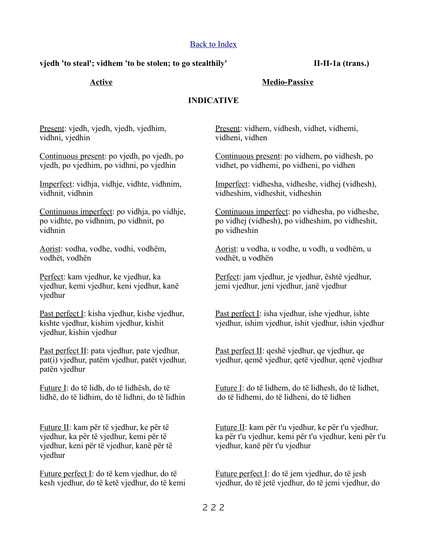### **vjedh 'to steal'; vidhem 'to be stolen; to go stealthily' II-II-1a (trans.)**

# **Active Medio-Passive**

### **INDICATIVE**

Present: vjedh, vjedh, vjedh, vjedhim, vidhni, vjedhin

Continuous present: po vjedh, po vjedh, po vjedh, po vjedhim, po vidhni, po vjedhin

Imperfect: vidhja, vidhje, vidhte, vidhnim, vidhnit, vidhnin

Continuous imperfect: po vidhja, po vidhje, po vidhte, po vidhnim, po vidhnit, po vidhnin

Aorist: vodha, vodhe, vodhi, vodhëm, vodhët, vodhën

Perfect: kam vjedhur, ke vjedhur, ka vjedhur, kemi vjedhur, keni vjedhur, kanë vjedhur

Past perfect I: kisha vjedhur, kishe vjedhur, kishte vjedhur, kishim vjedhur, kishit vjedhur, kishin vjedhur

Past perfect II: pata vjedhur, pate vjedhur, pat(i) vjedhur, patëm vjedhur, patët vjedhur, patën vjedhur

Future I: do të lidh, do të lidhësh, do të lidhë, do të lidhim, do të lidhni, do të lidhin

Future II: kam për të vjedhur, ke për të vjedhur, ka për të vjedhur, kemi për të vjedhur, keni për të vjedhur, kanë për të vjedhur

Future perfect I: do të kem vjedhur, do të kesh vjedhur, do të ketë vjedhur, do të kemi Present: vidhem, vidhesh, vidhet, vidhemi, vidheni, vidhen

Continuous present: po vidhem, po vidhesh, po vidhet, po vidhemi, po vidheni, po vidhen

Imperfect: vidhesha, vidheshe, vidhej (vidhesh), vidheshim, vidheshit, vidheshin

Continuous imperfect: po vidhesha, po vidheshe, po vidhej (vidhesh), po vidheshim, po vidheshit, po vidheshin

Aorist: u vodha, u vodhe, u vodh, u vodhëm, u vodhët, u vodhën

Perfect: jam vjedhur, je vjedhur, është vjedhur, jemi vjedhur, jeni vjedhur, janë vjedhur

Past perfect I: isha vjedhur, ishe vjedhur, ishte vjedhur, ishim vjedhur, ishit vjedhur, ishin vjedhur

Past perfect II: qeshë vjedhur, qe vjedhur, qe vjedhur, qemë vjedhur, qetë vjedhur, qenë vjedhur

Future I: do të lidhem, do të lidhesh, do të lidhet, do të lidhemi, do të lidheni, do të lidhen

Future II: kam për t'u vjedhur, ke për t'u vjedhur, ka për t'u vjedhur, kemi për t'u vjedhur, keni për t'u vjedhur, kanë për t'u vjedhur

Future perfect I: do të jem vjedhur, do të jesh vjedhur, do të jetë vjedhur, do të jemi vjedhur, do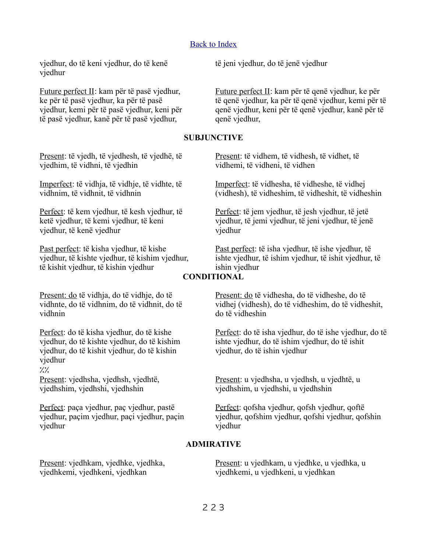vjedhur, do të keni vjedhur, do të kenë vjedhur

Future perfect II: kam për të pasë vjedhur, ke për të pasë vjedhur, ka për të pasë vjedhur, kemi për të pasë vjedhur, keni për të pasë vjedhur, kanë për të pasë vjedhur,

Present: të vjedh, të vjedhesh, të vjedhë, të vjedhim, të vidhni, të vjedhin

Imperfect: të vidhja, të vidhje, të vidhte, të vidhnim, të vidhnit, të vidhnin

Perfect: të kem vjedhur, të kesh vjedhur, të ketë vjedhur, të kemi vjedhur, të keni vjedhur, të kenë vjedhur

Past perfect: të kisha vjedhur, të kishe vjedhur, të kishte vjedhur, të kishim vjedhur, të kishit vjedhur, të kishin vjedhur

Present: do të vidhja, do të vidhje, do të vidhnte, do të vidhnim, do të vidhnit, do të vidhnin

Perfect: do të kisha vjedhur, do të kishe vjedhur, do të kishte vjedhur, do të kishim vjedhur, do të kishit vjedhur, do të kishin vjedhur

### ٪٪

Present: vjedhsha, vjedhsh, vjedhtë, vjedhshim, vjedhshi, vjedhshin

Perfect: paça vjedhur, paç vjedhur, pastë vjedhur, paçim vjedhur, paçi vjedhur, paçin vjedhur

Present: vjedhkam, vjedhke, vjedhka, vjedhkemi, vjedhkeni, vjedhkan

të jeni vjedhur, do të jenë vjedhur

Future perfect II: kam për të qenë vjedhur, ke për të qenë vjedhur, ka për të qenë vjedhur, kemi për të qenë vjedhur, keni për të qenë vjedhur, kanë për të qenë vjedhur,

## **SUBJUNCTIVE**

Present: të vidhem, të vidhesh, të vidhet, të vidhemi, të vidheni, të vidhen

Imperfect: të vidhesha, të vidheshe, të vidhej (vidhesh), të vidheshim, të vidheshit, të vidheshin

Perfect: të jem vjedhur, të jesh vjedhur, të jetë vjedhur, të jemi vjedhur, të jeni vjedhur, të jenë vjedhur

Past perfect: të isha vjedhur, të ishe vjedhur, të ishte vjedhur, të ishim vjedhur, të ishit vjedhur, të ishin vjedhur **CONDITIONAL**

> Present: do të vidhesha, do të vidheshe, do të vidhej (vidhesh), do të vidheshim, do të vidheshit, do të vidheshin

Perfect: do të isha vjedhur, do të ishe vjedhur, do të ishte vjedhur, do të ishim vjedhur, do të ishit vjedhur, do të ishin vjedhur

Present: u vjedhsha, u vjedhsh, u vjedhtë, u vjedhshim, u vjedhshi, u vjedhshin

Perfect: qofsha vjedhur, qofsh vjedhur, qoftë vjedhur, qofshim vjedhur, qofshi vjedhur, qofshin vjedhur

### **ADMIRATIVE**

Present: u vjedhkam, u vjedhke, u vjedhka, u vjedhkemi, u vjedhkeni, u vjedhkan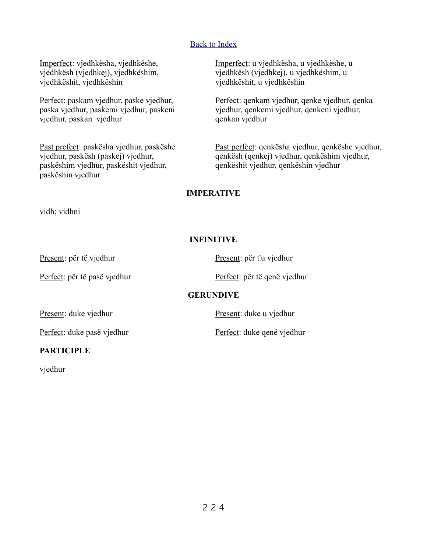Imperfect: vjedhkësha, vjedhkëshe, vjedhkësh (vjedhkej), vjedhkëshim, vjedhkëshit, vjedhkëshin

Perfect: paskam vjedhur, paske vjedhur, paska vjedhur, paskemi vjedhur, paskeni vjedhur, paskan vjedhur

Past prefect: paskësha vjedhur, paskëshe vjedhur, paskësh (paskej) vjedhur, paskëshim vjedhur, paskëshit vjedhur, paskëshin vjedhur

Imperfect: u vjedhkësha, u vjedhkëshe, u vjedhkësh (vjedhkej), u vjedhkëshim, u vjedhkëshit, u vjedhkëshin

Perfect: qenkam vjedhur, qenke vjedhur, qenka vjedhur, qenkemi vjedhur, qenkeni vjedhur, qenkan vjedhur

Past perfect: qenkësha vjedhur, qenkëshe vjedhur, qenkësh (qenkej) vjedhur, qenkëshim vjedhur, qenkëshit vjedhur, qenkëshin vjedhur

### **IMPERATIVE**

vidh; vidhni

# **INFINITIVE**

| Present: për të vjedhur      | Present: për t'u vjedhur     |
|------------------------------|------------------------------|
| Perfect: për të pasë vjedhur | Perfect: për të qenë vjedhur |
|                              | <b>GERUNDIVE</b>             |
| Present: duke vjedhur        | Present: duke u vjedhur      |
| Perfect: duke pasë vjedhur   | Perfect: duke qenë vjedhur   |
|                              |                              |

# **PARTICIPLE**

vjedhur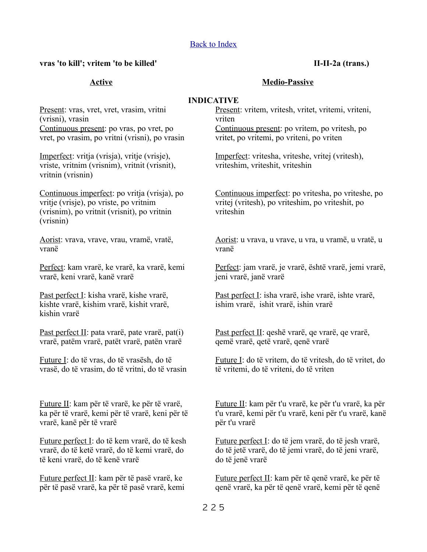### **vras 'to kill'; vritem 'to be killed' II-II-2a (trans.)**

# **Active Medio-Passive**

### **INDICATIVE**

Present: vras, vret, vret, vrasim, vritni (vrisni), vrasin Continuous present: po vras, po vret, po vret, po vrasim, po vritni (vrisni), po vrasin

Imperfect: vritja (vrisja), vritje (vrisje), vriste, vritnim (vrisnim), vritnit (vrisnit), vritnin (vrisnin)

Continuous imperfect: po vritja (vrisja), po vritje (vrisje), po vriste, po vritnim (vrisnim), po vritnit (vrisnit), po vritnin (vrisnin)

Aorist: vrava, vrave, vrau, vramë, vratë, vranë

Perfect: kam vrarë, ke vrarë, ka vrarë, kemi vrarë, keni vrarë, kanë vrarë

Past perfect I: kisha vrarë, kishe vrarë, kishte vrarë, kishim vrarë, kishit vrarë, kishin vrarë

Past perfect II: pata vrarë, pate vrarë, pat $(i)$ vrarë, patëm vrarë, patët vrarë, patën vrarë

Future I: do të vras, do të vrasësh, do të vrasë, do të vrasim, do të vritni, do të vrasin

Future II: kam për të vrarë, ke për të vrarë, ka për të vrarë, kemi për të vrarë, keni për të vrarë, kanë për të vrarë

Future perfect I: do të kem vrarë, do të kesh vrarë, do të ketë vrarë, do të kemi vrarë, do të keni vrarë, do të kenë vrarë

Future perfect II: kam për të pasë vrarë, ke për të pasë vrarë, ka për të pasë vrarë, kemi Present: vritem, vritesh, vritet, vritemi, vriteni, vriten Continuous present: po vritem, po vritesh, po vritet, po vritemi, po vriteni, po vriten

Imperfect: vritesha, vriteshe, vritej (vritesh), vriteshim, vriteshit, vriteshin

Continuous imperfect: po vritesha, po vriteshe, po vritej (vritesh), po vriteshim, po vriteshit, po vriteshin

Aorist: u vrava, u vrave, u vra, u vramë, u vratë, u vranë

Perfect: jam vrarë, je vrarë, është vrarë, jemi vrarë, jeni vrarë, janë vrarë

Past perfect I: isha vrarë, ishe vrarë, ishte vrarë, ishim vrarë, ishit vrarë, ishin vrarë

Past perfect II: qeshë vrarë, qe vrarë, qe vrarë, qemë vrarë, qetë vrarë, qenë vrarë

Future I: do të vritem, do të vritesh, do të vritet, do të vritemi, do të vriteni, do të vriten

Future II: kam për t'u vrarë, ke për t'u vrarë, ka për t'u vrarë, kemi për t'u vrarë, keni për t'u vrarë, kanë për t'u vrarë

Future perfect I: do të jem vrarë, do të jesh vrarë, do të jetë vrarë, do të jemi vrarë, do të jeni vrarë, do të jenë vrarë

Future perfect II: kam për të qenë vrarë, ke për të qenë vrarë, ka për të qenë vrarë, kemi për të qenë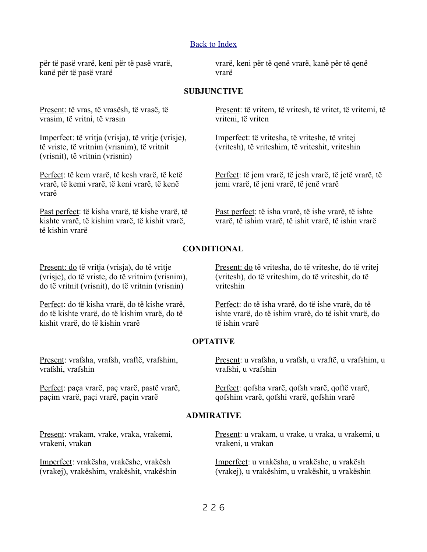për të pasë vrarë, keni për të pasë vrarë, kanë për të pasë vrarë

vrarë, keni për të qenë vrarë, kanë për të qenë vrarë

### **SUBJUNCTIVE**

Present: të vras, të vrasësh, të vrasë, të vrasim, të vritni, të vrasin

Imperfect: të vritja (vrisja), të vritje (vrisje), të vriste, të vritnim (vrisnim), të vritnit (vrisnit), të vritnin (vrisnin)

Perfect: të kem vrarë, të kesh vrarë, të ketë vrarë, të kemi vrarë, të keni vrarë, të kenë vrarë

Past perfect: të kisha vrarë, të kishe vrarë, të kishte vrarë, të kishim vrarë, të kishit vrarë, të kishin vrarë

Present: të vritem, të vritesh, të vritet, të vritemi, të vriteni, të vriten

Imperfect: të vritesha, të vriteshe, të vritej (vritesh), të vriteshim, të vriteshit, vriteshin

Perfect: të jem vrarë, të jesh vrarë, të jetë vrarë, të jemi vrarë, të jeni vrarë, të jenë vrarë

Past perfect: të isha vrarë, të ishe vrarë, të ishte vrarë, të ishim vrarë, të ishit vrarë, të ishin vrarë

### **CONDITIONAL**

Present: do të vritja (vrisja), do të vritje (vrisje), do të vriste, do të vritnim (vrisnim), do të vritnit (vrisnit), do të vritnin (vrisnin)

Perfect: do të kisha vrarë, do të kishe vrarë, do të kishte vrarë, do të kishim vrarë, do të kishit vrarë, do të kishin vrarë

Present: vrafsha, vrafsh, vraftë, vrafshim, vrafshi, vrafshin

Perfect: paça vrarë, paç vrarë, pastë vrarë, paçim vrarë, paçi vrarë, paçin vrarë

Present: vrakam, vrake, vraka, vrakemi, vrakeni, vrakan

Imperfect: vrakësha, vrakëshe, vrakësh (vrakej), vrakëshim, vrakëshit, vrakëshin Present: do të vritesha, do të vriteshe, do të vritej (vritesh), do të vriteshim, do të vriteshit, do të vriteshin

Perfect: do të isha vrarë, do të ishe vrarë, do të ishte vrarë, do të ishim vrarë, do të ishit vrarë, do të ishin vrarë

### **OPTATIVE**

Present: u vrafsha, u vrafsh, u vraftë, u vrafshim, u vrafshi, u vrafshin

Perfect: qofsha vrarë, qofsh vrarë, qoftë vrarë, qofshim vrarë, qofshi vrarë, qofshin vrarë

### **ADMIRATIVE**

Present: u vrakam, u vrake, u vraka, u vrakemi, u vrakeni, u vrakan

Imperfect: u vrakësha, u vrakëshe, u vrakësh (vrakej), u vrakëshim, u vrakëshit, u vrakëshin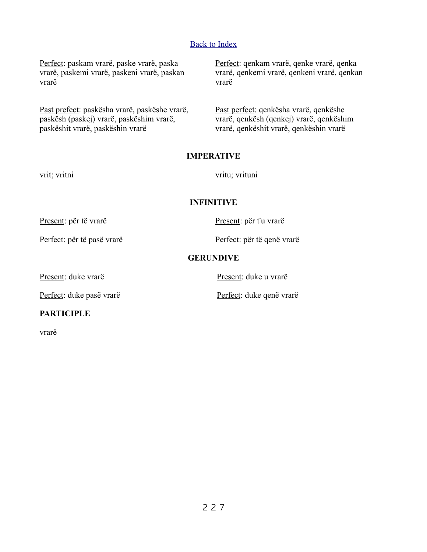| Perfect: paskam vrarë, paske vrarë, paska<br>vrarë, paskemi vrarë, paskeni vrarë, paskan<br>vrarë                             | Perfect: qenkam vrarë, qenke vrarë, qenka<br>vrarë, qenkemi vrarë, qenkeni vrarë, qenkan<br>vrarë                             |
|-------------------------------------------------------------------------------------------------------------------------------|-------------------------------------------------------------------------------------------------------------------------------|
| Past prefect: paskësha vrarë, paskëshe vrarë,<br>paskësh (paskej) vrarë, paskëshim vrarë,<br>paskëshit vrarë, paskëshin vrarë | Past perfect: qenkësha vrarë, qenkëshe<br>vrarë, qenkësh (qenkej) vrarë, qenkëshim<br>vrarë, qenkëshit vrarë, qenkëshin vrarë |
|                                                                                                                               | <b>IMPERATIVE</b>                                                                                                             |
| vrit; vritni                                                                                                                  | vritu; vrituni                                                                                                                |
|                                                                                                                               | <b>INFINITIVE</b>                                                                                                             |
| Present: për të vrarë                                                                                                         | Present: për t'u vrarë                                                                                                        |
| Perfect: për të pasë vrarë                                                                                                    | Perfect: për të qenë vrarë                                                                                                    |
|                                                                                                                               | <b>GERUNDIVE</b>                                                                                                              |
| Present: duke vrarë                                                                                                           | Present: duke u vrarë                                                                                                         |
| Perfect: duke pasë vrarë                                                                                                      | Perfect: duke qenë vrarë                                                                                                      |
| <b>PARTICIPLE</b>                                                                                                             |                                                                                                                               |

vrarë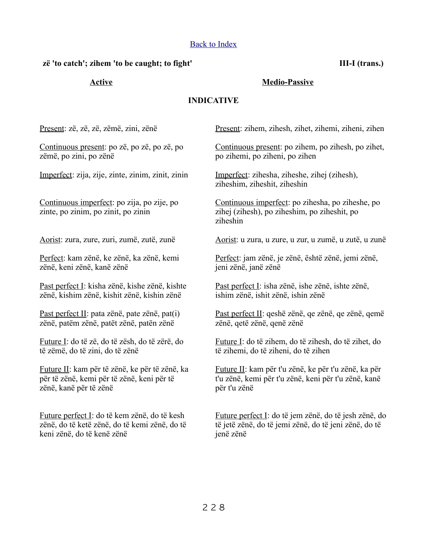# **zë 'to catch'; zihem 'to be caught; to fight' III-I (trans.)**

# **Active Medio-Passive**

## **INDICATIVE**

| Present: zë, zë, zë, zëmë, zini, zënë                                             | Present: zihem, zihesh, zihet, zihemi, ziheni, zihen                                                         |
|-----------------------------------------------------------------------------------|--------------------------------------------------------------------------------------------------------------|
| Continuous present: po zë, po zë, po zë, po                                       | Continuous present: po zihem, po zihesh, po zihet,                                                           |
| zëmë, po zini, po zënë                                                            | po zihemi, po ziheni, po zihen                                                                               |
| Imperfect: zija, zije, zinte, zinim, zinit, zinin                                 | Imperfect: zihesha, ziheshe, zihej (zihesh),<br>ziheshim, ziheshit, ziheshin                                 |
| Continuous imperfect: po zija, po zije, po<br>zinte, po zinim, po zinit, po zinin | Continuous imperfect: po zihesha, po ziheshe, po<br>zihej (zihesh), po ziheshim, po ziheshit, po<br>ziheshin |
| <u>Aorist</u> : zura, zure, zuri, zumë, zutë, zunë                                | Aorist: u zura, u zure, u zur, u zumë, u zutë, u zunë                                                        |
| Perfect: kam zënë, ke zënë, ka zënë, kemi                                         | Perfect: jam zënë, je zënë, është zënë, jemi zënë,                                                           |
| zënë, keni zënë, kanë zënë                                                        | jeni zënë, janë zënë                                                                                         |
| Past perfect I: kisha zënë, kishe zënë, kishte                                    | Past perfect I: isha zënë, ishe zënë, ishte zënë,                                                            |
| zënë, kishim zënë, kishit zënë, kishin zënë                                       | ishim zënë, ishit zënë, ishin zënë                                                                           |
| Past perfect II: pata zënë, pate zënë, pat(i)                                     | Past perfect II: qeshë zënë, qe zënë, qe zënë, qemë                                                          |
| zënë, patëm zënë, patët zënë, patën zënë                                          | zënë, qetë zënë, qenë zënë                                                                                   |
| <u>Future I</u> : do të zë, do të zësh, do të zërë, do                            | Future I: do të zihem, do të zihesh, do të zihet, do                                                         |
| të zëmë, do të zini, do të zënë                                                   | të zihemi, do të ziheni, do të zihen                                                                         |
| Future II: kam për të zënë, ke për të zënë, ka                                    | Future II: kam për t'u zënë, ke për t'u zënë, ka për                                                         |
| për të zënë, kemi për të zënë, keni për të                                        | t'u zënë, kemi për t'u zënë, keni për t'u zënë, kanë                                                         |
| zënë, kanë për të zënë                                                            | për t'u zënë                                                                                                 |
|                                                                                   |                                                                                                              |

Future perfect I: do të kem zënë, do të kesh zënë, do të ketë zënë, do të kemi zënë, do të keni zënë, do të kenë zënë Future perfect I: do të jem zënë, do të jesh zënë, do të jetë zënë, do të jemi zënë, do të jeni zënë, do të jenë zënë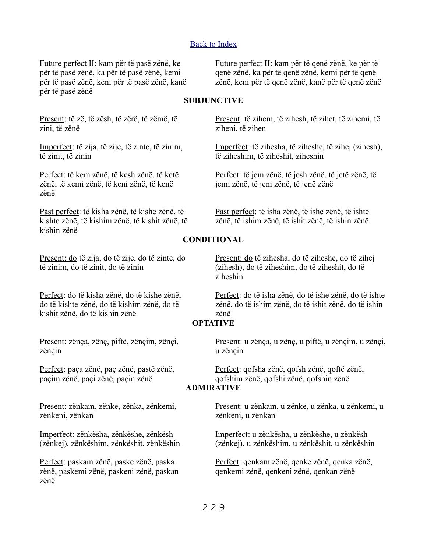Future perfect II: kam për të pasë zënë, ke për të pasë zënë, ka për të pasë zënë, kemi për të pasë zënë, keni për të pasë zënë, kanë për të pasë zënë

Future perfect II: kam për të qenë zënë, ke për të qenë zënë, ka për të qenë zënë, kemi për të qenë zënë, keni për të qenë zënë, kanë për të qenë zënë

### **SUBJUNCTIVE**

Present: të zë, të zësh, të zërë, të zëmë, të zini, të zënë

Imperfect: të zija, të zije, të zinte, të zinim, të zinit, të zinin

Perfect: të kem zënë, të kesh zënë, të ketë zënë, të kemi zënë, të keni zënë, të kenë zënë

Past perfect: të kisha zënë, të kishe zënë, të kishte zënë, të kishim zënë, të kishit zënë, të kishin zënë

Present: do të zija, do të zije, do të zinte, do të zinim, do të zinit, do të zinin

Perfect: do të kisha zënë, do të kishe zënë, do të kishte zënë, do të kishim zënë, do të kishit zënë, do të kishin zënë

Present: zënça, zënç, piftë, zënçim, zënçi, zënçin

Perfect: paça zënë, paç zënë, pastë zënë, paçim zënë, paçi zënë, paçin zënë

Present: zënkam, zënke, zënka, zënkemi, zënkeni, zënkan

Imperfect: zënkësha, zënkëshe, zënkësh (zënkej), zënkëshim, zënkëshit, zënkëshin

Perfect: paskam zënë, paske zënë, paska zënë, paskemi zënë, paskeni zënë, paskan zënë

Present: të zihem, të zihesh, të zihet, të zihemi, të ziheni, të zihen

Imperfect: të zihesha, të ziheshe, të zihej (zihesh), të ziheshim, të ziheshit, ziheshin

Perfect: të jem zënë, të jesh zënë, të jetë zënë, të jemi zënë, të jeni zënë, të jenë zënë

Past perfect: të isha zënë, të ishe zënë, të ishte zënë, të ishim zënë, të ishit zënë, të ishin zënë

### **CONDITIONAL**

Present: do të zihesha, do të ziheshe, do të zihej (zihesh), do të ziheshim, do të ziheshit, do të ziheshin

Perfect: do të isha zënë, do të ishe zënë, do të ishte zënë, do të ishim zënë, do të ishit zënë, do të ishin zënë

### **OPTATIVE**

Present: u zënça, u zënç, u piftë, u zënçim, u zënçi, u zënçin

Perfect: qofsha zënë, qofsh zënë, qoftë zënë, qofshim zënë, qofshi zënë, qofshin zënë

# **ADMIRATIVE**

Present: u zënkam, u zënke, u zënka, u zënkemi, u zënkeni, u zënkan

Imperfect: u zënkësha, u zënkëshe, u zënkësh (zënkej), u zënkëshim, u zënkëshit, u zënkëshin

Perfect: qenkam zënë, qenke zënë, qenka zënë, qenkemi zënë, qenkeni zënë, qenkan zënë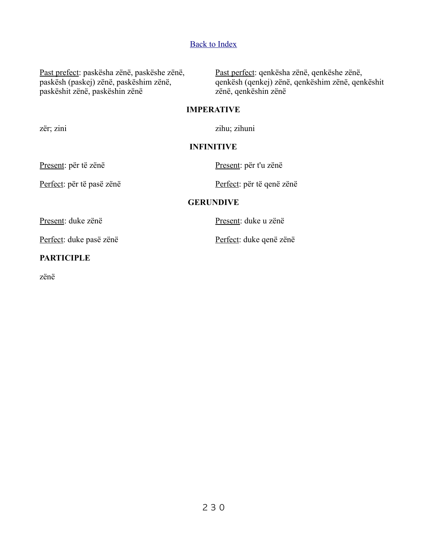| Past prefect: paskësha zënë, paskëshe zënë,<br>paskësh (paskej) zënë, paskëshim zënë,<br>paskëshit zënë, paskëshin zënë | Past perfect: qenkësha zënë, qenkëshe zënë,<br>qenkësh (qenkej) zënë, qenkëshim zënë, qenkëshit<br>zënë, qenkëshin zënë |  |
|-------------------------------------------------------------------------------------------------------------------------|-------------------------------------------------------------------------------------------------------------------------|--|
| <b>IMPERATIVE</b>                                                                                                       |                                                                                                                         |  |
| zër; zini                                                                                                               | zihu; zihuni                                                                                                            |  |
| <b>INFINITIVE</b>                                                                                                       |                                                                                                                         |  |
| Present: për të zënë                                                                                                    | Present: për t'u zënë                                                                                                   |  |
| Perfect: për të pasë zënë                                                                                               | Perfect: për të qenë zënë                                                                                               |  |
| <b>GERUNDIVE</b>                                                                                                        |                                                                                                                         |  |
| Present: duke zënë                                                                                                      | Present: duke u zënë                                                                                                    |  |
| Perfect: duke pasë zënë                                                                                                 | Perfect: duke qenë zënë                                                                                                 |  |
| <b>PARTICIPLE</b>                                                                                                       |                                                                                                                         |  |
|                                                                                                                         |                                                                                                                         |  |

zënë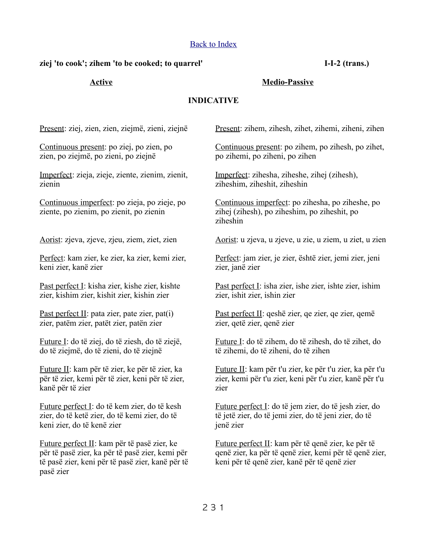# **ziej 'to cook'; zihem 'to be cooked; to quarrel' I-I-2 (trans.)**

# **Active Medio-Passive**

# **INDICATIVE**

Present: ziej, zien, zien, ziejmë, zieni, ziejnë Present: zihem, zihesh, zihet, zihemi, ziheni, zihen Continuous present: po ziej, po zien, po zien, po ziejmë, po zieni, po ziejnë Continuous present: po zihem, po zihesh, po zihet, po zihemi, po ziheni, po zihen Imperfect: zieja, zieje, ziente, zienim, zienit, zienin Imperfect: zihesha, ziheshe, zihej (zihesh), ziheshim, ziheshit, ziheshin Continuous imperfect: po zieja, po zieje, po ziente, po zienim, po zienit, po zienin Continuous imperfect: po zihesha, po ziheshe, po zihej (zihesh), po ziheshim, po ziheshit, po ziheshin Aorist: zjeva, zjeve, zjeu, ziem, ziet, zien Aorist: u zjeva, u zjeve, u zie, u ziem, u ziet, u zien Perfect: kam zier, ke zier, ka zier, kemi zier, keni zier, kanë zier Perfect: jam zier, je zier, është zier, jemi zier, jeni zier, janë zier Past perfect I: kisha zier, kishe zier, kishte zier, kishim zier, kishit zier, kishin zier Past perfect I: isha zier, ishe zier, ishte zier, ishim zier, ishit zier, ishin zier Past perfect  $II$ : pata zier, pate zier, pat(i) zier, patëm zier, patët zier, patën zier Past perfect II: qeshë zier, qe zier, qe zier, qemë zier, qetë zier, qenë zier Future I: do të ziej, do të ziesh, do të ziejë, do të ziejmë, do të zieni, do të ziejnë Future I: do të zihem, do të zihesh, do të zihet, do të zihemi, do të ziheni, do të zihen Future II: kam për të zier, ke për të zier, ka për të zier, kemi për të zier, keni për të zier, kanë për të zier Future II: kam për t'u zier, ke për t'u zier, ka për t'u zier, kemi për t'u zier, keni për t'u zier, kanë për t'u zier Future perfect I: do të kem zier, do të kesh zier, do të ketë zier, do të kemi zier, do të keni zier, do të kenë zier Future perfect I: do të jem zier, do të jesh zier, do të jetë zier, do të jemi zier, do të jeni zier, do të jenë zier

Future perfect II: kam për të pasë zier, ke për të pasë zier, ka për të pasë zier, kemi për të pasë zier, keni për të pasë zier, kanë për të pasë zier

Future perfect II: kam për të qenë zier, ke për të qenë zier, ka për të qenë zier, kemi për të qenë zier, keni për të qenë zier, kanë për të qenë zier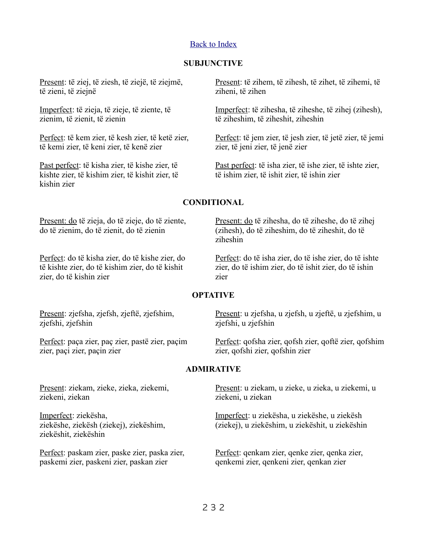### **SUBJUNCTIVE**

Present: të ziej, të ziesh, të ziejë, të ziejmë, të zieni, të ziejnë

Imperfect: të zieja, të zieje, të ziente, të zienim, të zienit, të zienin

Perfect: të kem zier, të kesh zier, të ketë zier, të kemi zier, të keni zier, të kenë zier

Past perfect: të kisha zier, të kishe zier, të kishte zier, të kishim zier, të kishit zier, të kishin zier

Present: të zihem, të zihesh, të zihet, të zihemi, të ziheni, të zihen

Imperfect: të zihesha, të ziheshe, të zihej (zihesh), të ziheshim, të ziheshit, ziheshin

Perfect: të jem zier, të jesh zier, të jetë zier, të jemi zier, të jeni zier, të jenë zier

Past perfect: të isha zier, të ishe zier, të ishte zier, të ishim zier, të ishit zier, të ishin zier

### **CONDITIONAL**

Present: do të zieja, do të zieje, do të ziente, do të zienim, do të zienit, do të zienin

Perfect: do të kisha zier, do të kishe zier, do të kishte zier, do të kishim zier, do të kishit zier, do të kishin zier

Present: do të zihesha, do të ziheshe, do të zihej (zihesh), do të ziheshim, do të ziheshit, do të ziheshin

Perfect: do të isha zier, do të ishe zier, do të ishte zier, do të ishim zier, do të ishit zier, do të ishin zier

### **OPTATIVE**

Present: zjefsha, zjefsh, zjeftë, zjefshim, zjefshi, zjefshin

Perfect: paça zier, paç zier, pastë zier, paçim zier, paçi zier, paçin zier

Present: u zjefsha, u zjefsh, u zjeftë, u zjefshim, u zjefshi, u zjefshin

Perfect: qofsha zier, qofsh zier, qoftë zier, qofshim zier, qofshi zier, qofshin zier

### **ADMIRATIVE**

Present: ziekam, zieke, zieka, ziekemi, ziekeni, ziekan

Imperfect: ziekësha, ziekëshe, ziekësh (ziekej), ziekëshim, ziekëshit, ziekëshin

Perfect: paskam zier, paske zier, paska zier, paskemi zier, paskeni zier, paskan zier

ziekeni, u ziekan

Present: u ziekam, u zieke, u zieka, u ziekemi, u

Imperfect: u ziekësha, u ziekëshe, u ziekësh (ziekej), u ziekëshim, u ziekëshit, u ziekëshin

Perfect: qenkam zier, qenke zier, qenka zier, qenkemi zier, qenkeni zier, qenkan zier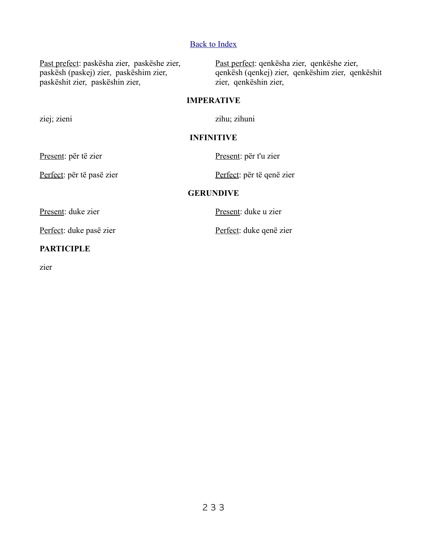Past prefect: paskësha zier, paskëshe zier, paskësh (paskej) zier, paskëshim zier, paskëshit zier, paskëshin zier, Past perfect: qenkësha zier, qenkëshe zier, qenkësh (qenkej) zier, qenkëshim zier, qenkëshit zier, qenkëshin zier, **IMPERATIVE** ziej; zieni zihu; zihuni zihu; zihuni zihu; zihuni zihu; zihuni zihu; zihuni zihu; zihuni zihu; zihuni zihu; zihuni zihu; zihuni zihu; zihuni zihu; zihuni zihu; zihuni zihu; zihuni zihu; zihuni zihu; zihuni zihu; zihuni zi **INFINITIVE** Present: për të zier Present: për t'u zier Perfect: për të pasë zier Perfect: për të qenë zier **GERUNDIVE** Present: duke zier Present: duke u zier Perfect: duke pasë zier Perfect: duke qenë zier **PARTICIPLE** zier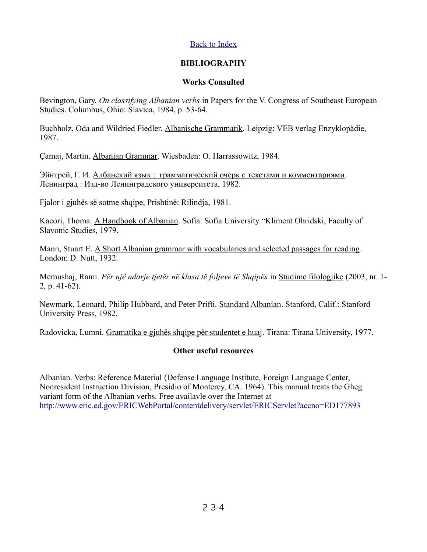# **BIBLIOGRAPHY**

# **Works Consulted**

Bevington, Gary. *On classifying Albanian verbs* in Papers for the V. Congress of Southeast European Studies. Columbus, Ohio: Slavica, 1984, p. 53-64.

Buchholz, Oda and Wildried Fiedler. Albanische Grammatik. Leipzig: VEB verlag Enzyklopädie, 1987.

Çamaj, Martin. Albanian Grammar. Wiesbaden: O. Harrassowitz, 1984.

Эйнтрей, Г. И. Албанский язык : грамматический очерк с текстами и комментариями. Ленинград : Изд-во Ленинградского университета, 1982.

Fjalor i gjuhës së sotme shqipe, Prishtinë: Rilindja, 1981.

Kacori, Thoma. A Handbook of Albanian. Sofia: Sofia University "Kliment Ohridski, Faculty of Slavonic Studies, 1979.

Mann, Stuart E. A Short Albanian grammar with vocabularies and selected passages for reading. London: D. Nutt, 1932.

Memushaj, Rami. *Për një ndarje tjetër në klasa të foljeve të Shqipës* in Studime filologjike (2003, nr. 1- 2, p. 41-62).

Newmark, Leonard, Philip Hubbard, and Peter Prifti. Standard Albanian. Stanford, Calif.: Stanford University Press, 1982.

Radovicka, Lumni. Gramatika e gjuhës shqipe për studentet e huaj. Tirana: Tirana University, 1977.

# **Other useful resources**

Albanian. Verbs: Reference Material (Defense Language Institute, Foreign Language Center, Nonresident Instruction Division, Presidio of Monterey, CA. 1964). This manual treats the Gheg variant form of the Albanian verbs. Free availavle over the Internet at <http://www.eric.ed.gov/ERICWebPortal/contentdelivery/servlet/ERICServlet?accno=ED177893>